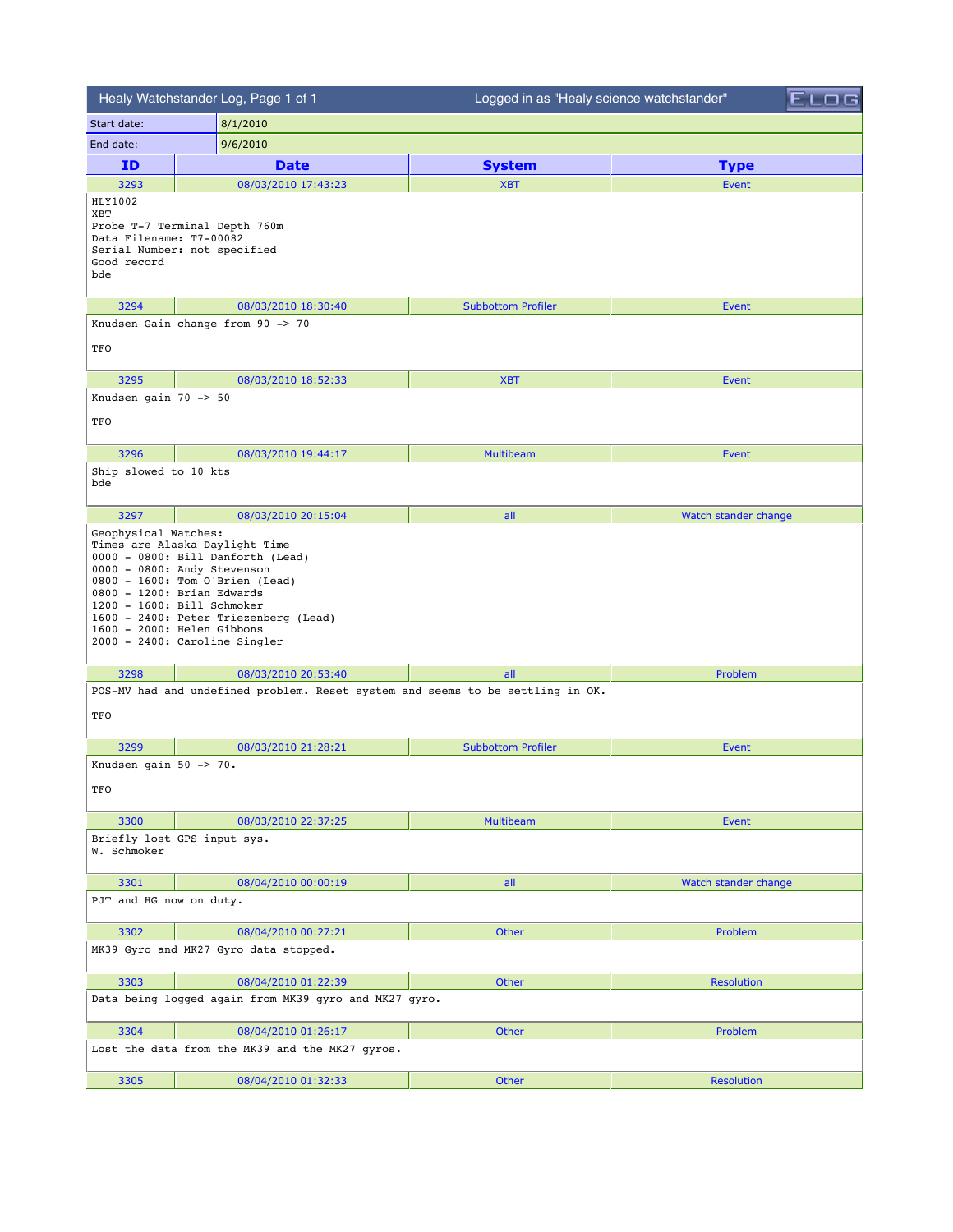|                                                                 | Healy Watchstander Log, Page 1 of 1                                                                                                                                                                                                                                                                       | Logged in as "Healy science watchstander" |                      |
|-----------------------------------------------------------------|-----------------------------------------------------------------------------------------------------------------------------------------------------------------------------------------------------------------------------------------------------------------------------------------------------------|-------------------------------------------|----------------------|
| Start date:                                                     | 8/1/2010                                                                                                                                                                                                                                                                                                  |                                           |                      |
| End date:                                                       | 9/6/2010                                                                                                                                                                                                                                                                                                  |                                           |                      |
| ID                                                              | <b>Date</b>                                                                                                                                                                                                                                                                                               | <b>System</b>                             | <b>Type</b>          |
| 3293                                                            | 08/03/2010 17:43:23                                                                                                                                                                                                                                                                                       | <b>XBT</b>                                | Event                |
| HLY1002<br>XBT<br>Data Filename: T7-00082<br>Good record<br>bde | Probe T-7 Terminal Depth 760m<br>Serial Number: not specified                                                                                                                                                                                                                                             |                                           |                      |
| 3294                                                            | 08/03/2010 18:30:40                                                                                                                                                                                                                                                                                       | <b>Subbottom Profiler</b>                 | Event                |
| TFO                                                             | Knudsen Gain change from 90 -> 70                                                                                                                                                                                                                                                                         |                                           |                      |
| 3295                                                            | 08/03/2010 18:52:33                                                                                                                                                                                                                                                                                       | <b>XBT</b>                                | <b>Event</b>         |
| Knudsen gain $70 \rightarrow 50$<br>TFO                         |                                                                                                                                                                                                                                                                                                           |                                           |                      |
| 3296                                                            | 08/03/2010 19:44:17                                                                                                                                                                                                                                                                                       | <b>Multibeam</b>                          | <b>Event</b>         |
| Ship slowed to 10 kts<br>bde                                    |                                                                                                                                                                                                                                                                                                           |                                           |                      |
| 3297                                                            | 08/03/2010 20:15:04                                                                                                                                                                                                                                                                                       | all                                       | Watch stander change |
|                                                                 | Times are Alaska Daylight Time<br>0000 - 0800: Bill Danforth (Lead)<br>0000 - 0800: Andy Stevenson<br>0800 - 1600: Tom O'Brien (Lead)<br>0800 - 1200: Brian Edwards<br>1200 - 1600: Bill Schmoker<br>1600 - 2400: Peter Triezenberg (Lead)<br>1600 - 2000: Helen Gibbons<br>2000 - 2400: Caroline Singler |                                           |                      |
| 3298                                                            | 08/03/2010 20:53:40                                                                                                                                                                                                                                                                                       | all                                       | Problem              |
| TFO                                                             | POS-MV had and undefined problem. Reset system and seems to be settling in OK.                                                                                                                                                                                                                            |                                           |                      |
| 3299                                                            | 08/03/2010 21:28:21                                                                                                                                                                                                                                                                                       | <b>Subbottom Profiler</b>                 | <b>Event</b>         |
| Knudsen gain 50 -> 70.<br>TFO                                   |                                                                                                                                                                                                                                                                                                           |                                           |                      |
| 3300                                                            | 08/03/2010 22:37:25                                                                                                                                                                                                                                                                                       | <b>Multibeam</b>                          | <b>Event</b>         |
| W. Schmoker                                                     | Briefly lost GPS input sys.                                                                                                                                                                                                                                                                               |                                           |                      |
| 3301                                                            | 08/04/2010 00:00:19                                                                                                                                                                                                                                                                                       | all                                       | Watch stander change |
| PJT and HG now on duty.                                         |                                                                                                                                                                                                                                                                                                           |                                           |                      |
| 3302                                                            | 08/04/2010 00:27:21                                                                                                                                                                                                                                                                                       | Other                                     | Problem              |
|                                                                 | MK39 Gyro and MK27 Gyro data stopped.                                                                                                                                                                                                                                                                     |                                           |                      |
| 3303                                                            | 08/04/2010 01:22:39                                                                                                                                                                                                                                                                                       | Other                                     | <b>Resolution</b>    |
|                                                                 | Data being logged again from MK39 gyro and MK27 gyro.                                                                                                                                                                                                                                                     |                                           |                      |
| 3304                                                            | 08/04/2010 01:26:17                                                                                                                                                                                                                                                                                       | Other                                     | Problem              |
|                                                                 | Lost the data from the MK39 and the MK27 gyros.                                                                                                                                                                                                                                                           |                                           |                      |
| 3305                                                            | 08/04/2010 01:32:33                                                                                                                                                                                                                                                                                       | Other                                     | <b>Resolution</b>    |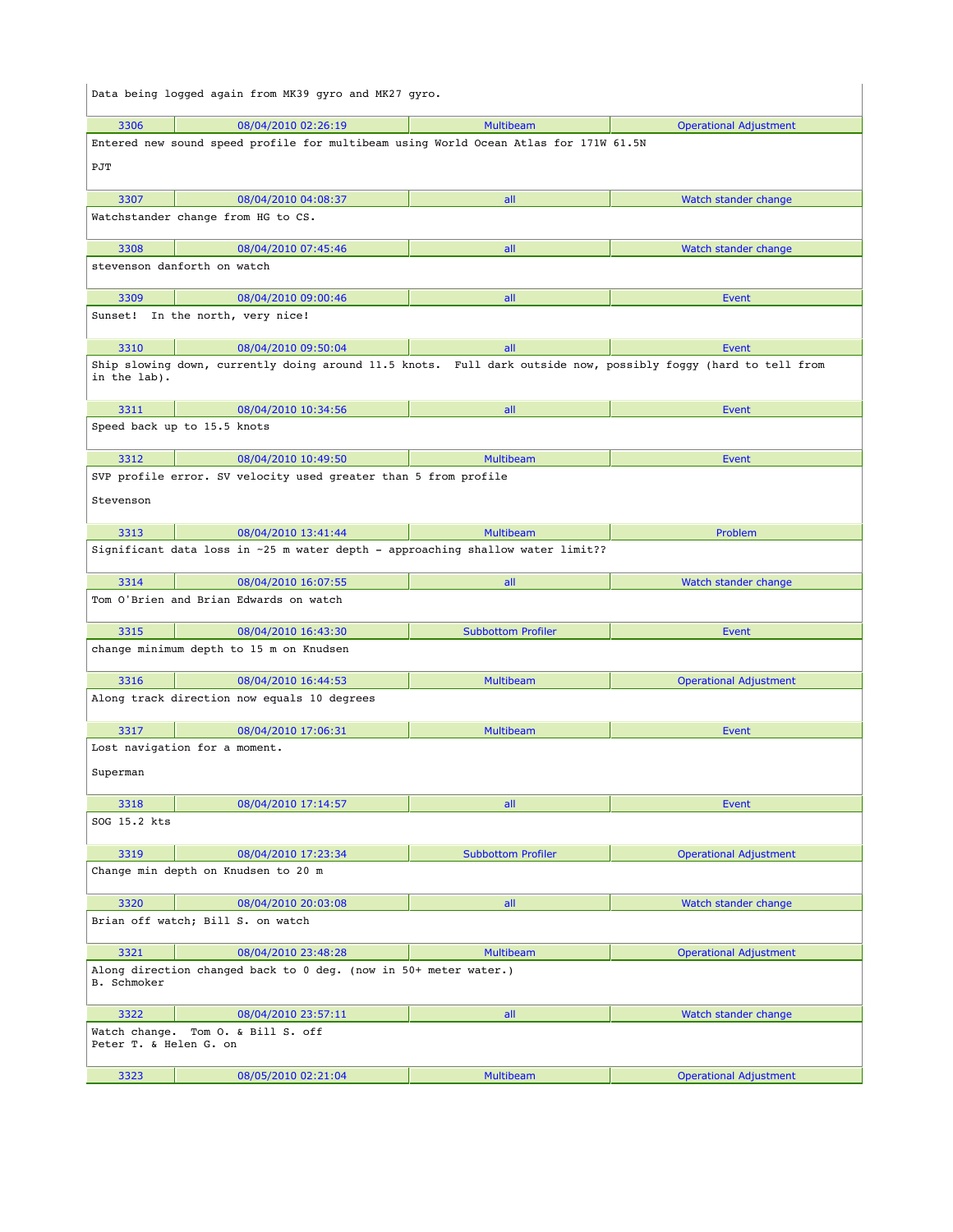|                        | Data being logged again from MK39 gyro and MK27 gyro.                                                          |                           |                               |
|------------------------|----------------------------------------------------------------------------------------------------------------|---------------------------|-------------------------------|
| 3306                   | 08/04/2010 02:26:19                                                                                            | <b>Multibeam</b>          | <b>Operational Adjustment</b> |
|                        | Entered new sound speed profile for multibeam using World Ocean Atlas for 171W 61.5N                           |                           |                               |
| PJT                    |                                                                                                                |                           |                               |
| 3307                   | 08/04/2010 04:08:37                                                                                            | all                       | Watch stander change          |
|                        | Watchstander change from HG to CS.                                                                             |                           |                               |
| 3308                   | 08/04/2010 07:45:46                                                                                            | all                       | Watch stander change          |
|                        | stevenson danforth on watch                                                                                    |                           |                               |
| 3309                   | 08/04/2010 09:00:46                                                                                            | all                       | Event                         |
|                        | Sunset! In the north, very nice!                                                                               |                           |                               |
| 3310                   | 08/04/2010 09:50:04                                                                                            | all                       | Event                         |
| in the lab).           | Ship slowing down, currently doing around 11.5 knots. Full dark outside now, possibly foggy (hard to tell from |                           |                               |
| 3311                   | 08/04/2010 10:34:56                                                                                            | all                       | Event                         |
|                        | Speed back up to 15.5 knots                                                                                    |                           |                               |
| 3312                   | 08/04/2010 10:49:50                                                                                            | <b>Multibeam</b>          | Event                         |
| Stevenson              | SVP profile error. SV velocity used greater than 5 from profile                                                |                           |                               |
| 3313                   | 08/04/2010 13:41:44                                                                                            | <b>Multibeam</b>          | Problem                       |
|                        | Significant data loss in ~25 m water depth - approaching shallow water limit??                                 |                           |                               |
| 3314                   | 08/04/2010 16:07:55                                                                                            | all                       | Watch stander change          |
|                        | Tom O'Brien and Brian Edwards on watch                                                                         |                           |                               |
| 3315                   | 08/04/2010 16:43:30                                                                                            | <b>Subbottom Profiler</b> | Event                         |
|                        | change minimum depth to 15 m on Knudsen                                                                        |                           |                               |
| 3316                   | 08/04/2010 16:44:53                                                                                            | <b>Multibeam</b>          | <b>Operational Adjustment</b> |
|                        | Along track direction now equals 10 degrees                                                                    |                           |                               |
| 3317                   | 08/04/2010 17:06:31                                                                                            | <b>Multibeam</b>          | Event                         |
| Superman               | Lost navigation for a moment.                                                                                  |                           |                               |
| 3318                   | 08/04/2010 17:14:57                                                                                            | all                       | Event                         |
| SOG 15.2 kts           |                                                                                                                |                           |                               |
| 3319                   | 08/04/2010 17:23:34                                                                                            | <b>Subbottom Profiler</b> | <b>Operational Adjustment</b> |
|                        | Change min depth on Knudsen to 20 m                                                                            |                           |                               |
| 3320                   | 08/04/2010 20:03:08                                                                                            | all                       | Watch stander change          |
|                        | Brian off watch; Bill S. on watch                                                                              |                           |                               |
| 3321                   | 08/04/2010 23:48:28                                                                                            | <b>Multibeam</b>          | <b>Operational Adjustment</b> |
| B. Schmoker            | Along direction changed back to 0 deg. (now in 50+ meter water.)                                               |                           |                               |
| 3322                   | 08/04/2010 23:57:11                                                                                            | all                       | Watch stander change          |
| Peter T. & Helen G. on | Watch change. Tom O. & Bill S. off                                                                             |                           |                               |
| 3323                   | 08/05/2010 02:21:04                                                                                            | <b>Multibeam</b>          | <b>Operational Adjustment</b> |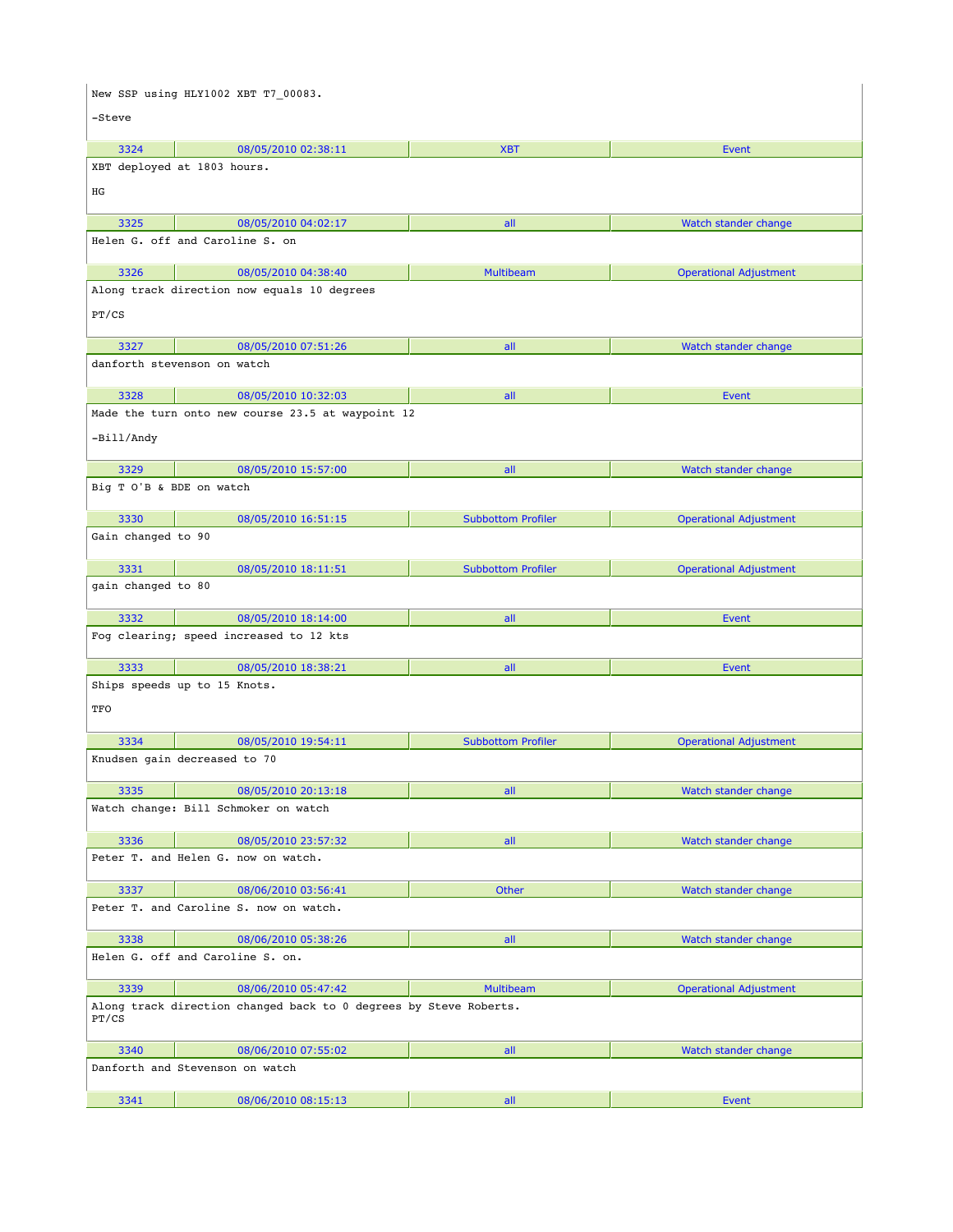|                          | New SSP using HLY1002 XBT T7 00083.                               |                           |                               |
|--------------------------|-------------------------------------------------------------------|---------------------------|-------------------------------|
| -Steve                   |                                                                   |                           |                               |
|                          |                                                                   |                           |                               |
| 3324                     | 08/05/2010 02:38:11<br>XBT deployed at 1803 hours.                | <b>XBT</b>                | Event                         |
|                          |                                                                   |                           |                               |
| ΗG                       |                                                                   |                           |                               |
| 3325                     | 08/05/2010 04:02:17                                               | all                       | Watch stander change          |
|                          | Helen G. off and Caroline S. on                                   |                           |                               |
| 3326                     | 08/05/2010 04:38:40                                               | <b>Multibeam</b>          |                               |
|                          | Along track direction now equals 10 degrees                       |                           | <b>Operational Adjustment</b> |
| PT/CS                    |                                                                   |                           |                               |
|                          |                                                                   |                           |                               |
| 3327                     | 08/05/2010 07:51:26                                               | all                       | Watch stander change          |
|                          | danforth stevenson on watch                                       |                           |                               |
| 3328                     | 08/05/2010 10:32:03                                               | all                       | Event                         |
|                          | Made the turn onto new course 23.5 at waypoint 12                 |                           |                               |
| -Bill/Andy               |                                                                   |                           |                               |
|                          |                                                                   |                           |                               |
| 3329                     | 08/05/2010 15:57:00                                               | all                       | Watch stander change          |
| Big T O'B & BDE on watch |                                                                   |                           |                               |
| 3330                     | 08/05/2010 16:51:15                                               | <b>Subbottom Profiler</b> | <b>Operational Adjustment</b> |
| Gain changed to 90       |                                                                   |                           |                               |
|                          |                                                                   |                           |                               |
| 3331                     | 08/05/2010 18:11:51                                               | <b>Subbottom Profiler</b> | <b>Operational Adjustment</b> |
| gain changed to 80       |                                                                   |                           |                               |
| 3332                     | 08/05/2010 18:14:00                                               | all                       | Event                         |
|                          | Fog clearing; speed increased to 12 kts                           |                           |                               |
| 3333                     | 08/05/2010 18:38:21                                               | all                       | Event                         |
|                          | Ships speeds up to 15 Knots.                                      |                           |                               |
| TFO                      |                                                                   |                           |                               |
|                          |                                                                   |                           |                               |
| 3334                     | 08/05/2010 19:54:11                                               | <b>Subbottom Profiler</b> | <b>Operational Adjustment</b> |
|                          | Knudsen gain decreased to 70                                      |                           |                               |
| 3335                     | 08/05/2010 20:13:18                                               | all                       | Watch stander change          |
|                          | Watch change: Bill Schmoker on watch                              |                           |                               |
|                          |                                                                   |                           |                               |
| 3336                     | 08/05/2010 23:57:32<br>Peter T. and Helen G. now on watch.        | all                       | Watch stander change          |
|                          |                                                                   |                           |                               |
| 3337                     | 08/06/2010 03:56:41                                               | Other                     | Watch stander change          |
|                          | Peter T. and Caroline S. now on watch.                            |                           |                               |
| 3338                     | 08/06/2010 05:38:26                                               | all                       | Watch stander change          |
|                          | Helen G. off and Caroline S. on.                                  |                           |                               |
|                          |                                                                   |                           |                               |
| 3339                     | 08/06/2010 05:47:42                                               | <b>Multibeam</b>          | <b>Operational Adjustment</b> |
| PT/CS                    | Along track direction changed back to 0 degrees by Steve Roberts. |                           |                               |
| 3340                     | 08/06/2010 07:55:02                                               | all                       | Watch stander change          |
|                          | Danforth and Stevenson on watch                                   |                           |                               |
| 3341                     |                                                                   |                           |                               |
|                          | 08/06/2010 08:15:13                                               | all                       | Event                         |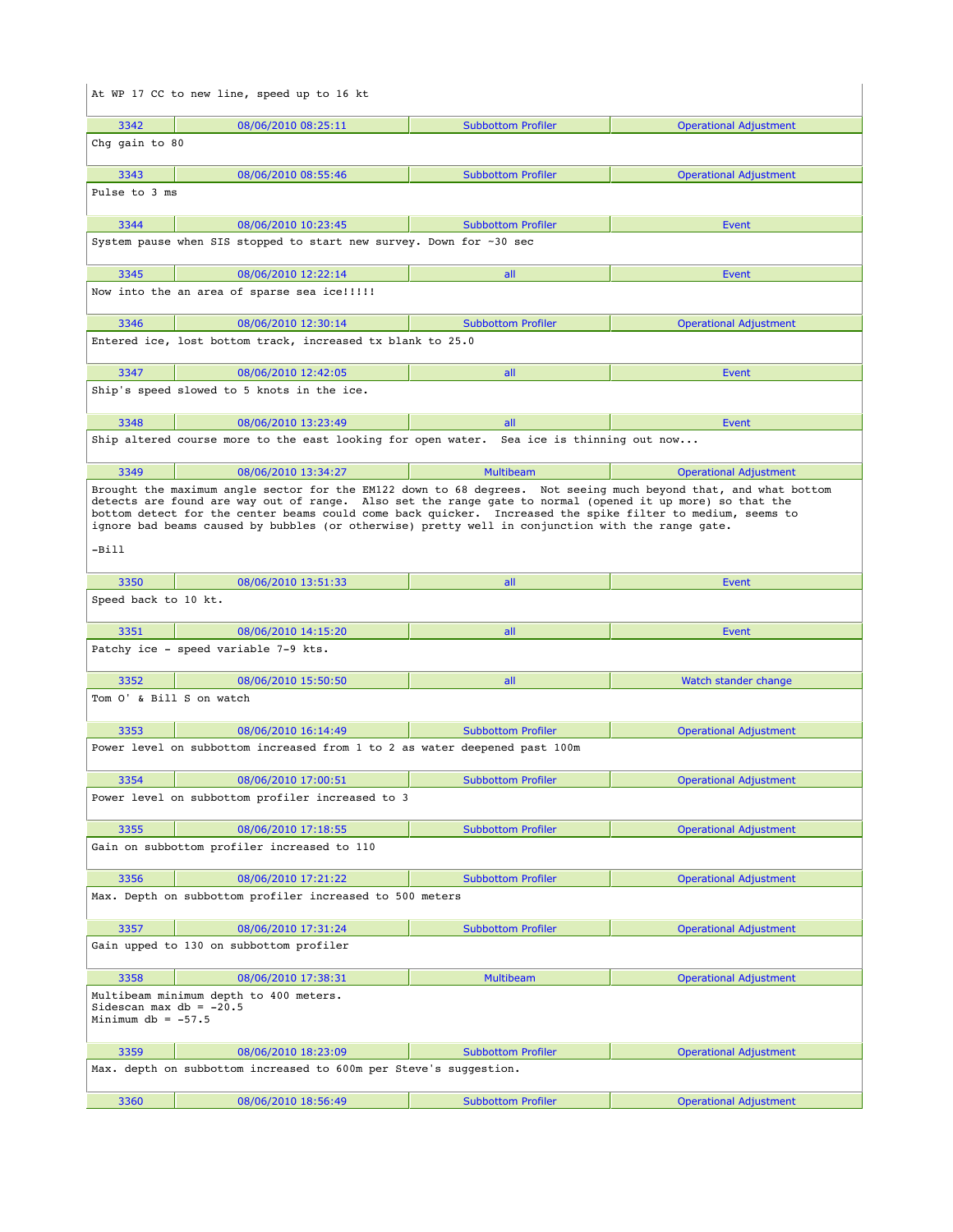|                                                   | At WP 17 CC to new line, speed up to 16 kt                                                                                                                                                                                                                                                                                                                                                                                                      |                           |                               |
|---------------------------------------------------|-------------------------------------------------------------------------------------------------------------------------------------------------------------------------------------------------------------------------------------------------------------------------------------------------------------------------------------------------------------------------------------------------------------------------------------------------|---------------------------|-------------------------------|
| 3342                                              | 08/06/2010 08:25:11                                                                                                                                                                                                                                                                                                                                                                                                                             | <b>Subbottom Profiler</b> | <b>Operational Adjustment</b> |
| Chq qain to 80                                    |                                                                                                                                                                                                                                                                                                                                                                                                                                                 |                           |                               |
| 3343                                              | 08/06/2010 08:55:46                                                                                                                                                                                                                                                                                                                                                                                                                             | <b>Subbottom Profiler</b> | <b>Operational Adjustment</b> |
| Pulse to 3 ms                                     |                                                                                                                                                                                                                                                                                                                                                                                                                                                 |                           |                               |
| 3344                                              | 08/06/2010 10:23:45                                                                                                                                                                                                                                                                                                                                                                                                                             | <b>Subbottom Profiler</b> | Event                         |
|                                                   | System pause when SIS stopped to start new survey. Down for ~30 sec                                                                                                                                                                                                                                                                                                                                                                             |                           |                               |
| 3345                                              | 08/06/2010 12:22:14                                                                                                                                                                                                                                                                                                                                                                                                                             | all                       | Event                         |
|                                                   | Now into the an area of sparse sea ice!!!!!                                                                                                                                                                                                                                                                                                                                                                                                     |                           |                               |
| 3346                                              | 08/06/2010 12:30:14                                                                                                                                                                                                                                                                                                                                                                                                                             | <b>Subbottom Profiler</b> | <b>Operational Adjustment</b> |
|                                                   | Entered ice, lost bottom track, increased tx blank to 25.0                                                                                                                                                                                                                                                                                                                                                                                      |                           |                               |
| 3347                                              | 08/06/2010 12:42:05                                                                                                                                                                                                                                                                                                                                                                                                                             | all                       | Event                         |
|                                                   | Ship's speed slowed to 5 knots in the ice.                                                                                                                                                                                                                                                                                                                                                                                                      |                           |                               |
| 3348                                              | 08/06/2010 13:23:49                                                                                                                                                                                                                                                                                                                                                                                                                             | all                       | Event                         |
|                                                   | Ship altered course more to the east looking for open water. Sea ice is thinning out now                                                                                                                                                                                                                                                                                                                                                        |                           |                               |
| 3349                                              | 08/06/2010 13:34:27                                                                                                                                                                                                                                                                                                                                                                                                                             | Multibeam                 | <b>Operational Adjustment</b> |
| -Bill                                             | Brought the maximum angle sector for the EM122 down to 68 degrees. Not seeing much beyond that, and what bottom<br>detects are found are way out of range. Also set the range gate to normal (opened it up more) so that the<br>bottom detect for the center beams could come back quicker. Increased the spike filter to medium, seems to<br>ignore bad beams caused by bubbles (or otherwise) pretty well in conjunction with the range gate. |                           |                               |
| 3350                                              | 08/06/2010 13:51:33                                                                                                                                                                                                                                                                                                                                                                                                                             | all                       | Event                         |
| Speed back to 10 kt.                              |                                                                                                                                                                                                                                                                                                                                                                                                                                                 |                           |                               |
|                                                   |                                                                                                                                                                                                                                                                                                                                                                                                                                                 |                           |                               |
| 3351                                              |                                                                                                                                                                                                                                                                                                                                                                                                                                                 | all                       | Event                         |
|                                                   | 08/06/2010 14:15:20<br>Patchy ice - speed variable 7-9 kts.                                                                                                                                                                                                                                                                                                                                                                                     |                           |                               |
| 3352                                              | 08/06/2010 15:50:50                                                                                                                                                                                                                                                                                                                                                                                                                             | all                       | Watch stander change          |
| Tom O' & Bill S on watch                          |                                                                                                                                                                                                                                                                                                                                                                                                                                                 |                           |                               |
| 3353                                              | 08/06/2010 16:14:49                                                                                                                                                                                                                                                                                                                                                                                                                             | <b>Subbottom Profiler</b> | <b>Operational Adjustment</b> |
|                                                   | Power level on subbottom increased from 1 to 2 as water deepened past 100m                                                                                                                                                                                                                                                                                                                                                                      |                           |                               |
| 3354                                              | 08/06/2010 17:00:51                                                                                                                                                                                                                                                                                                                                                                                                                             | <b>Subbottom Profiler</b> | Operational Adjustment        |
|                                                   | Power level on subbottom profiler increased to 3                                                                                                                                                                                                                                                                                                                                                                                                |                           |                               |
| 3355                                              | 08/06/2010 17:18:55                                                                                                                                                                                                                                                                                                                                                                                                                             | <b>Subbottom Profiler</b> | <b>Operational Adjustment</b> |
|                                                   | Gain on subbottom profiler increased to 110                                                                                                                                                                                                                                                                                                                                                                                                     |                           |                               |
| 3356                                              | 08/06/2010 17:21:22                                                                                                                                                                                                                                                                                                                                                                                                                             | <b>Subbottom Profiler</b> | <b>Operational Adjustment</b> |
|                                                   | Max. Depth on subbottom profiler increased to 500 meters                                                                                                                                                                                                                                                                                                                                                                                        |                           |                               |
| 3357                                              | 08/06/2010 17:31:24                                                                                                                                                                                                                                                                                                                                                                                                                             | <b>Subbottom Profiler</b> | <b>Operational Adjustment</b> |
|                                                   | Gain upped to 130 on subbottom profiler                                                                                                                                                                                                                                                                                                                                                                                                         |                           |                               |
| 3358                                              | 08/06/2010 17:38:31                                                                                                                                                                                                                                                                                                                                                                                                                             | <b>Multibeam</b>          | <b>Operational Adjustment</b> |
| Sidescan max $db = -20.5$<br>Minimum db = $-57.5$ | Multibeam minimum depth to 400 meters.                                                                                                                                                                                                                                                                                                                                                                                                          |                           |                               |
| 3359                                              | 08/06/2010 18:23:09                                                                                                                                                                                                                                                                                                                                                                                                                             | <b>Subbottom Profiler</b> | <b>Operational Adjustment</b> |
|                                                   | Max. depth on subbottom increased to 600m per Steve's suggestion.                                                                                                                                                                                                                                                                                                                                                                               |                           |                               |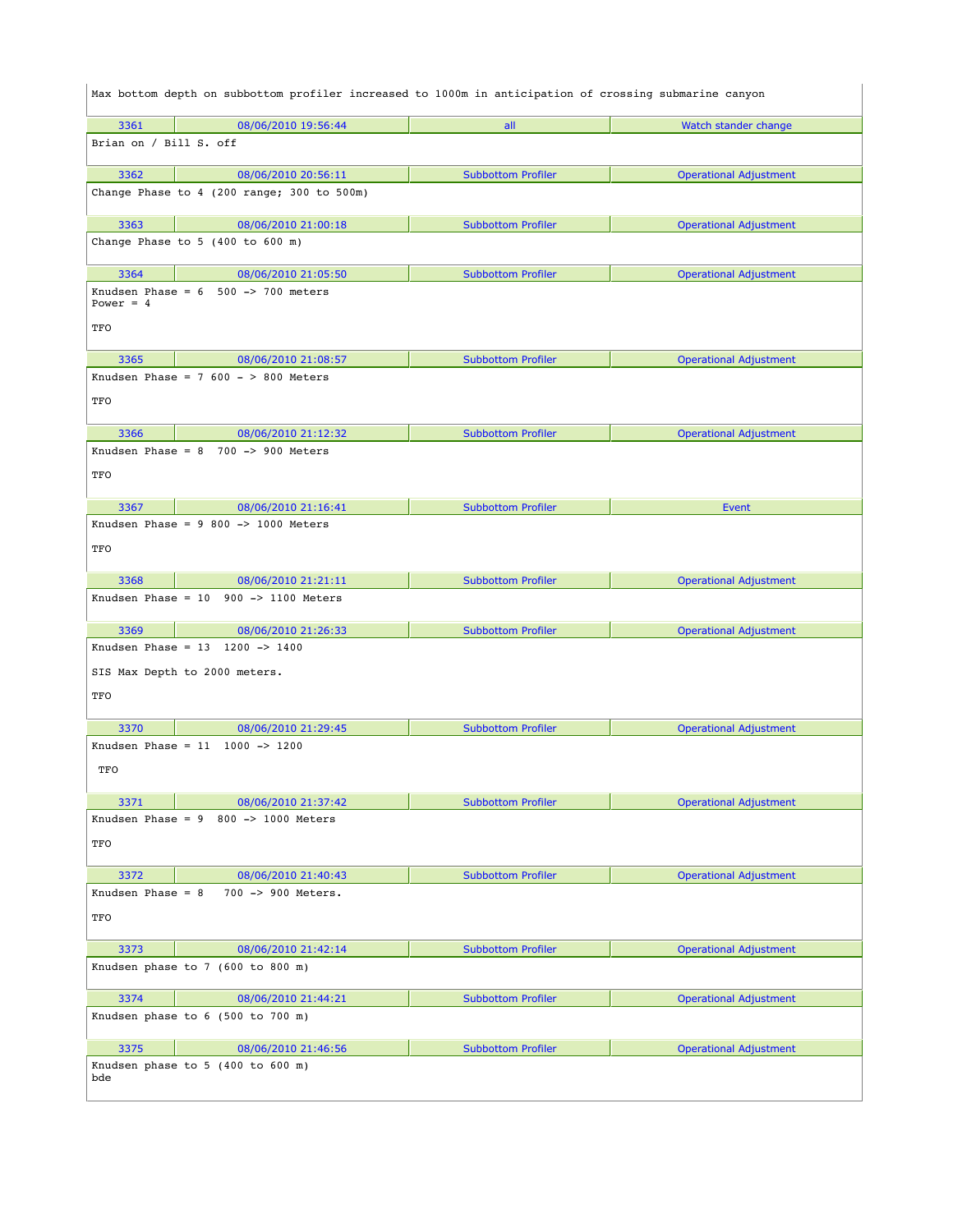|                        | Max bottom depth on subbottom profiler increased to 1000m in anticipation of crossing submarine canyon |                           |                               |
|------------------------|--------------------------------------------------------------------------------------------------------|---------------------------|-------------------------------|
| 3361                   | 08/06/2010 19:56:44                                                                                    | all                       | Watch stander change          |
| Brian on / Bill S. off |                                                                                                        |                           |                               |
| 3362                   | 08/06/2010 20:56:11                                                                                    | <b>Subbottom Profiler</b> | <b>Operational Adjustment</b> |
|                        | Change Phase to $4$ (200 range; 300 to 500m)                                                           |                           |                               |
| 3363                   | 08/06/2010 21:00:18                                                                                    | <b>Subbottom Profiler</b> | <b>Operational Adjustment</b> |
|                        | Change Phase to $5$ (400 to 600 m)                                                                     |                           |                               |
| 3364                   | 08/06/2010 21:05:50                                                                                    | <b>Subbottom Profiler</b> | <b>Operational Adjustment</b> |
| Power = $4$<br>TFO     | Knudsen Phase = $6$ 500 -> 700 meters                                                                  |                           |                               |
| 3365                   | 08/06/2010 21:08:57                                                                                    | <b>Subbottom Profiler</b> | <b>Operational Adjustment</b> |
|                        | Knudsen Phase = $7600 - 800$ Meters                                                                    |                           |                               |
| TFO                    |                                                                                                        |                           |                               |
| 3366                   | 08/06/2010 21:12:32                                                                                    | <b>Subbottom Profiler</b> | <b>Operational Adjustment</b> |
|                        | Knudsen Phase = $8$ 700 -> 900 Meters                                                                  |                           |                               |
| TFO                    |                                                                                                        |                           |                               |
| 3367                   | 08/06/2010 21:16:41                                                                                    | <b>Subbottom Profiler</b> | Event                         |
|                        | Knudsen Phase = $9800 \rightarrow 1000$ Meters                                                         |                           |                               |
| TFO                    |                                                                                                        |                           |                               |
| 3368                   | 08/06/2010 21:21:11                                                                                    | <b>Subbottom Profiler</b> | <b>Operational Adjustment</b> |
|                        | Knudsen Phase = $10$ 900 -> 1100 Meters                                                                |                           |                               |
| 3369                   | 08/06/2010 21:26:33                                                                                    | <b>Subbottom Profiler</b> | <b>Operational Adjustment</b> |
|                        | Knudsen Phase = $13$ 1200 -> 1400                                                                      |                           |                               |
|                        | SIS Max Depth to 2000 meters.                                                                          |                           |                               |
| TFO                    |                                                                                                        |                           |                               |
| 3370                   | 08/06/2010 21:29:45                                                                                    | <b>Subbottom Profiler</b> | <b>Operational Adjustment</b> |
|                        | Knudsen Phase = $11$ 1000 -> 1200                                                                      |                           |                               |
| TFO                    |                                                                                                        |                           |                               |
| 3371                   | 08/06/2010 21:37:42                                                                                    | <b>Subbottom Profiler</b> | <b>Operational Adjustment</b> |
| Knudsen Phase = $9$    | 800 -> 1000 Meters                                                                                     |                           |                               |
| TFO                    |                                                                                                        |                           |                               |
| 3372                   | 08/06/2010 21:40:43                                                                                    | <b>Subbottom Profiler</b> | <b>Operational Adjustment</b> |
| Knudsen Phase = $8$    | 700 -> 900 Meters.                                                                                     |                           |                               |
| TFO                    |                                                                                                        |                           |                               |
| 3373                   | 08/06/2010 21:42:14                                                                                    | <b>Subbottom Profiler</b> | <b>Operational Adjustment</b> |
|                        | Knudsen phase to $7$ (600 to 800 m)                                                                    |                           |                               |
| 3374                   | 08/06/2010 21:44:21                                                                                    | <b>Subbottom Profiler</b> | <b>Operational Adjustment</b> |
|                        | Knudsen phase to $6$ (500 to 700 m)                                                                    |                           |                               |
| 3375                   | 08/06/2010 21:46:56                                                                                    | <b>Subbottom Profiler</b> | <b>Operational Adjustment</b> |
| bde                    | Knudsen phase to 5 (400 to 600 m)                                                                      |                           |                               |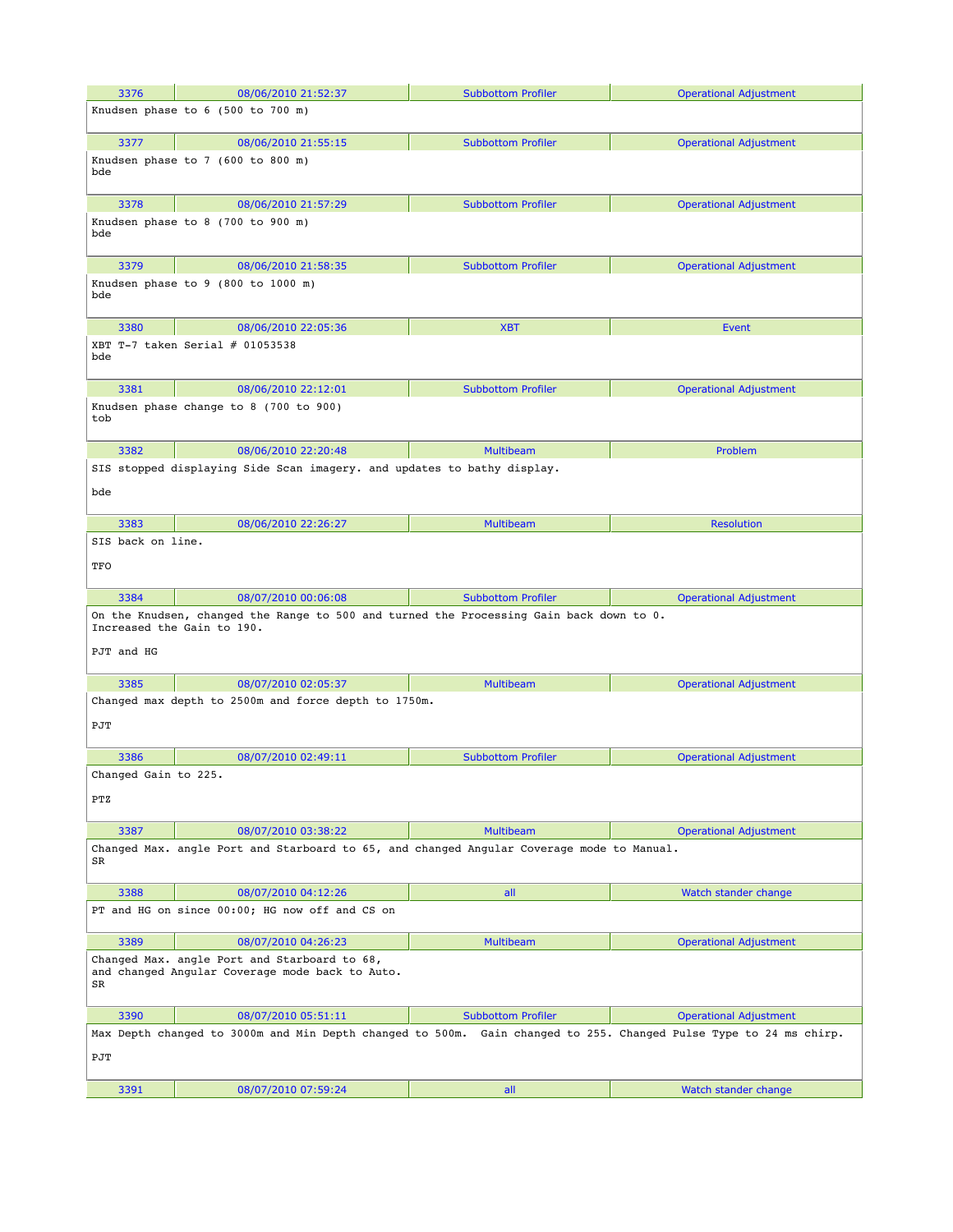| Max Depth changed to 3000m and Min Depth changed to 500m. Gain changed to 255. Changed Pulse Type to 24 ms chirp. |
|-------------------------------------------------------------------------------------------------------------------|
|                                                                                                                   |
|                                                                                                                   |
|                                                                                                                   |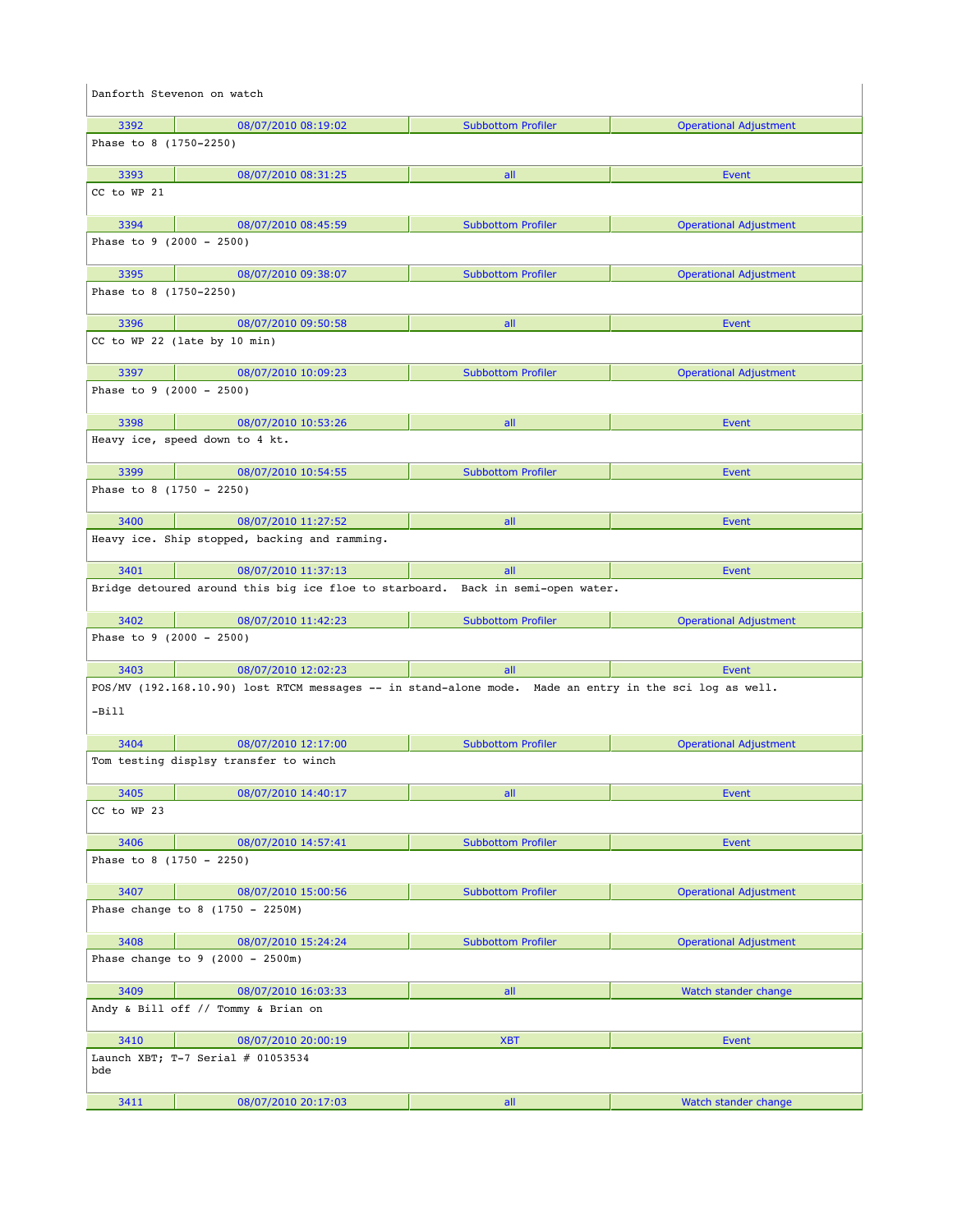|                            | Danforth Stevenon on watch                                                                              |                           |                               |
|----------------------------|---------------------------------------------------------------------------------------------------------|---------------------------|-------------------------------|
| 3392                       | 08/07/2010 08:19:02                                                                                     | <b>Subbottom Profiler</b> | <b>Operational Adjustment</b> |
| Phase to 8 (1750-2250)     |                                                                                                         |                           |                               |
| 3393                       | 08/07/2010 08:31:25                                                                                     | all                       | Event                         |
| CC to WP 21                |                                                                                                         |                           |                               |
| 3394                       | 08/07/2010 08:45:59                                                                                     | <b>Subbottom Profiler</b> | <b>Operational Adjustment</b> |
| Phase to $9$ (2000 - 2500) |                                                                                                         |                           |                               |
| 3395                       | 08/07/2010 09:38:07                                                                                     | <b>Subbottom Profiler</b> | <b>Operational Adjustment</b> |
| Phase to 8 (1750-2250)     |                                                                                                         |                           |                               |
| 3396                       | 08/07/2010 09:50:58                                                                                     | all                       | Event                         |
|                            | CC to WP 22 (late by 10 min)                                                                            |                           |                               |
| 3397                       | 08/07/2010 10:09:23                                                                                     | <b>Subbottom Profiler</b> | <b>Operational Adjustment</b> |
| Phase to 9 (2000 - 2500)   |                                                                                                         |                           |                               |
| 3398                       | 08/07/2010 10:53:26                                                                                     | all                       | Event                         |
|                            | Heavy ice, speed down to 4 kt.                                                                          |                           |                               |
| 3399                       | 08/07/2010 10:54:55                                                                                     | <b>Subbottom Profiler</b> | Event                         |
| Phase to 8 (1750 - 2250)   |                                                                                                         |                           |                               |
| 3400                       | 08/07/2010 11:27:52                                                                                     | all                       | Event                         |
|                            | Heavy ice. Ship stopped, backing and ramming.                                                           |                           |                               |
| 3401                       | 08/07/2010 11:37:13                                                                                     | all                       | Event                         |
|                            | Bridge detoured around this big ice floe to starboard. Back in semi-open water.                         |                           |                               |
| 3402                       | 08/07/2010 11:42:23                                                                                     | <b>Subbottom Profiler</b> | <b>Operational Adjustment</b> |
| Phase to $9$ (2000 - 2500) |                                                                                                         |                           |                               |
| 3403                       | 08/07/2010 12:02:23                                                                                     | all                       | Event                         |
| $-Bi11$                    | POS/MV (192.168.10.90) lost RTCM messages -- in stand-alone mode. Made an entry in the sci log as well. |                           |                               |
| 3404                       | 08/07/2010 12:17:00                                                                                     | <b>Subbottom Profiler</b> | <b>Operational Adjustment</b> |
|                            | Tom testing displsy transfer to winch                                                                   |                           |                               |
| 3405                       | 08/07/2010 14:40:17                                                                                     | all                       | Event                         |
| CC to WP 23                |                                                                                                         |                           |                               |
| 3406                       | 08/07/2010 14:57:41                                                                                     | <b>Subbottom Profiler</b> | Event                         |
| Phase to 8 $(1750 - 2250)$ |                                                                                                         |                           |                               |
| 3407                       | 08/07/2010 15:00:56                                                                                     | <b>Subbottom Profiler</b> | <b>Operational Adjustment</b> |
|                            | Phase change to 8 $(1750 - 2250M)$                                                                      |                           |                               |
| 3408                       | 08/07/2010 15:24:24                                                                                     | <b>Subbottom Profiler</b> | <b>Operational Adjustment</b> |
|                            | Phase change to $9$ (2000 - 2500m)                                                                      |                           |                               |
| 3409                       | 08/07/2010 16:03:33                                                                                     | all                       | Watch stander change          |
|                            | Andy & Bill off // Tommy & Brian on                                                                     |                           |                               |
| 3410                       | 08/07/2010 20:00:19                                                                                     | <b>XBT</b>                | Event                         |
| bde                        | Launch XBT; T-7 Serial $#$ 01053534                                                                     |                           |                               |
| 3411                       | 08/07/2010 20:17:03                                                                                     | all                       | Watch stander change          |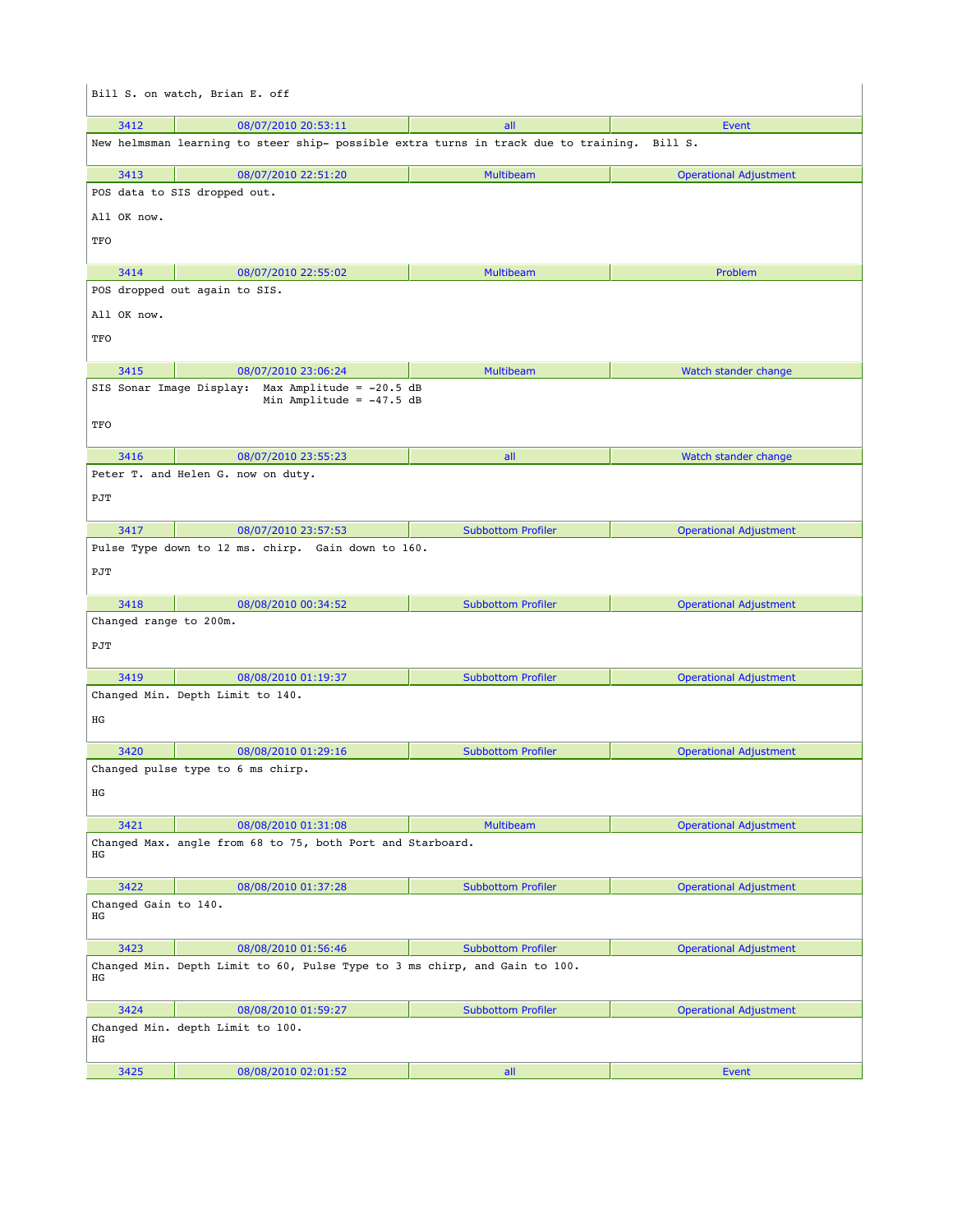|                            | Bill S. on watch, Brian E. off                                                              |                           |                               |
|----------------------------|---------------------------------------------------------------------------------------------|---------------------------|-------------------------------|
| 3412                       | 08/07/2010 20:53:11                                                                         | all                       | Event                         |
|                            | New helmsman learning to steer ship- possible extra turns in track due to training. Bill S. |                           |                               |
| 3413                       | 08/07/2010 22:51:20                                                                         | <b>Multibeam</b>          | <b>Operational Adjustment</b> |
|                            | POS data to SIS dropped out.                                                                |                           |                               |
| All OK now.                |                                                                                             |                           |                               |
| TFO                        |                                                                                             |                           |                               |
| 3414                       | 08/07/2010 22:55:02                                                                         | <b>Multibeam</b>          | Problem                       |
|                            | POS dropped out again to SIS.                                                               |                           |                               |
| All OK now.                |                                                                                             |                           |                               |
| TFO                        |                                                                                             |                           |                               |
|                            |                                                                                             |                           |                               |
| 3415                       | 08/07/2010 23:06:24                                                                         | <b>Multibeam</b>          | Watch stander change          |
| SIS Sonar Image Display:   | Max Amplitude = $-20.5$ dB<br>Min Amplitude = $-47.5$ dB                                    |                           |                               |
|                            |                                                                                             |                           |                               |
| TFO                        |                                                                                             |                           |                               |
| 3416                       | 08/07/2010 23:55:23                                                                         | all                       | Watch stander change          |
|                            | Peter T. and Helen G. now on duty.                                                          |                           |                               |
| PJT                        |                                                                                             |                           |                               |
|                            |                                                                                             |                           |                               |
| 3417                       | 08/07/2010 23:57:53                                                                         | <b>Subbottom Profiler</b> | <b>Operational Adjustment</b> |
|                            | Pulse Type down to 12 ms. chirp. Gain down to 160.                                          |                           |                               |
| PJT                        |                                                                                             |                           |                               |
| 3418                       | 08/08/2010 00:34:52                                                                         | <b>Subbottom Profiler</b> | <b>Operational Adjustment</b> |
| Changed range to 200m.     |                                                                                             |                           |                               |
| PJT                        |                                                                                             |                           |                               |
| 3419                       | 08/08/2010 01:19:37                                                                         | <b>Subbottom Profiler</b> | <b>Operational Adjustment</b> |
|                            | Changed Min. Depth Limit to 140.                                                            |                           |                               |
| ΗG                         |                                                                                             |                           |                               |
| 3420                       | 08/08/2010 01:29:16                                                                         | <b>Subbottom Profiler</b> | <b>Operational Adjustment</b> |
|                            | Changed pulse type to 6 ms chirp.                                                           |                           |                               |
| HG                         |                                                                                             |                           |                               |
|                            |                                                                                             |                           |                               |
| 3421                       | 08/08/2010 01:31:08<br>Changed Max. angle from 68 to 75, both Port and Starboard.           | Multibeam                 | <b>Operational Adjustment</b> |
| ΗG                         |                                                                                             |                           |                               |
| 3422                       | 08/08/2010 01:37:28                                                                         | <b>Subbottom Profiler</b> | <b>Operational Adjustment</b> |
| Changed Gain to 140.<br>ΗG |                                                                                             |                           |                               |
| 3423                       | 08/08/2010 01:56:46                                                                         | <b>Subbottom Profiler</b> | <b>Operational Adjustment</b> |
| ΗG                         | Changed Min. Depth Limit to 60, Pulse Type to 3 ms chirp, and Gain to 100.                  |                           |                               |
| 3424                       | 08/08/2010 01:59:27                                                                         | <b>Subbottom Profiler</b> | <b>Operational Adjustment</b> |
| ΗG                         | Changed Min. depth Limit to 100.                                                            |                           |                               |
| 3425                       | 08/08/2010 02:01:52                                                                         | all                       | Event                         |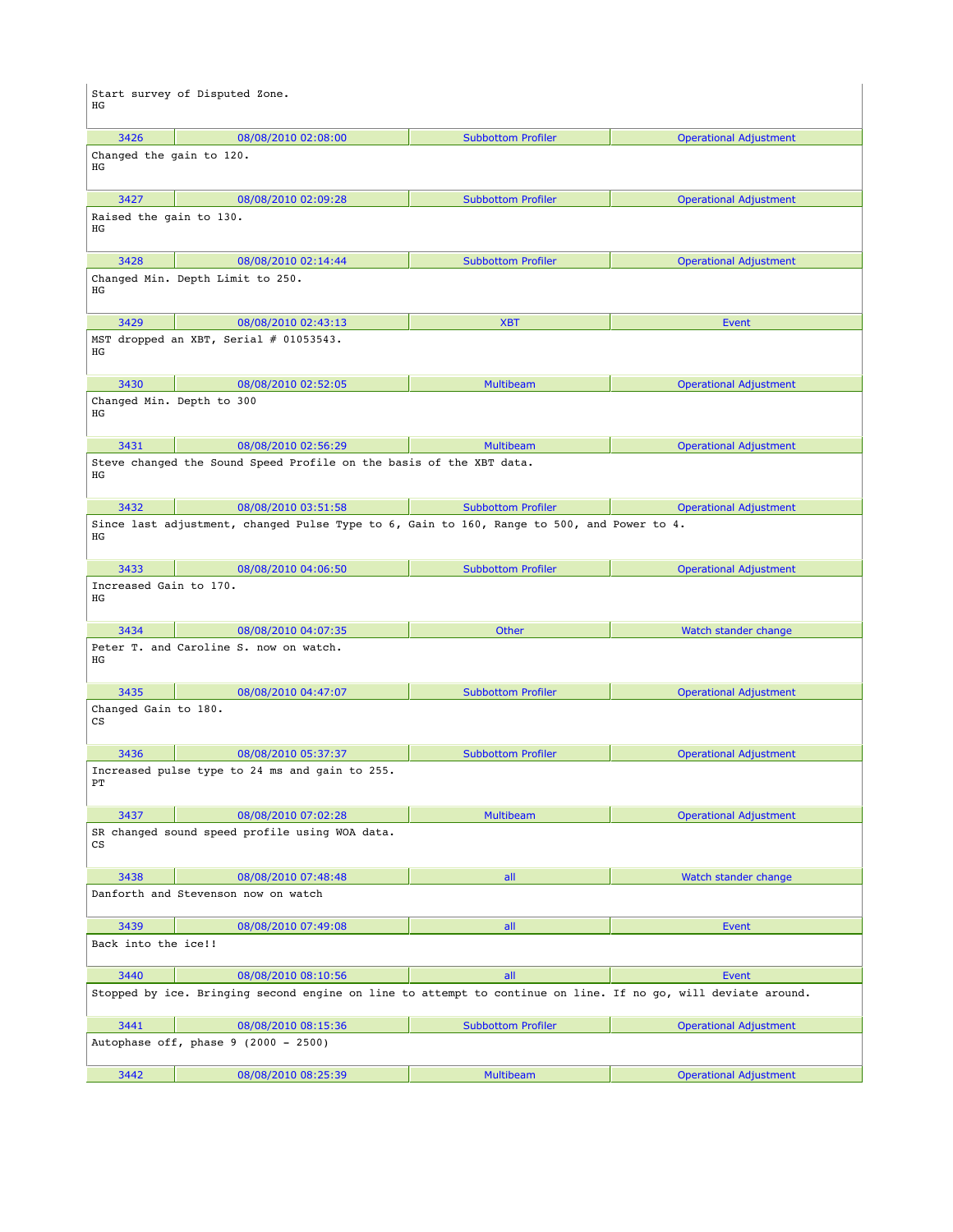| ΗG                              | Start survey of Disputed Zone.                                                                                |                           |                               |
|---------------------------------|---------------------------------------------------------------------------------------------------------------|---------------------------|-------------------------------|
| 3426                            | 08/08/2010 02:08:00                                                                                           | <b>Subbottom Profiler</b> | <b>Operational Adjustment</b> |
| Changed the gain to 120.<br>ΗG  |                                                                                                               |                           |                               |
| 3427                            | 08/08/2010 02:09:28                                                                                           | <b>Subbottom Profiler</b> | <b>Operational Adjustment</b> |
| Raised the gain to 130.<br>ΗG   |                                                                                                               |                           |                               |
| 3428<br>ΗG                      | 08/08/2010 02:14:44<br>Changed Min. Depth Limit to 250.                                                       | <b>Subbottom Profiler</b> | <b>Operational Adjustment</b> |
| 3429                            | 08/08/2010 02:43:13                                                                                           | <b>XBT</b>                | Event                         |
| ΗG                              | MST dropped an XBT, Serial # 01053543.                                                                        |                           |                               |
| 3430                            | 08/08/2010 02:52:05                                                                                           | <b>Multibeam</b>          | <b>Operational Adjustment</b> |
| Changed Min. Depth to 300<br>ΗG |                                                                                                               |                           |                               |
| 3431                            | 08/08/2010 02:56:29                                                                                           | <b>Multibeam</b>          | <b>Operational Adjustment</b> |
| ΗG                              | Steve changed the Sound Speed Profile on the basis of the XBT data.                                           |                           |                               |
| 3432                            | 08/08/2010 03:51:58                                                                                           | <b>Subbottom Profiler</b> | <b>Operational Adjustment</b> |
| ΗG                              | Since last adjustment, changed Pulse Type to 6, Gain to 160, Range to 500, and Power to 4.                    |                           |                               |
| 3433                            | 08/08/2010 04:06:50                                                                                           | <b>Subbottom Profiler</b> | <b>Operational Adjustment</b> |
| Increased Gain to 170.<br>ΗG    |                                                                                                               |                           |                               |
| 3434                            | 08/08/2010 04:07:35                                                                                           | Other                     | Watch stander change          |
| ΗG                              | Peter T. and Caroline S. now on watch.                                                                        |                           |                               |
| 3435                            | 08/08/2010 04:47:07                                                                                           | <b>Subbottom Profiler</b> | <b>Operational Adjustment</b> |
| Changed Gain to 180.<br>СS      |                                                                                                               |                           |                               |
| 3436                            | 08/08/2010 05:37:37                                                                                           | <b>Subbottom Profiler</b> | <b>Operational Adjustment</b> |
| PТ                              | Increased pulse type to 24 ms and gain to 255.                                                                |                           |                               |
| 3437                            | 08/08/2010 07:02:28                                                                                           | <b>Multibeam</b>          | <b>Operational Adjustment</b> |
| $\mathop{\rm CS}\nolimits$      | SR changed sound speed profile using WOA data.                                                                |                           |                               |
| 3438                            | 08/08/2010 07:48:48                                                                                           | all                       | Watch stander change          |
|                                 | Danforth and Stevenson now on watch                                                                           |                           |                               |
| 3439                            | 08/08/2010 07:49:08                                                                                           | all                       | Event                         |
| Back into the ice!!             |                                                                                                               |                           |                               |
| 3440                            | 08/08/2010 08:10:56                                                                                           | all                       | Event                         |
|                                 | Stopped by ice. Bringing second engine on line to attempt to continue on line. If no go, will deviate around. |                           |                               |
| 3441                            | 08/08/2010 08:15:36                                                                                           | <b>Subbottom Profiler</b> | <b>Operational Adjustment</b> |
|                                 | Autophase off, phase 9 (2000 - 2500)                                                                          |                           |                               |
| 3442                            | 08/08/2010 08:25:39                                                                                           | <b>Multibeam</b>          | <b>Operational Adjustment</b> |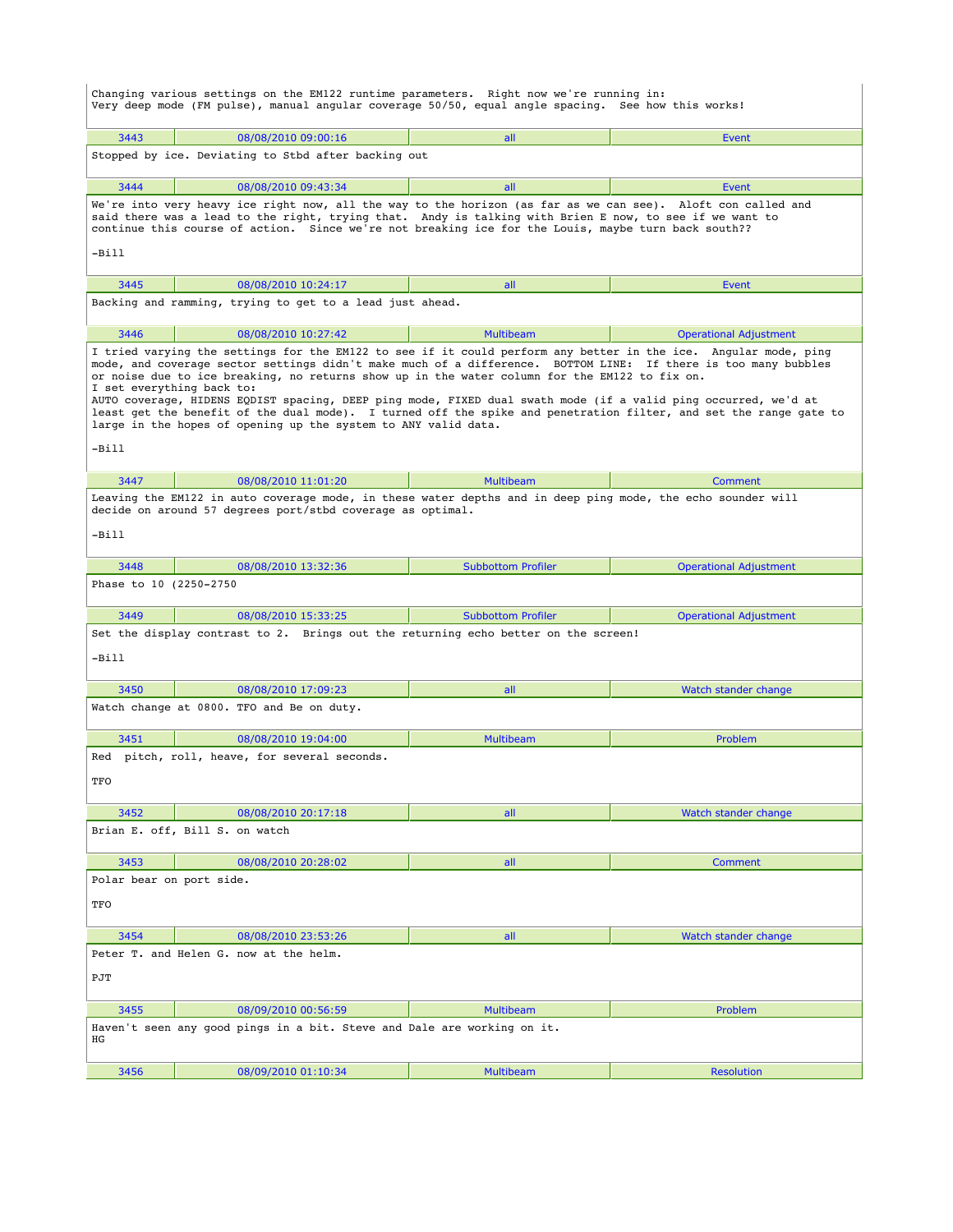Changing various settings on the EM122 runtime parameters. Right now we're running in: Very deep mode (FM pulse), manual angular coverage 50/50, equal angle spacing. See how this works! 3443 08/08/2010 09:00:16 all Event Stopped by ice. Deviating to Stbd after backing out 3444 08/08/2010 09:43:34 all Event We're into very heavy ice right now, all the way to the horizon (as far as we can see). Aloft con called and said there was a lead to the right, trying that. Andy is talking with Brien E now, to see if we want to continue this course of action. Since we're not breaking ice for the Louis, maybe turn back south??  $-Bi11$  3445 08/08/2010 10:24:17 all Event Backing and ramming, trying to get to a lead just ahead. 3446 08/08/2010 10:27:42 Multibeam Operational Adjustment I tried varying the settings for the EM122 to see if it could perform any better in the ice. Angular mode, ping mode, and coverage sector settings didn't make much of a difference. BOTTOM LINE: If there is too many bubbles or noise due to ice breaking, no returns show up in the water column for the EM122 to fix on. I set everything back to:<br>AUTO coverage, HIDENS EQDIST spacing, DEEP ping mode, FIXED dual swath mode (if a valid ping occurred, we'd at<br>least get the benefit of the dual mode). I turned off the spike and penetration filt large in the hopes of opening up the system to ANY valid data. -Bill 3447 08/08/2010 11:01:20 Multibeam Comment Leaving the EM122 in auto coverage mode, in these water depths and in deep ping mode, the echo sounder will decide on around 57 degrees port/stbd coverage as optimal. -Bill 3448 08/08/2010 13:32:36 Subbottom Profiler Operational Adjustment Phase to 10 (2250-2750 3449 08/08/2010 15:33:25 Subbottom Profiler Operational Adjustment Set the display contrast to 2. Brings out the returning echo better on the screen! -Bill 3450 08/08/2010 17:09:23 all Watch stander change Watch change at 0800. TFO and Be on duty. 3451 08/08/2010 19:04:00 Multibeam Problem Red pitch, roll, heave, for several seconds. TFO 3452 08/08/2010 20:17:18 all Watch stander change Brian E. off, Bill S. on watch 3453 08/08/2010 20:28:02 all Comment Polar bear on port side. **TFO**  3454 08/08/2010 23:53:26 all Watch stander change Peter T. and Helen G. now at the helm. PJT 3455 08/09/2010 00:56:59 Multibeam Problem Haven't seen any good pings in a bit. Steve and Dale are working on it. HG 3456 08/09/2010 01:10:34 Multibeam Resolution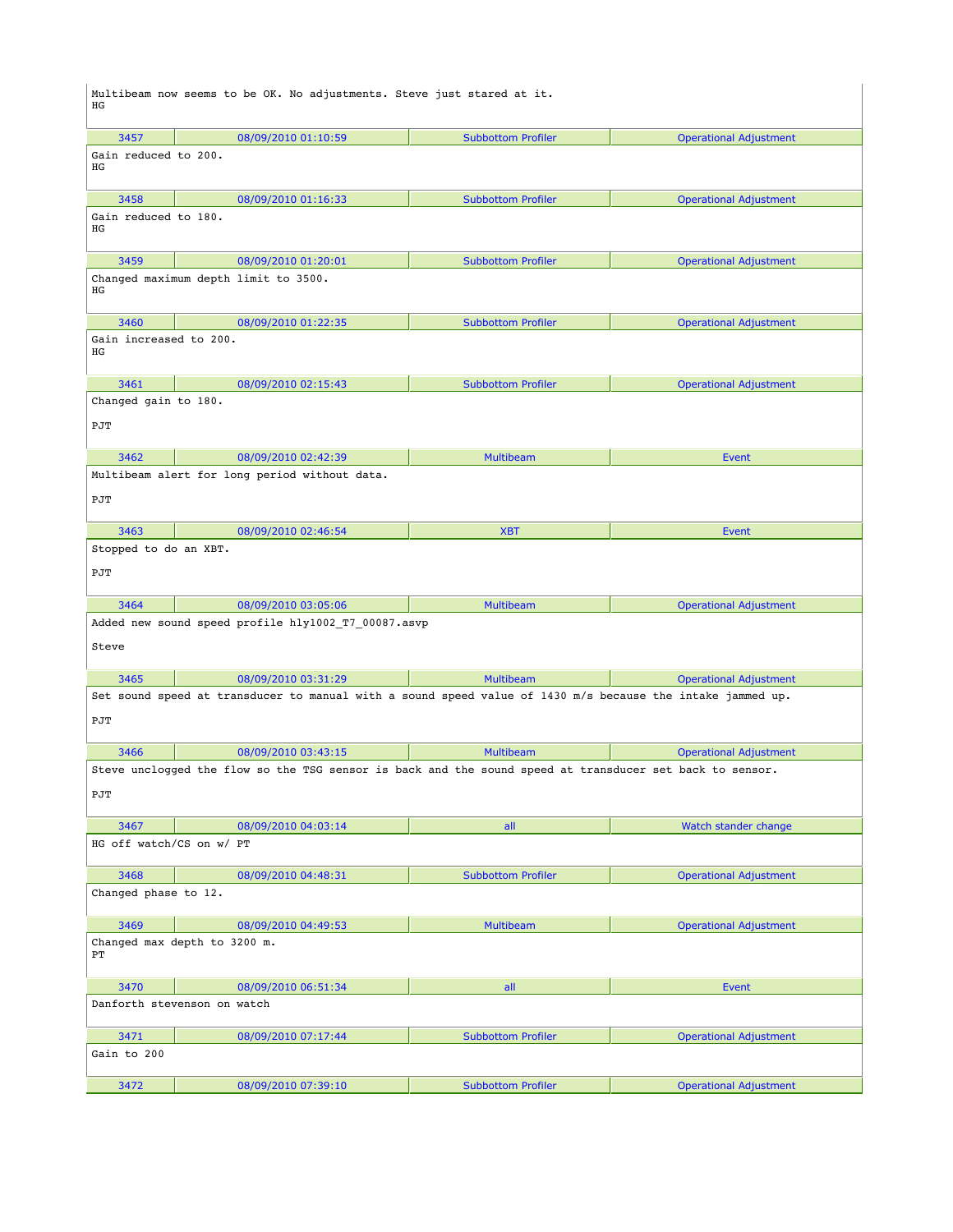| ΗG                           | Multibeam now seems to be OK. No adjustments. Steve just stared at it.                                     |                           |                               |
|------------------------------|------------------------------------------------------------------------------------------------------------|---------------------------|-------------------------------|
| 3457                         | 08/09/2010 01:10:59                                                                                        | <b>Subbottom Profiler</b> | <b>Operational Adjustment</b> |
| Gain reduced to 200.<br>ΗG   |                                                                                                            |                           |                               |
| 3458                         | 08/09/2010 01:16:33                                                                                        | <b>Subbottom Profiler</b> | <b>Operational Adjustment</b> |
| Gain reduced to 180.<br>HG   |                                                                                                            |                           |                               |
| 3459                         | 08/09/2010 01:20:01                                                                                        | <b>Subbottom Profiler</b> | <b>Operational Adjustment</b> |
| ΗG                           | Changed maximum depth limit to 3500.                                                                       |                           |                               |
| 3460                         | 08/09/2010 01:22:35                                                                                        | <b>Subbottom Profiler</b> | <b>Operational Adjustment</b> |
| Gain increased to 200.<br>ΗG |                                                                                                            |                           |                               |
| 3461                         | 08/09/2010 02:15:43                                                                                        | <b>Subbottom Profiler</b> | <b>Operational Adjustment</b> |
| Changed gain to 180.         |                                                                                                            |                           |                               |
| $\texttt{PJT}$               |                                                                                                            |                           |                               |
| 3462                         | 08/09/2010 02:42:39                                                                                        | <b>Multibeam</b>          | Event                         |
|                              | Multibeam alert for long period without data.                                                              |                           |                               |
| PJT                          |                                                                                                            |                           |                               |
| 3463                         | 08/09/2010 02:46:54                                                                                        | <b>XBT</b>                | Event                         |
| Stopped to do an XBT.        |                                                                                                            |                           |                               |
| PJT                          |                                                                                                            |                           |                               |
| 3464                         | 08/09/2010 03:05:06                                                                                        | <b>Multibeam</b>          | <b>Operational Adjustment</b> |
| Steve                        | Added new sound speed profile hly1002_T7_00087.asvp                                                        |                           |                               |
| 3465                         | 08/09/2010 03:31:29                                                                                        | <b>Multibeam</b>          | <b>Operational Adjustment</b> |
| PJT                          | Set sound speed at transducer to manual with a sound speed value of 1430 m/s because the intake jammed up. |                           |                               |
| 3466                         | 08/09/2010 03:43:15                                                                                        | <b>Multibeam</b>          | <b>Operational Adjustment</b> |
|                              | Steve unclogged the flow so the TSG sensor is back and the sound speed at transducer set back to sensor.   |                           |                               |
| PJT                          |                                                                                                            |                           |                               |
| 3467                         | 08/09/2010 04:03:14                                                                                        | all                       | Watch stander change          |
| HG off watch/CS on w/ PT     |                                                                                                            |                           |                               |
| 3468                         | 08/09/2010 04:48:31                                                                                        | <b>Subbottom Profiler</b> | <b>Operational Adjustment</b> |
| Changed phase to 12.         |                                                                                                            |                           |                               |
| 3469                         | 08/09/2010 04:49:53                                                                                        | <b>Multibeam</b>          | <b>Operational Adjustment</b> |
| PТ                           | Changed max depth to 3200 m.                                                                               |                           |                               |
| 3470                         | 08/09/2010 06:51:34                                                                                        | all                       | Event                         |
|                              | Danforth stevenson on watch                                                                                |                           |                               |
| 3471                         | 08/09/2010 07:17:44                                                                                        | <b>Subbottom Profiler</b> | <b>Operational Adjustment</b> |
| Gain to 200                  |                                                                                                            |                           |                               |
| 3472                         | 08/09/2010 07:39:10                                                                                        | <b>Subbottom Profiler</b> | <b>Operational Adjustment</b> |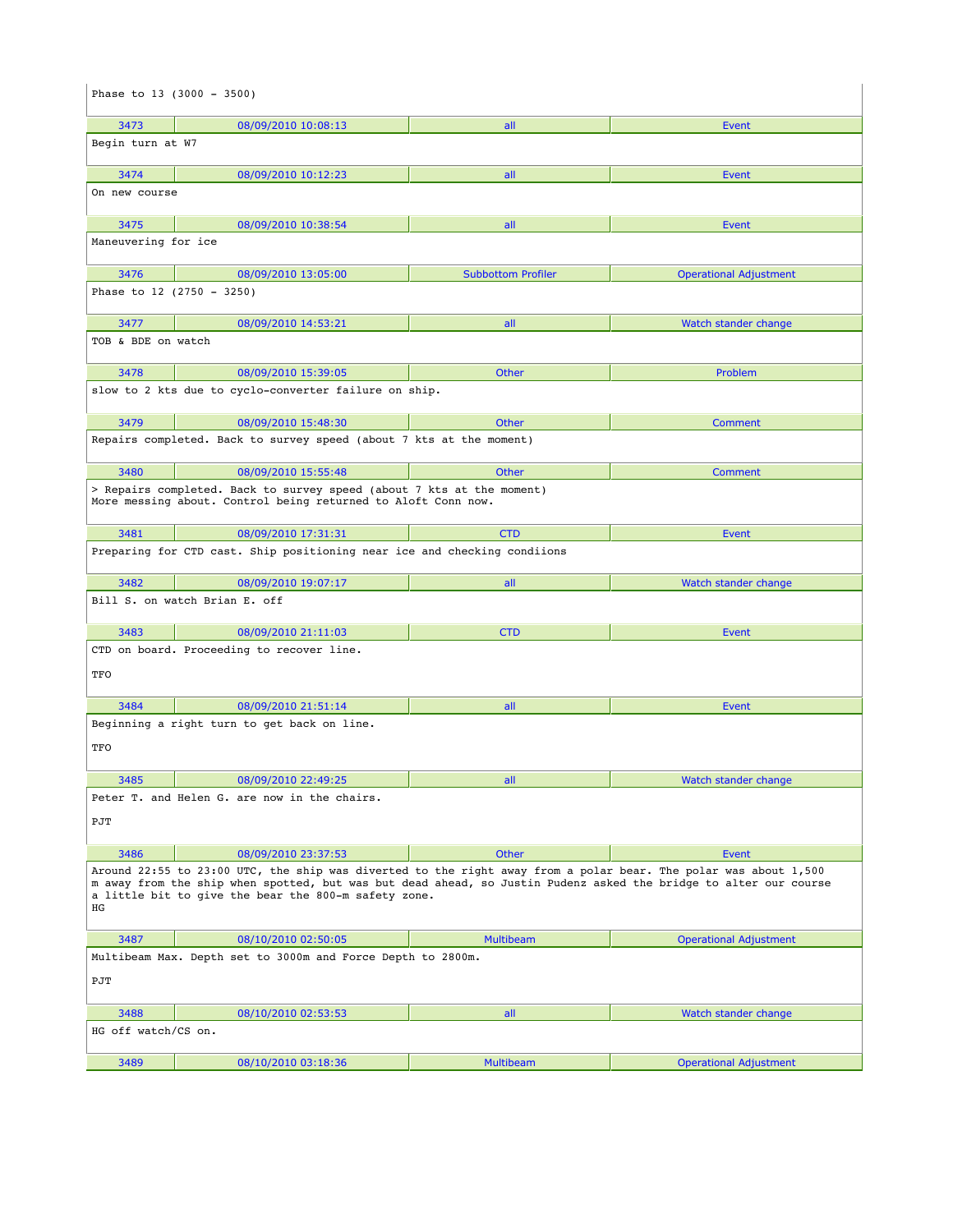|                               | Phase to $13$ (3000 - 3500)                                                                                                                                                                                                                                                                                        |                           |                               |
|-------------------------------|--------------------------------------------------------------------------------------------------------------------------------------------------------------------------------------------------------------------------------------------------------------------------------------------------------------------|---------------------------|-------------------------------|
| 3473                          | 08/09/2010 10:08:13                                                                                                                                                                                                                                                                                                | all                       | Event                         |
| Begin turn at W7              |                                                                                                                                                                                                                                                                                                                    |                           |                               |
| 3474                          | 08/09/2010 10:12:23                                                                                                                                                                                                                                                                                                | all                       | Event                         |
| On new course                 |                                                                                                                                                                                                                                                                                                                    |                           |                               |
| 3475                          | 08/09/2010 10:38:54                                                                                                                                                                                                                                                                                                | all                       | Event                         |
| Maneuvering for ice           |                                                                                                                                                                                                                                                                                                                    |                           |                               |
| 3476                          | 08/09/2010 13:05:00                                                                                                                                                                                                                                                                                                | <b>Subbottom Profiler</b> | <b>Operational Adjustment</b> |
| Phase to 12 (2750 - 3250)     |                                                                                                                                                                                                                                                                                                                    |                           |                               |
| 3477                          | 08/09/2010 14:53:21                                                                                                                                                                                                                                                                                                | all                       | Watch stander change          |
| TOB & BDE on watch            |                                                                                                                                                                                                                                                                                                                    |                           |                               |
| 3478                          | 08/09/2010 15:39:05                                                                                                                                                                                                                                                                                                | <b>Other</b>              | Problem                       |
|                               | slow to 2 kts due to cyclo-converter failure on ship.                                                                                                                                                                                                                                                              |                           |                               |
| 3479                          | 08/09/2010 15:48:30                                                                                                                                                                                                                                                                                                | <b>Other</b>              | Comment                       |
|                               | Repairs completed. Back to survey speed (about 7 kts at the moment)                                                                                                                                                                                                                                                |                           |                               |
| 3480                          | 08/09/2010 15:55:48                                                                                                                                                                                                                                                                                                | <b>Other</b>              | Comment                       |
|                               | > Repairs completed. Back to survey speed (about 7 kts at the moment)<br>More messing about. Control being returned to Aloft Conn now.                                                                                                                                                                             |                           |                               |
| 3481                          | 08/09/2010 17:31:31                                                                                                                                                                                                                                                                                                | <b>CTD</b>                | Event                         |
|                               | Preparing for CTD cast. Ship positioning near ice and checking condiions                                                                                                                                                                                                                                           |                           |                               |
| 3482                          | 08/09/2010 19:07:17                                                                                                                                                                                                                                                                                                | all                       | Watch stander change          |
| Bill S. on watch Brian E. off |                                                                                                                                                                                                                                                                                                                    |                           |                               |
|                               |                                                                                                                                                                                                                                                                                                                    |                           |                               |
| 3483                          | 08/09/2010 21:11:03                                                                                                                                                                                                                                                                                                | <b>CTD</b>                | Event                         |
| TFO                           | CTD on board. Proceeding to recover line.                                                                                                                                                                                                                                                                          |                           |                               |
| 3484                          | 08/09/2010 21:51:14                                                                                                                                                                                                                                                                                                | all                       | Event                         |
| TFO                           | Beginning a right turn to get back on line.                                                                                                                                                                                                                                                                        |                           |                               |
| 3485                          | 08/09/2010 22:49:25                                                                                                                                                                                                                                                                                                | all and the state         | Watch stander change          |
| PJT                           | Peter T. and Helen G. are now in the chairs.                                                                                                                                                                                                                                                                       |                           |                               |
|                               |                                                                                                                                                                                                                                                                                                                    |                           |                               |
| 3486<br>ΗG                    | 08/09/2010 23:37:53<br>Around 22:55 to 23:00 UTC, the ship was diverted to the right away from a polar bear. The polar was about 1,500<br>m away from the ship when spotted, but was but dead ahead, so Justin Pudenz asked the bridge to alter our course<br>a little bit to give the bear the 800-m safety zone. | Other                     | Event                         |
| 3487                          | 08/10/2010 02:50:05                                                                                                                                                                                                                                                                                                | <b>Multibeam</b>          | <b>Operational Adjustment</b> |
| PJT                           | Multibeam Max. Depth set to 3000m and Force Depth to 2800m.                                                                                                                                                                                                                                                        |                           |                               |
|                               |                                                                                                                                                                                                                                                                                                                    |                           |                               |
| 3488<br>HG off watch/CS on.   | 08/10/2010 02:53:53                                                                                                                                                                                                                                                                                                | all                       | Watch stander change          |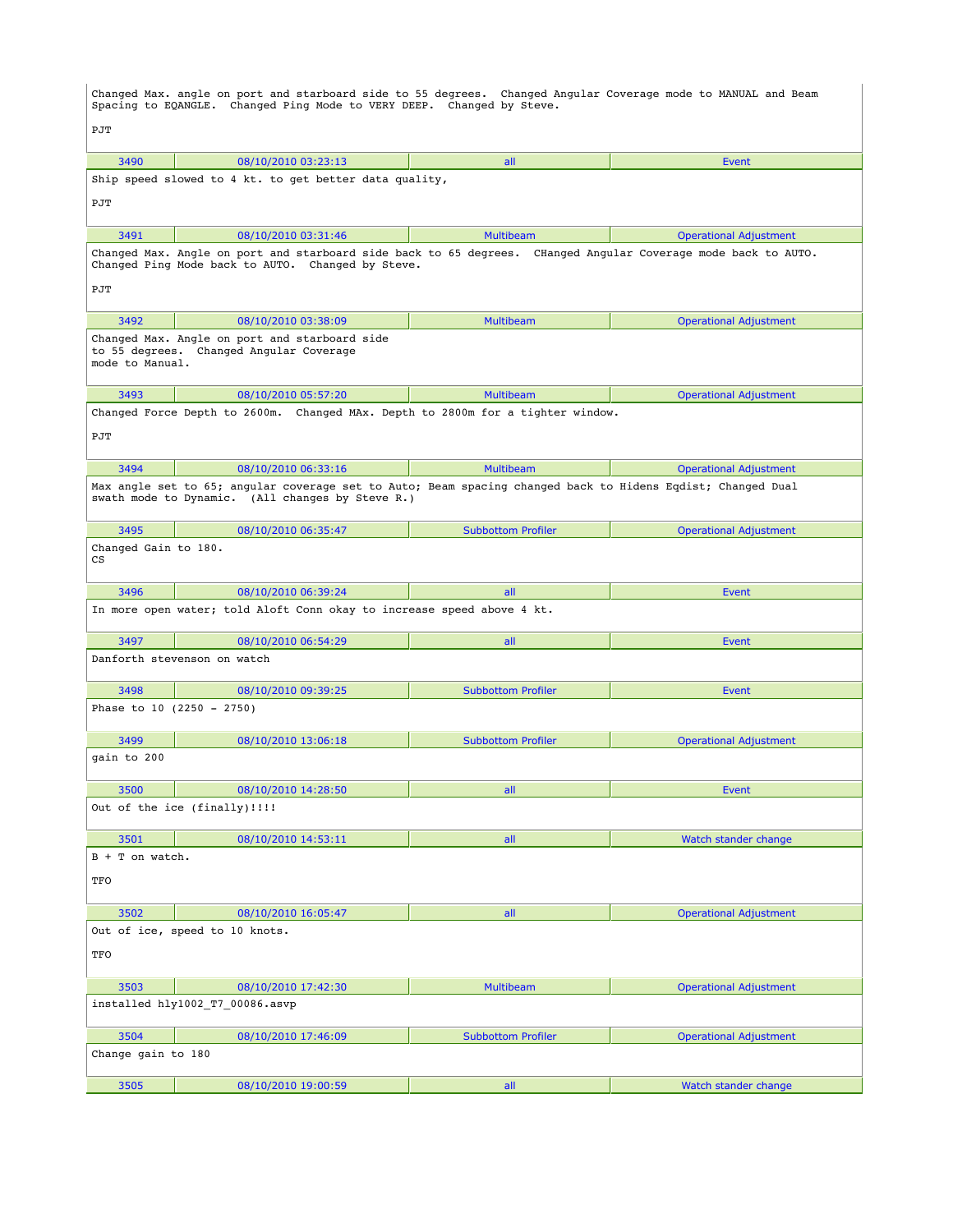Changed Max. angle on port and starboard side to 55 degrees. Changed Angular Coverage mode to MANUAL and Beam Spacing to EQANGLE. Changed Ping Mode to VERY DEEP. Changed by Steve. PJT 3490 08/10/2010 03:23:13 all Event Ship speed slowed to 4 kt. to get better data quality, **P.TT**  3491 08/10/2010 03:31:46 Multibeam Operational Adjustment Changed Max. Angle on port and starboard side back to 65 degrees. CHanged Angular Coverage mode back to AUTO. Changed Ping Mode back to AUTO. Changed by Steve. PJT 3492 08/10/2010 03:38:09 Multibeam Operational Adjustment Changed Max. Angle on port and starboard side to 55 degrees. Changed Angular Coverage mode to Manual. 3493 08/10/2010 05:57:20 Multibeam Operational Adjustment Changed Force Depth to 2600m. Changed MAx. Depth to 2800m for a tighter window. PJT 3494 08/10/2010 06:33:16 Multibeam Operational Adjustment Max angle set to 65; angular coverage set to Auto; Beam spacing changed back to Hidens Eqdist; Changed Dual swath mode to Dynamic. (All changes by Steve R.) 3495 08/10/2010 06:35:47 Subbottom Profiler Operational Adjustment Changed Gain to 180. CS 3496 08/10/2010 06:39:24 all Event In more open water; told Aloft Conn okay to increase speed above 4 kt. 3497 08/10/2010 06:54:29 all Event Danforth stevenson on watch 3498 08/10/2010 09:39:25 Subbottom Profiler Event Phase to 10 (2250 - 2750) 3499 08/10/2010 13:06:18 Subbottom Profiler Operational Adjustment gain to 200 3500 08/10/2010 14:28:50 all Event Out of the ice (finally)!!!! 3501 08/10/2010 14:53:11 all Watch stander change B + T on watch. TFO 3502 08/10/2010 16:05:47 all Operational Adjustment Out of ice, speed to 10 knots. TFO 3503 08/10/2010 17:42:30 Multibeam Operational Adjustment installed hly1002\_T7\_00086.asvp 3504 08/10/2010 17:46:09 Subbottom Profiler Operational Adjustment Change gain to 180 3505 08/10/2010 19:00:59 all Watch stander change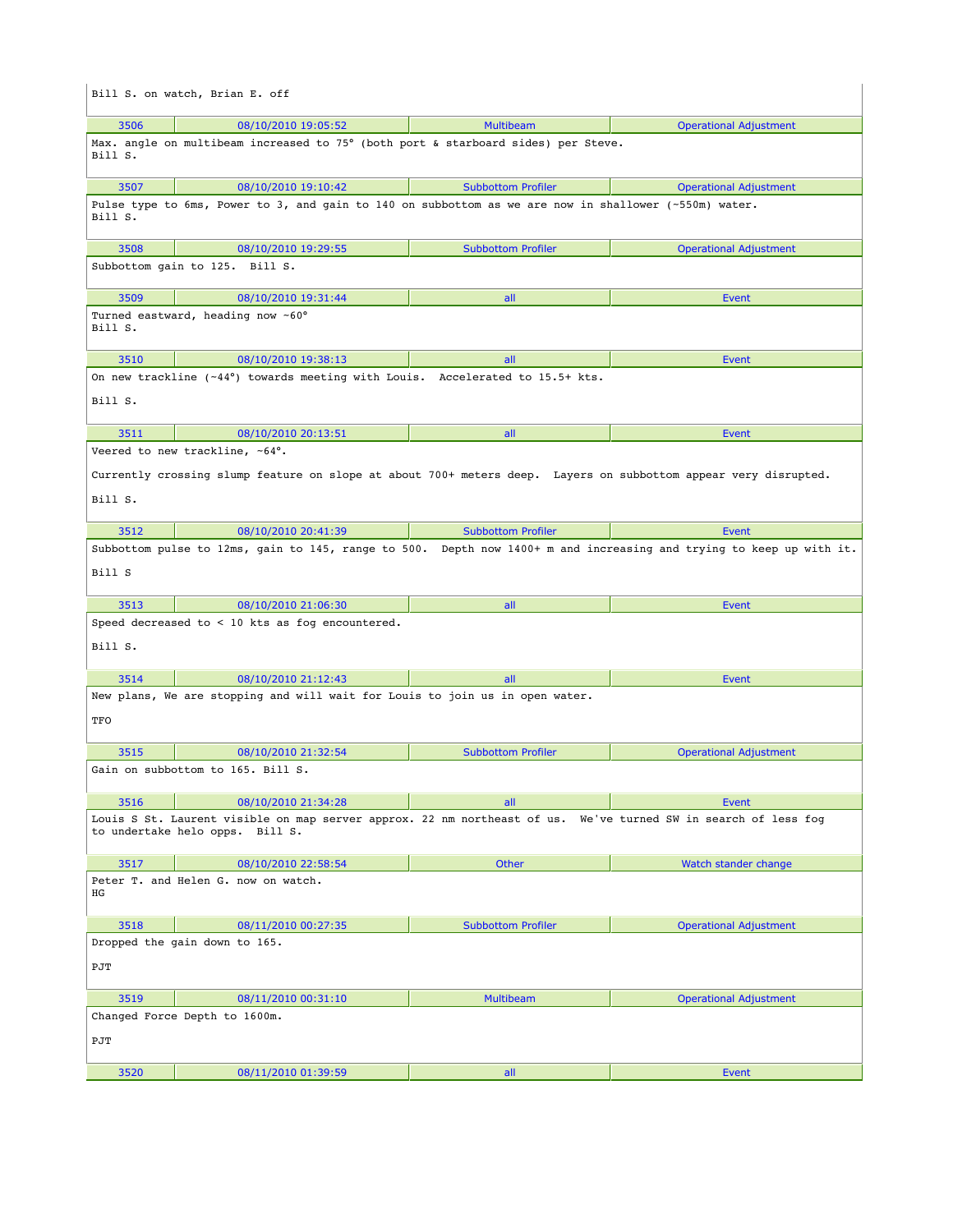|                                                                                                                                                   | Bill S. on watch, Brian E. off                                                                                                                    |                           |                                                                                                                     |  |
|---------------------------------------------------------------------------------------------------------------------------------------------------|---------------------------------------------------------------------------------------------------------------------------------------------------|---------------------------|---------------------------------------------------------------------------------------------------------------------|--|
| 3506                                                                                                                                              | 08/10/2010 19:05:52                                                                                                                               | <b>Multibeam</b>          | <b>Operational Adjustment</b>                                                                                       |  |
| Bill S.                                                                                                                                           | Max. angle on multibeam increased to 75° (both port & starboard sides) per Steve.                                                                 |                           |                                                                                                                     |  |
| 3507                                                                                                                                              | 08/10/2010 19:10:42                                                                                                                               | <b>Subbottom Profiler</b> | <b>Operational Adjustment</b>                                                                                       |  |
| Bill S.                                                                                                                                           | Pulse type to 6ms, Power to 3, and gain to 140 on subbottom as we are now in shallower (~550m) water.                                             |                           |                                                                                                                     |  |
| 3508                                                                                                                                              | 08/10/2010 19:29:55                                                                                                                               | <b>Subbottom Profiler</b> | <b>Operational Adjustment</b>                                                                                       |  |
|                                                                                                                                                   | Subbottom gain to 125. Bill S.                                                                                                                    |                           |                                                                                                                     |  |
| 3509                                                                                                                                              | 08/10/2010 19:31:44                                                                                                                               | all                       | Event                                                                                                               |  |
| Bill S.                                                                                                                                           | Turned eastward, heading now ~60°                                                                                                                 |                           |                                                                                                                     |  |
| 3510                                                                                                                                              | 08/10/2010 19:38:13                                                                                                                               | all                       | Event                                                                                                               |  |
| Bill S.                                                                                                                                           | On new trackline $(-44^{\circ})$ towards meeting with Louis. Accelerated to 15.5+ kts.                                                            |                           |                                                                                                                     |  |
| 3511                                                                                                                                              | 08/10/2010 20:13:51                                                                                                                               | all                       | Event                                                                                                               |  |
| Bill S.                                                                                                                                           | Veered to new trackline, ~64°.<br>Currently crossing slump feature on slope at about 700+ meters deep. Layers on subbottom appear very disrupted. |                           |                                                                                                                     |  |
| 3512                                                                                                                                              | 08/10/2010 20:41:39                                                                                                                               | <b>Subbottom Profiler</b> | Event                                                                                                               |  |
|                                                                                                                                                   |                                                                                                                                                   |                           | Subbottom pulse to 12ms, gain to 145, range to 500. Depth now 1400+ m and increasing and trying to keep up with it. |  |
| Bill S                                                                                                                                            |                                                                                                                                                   |                           |                                                                                                                     |  |
| 3513                                                                                                                                              | 08/10/2010 21:06:30                                                                                                                               | all                       | Event                                                                                                               |  |
| Bill S.                                                                                                                                           | Speed decreased to < 10 kts as fog encountered.                                                                                                   |                           |                                                                                                                     |  |
| 3514                                                                                                                                              | 08/10/2010 21:12:43                                                                                                                               | all                       | Event                                                                                                               |  |
| TFO                                                                                                                                               | New plans, We are stopping and will wait for Louis to join us in open water.                                                                      |                           |                                                                                                                     |  |
| 3515                                                                                                                                              | 08/10/2010 21:32:54                                                                                                                               | <b>Subbottom Profiler</b> | <b>Operational Adjustment</b>                                                                                       |  |
|                                                                                                                                                   | Gain on subbottom to 165. Bill S.                                                                                                                 |                           |                                                                                                                     |  |
| 3516                                                                                                                                              | 08/10/2010 21:34:28                                                                                                                               | all                       | Event                                                                                                               |  |
| Louis S St. Laurent visible on map server approx. 22 nm northeast of us. We've turned SW in search of less fog<br>to undertake helo opps. Bill S. |                                                                                                                                                   |                           |                                                                                                                     |  |
| 3517                                                                                                                                              | 08/10/2010 22:58:54                                                                                                                               | Other                     | Watch stander change                                                                                                |  |
| ΗG                                                                                                                                                | Peter T. and Helen G. now on watch.                                                                                                               |                           |                                                                                                                     |  |
| 3518                                                                                                                                              | 08/11/2010 00:27:35                                                                                                                               | <b>Subbottom Profiler</b> | <b>Operational Adjustment</b>                                                                                       |  |
| Dropped the gain down to 165.<br>PJT                                                                                                              |                                                                                                                                                   |                           |                                                                                                                     |  |
| 3519                                                                                                                                              | 08/11/2010 00:31:10                                                                                                                               | <b>Multibeam</b>          | <b>Operational Adjustment</b>                                                                                       |  |
| PJT                                                                                                                                               | Changed Force Depth to 1600m.                                                                                                                     |                           |                                                                                                                     |  |
| 3520                                                                                                                                              | 08/11/2010 01:39:59                                                                                                                               | all                       | Event                                                                                                               |  |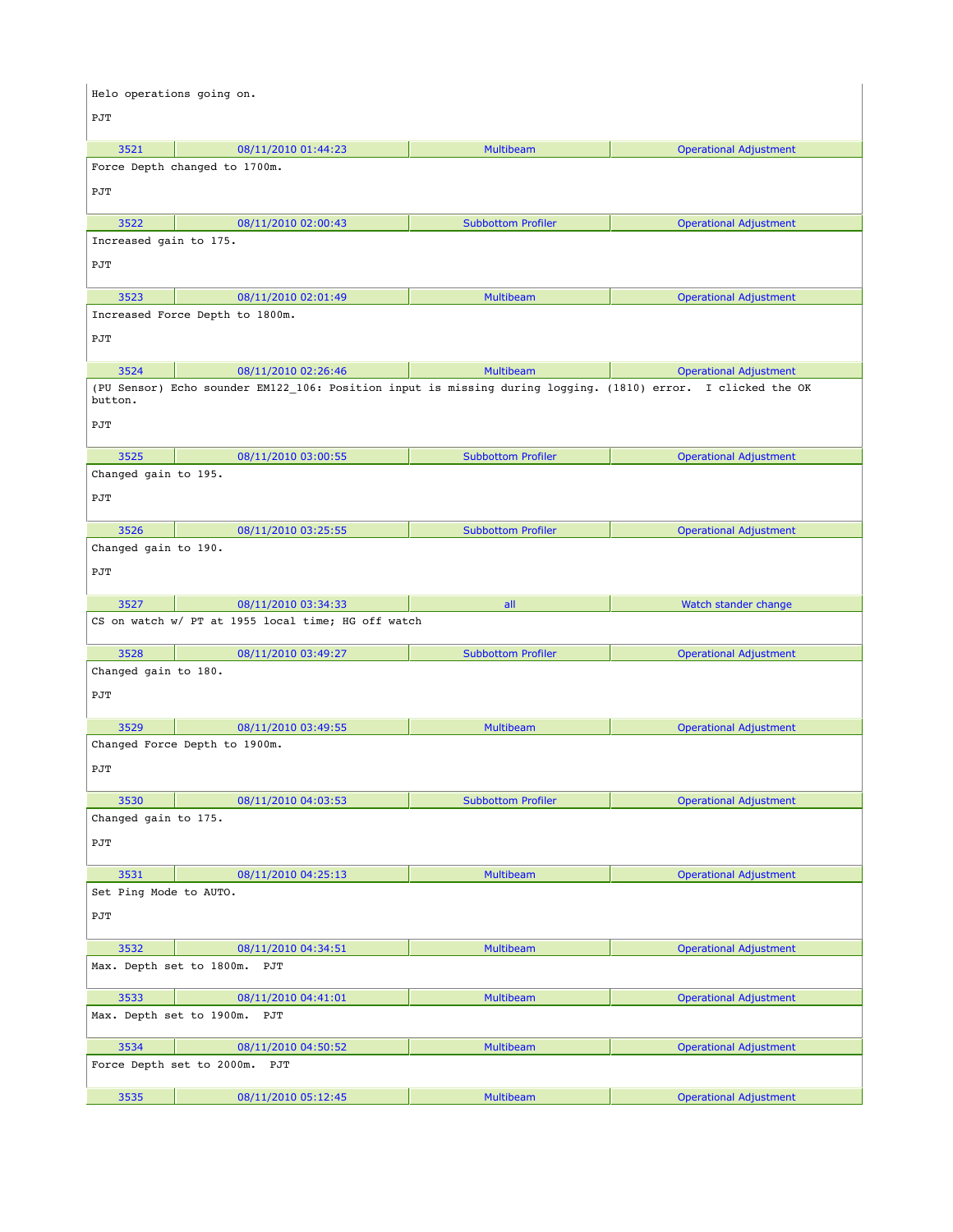| Helo operations going on.   |                                                                                                              |                           |                               |
|-----------------------------|--------------------------------------------------------------------------------------------------------------|---------------------------|-------------------------------|
| PJT                         |                                                                                                              |                           |                               |
| 3521                        | 08/11/2010 01:44:23                                                                                          | <b>Multibeam</b>          | <b>Operational Adjustment</b> |
|                             | Force Depth changed to 1700m.                                                                                |                           |                               |
| PJT                         |                                                                                                              |                           |                               |
| 3522                        | 08/11/2010 02:00:43                                                                                          | <b>Subbottom Profiler</b> | <b>Operational Adjustment</b> |
| Increased gain to 175.      |                                                                                                              |                           |                               |
| PJT                         |                                                                                                              |                           |                               |
| 3523                        | 08/11/2010 02:01:49                                                                                          | Multibeam                 | <b>Operational Adjustment</b> |
|                             | Increased Force Depth to 1800m.                                                                              |                           |                               |
| PJT                         |                                                                                                              |                           |                               |
| 3524                        | 08/11/2010 02:26:46                                                                                          | <b>Multibeam</b>          | <b>Operational Adjustment</b> |
| button.                     | (PU Sensor) Echo sounder EM122_106: Position input is missing during logging. (1810) error. I clicked the OK |                           |                               |
| PJT                         |                                                                                                              |                           |                               |
| 3525                        | 08/11/2010 03:00:55                                                                                          | <b>Subbottom Profiler</b> | <b>Operational Adjustment</b> |
| Changed gain to 195.        |                                                                                                              |                           |                               |
| PJT                         |                                                                                                              |                           |                               |
| 3526                        | 08/11/2010 03:25:55                                                                                          | <b>Subbottom Profiler</b> | <b>Operational Adjustment</b> |
| Changed gain to 190.        |                                                                                                              |                           |                               |
| PJT                         |                                                                                                              |                           |                               |
| 3527                        | 08/11/2010 03:34:33                                                                                          | all                       | Watch stander change          |
|                             | CS on watch w/ PT at 1955 local time; HG off watch                                                           |                           |                               |
| 3528                        | 08/11/2010 03:49:27                                                                                          | <b>Subbottom Profiler</b> | <b>Operational Adjustment</b> |
| Changed gain to 180.        |                                                                                                              |                           |                               |
| PJT                         |                                                                                                              |                           |                               |
| 3529                        | 08/11/2010 03:49:55                                                                                          | <b>Multibeam</b>          | <b>Operational Adjustment</b> |
| PJT                         | Changed Force Depth to 1900m.                                                                                |                           |                               |
|                             |                                                                                                              |                           |                               |
| 3530                        | 08/11/2010 04:03:53                                                                                          | <b>Subbottom Profiler</b> | <b>Operational Adjustment</b> |
| Changed gain to 175.<br>PJT |                                                                                                              |                           |                               |
| 3531                        | 08/11/2010 04:25:13                                                                                          | Multibeam                 | <b>Operational Adjustment</b> |
| Set Ping Mode to AUTO.      |                                                                                                              |                           |                               |
| PJT                         |                                                                                                              |                           |                               |
| 3532                        | 08/11/2010 04:34:51                                                                                          | <b>Multibeam</b>          | <b>Operational Adjustment</b> |
| Max. Depth set to 1800m.    | PJT                                                                                                          |                           |                               |
| 3533                        | 08/11/2010 04:41:01                                                                                          | <b>Multibeam</b>          | <b>Operational Adjustment</b> |
| Max. Depth set to 1900m.    | PJT                                                                                                          |                           |                               |
| 3534                        | 08/11/2010 04:50:52                                                                                          | <b>Multibeam</b>          | <b>Operational Adjustment</b> |
| Force Depth set to 2000m.   | PJT                                                                                                          |                           |                               |
| 3535                        | 08/11/2010 05:12:45                                                                                          | Multibeam                 | <b>Operational Adjustment</b> |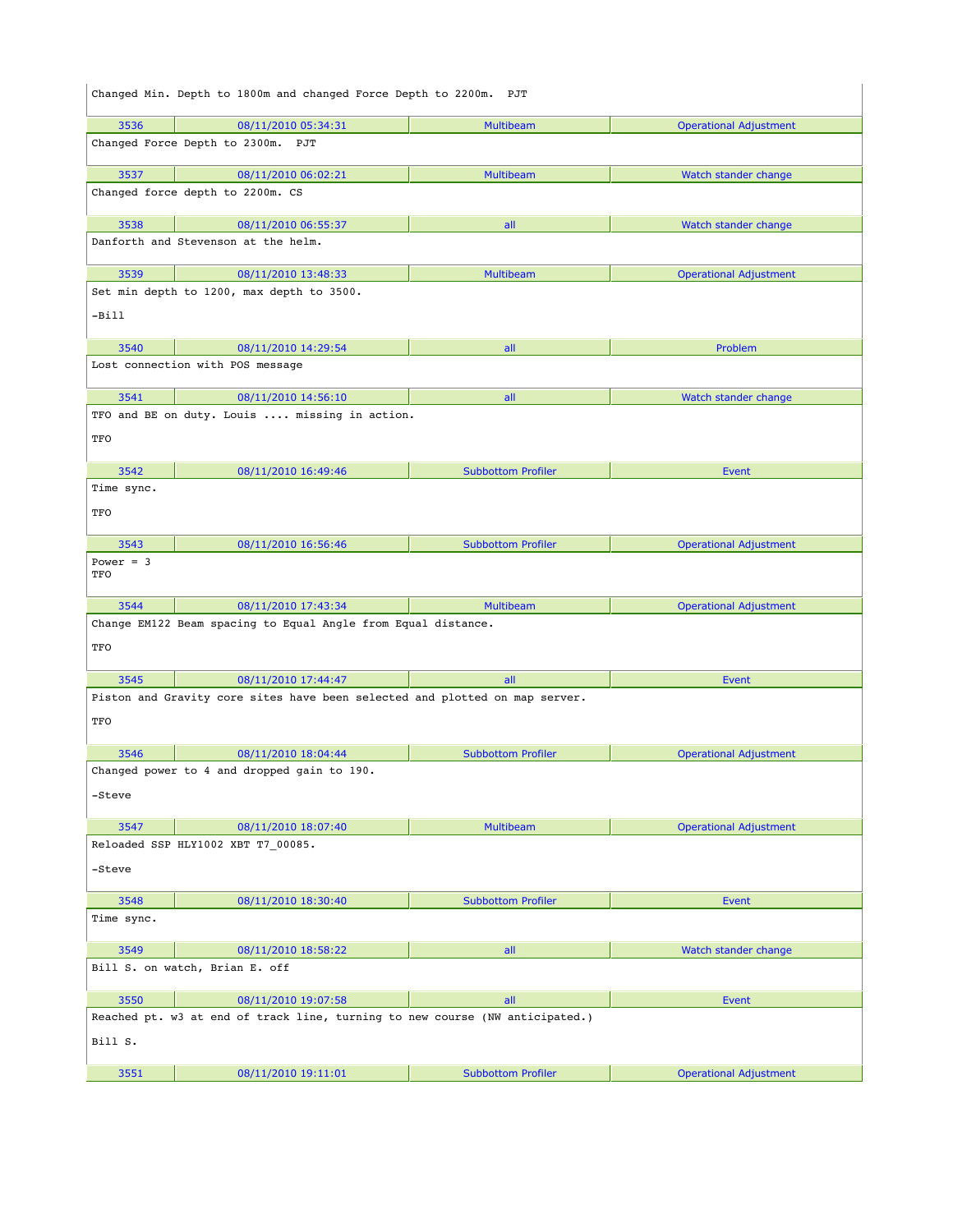|                    | Changed Min. Depth to 1800m and changed Force Depth to 2200m. PJT            |                           |                               |
|--------------------|------------------------------------------------------------------------------|---------------------------|-------------------------------|
| 3536               | 08/11/2010 05:34:31                                                          | Multibeam                 | <b>Operational Adjustment</b> |
|                    | Changed Force Depth to 2300m. PJT                                            |                           |                               |
| 3537               | 08/11/2010 06:02:21                                                          | <b>Multibeam</b>          | Watch stander change          |
|                    | Changed force depth to 2200m. CS                                             |                           |                               |
| 3538               | 08/11/2010 06:55:37                                                          | all                       | Watch stander change          |
|                    | Danforth and Stevenson at the helm.                                          |                           |                               |
| 3539               | 08/11/2010 13:48:33                                                          | <b>Multibeam</b>          | <b>Operational Adjustment</b> |
|                    | Set min depth to 1200, max depth to 3500.                                    |                           |                               |
| -Bill              |                                                                              |                           |                               |
| 3540               | 08/11/2010 14:29:54                                                          | all                       | Problem                       |
|                    | Lost connection with POS message                                             |                           |                               |
|                    |                                                                              |                           |                               |
| 3541               | 08/11/2010 14:56:10                                                          | all                       | Watch stander change          |
|                    | TFO and BE on duty. Louis  missing in action.                                |                           |                               |
| TFO                |                                                                              |                           |                               |
| 3542               | 08/11/2010 16:49:46                                                          | <b>Subbottom Profiler</b> | <b>Event</b>                  |
| Time sync.         |                                                                              |                           |                               |
| TFO                |                                                                              |                           |                               |
| 3543               | 08/11/2010 16:56:46                                                          | <b>Subbottom Profiler</b> | <b>Operational Adjustment</b> |
| Power = $3$<br>TFO |                                                                              |                           |                               |
| 3544               | 08/11/2010 17:43:34                                                          | <b>Multibeam</b>          | <b>Operational Adjustment</b> |
| TFO                | Change EM122 Beam spacing to Equal Angle from Equal distance.                |                           |                               |
| 3545               | 08/11/2010 17:44:47                                                          | all                       | <b>Event</b>                  |
| TFO                | Piston and Gravity core sites have been selected and plotted on map server.  |                           |                               |
| 3546               | 08/11/2010 18:04:44                                                          | <b>Subbottom Profiler</b> | <b>Operational Adjustment</b> |
|                    | Changed power to 4 and dropped gain to 190.                                  |                           |                               |
| -Steve             |                                                                              |                           |                               |
| 3547               | 08/11/2010 18:07:40                                                          | <b>Multibeam</b>          | <b>Operational Adjustment</b> |
|                    | Reloaded SSP HLY1002 XBT T7_00085.                                           |                           |                               |
| -Steve             |                                                                              |                           |                               |
| 3548               | 08/11/2010 18:30:40                                                          | <b>Subbottom Profiler</b> | Event                         |
| Time sync.         |                                                                              |                           |                               |
| 3549               | 08/11/2010 18:58:22                                                          | all                       | Watch stander change          |
|                    | Bill S. on watch, Brian E. off                                               |                           |                               |
| 3550               | 08/11/2010 19:07:58                                                          | all                       | Event                         |
| Bill S.            | Reached pt. w3 at end of track line, turning to new course (NW anticipated.) |                           |                               |
|                    |                                                                              |                           |                               |
| 3551               | 08/11/2010 19:11:01                                                          | <b>Subbottom Profiler</b> | <b>Operational Adjustment</b> |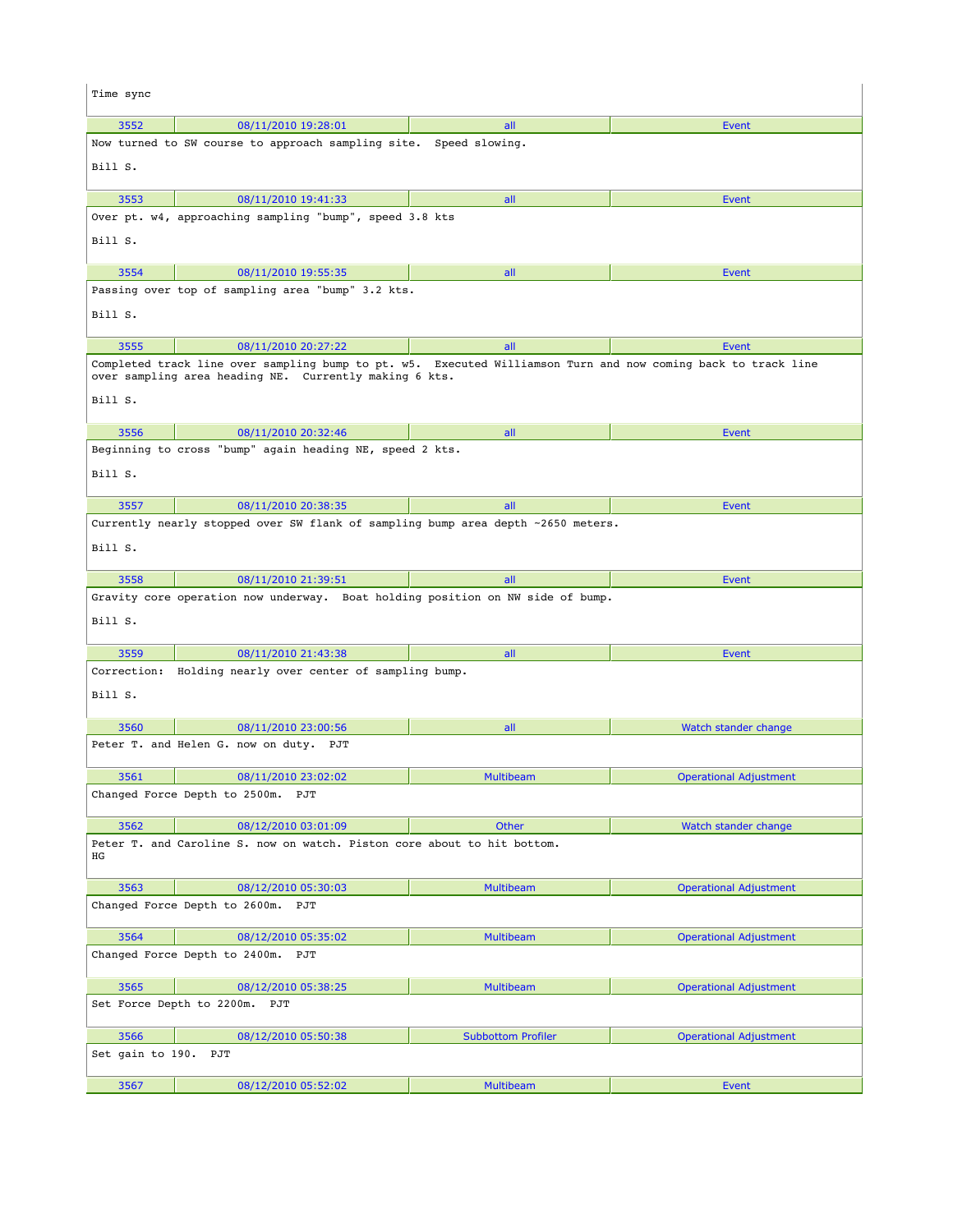| Time sync        |                                                                                                                                                                         |                           |                               |
|------------------|-------------------------------------------------------------------------------------------------------------------------------------------------------------------------|---------------------------|-------------------------------|
| 3552             | 08/11/2010 19:28:01                                                                                                                                                     | all                       | <b>Event</b>                  |
|                  | Now turned to SW course to approach sampling site. Speed slowing.                                                                                                       |                           |                               |
| Bill S.          |                                                                                                                                                                         |                           |                               |
| 3553             | 08/11/2010 19:41:33                                                                                                                                                     | all                       | Event                         |
|                  | Over pt. w4, approaching sampling "bump", speed 3.8 kts                                                                                                                 |                           |                               |
| Bill S.          |                                                                                                                                                                         |                           |                               |
| 3554             | 08/11/2010 19:55:35                                                                                                                                                     | all                       | Event                         |
|                  | Passing over top of sampling area "bump" 3.2 kts.                                                                                                                       |                           |                               |
| Bill S.          |                                                                                                                                                                         |                           |                               |
| 3555             | 08/11/2010 20:27:22                                                                                                                                                     | all                       | Event                         |
| Bill S.          | Completed track line over sampling bump to pt. w5. Executed Williamson Turn and now coming back to track line<br>over sampling area heading NE. Currently making 6 kts. |                           |                               |
| 3556             | 08/11/2010 20:32:46                                                                                                                                                     | all                       | Event                         |
|                  | Beginning to cross "bump" again heading NE, speed 2 kts.                                                                                                                |                           |                               |
| Bill S.          |                                                                                                                                                                         |                           |                               |
| 3557             | 08/11/2010 20:38:35                                                                                                                                                     | all                       | Event                         |
| Bill S.          | Currently nearly stopped over SW flank of sampling bump area depth ~2650 meters.                                                                                        |                           |                               |
| 3558             | 08/11/2010 21:39:51                                                                                                                                                     | all                       | Event                         |
| Bill S.          | Gravity core operation now underway. Boat holding position on NW side of bump.                                                                                          |                           |                               |
| 3559             | 08/11/2010 21:43:38                                                                                                                                                     | all                       | Event                         |
| Bill S.          | Correction: Holding nearly over center of sampling bump.                                                                                                                |                           |                               |
| 3560             | 08/11/2010 23:00:56                                                                                                                                                     | all                       | Watch stander change          |
|                  | Peter T. and Helen G. now on duty. PJT                                                                                                                                  |                           |                               |
| 3561             | 08/11/2010 23:02:02                                                                                                                                                     | Multibeam                 | <b>Operational Adjustment</b> |
|                  | Changed Force Depth to 2500m. PJT                                                                                                                                       |                           |                               |
| 3562             | 08/12/2010 03:01:09                                                                                                                                                     | Other                     | Watch stander change          |
| ΗG               | Peter T. and Caroline S. now on watch. Piston core about to hit bottom.                                                                                                 |                           |                               |
| 3563             | 08/12/2010 05:30:03                                                                                                                                                     | <b>Multibeam</b>          | <b>Operational Adjustment</b> |
|                  | Changed Force Depth to 2600m. PJT                                                                                                                                       |                           |                               |
| 3564             | 08/12/2010 05:35:02                                                                                                                                                     | <b>Multibeam</b>          | <b>Operational Adjustment</b> |
|                  | Changed Force Depth to 2400m. PJT                                                                                                                                       |                           |                               |
| 3565             | 08/12/2010 05:38:25                                                                                                                                                     | <b>Multibeam</b>          | <b>Operational Adjustment</b> |
|                  | Set Force Depth to 2200m.<br>PJT                                                                                                                                        |                           |                               |
| 3566             | 08/12/2010 05:50:38                                                                                                                                                     | <b>Subbottom Profiler</b> | <b>Operational Adjustment</b> |
| Set gain to 190. | PJT                                                                                                                                                                     |                           |                               |
| 3567             | 08/12/2010 05:52:02                                                                                                                                                     | Multibeam                 | Event                         |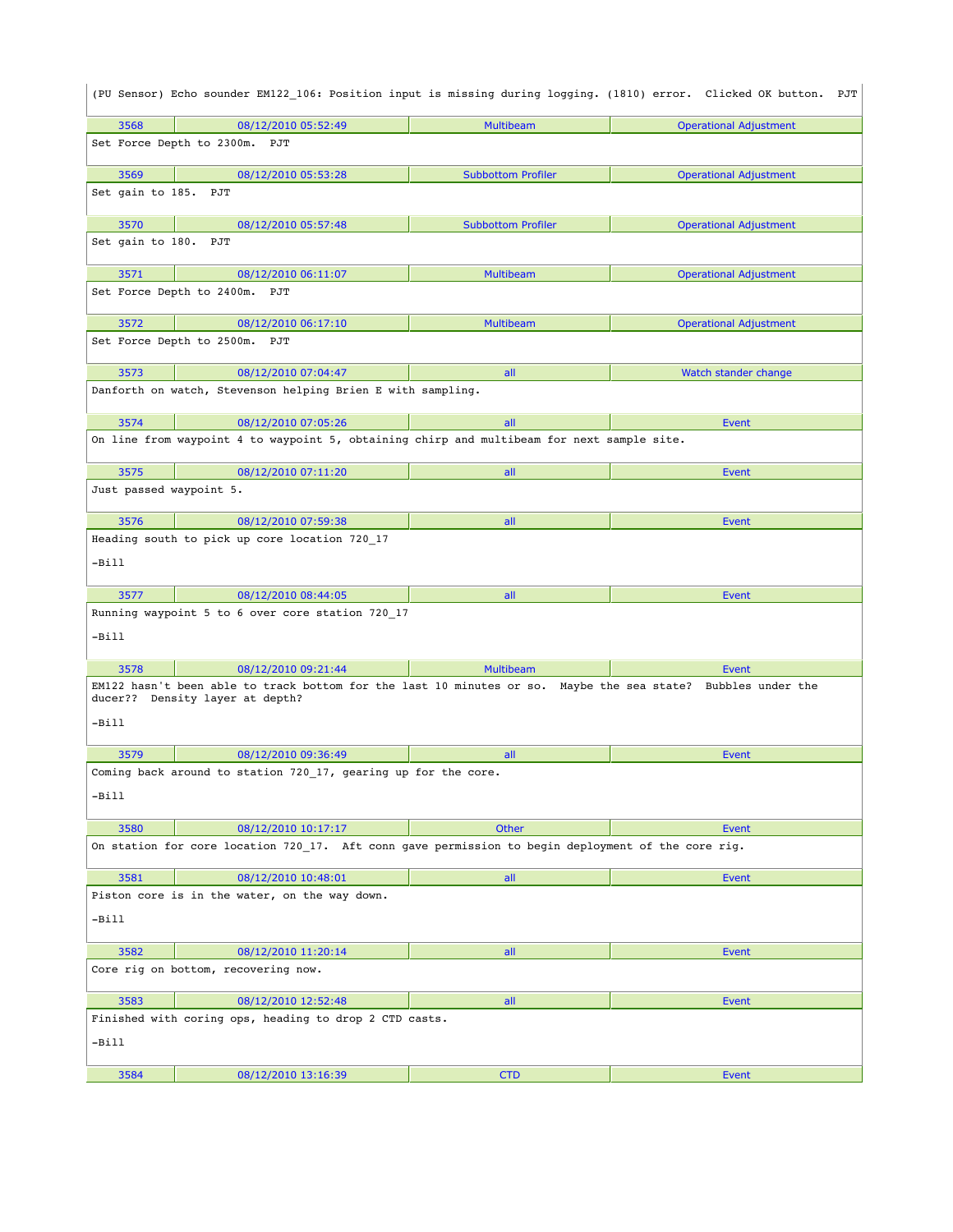|                         |                                                                                                                                                 |                           | (PU Sensor) Echo sounder EM122_106: Position input is missing during logging. (1810) error. Clicked OK button. PJT |
|-------------------------|-------------------------------------------------------------------------------------------------------------------------------------------------|---------------------------|--------------------------------------------------------------------------------------------------------------------|
| 3568                    | 08/12/2010 05:52:49                                                                                                                             | Multibeam                 | <b>Operational Adjustment</b>                                                                                      |
|                         | Set Force Depth to 2300m. PJT                                                                                                                   |                           |                                                                                                                    |
| 3569                    | 08/12/2010 05:53:28                                                                                                                             | <b>Subbottom Profiler</b> | <b>Operational Adjustment</b>                                                                                      |
| Set gain to 185. PJT    |                                                                                                                                                 |                           |                                                                                                                    |
| 3570                    | 08/12/2010 05:57:48                                                                                                                             | <b>Subbottom Profiler</b> | <b>Operational Adjustment</b>                                                                                      |
| Set gain to 180. PJT    |                                                                                                                                                 |                           |                                                                                                                    |
| 3571                    | 08/12/2010 06:11:07                                                                                                                             | Multibeam                 | <b>Operational Adjustment</b>                                                                                      |
|                         | Set Force Depth to 2400m.<br>PJT                                                                                                                |                           |                                                                                                                    |
| 3572                    | 08/12/2010 06:17:10                                                                                                                             | <b>Multibeam</b>          | <b>Operational Adjustment</b>                                                                                      |
|                         | Set Force Depth to 2500m.<br>PJT                                                                                                                |                           |                                                                                                                    |
| 3573                    | 08/12/2010 07:04:47                                                                                                                             | all                       | Watch stander change                                                                                               |
|                         | Danforth on watch, Stevenson helping Brien E with sampling.                                                                                     |                           |                                                                                                                    |
| 3574                    | 08/12/2010 07:05:26                                                                                                                             | all                       | Event                                                                                                              |
|                         | On line from waypoint 4 to waypoint 5, obtaining chirp and multibeam for next sample site.                                                      |                           |                                                                                                                    |
| 3575                    | 08/12/2010 07:11:20                                                                                                                             | all                       | Event                                                                                                              |
| Just passed waypoint 5. |                                                                                                                                                 |                           |                                                                                                                    |
| 3576                    | 08/12/2010 07:59:38                                                                                                                             | all                       | <b>Event</b>                                                                                                       |
|                         | Heading south to pick up core location 720_17                                                                                                   |                           |                                                                                                                    |
| -Bill                   |                                                                                                                                                 |                           |                                                                                                                    |
| 3577                    | 08/12/2010 08:44:05                                                                                                                             | all                       | Event                                                                                                              |
| -Bill                   | Running waypoint 5 to 6 over core station 720_17                                                                                                |                           |                                                                                                                    |
| 3578                    | 08/12/2010 09:21:44                                                                                                                             | <b>Multibeam</b>          | Event                                                                                                              |
|                         | EM122 hasn't been able to track bottom for the last 10 minutes or so. Maybe the sea state? Bubbles under the<br>ducer?? Density layer at depth? |                           |                                                                                                                    |
| $-Bi11$                 |                                                                                                                                                 |                           |                                                                                                                    |
| 3579                    | 08/12/2010 09:36:49                                                                                                                             | all                       | Event                                                                                                              |
|                         | Coming back around to station 720 17, gearing up for the core.                                                                                  |                           |                                                                                                                    |
| -Bill                   |                                                                                                                                                 |                           |                                                                                                                    |
| 3580                    | 08/12/2010 10:17:17                                                                                                                             | <b>Other</b>              | Event                                                                                                              |
|                         | On station for core location 720 17. Aft conn gave permission to begin deployment of the core rig.                                              |                           |                                                                                                                    |
| 3581                    | 08/12/2010 10:48:01                                                                                                                             | all                       | Event                                                                                                              |
|                         | Piston core is in the water, on the way down.                                                                                                   |                           |                                                                                                                    |
| -Bill                   |                                                                                                                                                 |                           |                                                                                                                    |
| 3582                    | 08/12/2010 11:20:14                                                                                                                             | all                       | Event                                                                                                              |
|                         | Core rig on bottom, recovering now.                                                                                                             |                           |                                                                                                                    |
| 3583                    |                                                                                                                                                 |                           |                                                                                                                    |
|                         | 08/12/2010 12:52:48                                                                                                                             | all                       | Event                                                                                                              |
|                         | Finished with coring ops, heading to drop 2 CTD casts.                                                                                          |                           |                                                                                                                    |
| -Bill                   |                                                                                                                                                 |                           |                                                                                                                    |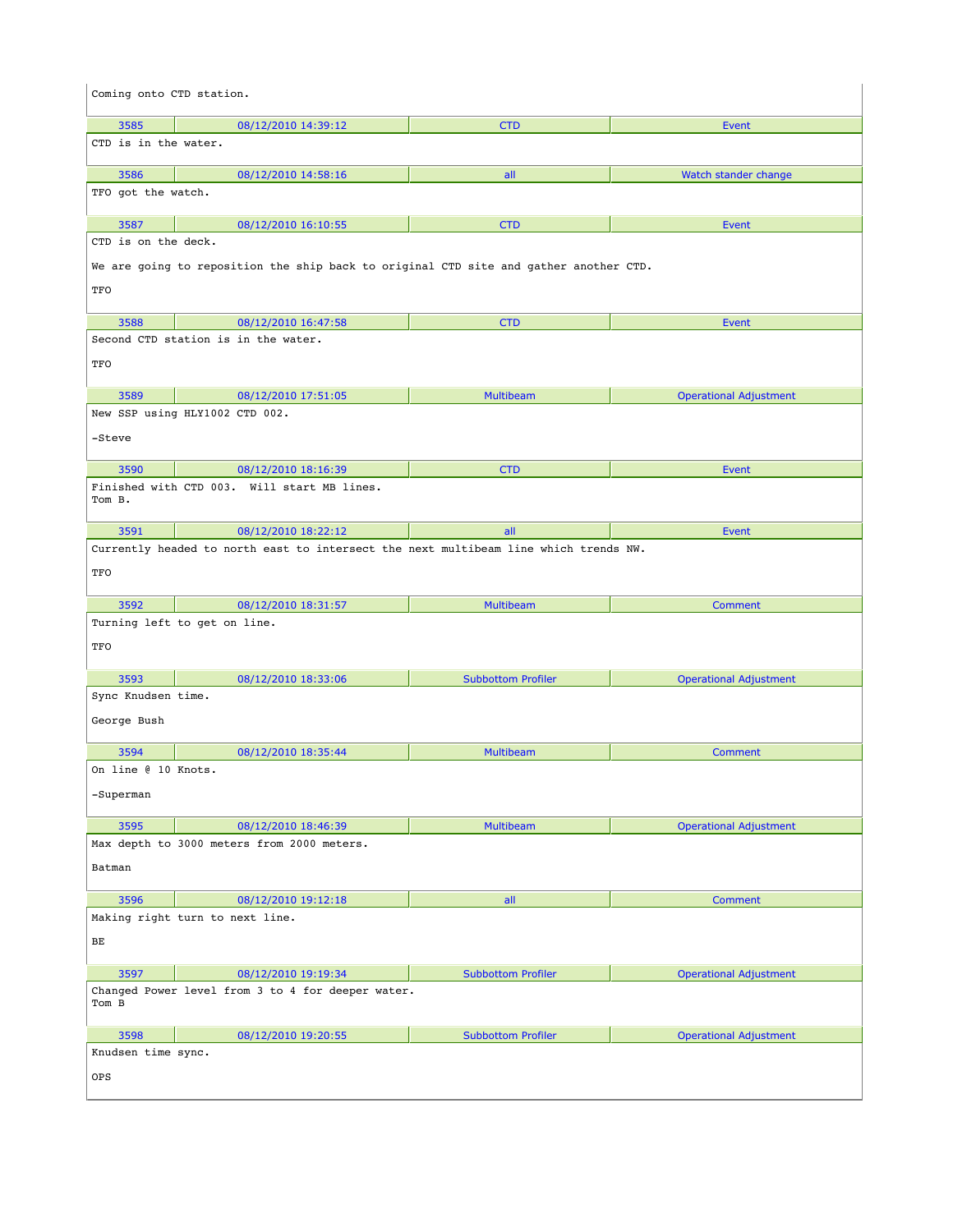| Coming onto CTD station.    |                                                                                       |                           |                               |
|-----------------------------|---------------------------------------------------------------------------------------|---------------------------|-------------------------------|
| 3585                        | 08/12/2010 14:39:12                                                                   | <b>CTD</b>                | Event                         |
| CTD is in the water.        |                                                                                       |                           |                               |
| 3586                        | 08/12/2010 14:58:16                                                                   | all                       | Watch stander change          |
| TFO got the watch.          |                                                                                       |                           |                               |
|                             |                                                                                       |                           |                               |
| 3587<br>CTD is on the deck. | 08/12/2010 16:10:55                                                                   | <b>CTD</b>                | <b>Event</b>                  |
|                             | We are going to reposition the ship back to original CTD site and gather another CTD. |                           |                               |
| TFO                         |                                                                                       |                           |                               |
| 3588                        | 08/12/2010 16:47:58                                                                   | <b>CTD</b>                | <b>Event</b>                  |
|                             | Second CTD station is in the water.                                                   |                           |                               |
| TFO                         |                                                                                       |                           |                               |
| 3589                        | 08/12/2010 17:51:05                                                                   | <b>Multibeam</b>          | <b>Operational Adjustment</b> |
|                             | New SSP using HLY1002 CTD 002.                                                        |                           |                               |
| -Steve                      |                                                                                       |                           |                               |
| 3590                        | 08/12/2010 18:16:39                                                                   | <b>CTD</b>                | Event                         |
| Tom B.                      | Finished with CTD 003. Will start MB lines.                                           |                           |                               |
| 3591                        | 08/12/2010 18:22:12                                                                   | all                       | Event                         |
|                             | Currently headed to north east to intersect the next multibeam line which trends NW.  |                           |                               |
| TFO                         |                                                                                       |                           |                               |
| 3592                        | 08/12/2010 18:31:57                                                                   | <b>Multibeam</b>          | <b>Comment</b>                |
| TFO                         | Turning left to get on line.                                                          |                           |                               |
| 3593                        | 08/12/2010 18:33:06                                                                   | <b>Subbottom Profiler</b> | <b>Operational Adjustment</b> |
| Sync Knudsen time.          |                                                                                       |                           |                               |
| George Bush                 |                                                                                       |                           |                               |
| 3594                        | 08/12/2010 18:35:44                                                                   | <b>Multibeam</b>          | Comment                       |
| On line @ 10 Knots.         |                                                                                       |                           |                               |
| -Superman                   |                                                                                       |                           |                               |
| 3595                        | 08/12/2010 18:46:39                                                                   | <b>Multibeam</b>          | <b>Operational Adjustment</b> |
|                             | Max depth to 3000 meters from 2000 meters.                                            |                           |                               |
| Batman                      |                                                                                       |                           |                               |
| 3596                        | 08/12/2010 19:12:18                                                                   | all                       | <b>Comment</b>                |
|                             | Making right turn to next line.                                                       |                           |                               |
| BЕ                          |                                                                                       |                           |                               |
| 3597                        | 08/12/2010 19:19:34                                                                   | <b>Subbottom Profiler</b> | <b>Operational Adjustment</b> |
| Tom B                       | Changed Power level from 3 to 4 for deeper water.                                     |                           |                               |
| 3598                        | 08/12/2010 19:20:55                                                                   | <b>Subbottom Profiler</b> | <b>Operational Adjustment</b> |
| Knudsen time sync.          |                                                                                       |                           |                               |
| OPS                         |                                                                                       |                           |                               |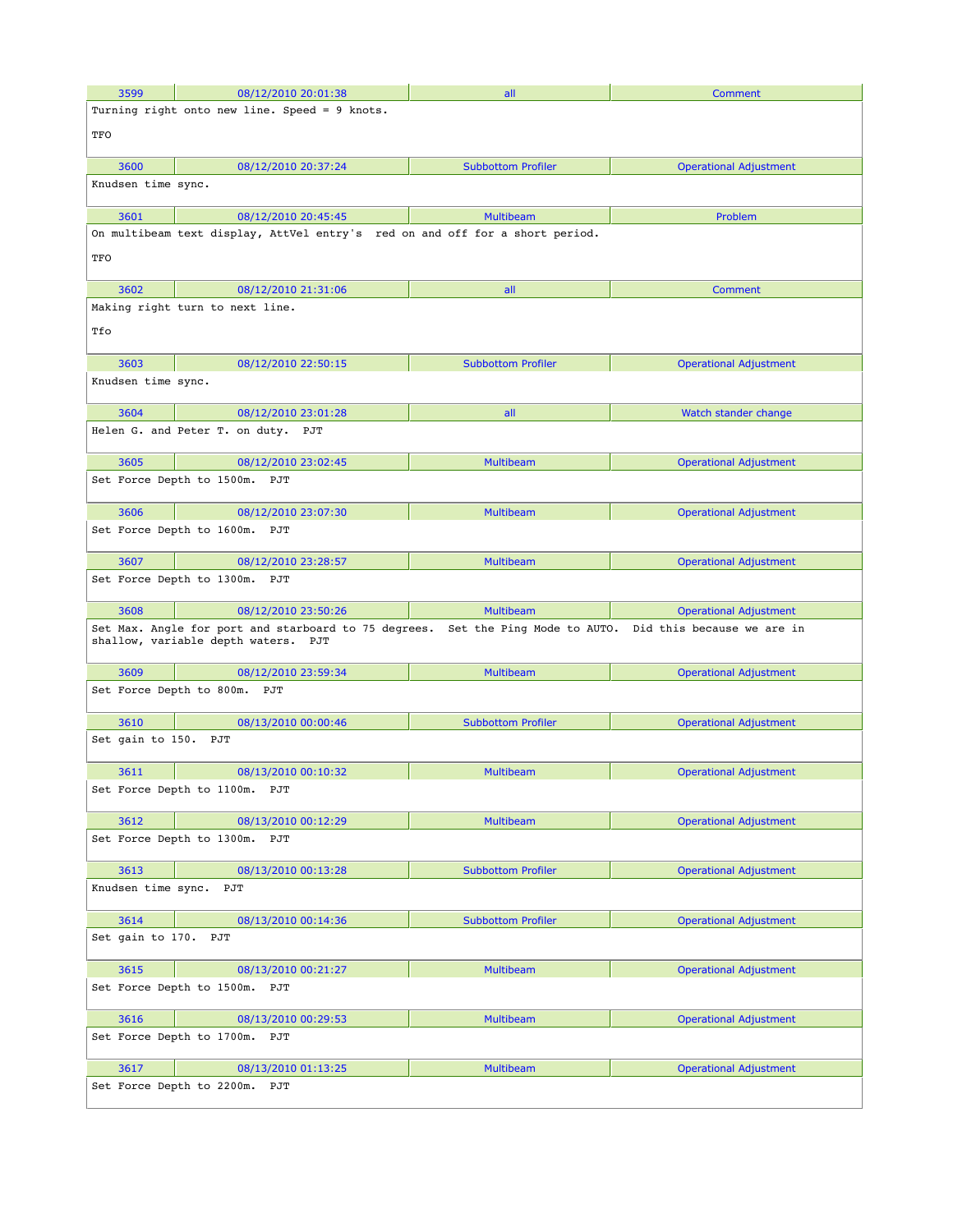| 3599                      | 08/12/2010 20:01:38                                                                         | all                       | Comment                                               |
|---------------------------|---------------------------------------------------------------------------------------------|---------------------------|-------------------------------------------------------|
|                           | Turning right onto new line. Speed = 9 knots.                                               |                           |                                                       |
| TFO                       |                                                                                             |                           |                                                       |
| 3600                      | 08/12/2010 20:37:24                                                                         | <b>Subbottom Profiler</b> | <b>Operational Adjustment</b>                         |
| Knudsen time sync.        |                                                                                             |                           |                                                       |
| 3601                      | 08/12/2010 20:45:45                                                                         | <b>Multibeam</b>          | Problem                                               |
|                           | On multibeam text display, AttVel entry's red on and off for a short period.                |                           |                                                       |
| TFO                       |                                                                                             |                           |                                                       |
| 3602                      | 08/12/2010 21:31:06                                                                         | all                       | Comment                                               |
|                           | Making right turn to next line.                                                             |                           |                                                       |
| Tfo                       |                                                                                             |                           |                                                       |
| 3603                      | 08/12/2010 22:50:15                                                                         | <b>Subbottom Profiler</b> | <b>Operational Adjustment</b>                         |
| Knudsen time sync.        |                                                                                             |                           |                                                       |
| 3604                      | 08/12/2010 23:01:28                                                                         | all                       | Watch stander change                                  |
|                           | Helen G. and Peter T. on duty. PJT                                                          |                           |                                                       |
| 3605                      | 08/12/2010 23:02:45                                                                         | <b>Multibeam</b>          | <b>Operational Adjustment</b>                         |
| Set Force Depth to 1500m. | PJT                                                                                         |                           |                                                       |
| 3606                      | 08/12/2010 23:07:30                                                                         | <b>Multibeam</b>          | <b>Operational Adjustment</b>                         |
|                           | Set Force Depth to 1600m.<br>PJT                                                            |                           |                                                       |
| 3607                      | 08/12/2010 23:28:57                                                                         | <b>Multibeam</b>          | <b>Operational Adjustment</b>                         |
|                           | Set Force Depth to 1300m. PJT                                                               |                           |                                                       |
| 3608                      | 08/12/2010 23:50:26                                                                         | <b>Multibeam</b>          | <b>Operational Adjustment</b>                         |
|                           | Set Max. Angle for port and starboard to 75 degrees.<br>shallow, variable depth waters. PJT |                           | Set the Ping Mode to AUTO. Did this because we are in |
| 3609                      | 08/12/2010 23:59:34                                                                         | <b>Multibeam</b>          | <b>Operational Adjustment</b>                         |
|                           | Set Force Depth to 800m. PJT                                                                |                           |                                                       |
| 3610                      | 08/13/2010 00:00:46                                                                         | <b>Subbottom Profiler</b> | <b>Operational Adjustment</b>                         |
| Set gain to 150. PJT      |                                                                                             |                           |                                                       |
| 3611                      | 08/13/2010 00:10:32                                                                         | <b>Multibeam</b>          | <b>Operational Adjustment</b>                         |
|                           | Set Force Depth to 1100m. PJT                                                               |                           |                                                       |
| 3612                      | 08/13/2010 00:12:29                                                                         | <b>Multibeam</b>          | <b>Operational Adjustment</b>                         |
|                           | Set Force Depth to 1300m. PJT                                                               |                           |                                                       |
| 3613                      | 08/13/2010 00:13:28                                                                         | <b>Subbottom Profiler</b> | <b>Operational Adjustment</b>                         |
| Knudsen time sync. PJT    |                                                                                             |                           |                                                       |
| 3614                      | 08/13/2010 00:14:36                                                                         | <b>Subbottom Profiler</b> | <b>Operational Adjustment</b>                         |
| Set gain to 170. PJT      |                                                                                             |                           |                                                       |
| 3615                      | 08/13/2010 00:21:27                                                                         | <b>Multibeam</b>          | <b>Operational Adjustment</b>                         |
|                           | Set Force Depth to 1500m. PJT                                                               |                           |                                                       |
| 3616                      | 08/13/2010 00:29:53                                                                         | <b>Multibeam</b>          | <b>Operational Adjustment</b>                         |
|                           | Set Force Depth to 1700m. PJT                                                               |                           |                                                       |
| 3617                      | 08/13/2010 01:13:25                                                                         | <b>Multibeam</b>          | <b>Operational Adjustment</b>                         |
| Set Force Depth to 2200m. | PJT                                                                                         |                           |                                                       |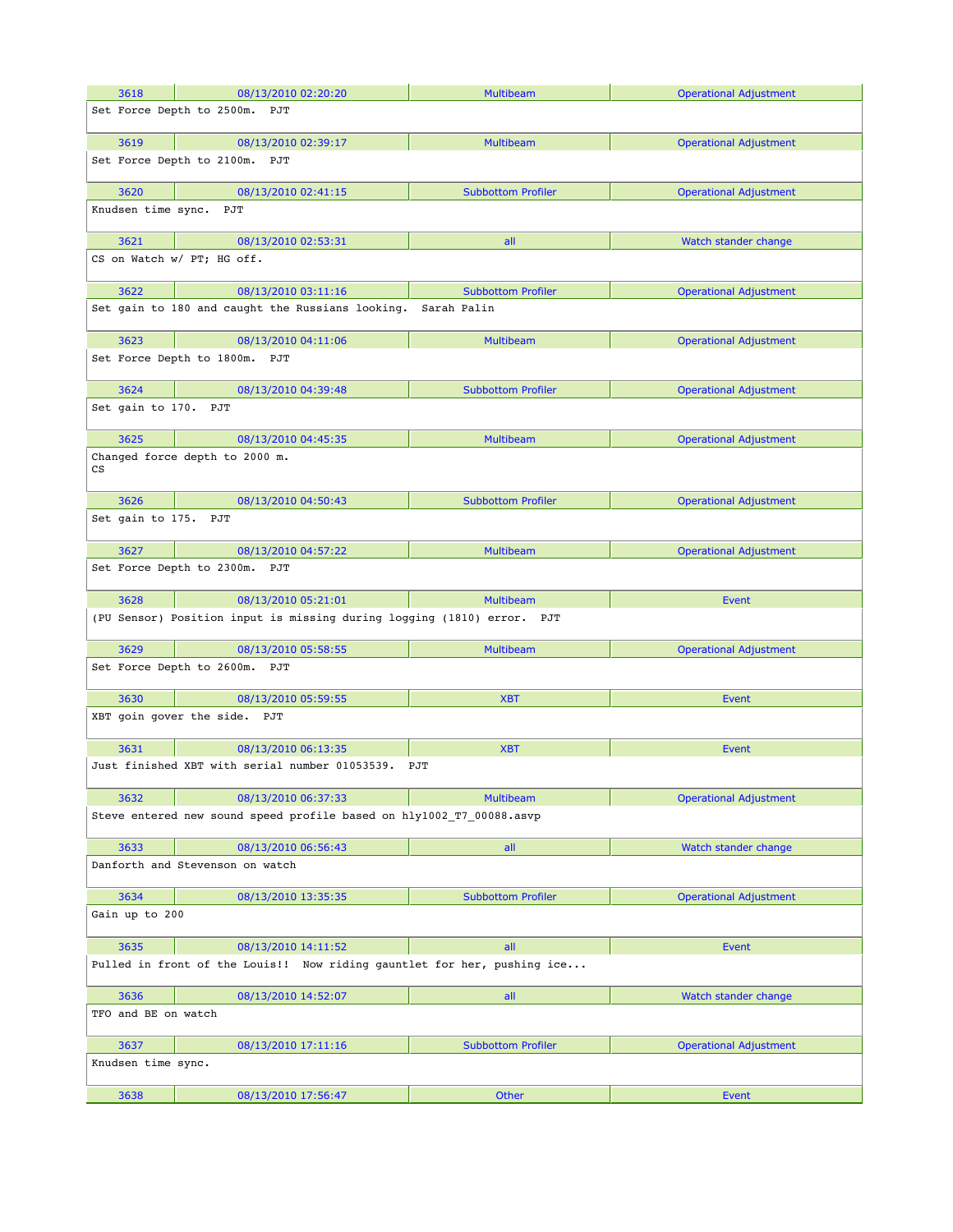| 3618                       | 08/13/2010 02:20:20                                                     | <b>Multibeam</b>          | <b>Operational Adjustment</b> |
|----------------------------|-------------------------------------------------------------------------|---------------------------|-------------------------------|
|                            | Set Force Depth to 2500m.<br>PJT                                        |                           |                               |
|                            |                                                                         |                           |                               |
| 3619                       | 08/13/2010 02:39:17                                                     | <b>Multibeam</b>          | <b>Operational Adjustment</b> |
|                            | Set Force Depth to 2100m.<br>PJT                                        |                           |                               |
| 3620                       | 08/13/2010 02:41:15                                                     | <b>Subbottom Profiler</b> | <b>Operational Adjustment</b> |
| Knudsen time sync. PJT     |                                                                         |                           |                               |
|                            |                                                                         |                           |                               |
| 3621                       | 08/13/2010 02:53:31                                                     | all                       | Watch stander change          |
|                            | CS on Watch w/ PT; HG off.                                              |                           |                               |
| 3622                       | 08/13/2010 03:11:16                                                     | <b>Subbottom Profiler</b> | <b>Operational Adjustment</b> |
|                            | Set gain to 180 and caught the Russians looking.                        | Sarah Palin               |                               |
|                            |                                                                         |                           |                               |
| 3623                       | 08/13/2010 04:11:06                                                     | <b>Multibeam</b>          | <b>Operational Adjustment</b> |
|                            | Set Force Depth to 1800m. PJT                                           |                           |                               |
| 3624                       | 08/13/2010 04:39:48                                                     | <b>Subbottom Profiler</b> | <b>Operational Adjustment</b> |
| Set gain to 170. PJT       |                                                                         |                           |                               |
|                            |                                                                         |                           |                               |
| 3625                       | 08/13/2010 04:45:35                                                     | <b>Multibeam</b>          | <b>Operational Adjustment</b> |
| $\mathop{\rm CS}\nolimits$ | Changed force depth to 2000 m.                                          |                           |                               |
| 3626                       | 08/13/2010 04:50:43                                                     | <b>Subbottom Profiler</b> | <b>Operational Adjustment</b> |
| Set gain to 175. PJT       |                                                                         |                           |                               |
|                            |                                                                         |                           |                               |
| 3627                       | 08/13/2010 04:57:22                                                     | <b>Multibeam</b>          | <b>Operational Adjustment</b> |
|                            | Set Force Depth to 2300m. PJT                                           |                           |                               |
| 3628                       | 08/13/2010 05:21:01                                                     | <b>Multibeam</b>          | Event                         |
|                            | (PU Sensor) Position input is missing during logging (1810) error. PJT  |                           |                               |
| 3629                       | 08/13/2010 05:58:55                                                     | <b>Multibeam</b>          | <b>Operational Adjustment</b> |
|                            | Set Force Depth to 2600m. PJT                                           |                           |                               |
|                            |                                                                         |                           |                               |
| 3630                       | 08/13/2010 05:59:55                                                     | <b>XBT</b>                | Event                         |
|                            | XBT goin gover the side.<br>PJT                                         |                           |                               |
| 3631                       | 08/13/2010 06:13:35                                                     | <b>XBT</b>                | Event                         |
|                            | Just finished XBT with serial number 01053539. PJT                      |                           |                               |
|                            |                                                                         |                           |                               |
| 3632                       | 08/13/2010 06:37:33                                                     | <b>Multibeam</b>          | <b>Operational Adjustment</b> |
|                            | Steve entered new sound speed profile based on hly1002 T7 00088.asvp    |                           |                               |
| 3633                       | 08/13/2010 06:56:43                                                     | all                       | Watch stander change          |
|                            | Danforth and Stevenson on watch                                         |                           |                               |
| 3634                       | 08/13/2010 13:35:35                                                     | <b>Subbottom Profiler</b> | <b>Operational Adjustment</b> |
| Gain up to 200             |                                                                         |                           |                               |
|                            |                                                                         |                           |                               |
| 3635                       | 08/13/2010 14:11:52                                                     | all                       | Event                         |
|                            | Pulled in front of the Louis!! Now riding gauntlet for her, pushing ice |                           |                               |
| 3636                       | 08/13/2010 14:52:07                                                     | all                       | Watch stander change          |
| TFO and BE on watch        |                                                                         |                           |                               |
| 3637                       | 08/13/2010 17:11:16                                                     | <b>Subbottom Profiler</b> | <b>Operational Adjustment</b> |
| Knudsen time sync.         |                                                                         |                           |                               |
| 3638                       | 08/13/2010 17:56:47                                                     | Other                     | Event                         |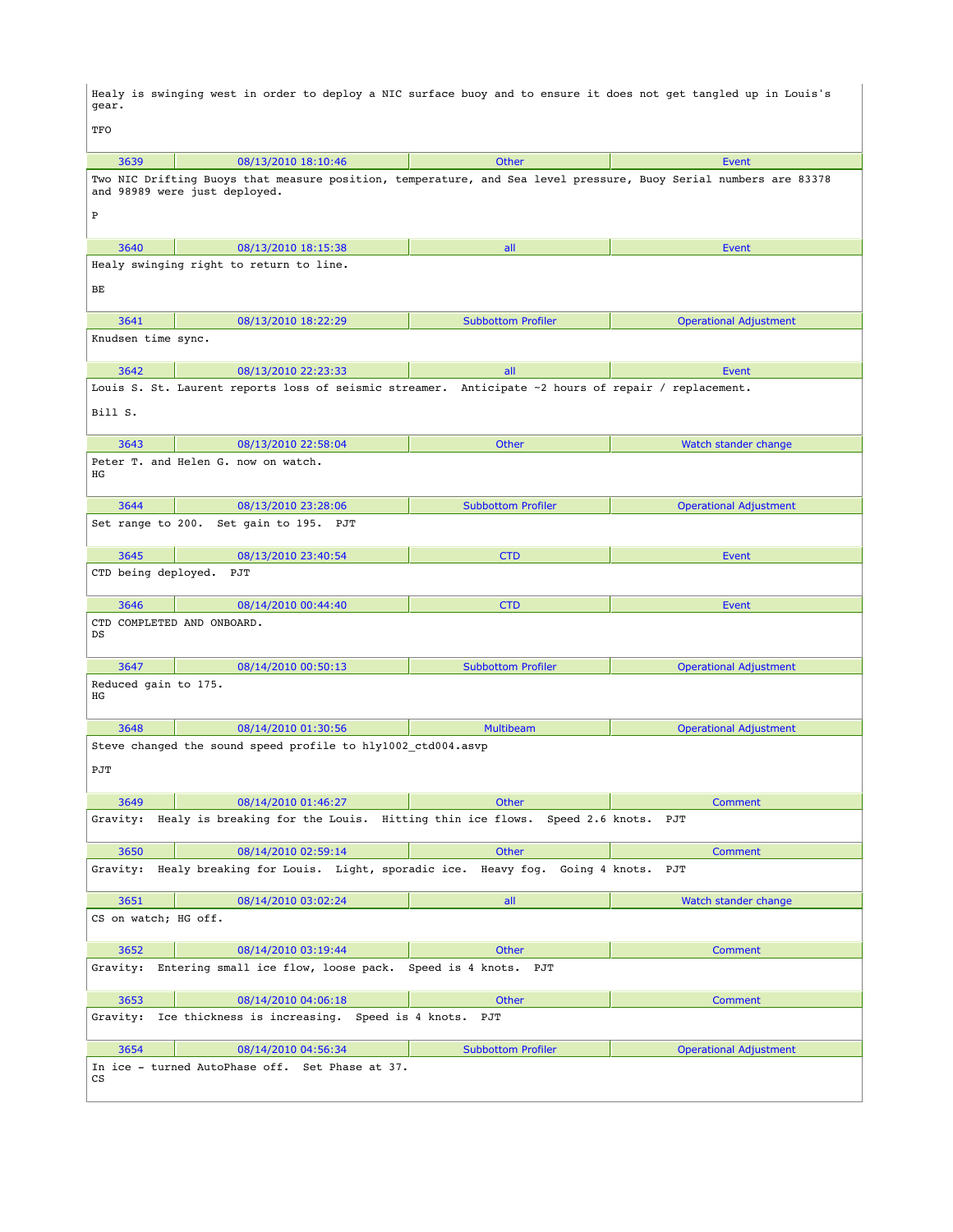Healy is swinging west in order to deploy a NIC surface buoy and to ensure it does not get tangled up in Louis's gear.

 $\vert$  TFO

| ᅶᄓ                               |                                                                                                                                                   |                              |                               |
|----------------------------------|---------------------------------------------------------------------------------------------------------------------------------------------------|------------------------------|-------------------------------|
| 3639                             | 08/13/2010 18:10:46                                                                                                                               | <b>Other</b>                 | Event                         |
|                                  | Two NIC Drifting Buoys that measure position, temperature, and Sea level pressure, Buoy Serial numbers are 83378<br>and 98989 were just deployed. |                              |                               |
| $\, {\bf P}$                     |                                                                                                                                                   |                              |                               |
| 3640                             | 08/13/2010 18:15:38                                                                                                                               | all                          | <b>Event</b>                  |
|                                  | Healy swinging right to return to line.                                                                                                           |                              |                               |
| BЕ                               |                                                                                                                                                   |                              |                               |
| 3641                             | 08/13/2010 18:22:29                                                                                                                               | <b>Subbottom Profiler</b>    | <b>Operational Adjustment</b> |
| Knudsen time sync.               |                                                                                                                                                   |                              |                               |
| 3642                             | 08/13/2010 22:23:33                                                                                                                               | all                          | <b>Event</b>                  |
|                                  | Louis S. St. Laurent reports loss of seismic streamer. Anticipate ~2 hours of repair / replacement.                                               |                              |                               |
| Bill S.                          |                                                                                                                                                   |                              |                               |
| 3643                             | 08/13/2010 22:58:04                                                                                                                               | Other                        | Watch stander change          |
| ΗG                               | Peter T. and Helen G. now on watch.                                                                                                               |                              |                               |
| 3644                             | 08/13/2010 23:28:06                                                                                                                               | <b>Subbottom Profiler</b>    | <b>Operational Adjustment</b> |
|                                  | Set range to 200. Set gain to 195. PJT                                                                                                            |                              |                               |
| 3645                             | 08/13/2010 23:40:54                                                                                                                               | <b>CTD</b>                   | <b>Event</b>                  |
| CTD being deployed.              | PJT                                                                                                                                               |                              |                               |
| 3646                             | 08/14/2010 00:44:40                                                                                                                               | <b>CTD</b>                   | Event                         |
| CTD COMPLETED AND ONBOARD.<br>DS |                                                                                                                                                   |                              |                               |
| 3647                             | 08/14/2010 00:50:13                                                                                                                               | <b>Subbottom Profiler</b>    | <b>Operational Adjustment</b> |
| Reduced gain to 175.<br>ΗG       |                                                                                                                                                   |                              |                               |
| 3648                             | 08/14/2010 01:30:56                                                                                                                               | <b>Multibeam</b>             | <b>Operational Adjustment</b> |
|                                  | Steve changed the sound speed profile to hly1002 ctd004.asvp                                                                                      |                              |                               |
| PJT                              |                                                                                                                                                   |                              |                               |
| 3649                             | 08/14/2010 01:46:27                                                                                                                               | <b>Other</b>                 | <b>Comment</b>                |
|                                  | Gravity: Healy is breaking for the Louis. Hitting thin ice flows. Speed 2.6 knots.                                                                |                              | PJT                           |
| 3650                             | 08/14/2010 02:59:14                                                                                                                               | Other                        | <b>Comment</b>                |
| Gravity:                         | Healy breaking for Louis. Light, sporadic ice.                                                                                                    | Heavy fog.<br>Going 4 knots. | PJT                           |
| 3651                             | 08/14/2010 03:02:24                                                                                                                               | all                          | Watch stander change          |
| CS on watch; HG off.             |                                                                                                                                                   |                              |                               |
| 3652                             | 08/14/2010 03:19:44                                                                                                                               | Other                        | <b>Comment</b>                |
| Gravity:                         | Entering small ice flow, loose pack.                                                                                                              | Speed is 4 knots.<br>PJT     |                               |
| 3653                             | 08/14/2010 04:06:18                                                                                                                               | Other                        | Comment                       |
| Gravity:                         | Ice thickness is increasing. Speed is 4 knots.                                                                                                    | PJT                          |                               |
| 3654                             | 08/14/2010 04:56:34                                                                                                                               | <b>Subbottom Profiler</b>    | <b>Operational Adjustment</b> |
| cs                               | In ice - turned AutoPhase off. Set Phase at 37.                                                                                                   |                              |                               |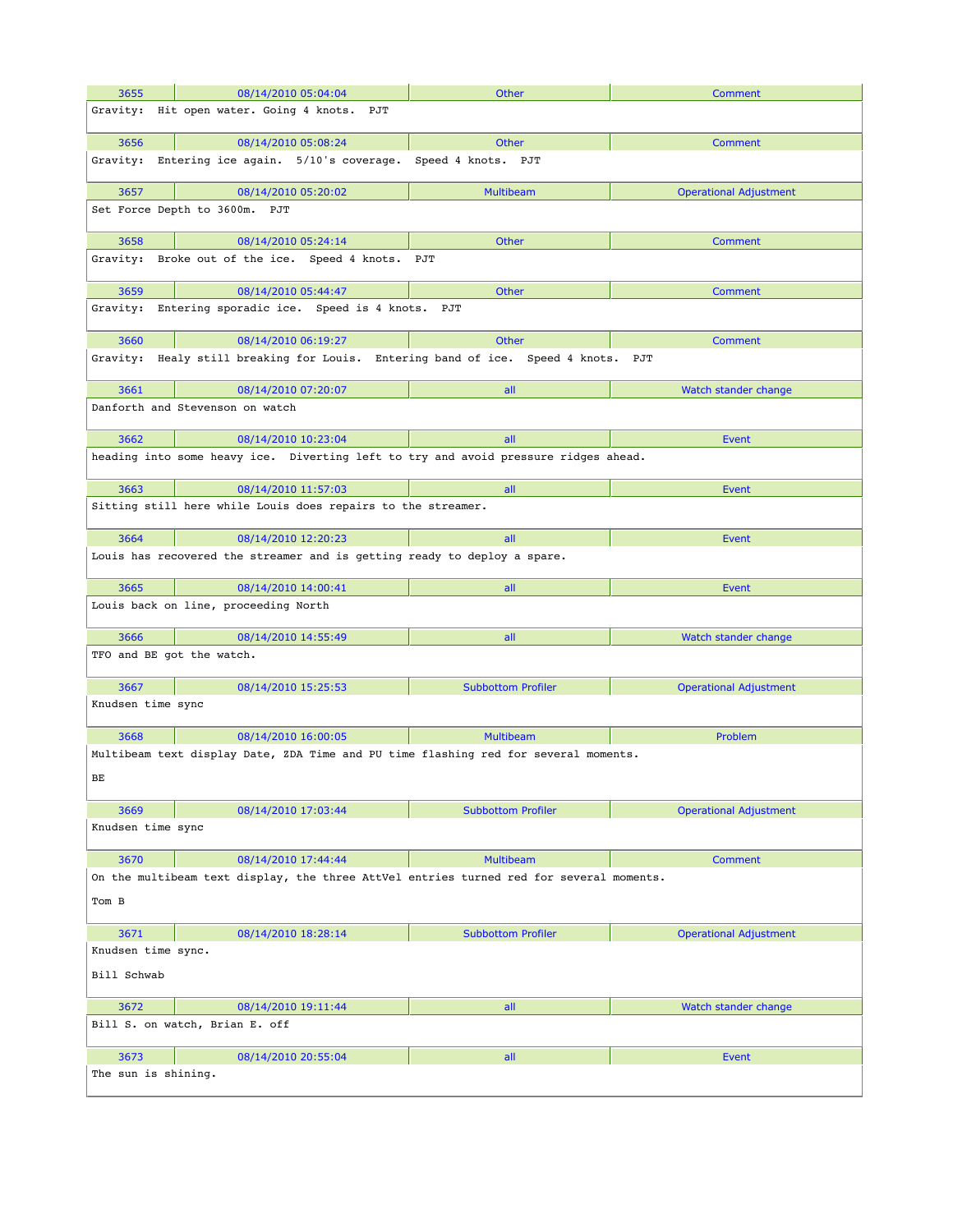| 3655                | 08/14/2010 05:04:04                                                                     | <b>Other</b>              | <b>Comment</b>                |
|---------------------|-----------------------------------------------------------------------------------------|---------------------------|-------------------------------|
| Gravity:            | Hit open water. Going 4 knots. PJT                                                      |                           |                               |
|                     |                                                                                         |                           |                               |
| 3656                | 08/14/2010 05:08:24                                                                     | Other                     | <b>Comment</b>                |
| Gravity:            | Entering ice again. 5/10's coverage.                                                    | Speed 4 knots. PJT        |                               |
| 3657                | 08/14/2010 05:20:02                                                                     | <b>Multibeam</b>          | <b>Operational Adjustment</b> |
|                     | Set Force Depth to 3600m. PJT                                                           |                           |                               |
| 3658                | 08/14/2010 05:24:14                                                                     | <b>Other</b>              | <b>Comment</b>                |
| Gravity:            | Broke out of the ice. Speed 4 knots.                                                    | PJT                       |                               |
| 3659                | 08/14/2010 05:44:47                                                                     | <b>Other</b>              | <b>Comment</b>                |
| Gravity:            | Entering sporadic ice. Speed is 4 knots. PJT                                            |                           |                               |
| 3660                | 08/14/2010 06:19:27                                                                     | <b>Other</b>              | Comment                       |
| Gravity:            | Healy still breaking for Louis. Entering band of ice. Speed 4 knots. PJT                |                           |                               |
| 3661                | 08/14/2010 07:20:07                                                                     | all                       | Watch stander change          |
|                     | Danforth and Stevenson on watch                                                         |                           |                               |
| 3662                | 08/14/2010 10:23:04                                                                     | all                       | <b>Event</b>                  |
|                     | heading into some heavy ice. Diverting left to try and avoid pressure ridges ahead.     |                           |                               |
| 3663                | 08/14/2010 11:57:03                                                                     | all                       | Event                         |
|                     | Sitting still here while Louis does repairs to the streamer.                            |                           |                               |
| 3664                | 08/14/2010 12:20:23                                                                     | all                       | Event                         |
|                     | Louis has recovered the streamer and is getting ready to deploy a spare.                |                           |                               |
| 3665                | 08/14/2010 14:00:41                                                                     | all                       | Event                         |
|                     | Louis back on line, proceeding North                                                    |                           |                               |
| 3666                | 08/14/2010 14:55:49                                                                     | all                       | Watch stander change          |
|                     | TFO and BE got the watch.                                                               |                           |                               |
| 3667                | 08/14/2010 15:25:53                                                                     | <b>Subbottom Profiler</b> | <b>Operational Adjustment</b> |
| Knudsen time sync   |                                                                                         |                           |                               |
| 3668                | 08/14/2010 16:00:05                                                                     | <b>Multibeam</b>          | Problem                       |
| ВE                  | Multibeam text display Date, ZDA Time and PU time flashing red for several moments.     |                           |                               |
| 3669                | 08/14/2010 17:03:44                                                                     | <b>Subbottom Profiler</b> | <b>Operational Adjustment</b> |
| Knudsen time sync   |                                                                                         |                           |                               |
| 3670                | 08/14/2010 17:44:44                                                                     | <b>Multibeam</b>          | <b>Comment</b>                |
|                     | On the multibeam text display, the three AttVel entries turned red for several moments. |                           |                               |
| Tom B               |                                                                                         |                           |                               |
| 3671                | 08/14/2010 18:28:14                                                                     | <b>Subbottom Profiler</b> | <b>Operational Adjustment</b> |
| Knudsen time sync.  |                                                                                         |                           |                               |
| Bill Schwab         |                                                                                         |                           |                               |
| 3672                | 08/14/2010 19:11:44                                                                     | all                       | Watch stander change          |
|                     | Bill S. on watch, Brian E. off                                                          |                           |                               |
| 3673                | 08/14/2010 20:55:04                                                                     | all                       | Event                         |
| The sun is shining. |                                                                                         |                           |                               |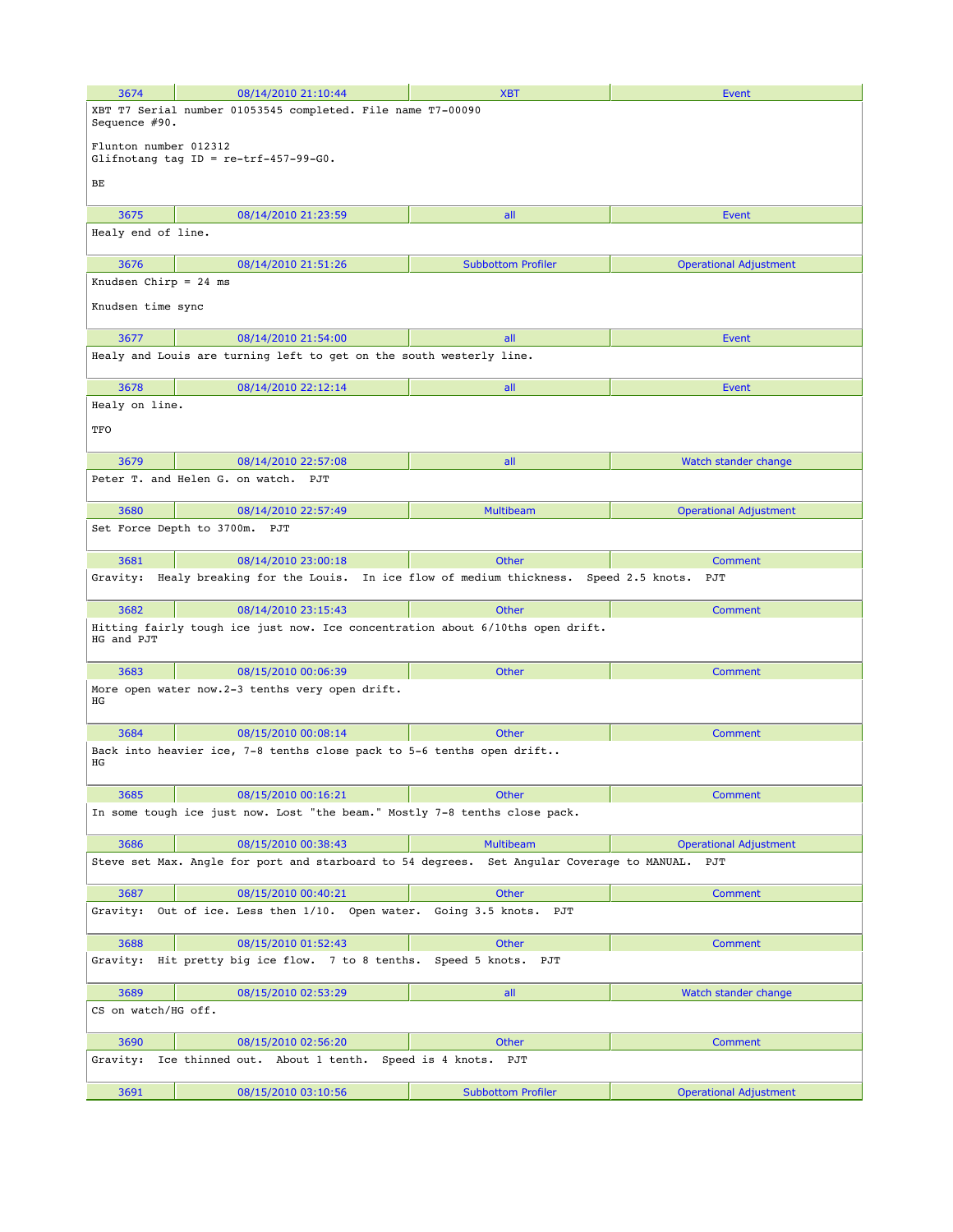| 3674                            | 08/14/2010 21:10:44                                                               | <b>XBT</b>                                          | Event                                |
|---------------------------------|-----------------------------------------------------------------------------------|-----------------------------------------------------|--------------------------------------|
| Sequence #90.                   | XBT T7 Serial number 01053545 completed. File name T7-00090                       |                                                     |                                      |
| Flunton number 012312           | Glifnotang tag ID = $re-trf-457-99-G0$ .                                          |                                                     |                                      |
| BЕ                              |                                                                                   |                                                     |                                      |
| 3675                            | 08/14/2010 21:23:59                                                               | all                                                 | Event                                |
| Healy end of line.              |                                                                                   |                                                     |                                      |
| 3676<br>Knudsen Chirp = $24$ ms | 08/14/2010 21:51:26                                                               | <b>Subbottom Profiler</b>                           | <b>Operational Adjustment</b>        |
| Knudsen time sync               |                                                                                   |                                                     |                                      |
| 3677                            | 08/14/2010 21:54:00                                                               | all                                                 | Event                                |
|                                 | Healy and Louis are turning left to get on the south westerly line.               |                                                     |                                      |
| 3678                            | 08/14/2010 22:12:14                                                               | all                                                 | Event                                |
| Healy on line.                  |                                                                                   |                                                     |                                      |
| TFO                             |                                                                                   |                                                     |                                      |
| 3679                            | 08/14/2010 22:57:08                                                               | all                                                 | Watch stander change                 |
|                                 | Peter T. and Helen G. on watch. PJT                                               |                                                     |                                      |
| 3680                            | 08/14/2010 22:57:49                                                               | <b>Multibeam</b>                                    | <b>Operational Adjustment</b>        |
| Set Force Depth to 3700m.       | PJT                                                                               |                                                     |                                      |
| 3681                            | 08/14/2010 23:00:18                                                               | <b>Other</b>                                        | Comment                              |
| Gravity:                        | Healy breaking for the Louis. In ice flow of medium thickness. Speed 2.5 knots.   |                                                     | PJT                                  |
| 3682                            | 08/14/2010 23:15:43                                                               | <b>Other</b>                                        | Comment                              |
| HG and PJT                      | Hitting fairly tough ice just now. Ice concentration about 6/10ths open drift.    |                                                     |                                      |
| 3683                            | 08/15/2010 00:06:39                                                               | Other                                               | Comment                              |
| ΗG                              | More open water now.2-3 tenths very open drift.                                   |                                                     |                                      |
| 3684                            | 08/15/2010 00:08:14                                                               | <b>Other</b>                                        | Comment                              |
| ΗG                              | Back into heavier ice, 7-8 tenths close pack to 5-6 tenths open drift             |                                                     |                                      |
| 3685                            | 08/15/2010 00:16:21                                                               | Other                                               | Comment                              |
|                                 | In some tough ice just now. Lost "the beam." Mostly 7-8 tenths close pack.        |                                                     |                                      |
|                                 |                                                                                   |                                                     |                                      |
| 3686                            | 08/15/2010 00:38:43<br>Steve set Max. Angle for port and starboard to 54 degrees. | <b>Multibeam</b><br>Set Angular Coverage to MANUAL. | <b>Operational Adjustment</b><br>PJT |
| 3687                            | 08/15/2010 00:40:21                                                               | Other                                               | Comment                              |
| Gravity:                        | Out of ice. Less then 1/10. Open water. Going 3.5 knots.                          | PJT                                                 |                                      |
| 3688                            | 08/15/2010 01:52:43                                                               | <b>Other</b>                                        | Comment                              |
| Gravity:                        | Hit pretty big ice flow. 7 to 8 tenths.                                           | Speed 5 knots.<br>PJT                               |                                      |
| 3689                            | 08/15/2010 02:53:29                                                               | all                                                 | Watch stander change                 |
| CS on watch/HG off.             |                                                                                   |                                                     |                                      |
| 3690                            | 08/15/2010 02:56:20                                                               | <b>Other</b>                                        | Comment                              |
| Gravity:                        | Ice thinned out. About 1 tenth. Speed is 4 knots. PJT                             |                                                     |                                      |
| 3691                            | 08/15/2010 03:10:56                                                               | <b>Subbottom Profiler</b>                           | <b>Operational Adjustment</b>        |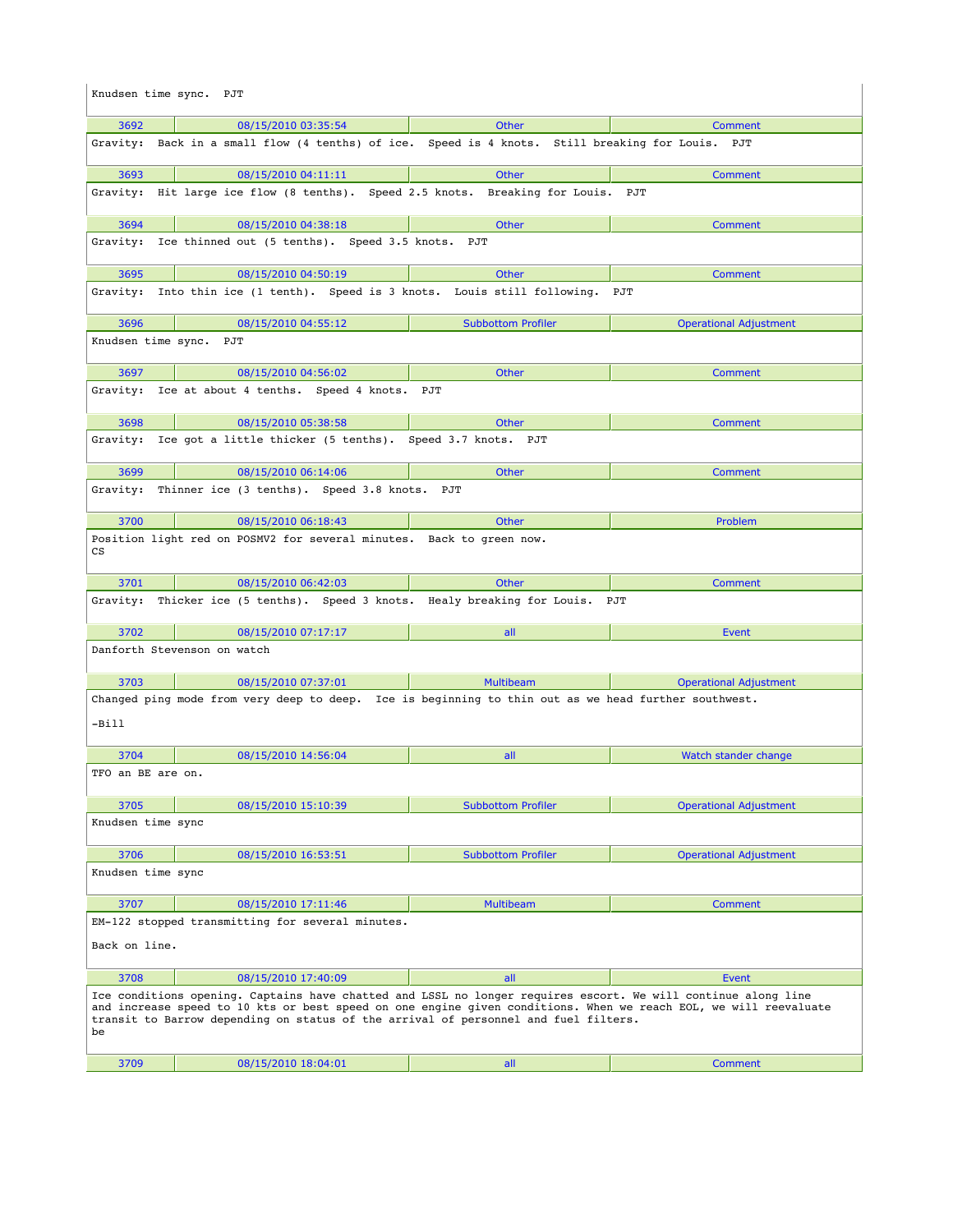| Knudsen time sync. PJT |                                                                                                                                                                                                                                                                                                                          |                           |                               |
|------------------------|--------------------------------------------------------------------------------------------------------------------------------------------------------------------------------------------------------------------------------------------------------------------------------------------------------------------------|---------------------------|-------------------------------|
| 3692                   | 08/15/2010 03:35:54                                                                                                                                                                                                                                                                                                      | <b>Other</b>              | <b>Comment</b>                |
|                        | Gravity: Back in a small flow (4 tenths) of ice. Speed is 4 knots. Still breaking for Louis. PJT                                                                                                                                                                                                                         |                           |                               |
| 3693                   | 08/15/2010 04:11:11                                                                                                                                                                                                                                                                                                      | Other                     | <b>Comment</b>                |
|                        | Gravity: Hit large ice flow (8 tenths). Speed 2.5 knots. Breaking for Louis. PJT                                                                                                                                                                                                                                         |                           |                               |
| 3694                   | 08/15/2010 04:38:18                                                                                                                                                                                                                                                                                                      | Other                     | <b>Comment</b>                |
| Gravity:               | Ice thinned out (5 tenths). Speed 3.5 knots. PJT                                                                                                                                                                                                                                                                         |                           |                               |
| 3695                   | 08/15/2010 04:50:19                                                                                                                                                                                                                                                                                                      | <b>Other</b>              | <b>Comment</b>                |
|                        | Gravity: Into thin ice (1 tenth). Speed is 3 knots. Louis still following.                                                                                                                                                                                                                                               |                           | PJT                           |
| 3696                   | 08/15/2010 04:55:12                                                                                                                                                                                                                                                                                                      | <b>Subbottom Profiler</b> | <b>Operational Adjustment</b> |
| Knudsen time sync. PJT |                                                                                                                                                                                                                                                                                                                          |                           |                               |
| 3697                   | 08/15/2010 04:56:02                                                                                                                                                                                                                                                                                                      | Other                     | Comment                       |
|                        | Gravity: Ice at about 4 tenths. Speed 4 knots. PJT                                                                                                                                                                                                                                                                       |                           |                               |
| 3698                   | 08/15/2010 05:38:58                                                                                                                                                                                                                                                                                                      | <b>Other</b>              | Comment                       |
|                        | Gravity: Ice got a little thicker (5 tenths). Speed 3.7 knots. PJT                                                                                                                                                                                                                                                       |                           |                               |
| 3699                   | 08/15/2010 06:14:06                                                                                                                                                                                                                                                                                                      | Other                     | Comment                       |
| Gravity:               | Thinner ice (3 tenths). Speed 3.8 knots. PJT                                                                                                                                                                                                                                                                             |                           |                               |
| 3700                   | 08/15/2010 06:18:43                                                                                                                                                                                                                                                                                                      | <b>Other</b>              | Problem                       |
| cs                     | Position light red on POSMV2 for several minutes. Back to green now.                                                                                                                                                                                                                                                     |                           |                               |
| 3701                   | 08/15/2010 06:42:03                                                                                                                                                                                                                                                                                                      | Other                     | Comment                       |
|                        | Gravity: Thicker ice (5 tenths). Speed 3 knots. Healy breaking for Louis. PJT                                                                                                                                                                                                                                            |                           |                               |
| 3702                   | 08/15/2010 07:17:17                                                                                                                                                                                                                                                                                                      | all                       | <b>Event</b>                  |
|                        | Danforth Stevenson on watch                                                                                                                                                                                                                                                                                              |                           |                               |
| 3703                   | 08/15/2010 07:37:01                                                                                                                                                                                                                                                                                                      | <b>Multibeam</b>          | <b>Operational Adjustment</b> |
| -Bill                  | Changed ping mode from very deep to deep. Ice is beginning to thin out as we head further southwest.                                                                                                                                                                                                                     |                           |                               |
| 3704                   | 08/15/2010 14:56:04                                                                                                                                                                                                                                                                                                      | all                       | Watch stander change          |
| TFO an BE are on.      |                                                                                                                                                                                                                                                                                                                          |                           |                               |
| 3705                   | 08/15/2010 15:10:39                                                                                                                                                                                                                                                                                                      | <b>Subbottom Profiler</b> | <b>Operational Adjustment</b> |
| Knudsen time sync      |                                                                                                                                                                                                                                                                                                                          |                           |                               |
| 3706                   | 08/15/2010 16:53:51                                                                                                                                                                                                                                                                                                      | <b>Subbottom Profiler</b> | <b>Operational Adjustment</b> |
| Knudsen time sync      |                                                                                                                                                                                                                                                                                                                          |                           |                               |
| 3707                   | 08/15/2010 17:11:46                                                                                                                                                                                                                                                                                                      | <b>Multibeam</b>          | <b>Comment</b>                |
| Back on line.          | EM-122 stopped transmitting for several minutes.                                                                                                                                                                                                                                                                         |                           |                               |
| 3708                   | 08/15/2010 17:40:09                                                                                                                                                                                                                                                                                                      | all                       | <b>Event</b>                  |
| be                     | Ice conditions opening. Captains have chatted and LSSL no longer requires escort. We will continue along line<br>and increase speed to 10 kts or best speed on one engine given conditions. When we reach EOL, we will reevaluate<br>transit to Barrow depending on status of the arrival of personnel and fuel filters. |                           |                               |
| 3709                   | 08/15/2010 18:04:01                                                                                                                                                                                                                                                                                                      | all                       | <b>Comment</b>                |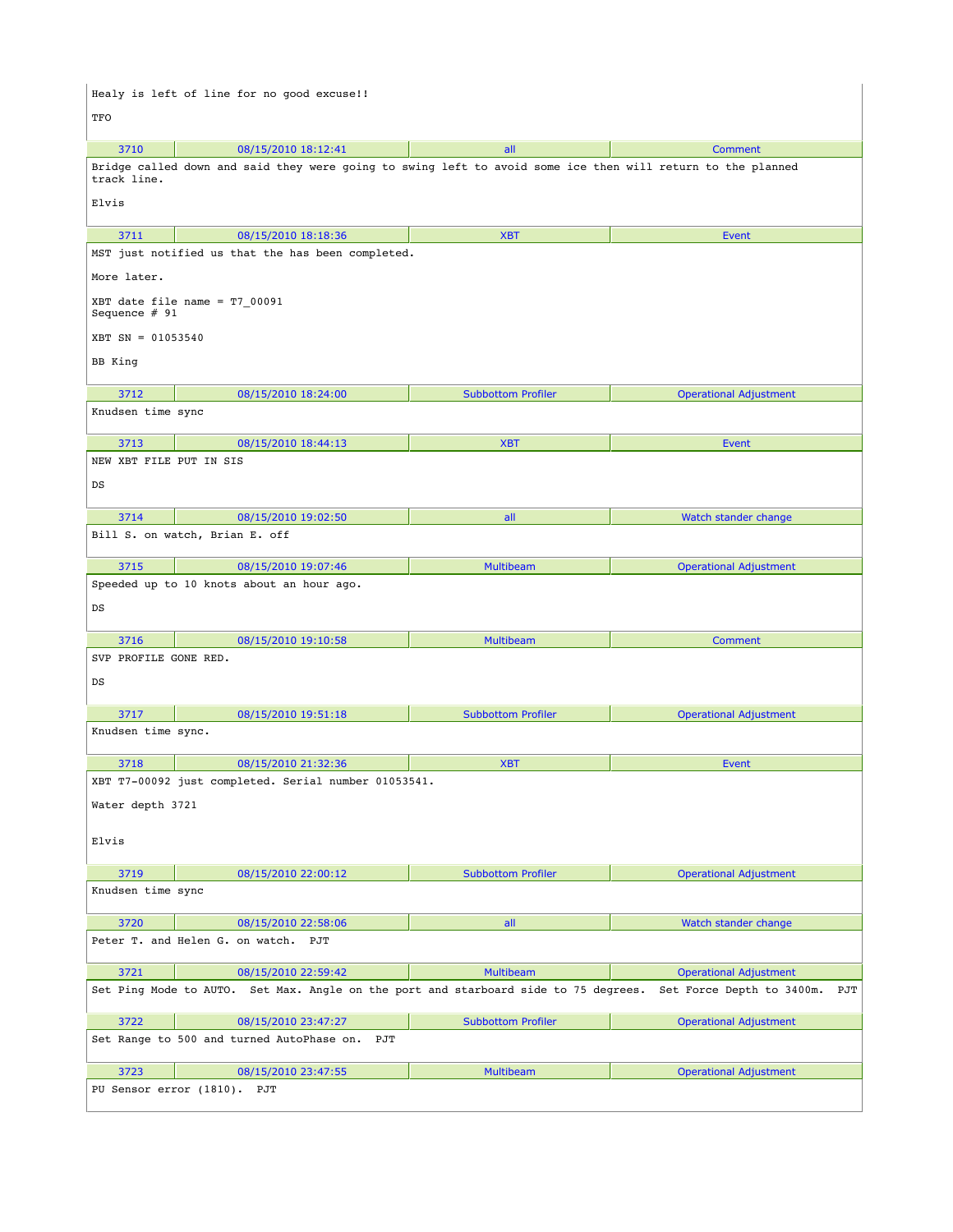Healy is left of line for no good excuse!! TFO 3710 **08/15/2010 18:12:41 all Comment** Comment Bridge called down and said they were going to swing left to avoid some ice then will return to the planned track line. Elvis 3711 08/15/2010 18:18:36 XBT Event MST just notified us that the has been completed. More later. XBT date file name = T7\_00091 Sequence # 91 XBT SN = 01053540 BB King 3712 08/15/2010 18:24:00 Subbottom Profiler Operational Adjustment Knudsen time sync 3713 08/15/2010 18:44:13 XBT Event NEW XBT FILE PUT IN SIS DS 3714 08/15/2010 19:02:50 all Watch stander change Bill S. on watch, Brian E. off 3715 08/15/2010 19:07:46 Multibeam Operational Adjustment Speeded up to 10 knots about an hour ago. DS 3716 08/15/2010 19:10:58 Multibeam Comment SVP PROFILE GONE RED. DS 3717 08/15/2010 19:51:18 Subbottom Profiler Operational Adjustment Knudsen time sync. 3718 08/15/2010 21:32:36 XBT XBT Event XBT T7-00092 just completed. Serial number 01053541. Water depth 3721 Elvis 3719 08/15/2010 22:00:12 Subbottom Profiler Operational Adjustment Knudsen time sync 3720 08/15/2010 22:58:06 all Watch stander change Peter T. and Helen G. on watch. PJT 3721 08/15/2010 22:59:42 Multibeam Operational Adjustment Set Ping Mode to AUTO. Set Max. Angle on the port and starboard side to 75 degrees. Set Force Depth to 3400m. PJT 3722 08/15/2010 23:47:27 Subbottom Profiler Operational Adjustment Set Range to 500 and turned AutoPhase on. PJT 3723 08/15/2010 23:47:55 Multibeam Operational Adjustment PU Sensor error (1810). PJT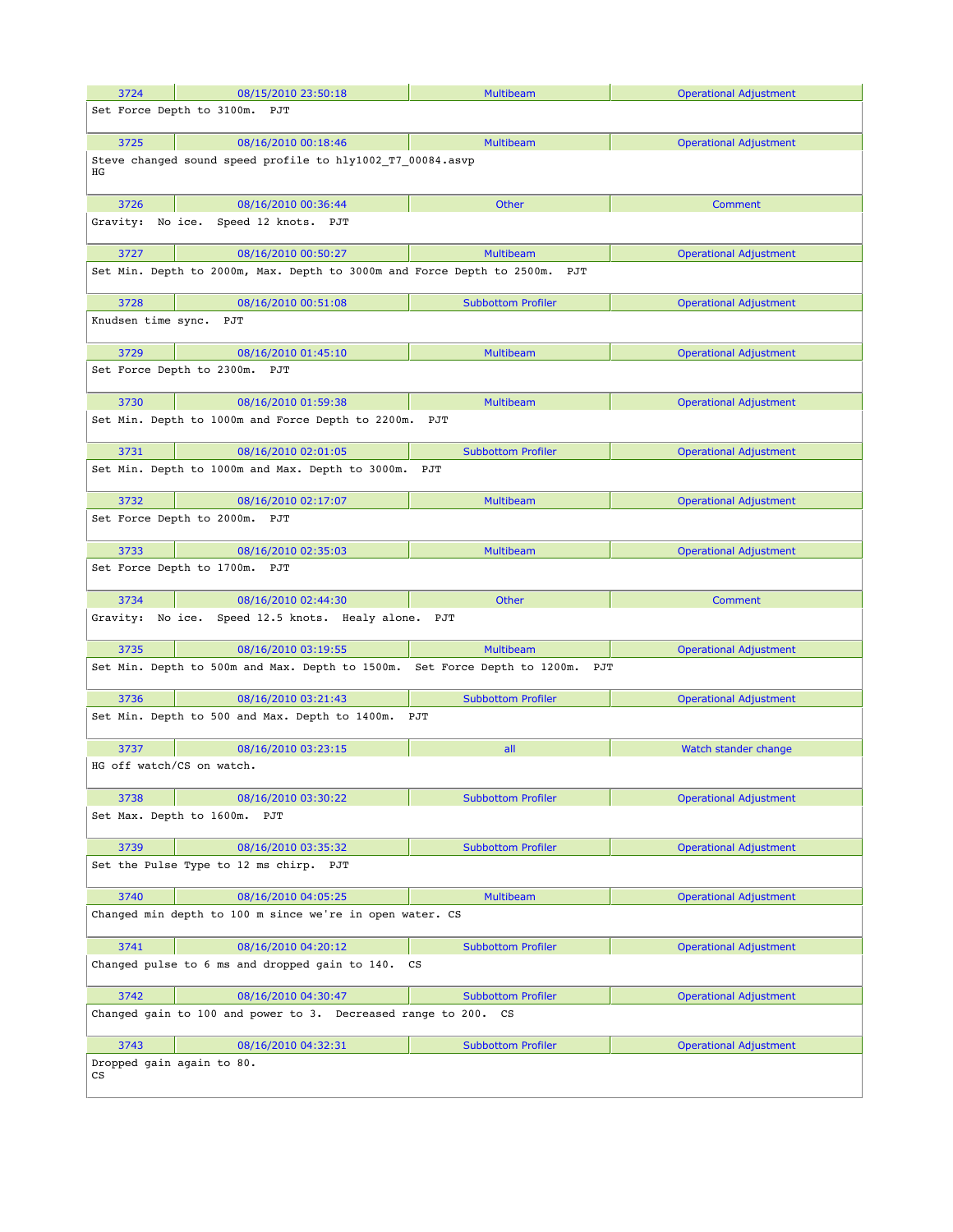| 3724                      | 08/15/2010 23:50:18                                                             | <b>Multibeam</b>                 | <b>Operational Adjustment</b> |
|---------------------------|---------------------------------------------------------------------------------|----------------------------------|-------------------------------|
|                           | Set Force Depth to 3100m.<br>PJT                                                |                                  |                               |
|                           |                                                                                 |                                  |                               |
| 3725                      | 08/16/2010 00:18:46                                                             | <b>Multibeam</b>                 | <b>Operational Adjustment</b> |
|                           | Steve changed sound speed profile to hly1002 T7 00084.asvp                      |                                  |                               |
| ΗG                        |                                                                                 |                                  |                               |
| 3726                      | 08/16/2010 00:36:44                                                             | <b>Other</b>                     | <b>Comment</b>                |
| Gravity:                  | No ice. Speed 12 knots. PJT                                                     |                                  |                               |
|                           |                                                                                 |                                  |                               |
| 3727                      | 08/16/2010 00:50:27                                                             | <b>Multibeam</b>                 | <b>Operational Adjustment</b> |
|                           | Set Min. Depth to 2000m, Max. Depth to 3000m and Force Depth to 2500m.          | PJT                              |                               |
|                           |                                                                                 |                                  |                               |
| 3728                      | 08/16/2010 00:51:08                                                             | <b>Subbottom Profiler</b>        | <b>Operational Adjustment</b> |
| Knudsen time sync. PJT    |                                                                                 |                                  |                               |
| 3729                      | 08/16/2010 01:45:10                                                             | <b>Multibeam</b>                 | <b>Operational Adjustment</b> |
|                           | Set Force Depth to 2300m.<br>PJT                                                |                                  |                               |
|                           |                                                                                 |                                  |                               |
| 3730                      | 08/16/2010 01:59:38                                                             | <b>Multibeam</b>                 | <b>Operational Adjustment</b> |
|                           | Set Min. Depth to 1000m and Force Depth to 2200m.                               | PJT                              |                               |
|                           |                                                                                 |                                  |                               |
| 3731                      | 08/16/2010 02:01:05                                                             | <b>Subbottom Profiler</b>        | <b>Operational Adjustment</b> |
|                           | Set Min. Depth to 1000m and Max. Depth to 3000m.                                | PJT                              |                               |
|                           |                                                                                 |                                  |                               |
| 3732                      | 08/16/2010 02:17:07                                                             | <b>Multibeam</b>                 | <b>Operational Adjustment</b> |
|                           | Set Force Depth to 2000m. PJT                                                   |                                  |                               |
| 3733                      | 08/16/2010 02:35:03                                                             | <b>Multibeam</b>                 | <b>Operational Adjustment</b> |
|                           | Set Force Depth to 1700m. PJT                                                   |                                  |                               |
|                           |                                                                                 |                                  |                               |
|                           |                                                                                 |                                  |                               |
| 3734                      | 08/16/2010 02:44:30                                                             | <b>Other</b>                     | <b>Comment</b>                |
| Gravity:                  | No ice. Speed 12.5 knots. Healy alone.                                          | PJT                              |                               |
|                           |                                                                                 |                                  |                               |
| 3735                      | 08/16/2010 03:19:55                                                             | <b>Multibeam</b>                 | <b>Operational Adjustment</b> |
|                           | Set Min. Depth to 500m and Max. Depth to 1500m.                                 | Set Force Depth to 1200m.<br>PJT |                               |
|                           |                                                                                 |                                  |                               |
| 3736                      | 08/16/2010 03:21:43                                                             | <b>Subbottom Profiler</b>        | <b>Operational Adjustment</b> |
|                           | Set Min. Depth to 500 and Max. Depth to 1400m.                                  | PJT                              |                               |
| 3737                      | 08/16/2010 03:23:15                                                             | all                              | Watch stander change          |
| HG off watch/CS on watch. |                                                                                 |                                  |                               |
|                           |                                                                                 |                                  |                               |
| 3738                      | 08/16/2010 03:30:22                                                             | <b>Subbottom Profiler</b>        | <b>Operational Adjustment</b> |
|                           | Set Max. Depth to 1600m. PJT                                                    |                                  |                               |
|                           |                                                                                 |                                  |                               |
| 3739                      | 08/16/2010 03:35:32                                                             | <b>Subbottom Profiler</b>        | <b>Operational Adjustment</b> |
|                           | Set the Pulse Type to 12 ms chirp. PJT                                          |                                  |                               |
|                           |                                                                                 |                                  |                               |
| 3740                      | 08/16/2010 04:05:25<br>Changed min depth to 100 m since we're in open water. CS | <b>Multibeam</b>                 | <b>Operational Adjustment</b> |
|                           |                                                                                 |                                  |                               |
| 3741                      | 08/16/2010 04:20:12                                                             | <b>Subbottom Profiler</b>        | <b>Operational Adjustment</b> |
|                           | Changed pulse to 6 ms and dropped gain to 140.                                  | $\mathbf{c}\mathbf{s}$           |                               |
|                           |                                                                                 |                                  |                               |
| 3742                      | 08/16/2010 04:30:47                                                             | <b>Subbottom Profiler</b>        | <b>Operational Adjustment</b> |
|                           | Changed gain to 100 and power to 3. Decreased range to 200.                     | CS                               |                               |
|                           |                                                                                 |                                  |                               |
| 3743                      | 08/16/2010 04:32:31                                                             | <b>Subbottom Profiler</b>        | <b>Operational Adjustment</b> |
| СS                        | Dropped gain again to 80.                                                       |                                  |                               |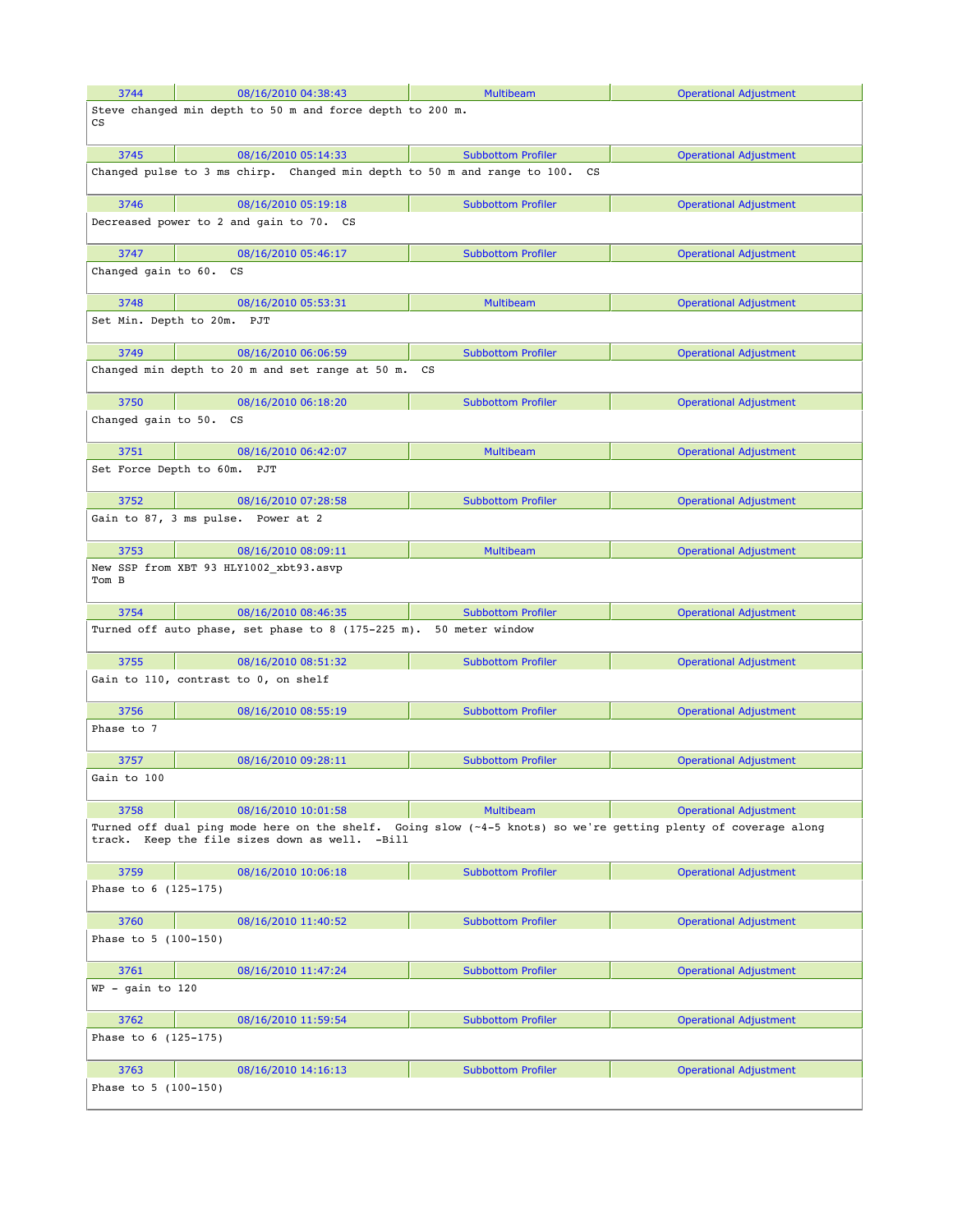| 3744                                                                                                                                                             | 08/16/2010 04:38:43                                                      | <b>Multibeam</b>          | <b>Operational Adjustment</b> |  |
|------------------------------------------------------------------------------------------------------------------------------------------------------------------|--------------------------------------------------------------------------|---------------------------|-------------------------------|--|
| CS                                                                                                                                                               | Steve changed min depth to 50 m and force depth to 200 m.                |                           |                               |  |
| 3745                                                                                                                                                             | 08/16/2010 05:14:33                                                      | <b>Subbottom Profiler</b> | <b>Operational Adjustment</b> |  |
|                                                                                                                                                                  | Changed pulse to 3 ms chirp. Changed min depth to 50 m and range to 100. | CS                        |                               |  |
| 3746                                                                                                                                                             | 08/16/2010 05:19:18                                                      | <b>Subbottom Profiler</b> | <b>Operational Adjustment</b> |  |
|                                                                                                                                                                  | Decreased power to 2 and gain to 70. CS                                  |                           |                               |  |
| 3747                                                                                                                                                             | 08/16/2010 05:46:17                                                      | <b>Subbottom Profiler</b> | <b>Operational Adjustment</b> |  |
| Changed gain to 60.                                                                                                                                              | CS                                                                       |                           |                               |  |
| 3748                                                                                                                                                             | 08/16/2010 05:53:31                                                      | <b>Multibeam</b>          | <b>Operational Adjustment</b> |  |
|                                                                                                                                                                  | Set Min. Depth to 20m. PJT                                               |                           |                               |  |
| 3749                                                                                                                                                             | 08/16/2010 06:06:59                                                      | <b>Subbottom Profiler</b> | <b>Operational Adjustment</b> |  |
|                                                                                                                                                                  | Changed min depth to 20 m and set range at 50 m. CS                      |                           |                               |  |
| 3750                                                                                                                                                             | 08/16/2010 06:18:20                                                      | <b>Subbottom Profiler</b> | <b>Operational Adjustment</b> |  |
| Changed gain to 50.                                                                                                                                              | CS                                                                       |                           |                               |  |
| 3751                                                                                                                                                             | 08/16/2010 06:42:07                                                      | Multibeam                 | <b>Operational Adjustment</b> |  |
|                                                                                                                                                                  | Set Force Depth to 60m. PJT                                              |                           |                               |  |
| 3752                                                                                                                                                             | 08/16/2010 07:28:58                                                      | <b>Subbottom Profiler</b> | <b>Operational Adjustment</b> |  |
|                                                                                                                                                                  | Gain to 87, 3 ms pulse. Power at 2                                       |                           |                               |  |
| 3753                                                                                                                                                             | 08/16/2010 08:09:11                                                      | <b>Multibeam</b>          | <b>Operational Adjustment</b> |  |
| Tom B                                                                                                                                                            | New SSP from XBT 93 HLY1002_xbt93.asvp                                   |                           |                               |  |
| 3754                                                                                                                                                             | 08/16/2010 08:46:35                                                      | <b>Subbottom Profiler</b> | <b>Operational Adjustment</b> |  |
|                                                                                                                                                                  | Turned off auto phase, set phase to 8 (175-225 m).                       | 50 meter window           |                               |  |
| 3755                                                                                                                                                             | 08/16/2010 08:51:32                                                      | <b>Subbottom Profiler</b> | <b>Operational Adjustment</b> |  |
|                                                                                                                                                                  | Gain to 110, contrast to 0, on shelf                                     |                           |                               |  |
| 3756                                                                                                                                                             | 08/16/2010 08:55:19                                                      | <b>Subbottom Profiler</b> | <b>Operational Adjustment</b> |  |
| Phase to 7                                                                                                                                                       |                                                                          |                           |                               |  |
| 3757                                                                                                                                                             | 08/16/2010 09:28:11                                                      | <b>Subbottom Profiler</b> | <b>Operational Adjustment</b> |  |
| Gain to 100                                                                                                                                                      |                                                                          |                           |                               |  |
| 3758                                                                                                                                                             | 08/16/2010 10:01:58                                                      | <b>Multibeam</b>          | <b>Operational Adjustment</b> |  |
| Turned off dual ping mode here on the shelf. Going slow (~4-5 knots) so we're getting plenty of coverage along<br>track. Keep the file sizes down as well. -Bill |                                                                          |                           |                               |  |
| 3759                                                                                                                                                             | 08/16/2010 10:06:18                                                      | <b>Subbottom Profiler</b> | <b>Operational Adjustment</b> |  |
| Phase to 6 (125-175)                                                                                                                                             |                                                                          |                           |                               |  |
| 3760                                                                                                                                                             | 08/16/2010 11:40:52                                                      | <b>Subbottom Profiler</b> | <b>Operational Adjustment</b> |  |
| Phase to 5 (100-150)                                                                                                                                             |                                                                          |                           |                               |  |
| 3761                                                                                                                                                             | 08/16/2010 11:47:24                                                      | <b>Subbottom Profiler</b> | <b>Operational Adjustment</b> |  |
| $WP - gain to 120$                                                                                                                                               |                                                                          |                           |                               |  |
| 3762                                                                                                                                                             | 08/16/2010 11:59:54                                                      | <b>Subbottom Profiler</b> | <b>Operational Adjustment</b> |  |
| Phase to 6 (125-175)                                                                                                                                             |                                                                          |                           |                               |  |
| 3763                                                                                                                                                             | 08/16/2010 14:16:13                                                      | <b>Subbottom Profiler</b> | <b>Operational Adjustment</b> |  |
| Phase to 5 (100-150)                                                                                                                                             |                                                                          |                           |                               |  |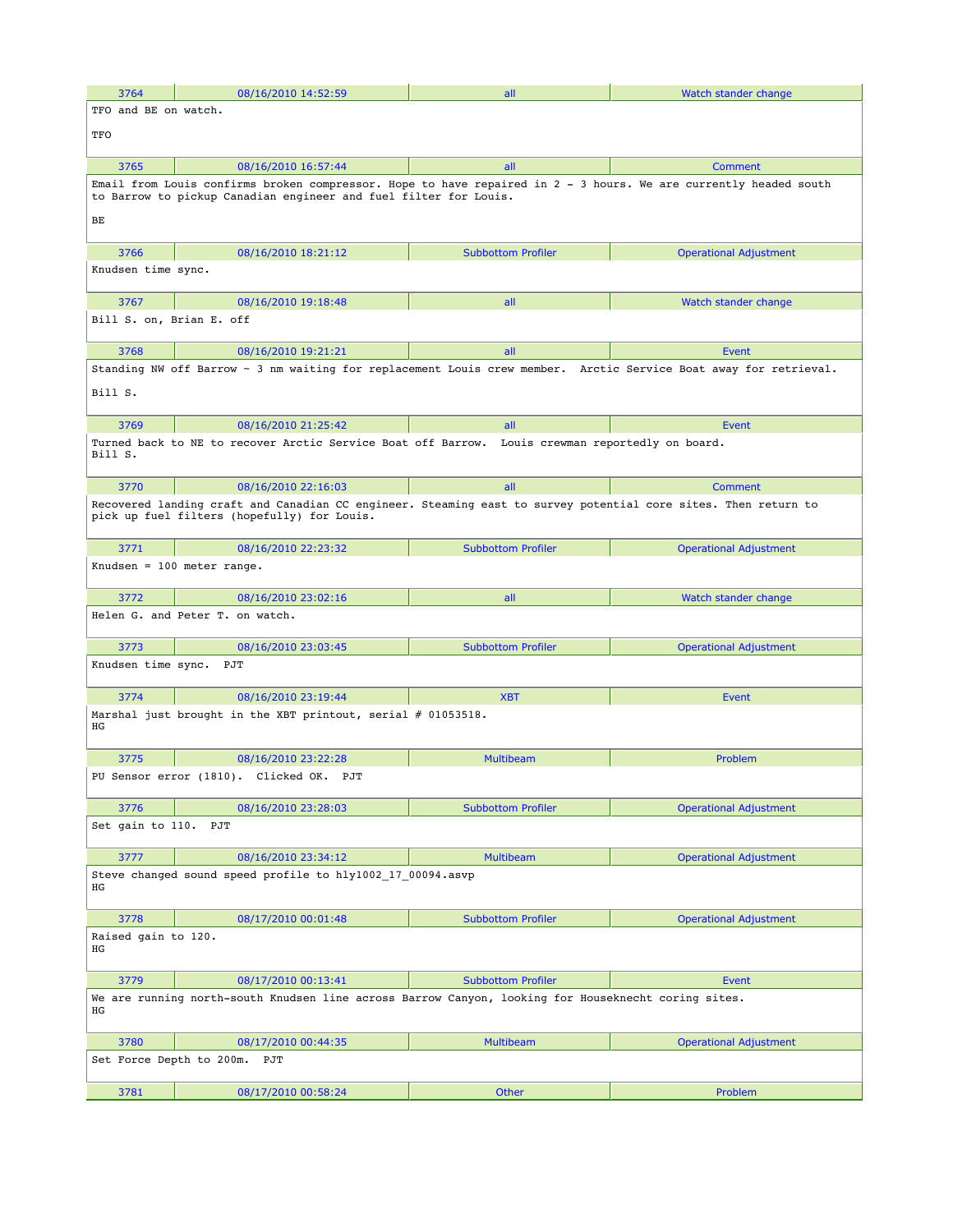| 3764                                                             | 08/16/2010 14:52:59                                                                                                                                                                  | all                                | Watch stander change          |  |
|------------------------------------------------------------------|--------------------------------------------------------------------------------------------------------------------------------------------------------------------------------------|------------------------------------|-------------------------------|--|
| TFO and BE on watch.                                             |                                                                                                                                                                                      |                                    |                               |  |
| TFO                                                              |                                                                                                                                                                                      |                                    |                               |  |
| 3765                                                             | 08/16/2010 16:57:44                                                                                                                                                                  | all                                | Comment                       |  |
|                                                                  | Email from Louis confirms broken compressor. Hope to have repaired in 2 - 3 hours. We are currently headed south<br>to Barrow to pickup Canadian engineer and fuel filter for Louis. |                                    |                               |  |
| BЕ                                                               |                                                                                                                                                                                      |                                    |                               |  |
| 3766                                                             | 08/16/2010 18:21:12                                                                                                                                                                  | <b>Subbottom Profiler</b>          | <b>Operational Adjustment</b> |  |
| Knudsen time sync.                                               |                                                                                                                                                                                      |                                    |                               |  |
| 3767                                                             | 08/16/2010 19:18:48                                                                                                                                                                  | all                                | Watch stander change          |  |
| Bill S. on, Brian E. off                                         |                                                                                                                                                                                      |                                    |                               |  |
| 3768                                                             | 08/16/2010 19:21:21                                                                                                                                                                  | all                                | Event                         |  |
| Bill S.                                                          | Standing NW off Barrow ~ 3 nm waiting for replacement Louis crew member. Arctic Service Boat away for retrieval.                                                                     |                                    |                               |  |
| 3769                                                             | 08/16/2010 21:25:42                                                                                                                                                                  | all                                | Event                         |  |
| Bill S.                                                          | Turned back to NE to recover Arctic Service Boat off Barrow.                                                                                                                         | Louis crewman reportedly on board. |                               |  |
| 3770                                                             | 08/16/2010 22:16:03                                                                                                                                                                  | all                                | Comment                       |  |
|                                                                  | Recovered landing craft and Canadian CC engineer. Steaming east to survey potential core sites. Then return to<br>pick up fuel filters (hopefully) for Louis.                        |                                    |                               |  |
| 3771                                                             | 08/16/2010 22:23:32                                                                                                                                                                  | <b>Subbottom Profiler</b>          | <b>Operational Adjustment</b> |  |
|                                                                  | Knudsen = $100$ meter range.                                                                                                                                                         |                                    |                               |  |
| 3772                                                             | 08/16/2010 23:02:16                                                                                                                                                                  | all                                | Watch stander change          |  |
|                                                                  | Helen G. and Peter T. on watch.                                                                                                                                                      |                                    |                               |  |
| 3773<br>Knudsen time sync. PJT                                   | 08/16/2010 23:03:45                                                                                                                                                                  | <b>Subbottom Profiler</b>          | <b>Operational Adjustment</b> |  |
|                                                                  |                                                                                                                                                                                      |                                    |                               |  |
| 3774                                                             | 08/16/2010 23:19:44                                                                                                                                                                  | <b>XBT</b>                         | Event                         |  |
| ΗG                                                               | Marshal just brought in the XBT printout, serial # 01053518.                                                                                                                         |                                    |                               |  |
| 3775                                                             | 08/16/2010 23:22:28                                                                                                                                                                  | <b>Multibeam</b>                   | Problem                       |  |
|                                                                  | PU Sensor error (1810). Clicked OK.<br>PJT                                                                                                                                           |                                    |                               |  |
| 3776                                                             | 08/16/2010 23:28:03                                                                                                                                                                  | <b>Subbottom Profiler</b>          | <b>Operational Adjustment</b> |  |
| Set gain to 110.                                                 | PJT                                                                                                                                                                                  |                                    |                               |  |
| 3777                                                             | 08/16/2010 23:34:12                                                                                                                                                                  | <b>Multibeam</b>                   | <b>Operational Adjustment</b> |  |
| Steve changed sound speed profile to hly1002 17 00094.asvp<br>ΗG |                                                                                                                                                                                      |                                    |                               |  |
| 3778                                                             | 08/17/2010 00:01:48                                                                                                                                                                  | <b>Subbottom Profiler</b>          | <b>Operational Adjustment</b> |  |
| Raised gain to 120.<br>ΗG                                        |                                                                                                                                                                                      |                                    |                               |  |
| 3779                                                             | 08/17/2010 00:13:41                                                                                                                                                                  | <b>Subbottom Profiler</b>          | Event                         |  |
| ΗG                                                               | We are running north-south Knudsen line across Barrow Canyon, looking for Houseknecht coring sites.                                                                                  |                                    |                               |  |
| 3780                                                             | 08/17/2010 00:44:35                                                                                                                                                                  | Multibeam                          | <b>Operational Adjustment</b> |  |
| Set Force Depth to 200m.                                         | PJT                                                                                                                                                                                  |                                    |                               |  |
| 3781                                                             | 08/17/2010 00:58:24                                                                                                                                                                  | Other                              | Problem                       |  |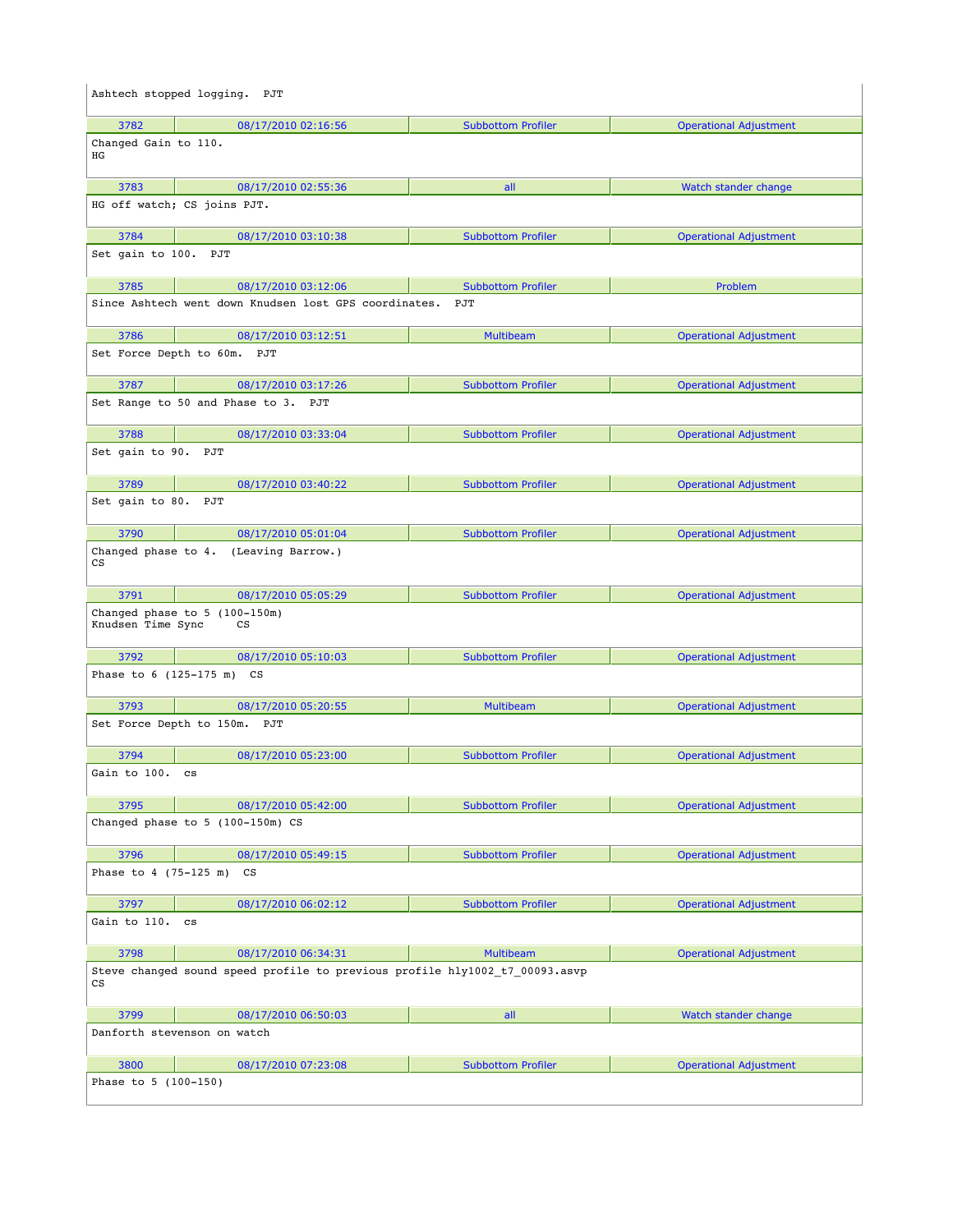|                                                   | Ashtech stopped logging. PJT                                                |                           |                               |
|---------------------------------------------------|-----------------------------------------------------------------------------|---------------------------|-------------------------------|
| 3782                                              | 08/17/2010 02:16:56                                                         | <b>Subbottom Profiler</b> | <b>Operational Adjustment</b> |
| Changed Gain to 110.<br>ΗG                        |                                                                             |                           |                               |
| 3783                                              | 08/17/2010 02:55:36                                                         | all                       | Watch stander change          |
|                                                   | HG off watch; CS joins PJT.                                                 |                           |                               |
| 3784                                              | 08/17/2010 03:10:38                                                         | <b>Subbottom Profiler</b> | <b>Operational Adjustment</b> |
| Set gain to 100. PJT                              |                                                                             |                           |                               |
| 3785                                              | 08/17/2010 03:12:06                                                         | <b>Subbottom Profiler</b> | Problem                       |
|                                                   | Since Ashtech went down Knudsen lost GPS coordinates.                       | PJT                       |                               |
| 3786                                              | 08/17/2010 03:12:51                                                         | <b>Multibeam</b>          | <b>Operational Adjustment</b> |
|                                                   | Set Force Depth to 60m. PJT                                                 |                           |                               |
| 3787                                              | 08/17/2010 03:17:26                                                         | <b>Subbottom Profiler</b> | <b>Operational Adjustment</b> |
|                                                   | Set Range to 50 and Phase to 3. PJT                                         |                           |                               |
| 3788                                              | 08/17/2010 03:33:04                                                         | <b>Subbottom Profiler</b> | <b>Operational Adjustment</b> |
| Set gain to 90. PJT                               |                                                                             |                           |                               |
| 3789                                              | 08/17/2010 03:40:22                                                         | <b>Subbottom Profiler</b> | <b>Operational Adjustment</b> |
| Set gain to 80. PJT                               |                                                                             |                           |                               |
| 3790                                              | 08/17/2010 05:01:04                                                         | <b>Subbottom Profiler</b> | <b>Operational Adjustment</b> |
| Changed phase to 4.<br>$\mathop{\rm CS}\nolimits$ | (Leaving Barrow.)                                                           |                           |                               |
| 3791                                              | 08/17/2010 05:05:29                                                         | <b>Subbottom Profiler</b> | <b>Operational Adjustment</b> |
| Knudsen Time Sync                                 | Changed phase to 5 (100-150m)<br>cs                                         |                           |                               |
| 3792                                              | 08/17/2010 05:10:03                                                         | <b>Subbottom Profiler</b> | <b>Operational Adjustment</b> |
|                                                   | Phase to 6 (125-175 m) CS                                                   |                           |                               |
| 3793                                              | 08/17/2010 05:20:55                                                         | <b>Multibeam</b>          | <b>Operational Adjustment</b> |
|                                                   | Set Force Depth to 150m. PJT                                                |                           |                               |
| 3794                                              | 08/17/2010 05:23:00                                                         | <b>Subbottom Profiler</b> | <b>Operational Adjustment</b> |
| Gain to 100. cs                                   |                                                                             |                           |                               |
| 3795                                              | 08/17/2010 05:42:00                                                         | <b>Subbottom Profiler</b> | <b>Operational Adjustment</b> |
|                                                   | Changed phase to 5 (100-150m) CS                                            |                           |                               |
| 3796                                              | 08/17/2010 05:49:15                                                         | <b>Subbottom Profiler</b> | <b>Operational Adjustment</b> |
| Phase to 4 (75-125 m)                             | $\mathbf{c}\mathbf{s}$                                                      |                           |                               |
| 3797                                              | 08/17/2010 06:02:12                                                         | <b>Subbottom Profiler</b> | <b>Operational Adjustment</b> |
| Gain to 110.                                      | $\mathbf{c}\mathbf{s}$                                                      |                           |                               |
| 3798                                              | 08/17/2010 06:34:31                                                         | <b>Multibeam</b>          | <b>Operational Adjustment</b> |
| $\mathop{\rm CS}\nolimits$                        | Steve changed sound speed profile to previous profile hly1002 t7 00093.asvp |                           |                               |
| 3799                                              | 08/17/2010 06:50:03                                                         | all                       | Watch stander change          |
|                                                   | Danforth stevenson on watch                                                 |                           |                               |
| 3800                                              | 08/17/2010 07:23:08                                                         | <b>Subbottom Profiler</b> | <b>Operational Adjustment</b> |
| Phase to 5 (100-150)                              |                                                                             |                           |                               |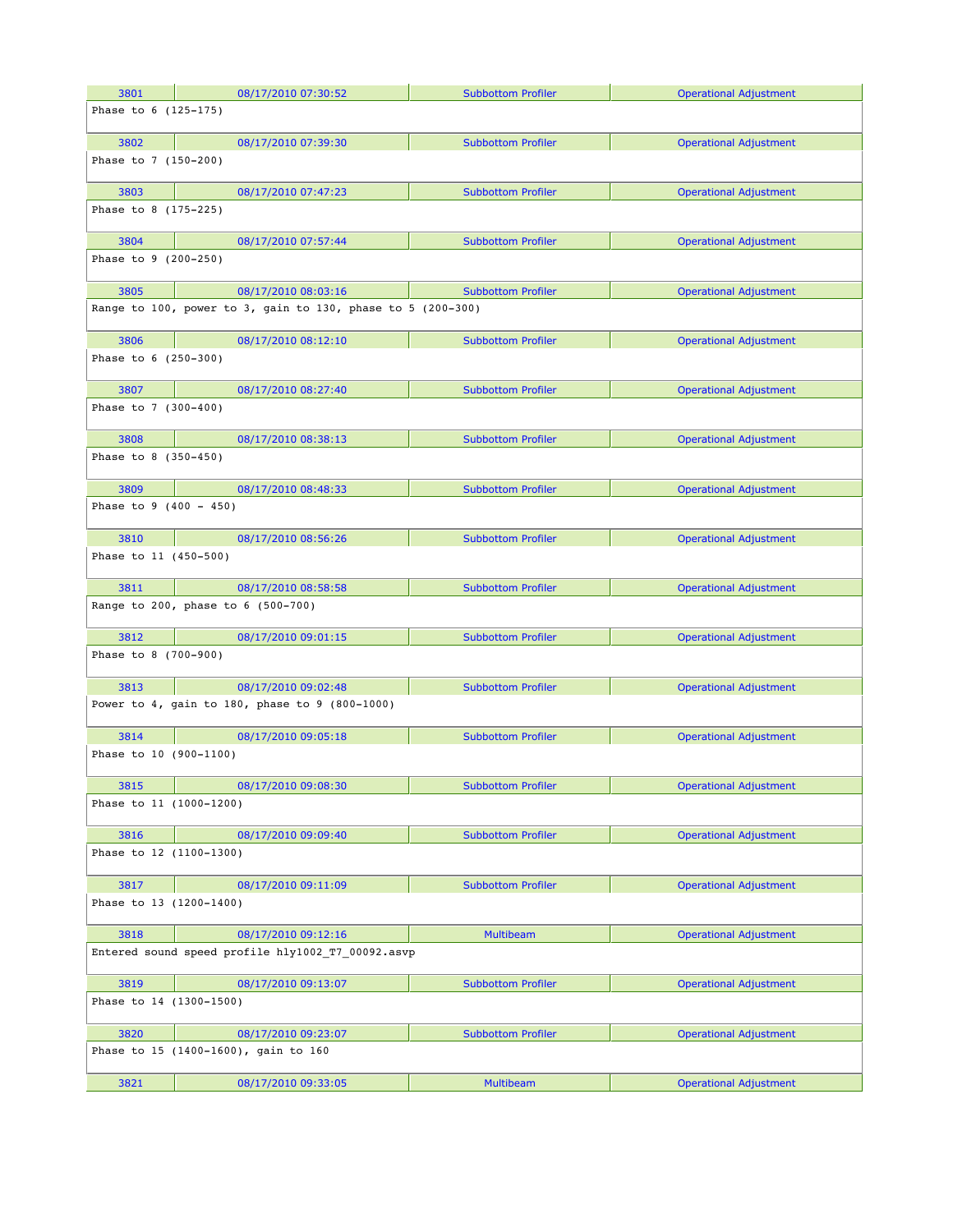| 3801                            | 08/17/2010 07:30:52                                         | <b>Subbottom Profiler</b> | <b>Operational Adjustment</b> |
|---------------------------------|-------------------------------------------------------------|---------------------------|-------------------------------|
| Phase to 6 (125-175)            |                                                             |                           |                               |
|                                 |                                                             |                           |                               |
| 3802                            | 08/17/2010 07:39:30                                         | <b>Subbottom Profiler</b> | <b>Operational Adjustment</b> |
| Phase to 7 (150-200)            |                                                             |                           |                               |
| 3803                            | 08/17/2010 07:47:23                                         | <b>Subbottom Profiler</b> | <b>Operational Adjustment</b> |
| Phase to 8 (175-225)            |                                                             |                           |                               |
| 3804                            | 08/17/2010 07:57:44                                         | <b>Subbottom Profiler</b> | <b>Operational Adjustment</b> |
| Phase to 9 (200-250)            |                                                             |                           |                               |
| 3805                            | 08/17/2010 08:03:16                                         | <b>Subbottom Profiler</b> | <b>Operational Adjustment</b> |
|                                 | Range to 100, power to 3, gain to 130, phase to 5 (200-300) |                           |                               |
| 3806                            | 08/17/2010 08:12:10                                         | <b>Subbottom Profiler</b> | <b>Operational Adjustment</b> |
| Phase to 6 (250-300)            |                                                             |                           |                               |
| 3807                            | 08/17/2010 08:27:40                                         | <b>Subbottom Profiler</b> | <b>Operational Adjustment</b> |
| Phase to 7 (300-400)            |                                                             |                           |                               |
|                                 |                                                             |                           |                               |
| 3808                            | 08/17/2010 08:38:13                                         | <b>Subbottom Profiler</b> | <b>Operational Adjustment</b> |
| Phase to 8 (350-450)            |                                                             |                           |                               |
| 3809                            | 08/17/2010 08:48:33                                         | <b>Subbottom Profiler</b> | <b>Operational Adjustment</b> |
| Phase to $9$ (400 - 450)        |                                                             |                           |                               |
| 3810                            | 08/17/2010 08:56:26                                         | <b>Subbottom Profiler</b> | <b>Operational Adjustment</b> |
| Phase to 11 (450-500)           |                                                             |                           |                               |
| 3811                            | 08/17/2010 08:58:58                                         | <b>Subbottom Profiler</b> | <b>Operational Adjustment</b> |
|                                 | Range to 200, phase to 6 (500-700)                          |                           |                               |
| 3812                            | 08/17/2010 09:01:15                                         | <b>Subbottom Profiler</b> | <b>Operational Adjustment</b> |
| Phase to 8 (700-900)            |                                                             |                           |                               |
| 3813                            | 08/17/2010 09:02:48                                         | <b>Subbottom Profiler</b> | <b>Operational Adjustment</b> |
|                                 | Power to 4, gain to 180, phase to 9 (800-1000)              |                           |                               |
| 3814                            | 08/17/2010 09:05:18                                         | <b>Subbottom Profiler</b> | <b>Operational Adjustment</b> |
| Phase to 10 (900-1100)          |                                                             |                           |                               |
| 3815                            | 08/17/2010 09:08:30                                         | <b>Subbottom Profiler</b> | <b>Operational Adjustment</b> |
| Phase to 11 (1000-1200)         |                                                             |                           |                               |
| 3816                            | 08/17/2010 09:09:40                                         | <b>Subbottom Profiler</b> | <b>Operational Adjustment</b> |
| Phase to 12 (1100-1300)         |                                                             |                           |                               |
| 3817                            | 08/17/2010 09:11:09                                         | <b>Subbottom Profiler</b> | <b>Operational Adjustment</b> |
| Phase to 13 (1200-1400)         |                                                             |                           |                               |
| 3818                            | 08/17/2010 09:12:16                                         | <b>Multibeam</b>          | <b>Operational Adjustment</b> |
|                                 | Entered sound speed profile hly1002 T7 00092.asvp           |                           |                               |
|                                 |                                                             |                           |                               |
| 3819<br>Phase to 14 (1300-1500) | 08/17/2010 09:13:07                                         | <b>Subbottom Profiler</b> | <b>Operational Adjustment</b> |
|                                 |                                                             |                           |                               |
| 3820                            | 08/17/2010 09:23:07<br>Phase to 15 (1400-1600), gain to 160 | <b>Subbottom Profiler</b> | <b>Operational Adjustment</b> |
|                                 |                                                             |                           |                               |
| 3821                            | 08/17/2010 09:33:05                                         | <b>Multibeam</b>          | <b>Operational Adjustment</b> |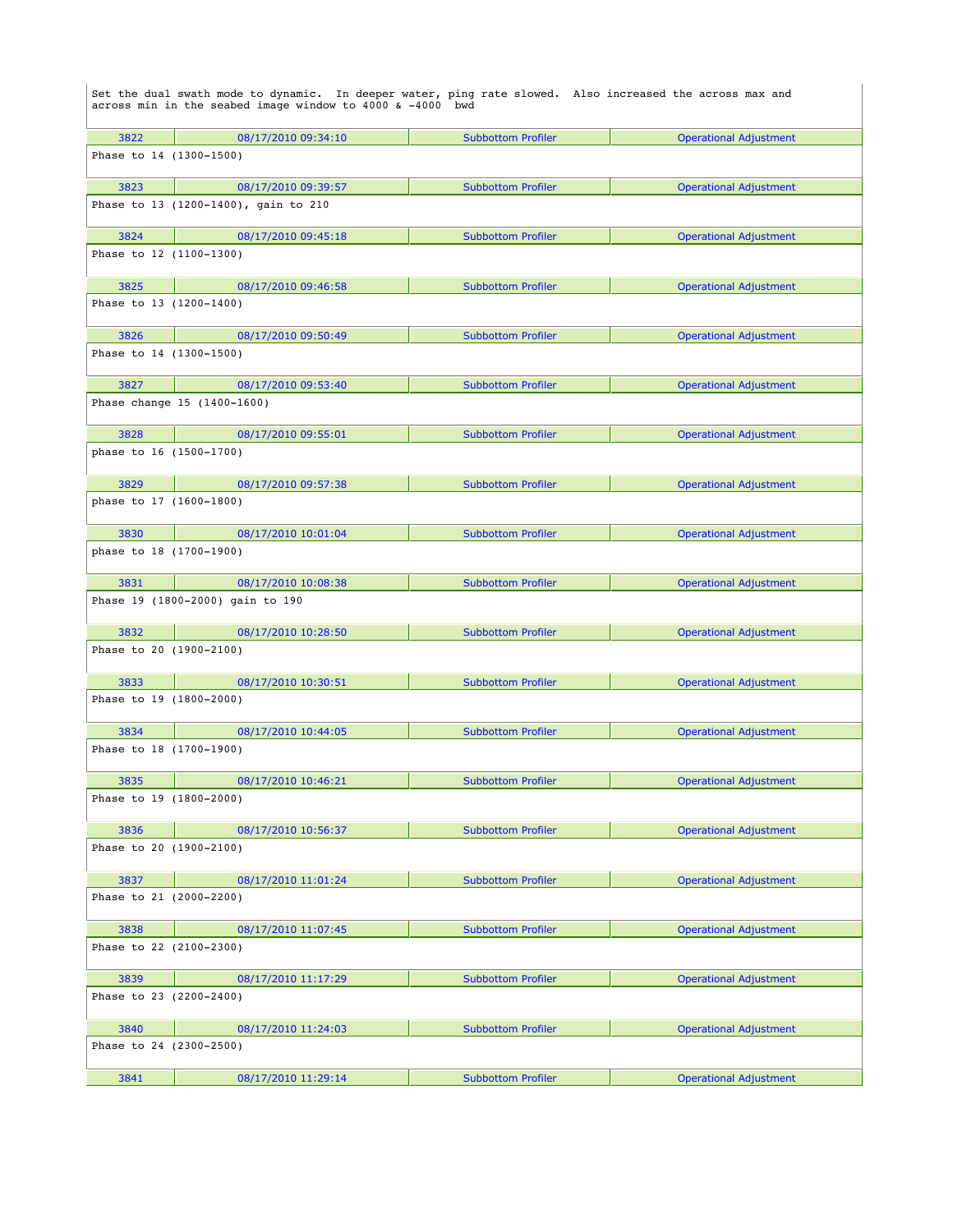|                         | Set the dual swath mode to dynamic. In deeper water, ping rate slowed. Also increased the across max and<br>across min in the seabed image window to 4000 & -4000 bwd |                           |                               |
|-------------------------|-----------------------------------------------------------------------------------------------------------------------------------------------------------------------|---------------------------|-------------------------------|
| 3822                    | 08/17/2010 09:34:10                                                                                                                                                   | <b>Subbottom Profiler</b> | <b>Operational Adjustment</b> |
| Phase to 14 (1300-1500) |                                                                                                                                                                       |                           |                               |
| 3823                    | 08/17/2010 09:39:57                                                                                                                                                   | <b>Subbottom Profiler</b> | <b>Operational Adjustment</b> |
|                         | Phase to 13 (1200-1400), gain to 210                                                                                                                                  |                           |                               |
| 3824                    | 08/17/2010 09:45:18                                                                                                                                                   | <b>Subbottom Profiler</b> | <b>Operational Adjustment</b> |
| Phase to 12 (1100-1300) |                                                                                                                                                                       |                           |                               |
| 3825                    | 08/17/2010 09:46:58                                                                                                                                                   | <b>Subbottom Profiler</b> | <b>Operational Adjustment</b> |
| Phase to 13 (1200-1400) |                                                                                                                                                                       |                           |                               |
| 3826                    | 08/17/2010 09:50:49                                                                                                                                                   | <b>Subbottom Profiler</b> | <b>Operational Adjustment</b> |
| Phase to 14 (1300-1500) |                                                                                                                                                                       |                           |                               |
| 3827                    | 08/17/2010 09:53:40                                                                                                                                                   | <b>Subbottom Profiler</b> | <b>Operational Adjustment</b> |
|                         | Phase change 15 (1400-1600)                                                                                                                                           |                           |                               |
| 3828                    | 08/17/2010 09:55:01                                                                                                                                                   | <b>Subbottom Profiler</b> | <b>Operational Adjustment</b> |
| phase to 16 (1500-1700) |                                                                                                                                                                       |                           |                               |
| 3829                    | 08/17/2010 09:57:38                                                                                                                                                   | <b>Subbottom Profiler</b> | <b>Operational Adjustment</b> |
| phase to 17 (1600-1800) |                                                                                                                                                                       |                           |                               |
| 3830                    | 08/17/2010 10:01:04                                                                                                                                                   | <b>Subbottom Profiler</b> | <b>Operational Adjustment</b> |
| phase to 18 (1700-1900) |                                                                                                                                                                       |                           |                               |
| 3831                    | 08/17/2010 10:08:38                                                                                                                                                   | <b>Subbottom Profiler</b> | <b>Operational Adjustment</b> |
|                         | Phase 19 (1800-2000) gain to 190                                                                                                                                      |                           |                               |
| 3832                    | 08/17/2010 10:28:50                                                                                                                                                   | <b>Subbottom Profiler</b> | <b>Operational Adjustment</b> |
| Phase to 20 (1900-2100) |                                                                                                                                                                       |                           |                               |
| 3833                    | 08/17/2010 10:30:51                                                                                                                                                   | <b>Subbottom Profiler</b> | <b>Operational Adjustment</b> |
| Phase to 19 (1800-2000) |                                                                                                                                                                       |                           |                               |
| 3834                    | 08/17/2010 10:44:05                                                                                                                                                   | <b>Subbottom Profiler</b> | <b>Operational Adjustment</b> |
| Phase to 18 (1700-1900) |                                                                                                                                                                       |                           |                               |
| 3835                    | 08/17/2010 10:46:21                                                                                                                                                   | <b>Subbottom Profiler</b> | <b>Operational Adjustment</b> |
| Phase to 19 (1800-2000) |                                                                                                                                                                       |                           |                               |
| 3836                    | 08/17/2010 10:56:37                                                                                                                                                   | <b>Subbottom Profiler</b> | <b>Operational Adjustment</b> |
| Phase to 20 (1900-2100) |                                                                                                                                                                       |                           |                               |
| 3837                    | 08/17/2010 11:01:24                                                                                                                                                   | <b>Subbottom Profiler</b> | <b>Operational Adjustment</b> |
| Phase to 21 (2000-2200) |                                                                                                                                                                       |                           |                               |
| 3838                    | 08/17/2010 11:07:45                                                                                                                                                   | <b>Subbottom Profiler</b> | <b>Operational Adjustment</b> |
| Phase to 22 (2100-2300) |                                                                                                                                                                       |                           |                               |
| 3839                    | 08/17/2010 11:17:29                                                                                                                                                   | <b>Subbottom Profiler</b> | <b>Operational Adjustment</b> |
| Phase to 23 (2200-2400) |                                                                                                                                                                       |                           |                               |
| 3840                    | 08/17/2010 11:24:03                                                                                                                                                   | <b>Subbottom Profiler</b> | <b>Operational Adjustment</b> |
| Phase to 24 (2300-2500) |                                                                                                                                                                       |                           |                               |
| 3841                    | 08/17/2010 11:29:14                                                                                                                                                   | <b>Subbottom Profiler</b> | <b>Operational Adjustment</b> |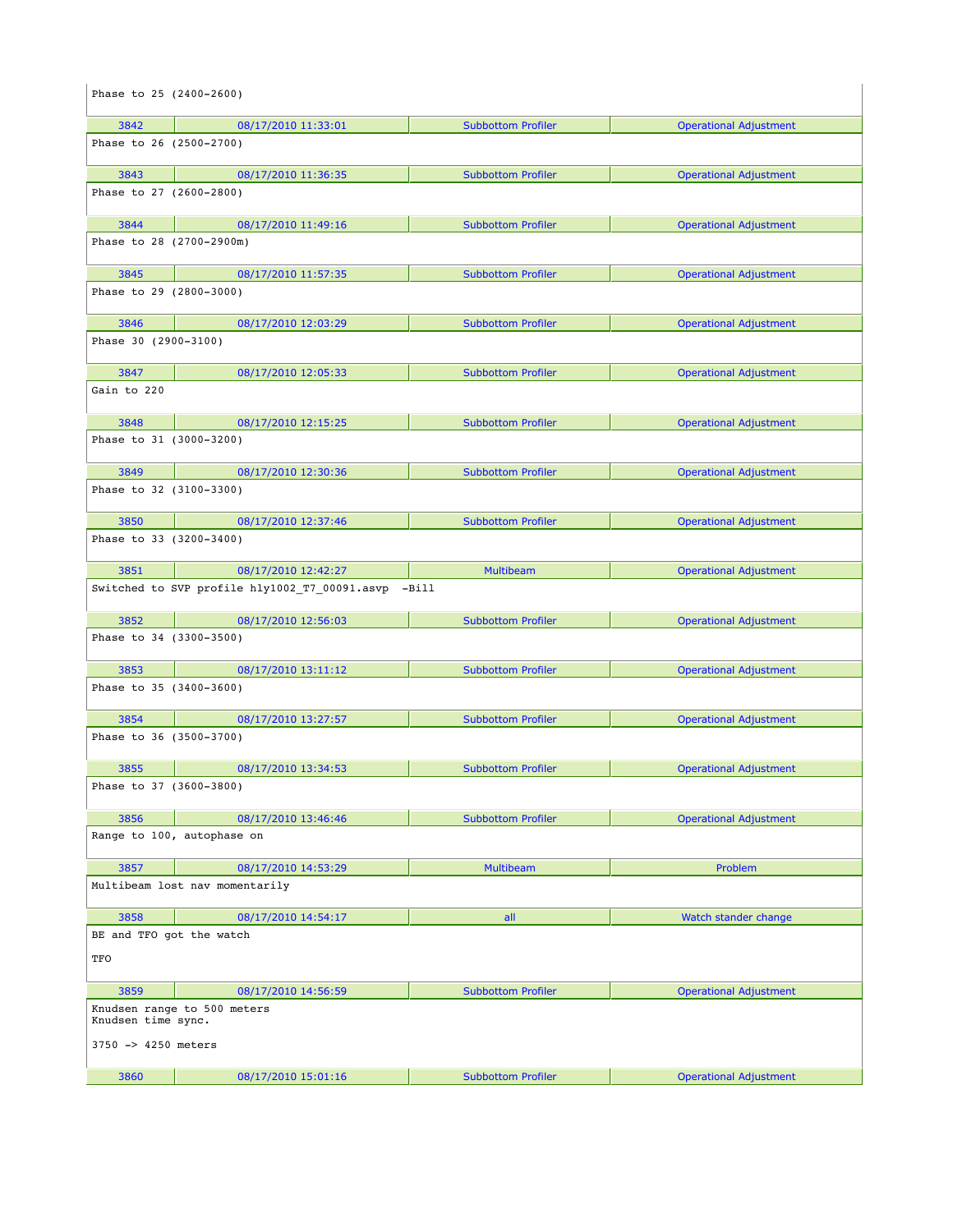| Phase to 25 (2400-2600)         |                                               |                           |                               |
|---------------------------------|-----------------------------------------------|---------------------------|-------------------------------|
| 3842                            | 08/17/2010 11:33:01                           | <b>Subbottom Profiler</b> | <b>Operational Adjustment</b> |
| Phase to 26 (2500-2700)         |                                               |                           |                               |
| 3843                            | 08/17/2010 11:36:35                           | <b>Subbottom Profiler</b> | <b>Operational Adjustment</b> |
| Phase to 27 (2600-2800)         |                                               |                           |                               |
| 3844                            | 08/17/2010 11:49:16                           | <b>Subbottom Profiler</b> | <b>Operational Adjustment</b> |
| Phase to 28 (2700-2900m)        |                                               |                           |                               |
| 3845                            | 08/17/2010 11:57:35                           | <b>Subbottom Profiler</b> | <b>Operational Adjustment</b> |
| Phase to 29 (2800-3000)         |                                               |                           |                               |
| 3846                            | 08/17/2010 12:03:29                           | <b>Subbottom Profiler</b> | <b>Operational Adjustment</b> |
| Phase 30 (2900-3100)            |                                               |                           |                               |
| 3847                            | 08/17/2010 12:05:33                           | <b>Subbottom Profiler</b> | <b>Operational Adjustment</b> |
| Gain to 220                     |                                               |                           |                               |
| 3848                            | 08/17/2010 12:15:25                           | <b>Subbottom Profiler</b> | <b>Operational Adjustment</b> |
| Phase to 31 (3000-3200)         |                                               |                           |                               |
| 3849                            | 08/17/2010 12:30:36                           | <b>Subbottom Profiler</b> | <b>Operational Adjustment</b> |
| Phase to 32 (3100-3300)         |                                               |                           |                               |
| 3850                            | 08/17/2010 12:37:46                           | <b>Subbottom Profiler</b> | <b>Operational Adjustment</b> |
| Phase to 33 (3200-3400)         |                                               |                           |                               |
| 3851                            | 08/17/2010 12:42:27                           | <b>Multibeam</b>          | <b>Operational Adjustment</b> |
|                                 | Switched to SVP profile hly1002 T7 00091.asvp | -Bill                     |                               |
| 3852                            | 08/17/2010 12:56:03                           | <b>Subbottom Profiler</b> | <b>Operational Adjustment</b> |
| Phase to 34 (3300-3500)         |                                               |                           |                               |
| 3853                            | 08/17/2010 13:11:12                           | <b>Subbottom Profiler</b> | <b>Operational Adjustment</b> |
| Phase to 35 (3400-3600)         |                                               |                           |                               |
| 3854                            | 08/17/2010 13:27:57                           | <b>Subbottom Profiler</b> | <b>Operational Adjustment</b> |
| Phase to 36 (3500-3700)         |                                               |                           |                               |
| 3855                            | 08/17/2010 13:34:53                           | <b>Subbottom Profiler</b> | <b>Operational Adjustment</b> |
| Phase to 37 (3600-3800)         |                                               |                           |                               |
| 3856                            | 08/17/2010 13:46:46                           | <b>Subbottom Profiler</b> | <b>Operational Adjustment</b> |
|                                 | Range to 100, autophase on                    |                           |                               |
| 3857                            | 08/17/2010 14:53:29                           | <b>Multibeam</b>          | Problem                       |
|                                 | Multibeam lost nav momentarily                |                           |                               |
| 3858                            | 08/17/2010 14:54:17                           | all                       | Watch stander change          |
| BE and TFO got the watch<br>TFO |                                               |                           |                               |
| 3859                            | 08/17/2010 14:56:59                           | <b>Subbottom Profiler</b> | <b>Operational Adjustment</b> |
| Knudsen time sync.              | Knudsen range to 500 meters                   |                           |                               |
| 3750 -> 4250 meters             |                                               |                           |                               |
| 3860                            | 08/17/2010 15:01:16                           | <b>Subbottom Profiler</b> | <b>Operational Adjustment</b> |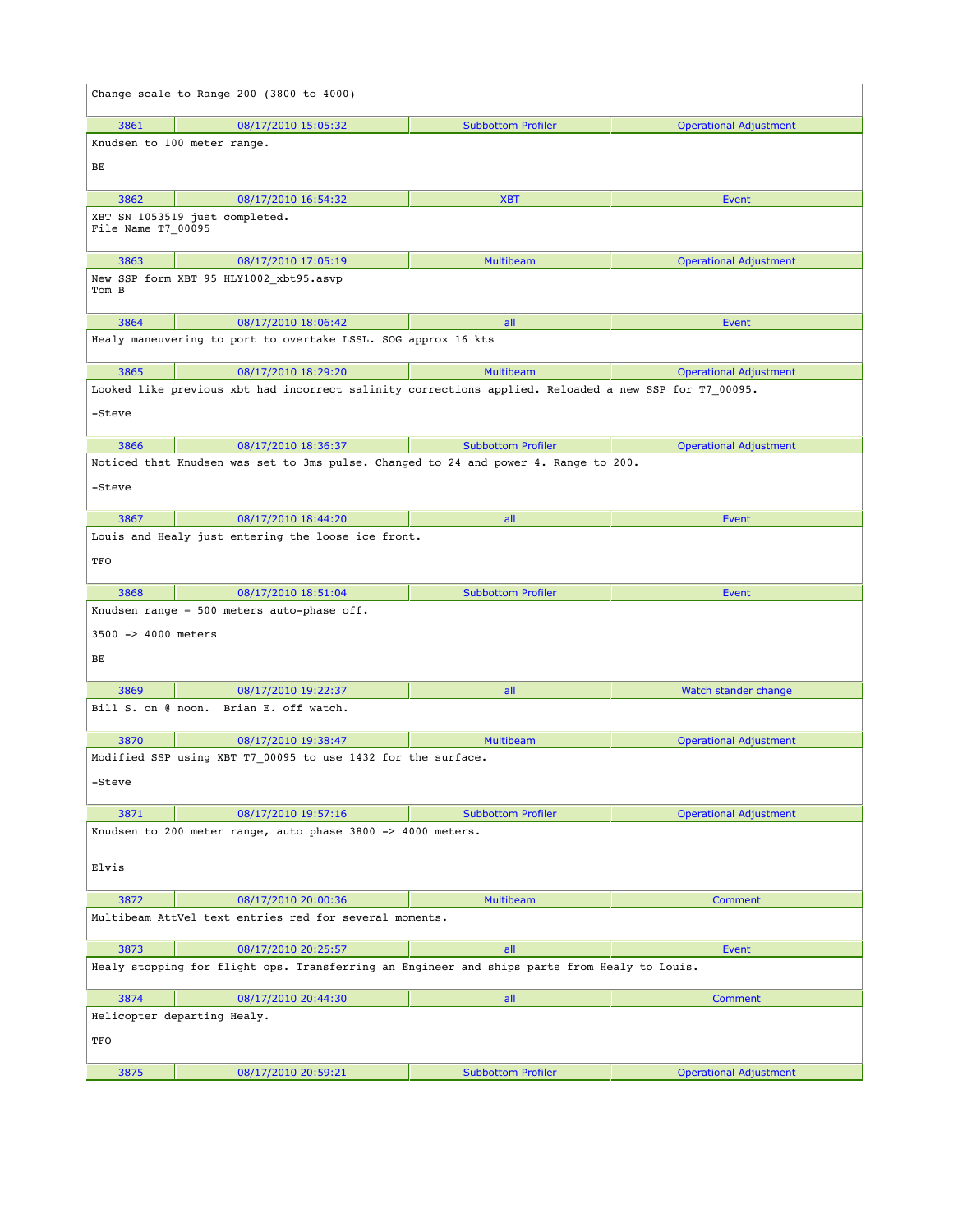|                                                                           | Change scale to Range 200 (3800 to 4000)                                                              |                           |                               |  |
|---------------------------------------------------------------------------|-------------------------------------------------------------------------------------------------------|---------------------------|-------------------------------|--|
| 3861                                                                      | 08/17/2010 15:05:32                                                                                   | <b>Subbottom Profiler</b> | <b>Operational Adjustment</b> |  |
|                                                                           | Knudsen to 100 meter range.                                                                           |                           |                               |  |
| BЕ                                                                        |                                                                                                       |                           |                               |  |
| 3862                                                                      | 08/17/2010 16:54:32                                                                                   | <b>XBT</b>                | Event                         |  |
| File Name T7_00095                                                        | XBT SN 1053519 just completed.                                                                        |                           |                               |  |
| 3863<br>Tom B                                                             | 08/17/2010 17:05:19<br>New SSP form XBT 95 HLY1002_xbt95.asvp                                         | <b>Multibeam</b>          | <b>Operational Adjustment</b> |  |
| 3864                                                                      | 08/17/2010 18:06:42                                                                                   | all                       | Event                         |  |
|                                                                           | Healy maneuvering to port to overtake LSSL. SOG approx 16 kts                                         |                           |                               |  |
| 3865                                                                      | 08/17/2010 18:29:20                                                                                   | <b>Multibeam</b>          | <b>Operational Adjustment</b> |  |
| -Steve                                                                    | Looked like previous xbt had incorrect salinity corrections applied. Reloaded a new SSP for T7_00095. |                           |                               |  |
| 3866                                                                      | 08/17/2010 18:36:37                                                                                   | <b>Subbottom Profiler</b> | <b>Operational Adjustment</b> |  |
|                                                                           | Noticed that Knudsen was set to 3ms pulse. Changed to 24 and power 4. Range to 200.                   |                           |                               |  |
| -Steve                                                                    |                                                                                                       |                           |                               |  |
| 3867                                                                      | 08/17/2010 18:44:20                                                                                   | all                       | Event                         |  |
|                                                                           | Louis and Healy just entering the loose ice front.                                                    |                           |                               |  |
| TFO                                                                       |                                                                                                       |                           |                               |  |
| 3868                                                                      | 08/17/2010 18:51:04                                                                                   | <b>Subbottom Profiler</b> | Event                         |  |
| Knudsen range = $500$ meters auto-phase off.<br>3500 -> 4000 meters<br>BЕ |                                                                                                       |                           |                               |  |
|                                                                           |                                                                                                       |                           |                               |  |
| 3869                                                                      |                                                                                                       |                           |                               |  |
|                                                                           | 08/17/2010 19:22:37<br>Bill S. on @ noon. Brian E. off watch.                                         | all                       | Watch stander change          |  |
| 3870                                                                      | 08/17/2010 19:38:47                                                                                   | <b>Multibeam</b>          | <b>Operational Adjustment</b> |  |
|                                                                           | Modified SSP using XBT T7 00095 to use 1432 for the surface.                                          |                           |                               |  |
| -Steve                                                                    |                                                                                                       |                           |                               |  |
| 3871                                                                      | 08/17/2010 19:57:16                                                                                   | <b>Subbottom Profiler</b> | <b>Operational Adjustment</b> |  |
|                                                                           | Knudsen to 200 meter range, auto phase 3800 -> 4000 meters.                                           |                           |                               |  |
| Elvis                                                                     |                                                                                                       |                           |                               |  |
| 3872                                                                      | 08/17/2010 20:00:36                                                                                   | Multibeam                 | Comment                       |  |
|                                                                           | Multibeam AttVel text entries red for several moments.                                                |                           |                               |  |
| 3873                                                                      | 08/17/2010 20:25:57                                                                                   | all                       | Event                         |  |
|                                                                           | Healy stopping for flight ops. Transferring an Engineer and ships parts from Healy to Louis.          |                           |                               |  |
| 3874                                                                      | 08/17/2010 20:44:30                                                                                   | all                       | <b>Comment</b>                |  |
| TFO                                                                       | Helicopter departing Healy.                                                                           |                           |                               |  |
| 3875                                                                      | 08/17/2010 20:59:21                                                                                   | <b>Subbottom Profiler</b> | <b>Operational Adjustment</b> |  |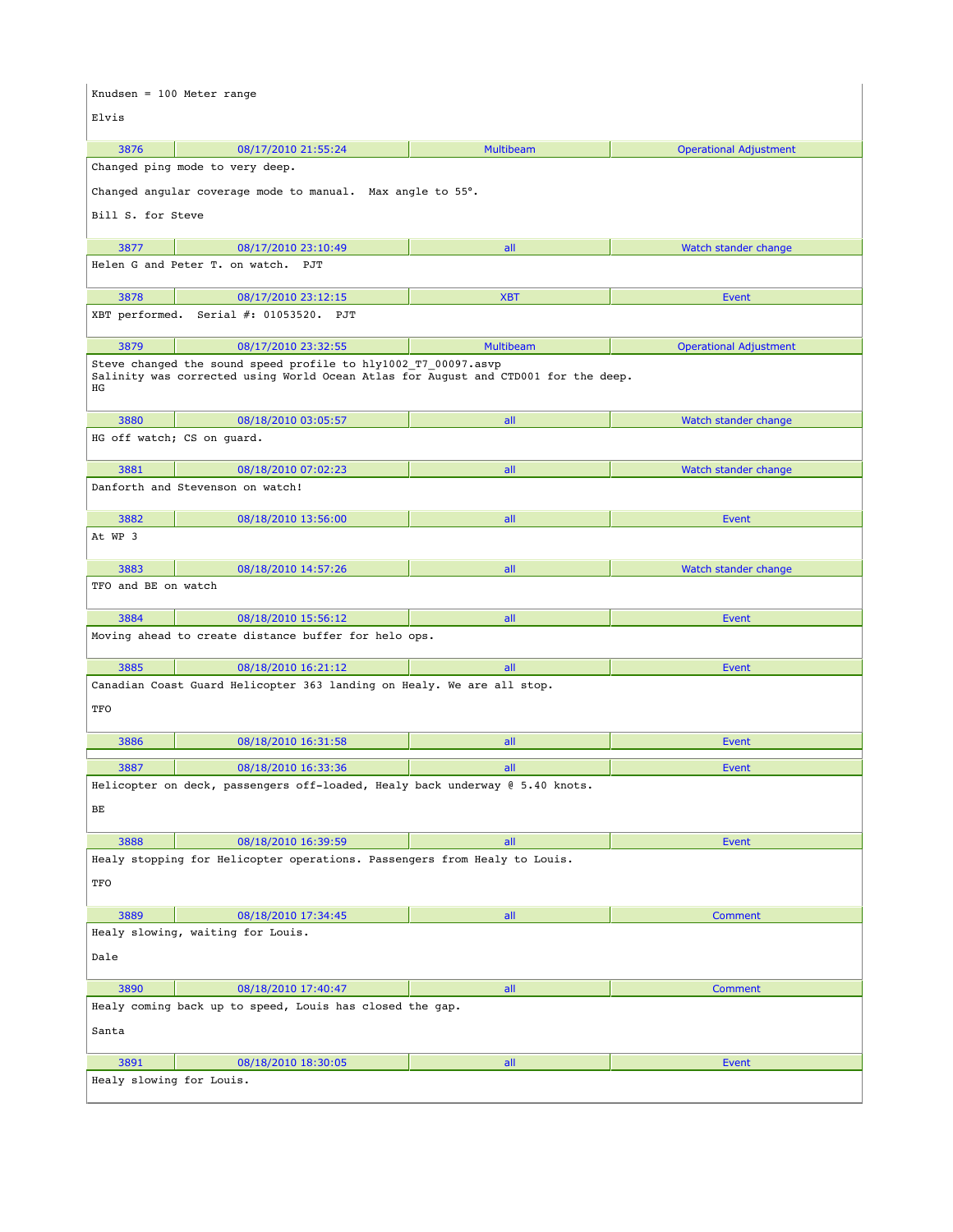|                                                                              | Knudsen = 100 Meter range                                                                                                                            |                  |                               |  |
|------------------------------------------------------------------------------|------------------------------------------------------------------------------------------------------------------------------------------------------|------------------|-------------------------------|--|
| Elvis                                                                        |                                                                                                                                                      |                  |                               |  |
| 3876                                                                         | 08/17/2010 21:55:24                                                                                                                                  | <b>Multibeam</b> | <b>Operational Adjustment</b> |  |
|                                                                              | Changed ping mode to very deep.                                                                                                                      |                  |                               |  |
|                                                                              | Changed angular coverage mode to manual. Max angle to 55°.                                                                                           |                  |                               |  |
| Bill S. for Steve                                                            |                                                                                                                                                      |                  |                               |  |
| 3877                                                                         | 08/17/2010 23:10:49                                                                                                                                  | all              | Watch stander change          |  |
|                                                                              | Helen G and Peter T. on watch. PJT                                                                                                                   |                  |                               |  |
| 3878                                                                         | 08/17/2010 23:12:15                                                                                                                                  | <b>XBT</b>       | Event                         |  |
| XBT performed.                                                               | Serial #: 01053520. PJT                                                                                                                              |                  |                               |  |
| 3879                                                                         | 08/17/2010 23:32:55                                                                                                                                  | <b>Multibeam</b> | <b>Operational Adjustment</b> |  |
| ΗG                                                                           | Steve changed the sound speed profile to hly1002 T7 00097.asvp<br>Salinity was corrected using World Ocean Atlas for August and CTD001 for the deep. |                  |                               |  |
| 3880                                                                         | 08/18/2010 03:05:57                                                                                                                                  | all              | Watch stander change          |  |
|                                                                              | HG off watch; CS on quard.                                                                                                                           |                  |                               |  |
| 3881                                                                         | 08/18/2010 07:02:23                                                                                                                                  | all              | Watch stander change          |  |
|                                                                              | Danforth and Stevenson on watch!                                                                                                                     |                  |                               |  |
| 3882                                                                         | 08/18/2010 13:56:00                                                                                                                                  | all              | <b>Event</b>                  |  |
| At WP 3                                                                      |                                                                                                                                                      |                  |                               |  |
| 3883                                                                         | 08/18/2010 14:57:26                                                                                                                                  | all              | Watch stander change          |  |
| TFO and BE on watch                                                          |                                                                                                                                                      |                  |                               |  |
| 3884                                                                         | 08/18/2010 15:56:12                                                                                                                                  | all              | <b>Event</b>                  |  |
|                                                                              | Moving ahead to create distance buffer for helo ops.                                                                                                 |                  |                               |  |
| 3885                                                                         | 08/18/2010 16:21:12                                                                                                                                  | all              | Event                         |  |
| Canadian Coast Guard Helicopter 363 landing on Healy. We are all stop.       |                                                                                                                                                      |                  |                               |  |
| TFO                                                                          |                                                                                                                                                      |                  |                               |  |
| 3886                                                                         | 08/18/2010 16:31:58                                                                                                                                  | all              | Event                         |  |
| 3887                                                                         | 08/18/2010 16:33:36                                                                                                                                  | all              | <b>Event</b>                  |  |
| Helicopter on deck, passengers off-loaded, Healy back underway @ 5.40 knots. |                                                                                                                                                      |                  |                               |  |
| BЕ                                                                           |                                                                                                                                                      |                  |                               |  |
| 3888                                                                         | 08/18/2010 16:39:59                                                                                                                                  | all              | <b>Event</b>                  |  |
|                                                                              | Healy stopping for Helicopter operations. Passengers from Healy to Louis.                                                                            |                  |                               |  |
| TFO                                                                          |                                                                                                                                                      |                  |                               |  |
| 3889                                                                         | 08/18/2010 17:34:45                                                                                                                                  | all              | <b>Comment</b>                |  |
| Healy slowing, waiting for Louis.                                            |                                                                                                                                                      |                  |                               |  |
| Dale                                                                         |                                                                                                                                                      |                  |                               |  |
| 3890                                                                         | 08/18/2010 17:40:47                                                                                                                                  | all              | Comment                       |  |
|                                                                              | Healy coming back up to speed, Louis has closed the gap.                                                                                             |                  |                               |  |
| Santa                                                                        |                                                                                                                                                      |                  |                               |  |
| 3891                                                                         | 08/18/2010 18:30:05                                                                                                                                  | all              | Event                         |  |
| Healy slowing for Louis.                                                     |                                                                                                                                                      |                  |                               |  |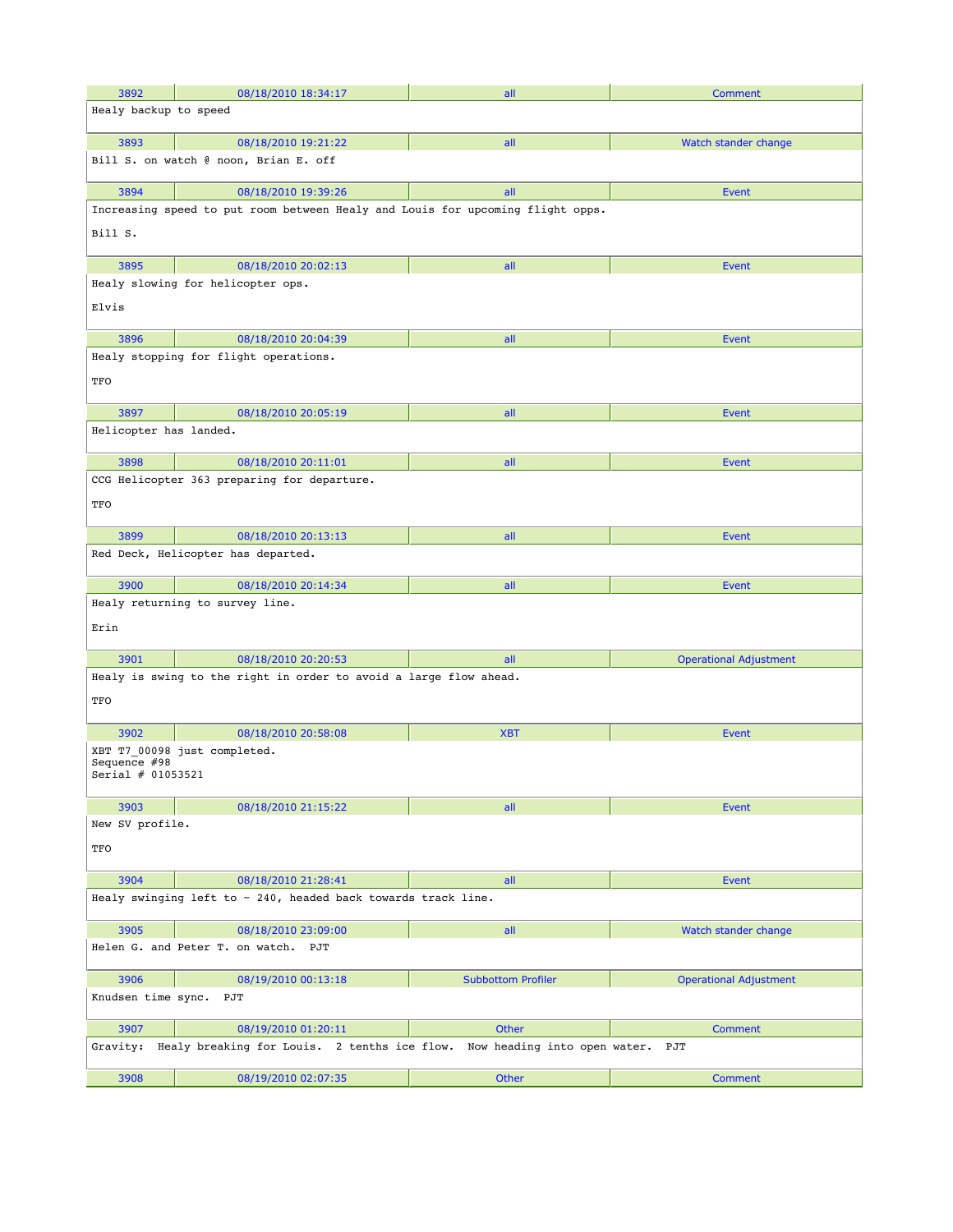| 3892                                                          | 08/18/2010 18:34:17                                                            | all                       | Comment                       |  |
|---------------------------------------------------------------|--------------------------------------------------------------------------------|---------------------------|-------------------------------|--|
| Healy backup to speed                                         |                                                                                |                           |                               |  |
| 3893                                                          | 08/18/2010 19:21:22                                                            | all                       | Watch stander change          |  |
|                                                               | Bill S. on watch @ noon, Brian E. off                                          |                           |                               |  |
| 3894                                                          | 08/18/2010 19:39:26                                                            | all                       | <b>Event</b>                  |  |
|                                                               | Increasing speed to put room between Healy and Louis for upcoming flight opps. |                           |                               |  |
| Bill S.                                                       |                                                                                |                           |                               |  |
| 3895                                                          | 08/18/2010 20:02:13                                                            | all                       | <b>Event</b>                  |  |
| Elvis                                                         | Healy slowing for helicopter ops.                                              |                           |                               |  |
| 3896                                                          | 08/18/2010 20:04:39                                                            | all                       | <b>Event</b>                  |  |
| TFO                                                           | Healy stopping for flight operations.                                          |                           |                               |  |
| 3897                                                          | 08/18/2010 20:05:19                                                            | all                       | <b>Event</b>                  |  |
| Helicopter has landed.                                        |                                                                                |                           |                               |  |
| 3898                                                          | 08/18/2010 20:11:01                                                            | all                       | <b>Event</b>                  |  |
| TFO                                                           | CCG Helicopter 363 preparing for departure.                                    |                           |                               |  |
| 3899                                                          | 08/18/2010 20:13:13                                                            | all                       | <b>Event</b>                  |  |
|                                                               | Red Deck, Helicopter has departed.                                             |                           |                               |  |
| 3900                                                          | 08/18/2010 20:14:34                                                            | all                       | <b>Event</b>                  |  |
| Erin                                                          | Healy returning to survey line.                                                |                           |                               |  |
| 3901                                                          | 08/18/2010 20:20:53                                                            | all                       | <b>Operational Adjustment</b> |  |
| TFO                                                           | Healy is swing to the right in order to avoid a large flow ahead.              |                           |                               |  |
| 3902                                                          | 08/18/2010 20:58:08                                                            | <b>XBT</b>                | <b>Event</b>                  |  |
| Sequence $#98$<br>Serial # 01053521                           | XBT T7 00098 just completed.                                                   |                           |                               |  |
| 3903                                                          | 08/18/2010 21:15:22                                                            | all                       | <b>Event</b>                  |  |
| New SV profile.<br>TFO                                        |                                                                                |                           |                               |  |
| 3904                                                          | 08/18/2010 21:28:41                                                            | all                       | <b>Event</b>                  |  |
| Healy swinging left to ~ 240, headed back towards track line. |                                                                                |                           |                               |  |
| 3905                                                          | 08/18/2010 23:09:00                                                            | all                       | Watch stander change          |  |
|                                                               | Helen G. and Peter T. on watch. PJT                                            |                           |                               |  |
| 3906                                                          | 08/19/2010 00:13:18                                                            | <b>Subbottom Profiler</b> | <b>Operational Adjustment</b> |  |
| Knudsen time sync.                                            | PJT                                                                            |                           |                               |  |
| 3907                                                          | 08/19/2010 01:20:11                                                            | Other                     | Comment                       |  |
| Gravity:                                                      | Healy breaking for Louis. 2 tenths ice flow. Now heading into open water. PJT  |                           |                               |  |
| 3908                                                          | 08/19/2010 02:07:35                                                            | Other                     | Comment                       |  |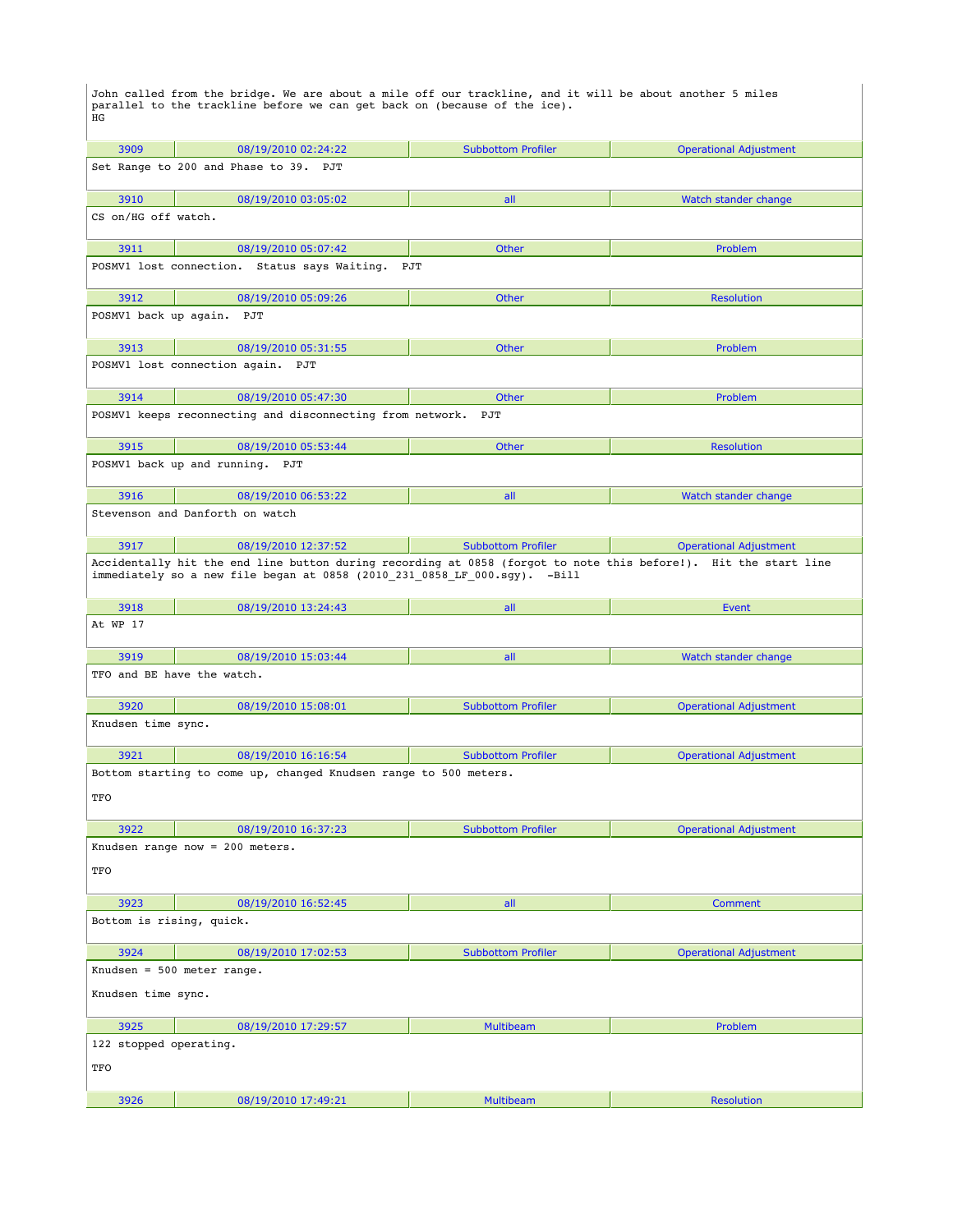John called from the bridge. We are about a mile off our trackline, and it will be about another 5 miles parallel to the trackline before we can get back on (because of the ice). HG

| 3909                                                                                                                                                                                         | 08/19/2010 02:24:22                                       | <b>Subbottom Profiler</b> | <b>Operational Adjustment</b> |  |
|----------------------------------------------------------------------------------------------------------------------------------------------------------------------------------------------|-----------------------------------------------------------|---------------------------|-------------------------------|--|
| Set Range to 200 and Phase to 39. PJT                                                                                                                                                        |                                                           |                           |                               |  |
| 3910                                                                                                                                                                                         | 08/19/2010 03:05:02                                       | all                       | Watch stander change          |  |
| CS on/HG off watch.                                                                                                                                                                          |                                                           |                           |                               |  |
| 3911                                                                                                                                                                                         | 08/19/2010 05:07:42                                       | Other                     | Problem                       |  |
|                                                                                                                                                                                              | POSMV1 lost connection. Status says Waiting.              | PJT                       |                               |  |
| 3912                                                                                                                                                                                         | 08/19/2010 05:09:26                                       | Other                     | <b>Resolution</b>             |  |
| POSMV1 back up again.                                                                                                                                                                        | PJT                                                       |                           |                               |  |
| 3913                                                                                                                                                                                         | 08/19/2010 05:31:55                                       | Other                     | <b>Problem</b>                |  |
|                                                                                                                                                                                              | POSMV1 lost connection again. PJT                         |                           |                               |  |
| 3914                                                                                                                                                                                         | 08/19/2010 05:47:30                                       | Other                     | Problem                       |  |
|                                                                                                                                                                                              | POSMV1 keeps reconnecting and disconnecting from network. | PJT                       |                               |  |
| 3915                                                                                                                                                                                         | 08/19/2010 05:53:44                                       | Other                     | <b>Resolution</b>             |  |
|                                                                                                                                                                                              | POSMV1 back up and running. PJT                           |                           |                               |  |
| 3916                                                                                                                                                                                         | 08/19/2010 06:53:22                                       | all                       | Watch stander change          |  |
|                                                                                                                                                                                              | Stevenson and Danforth on watch                           |                           |                               |  |
| 3917                                                                                                                                                                                         | 08/19/2010 12:37:52                                       | <b>Subbottom Profiler</b> | <b>Operational Adjustment</b> |  |
| Accidentally hit the end line button during recording at 0858 (forgot to note this before!). Hit the start line<br>immediately so a new file began at 0858 (2010 231 0858 LF 000.sgy). -Bill |                                                           |                           |                               |  |
| 3918                                                                                                                                                                                         | 08/19/2010 13:24:43                                       | all                       | Event                         |  |
| At WP 17                                                                                                                                                                                     |                                                           |                           |                               |  |
| 3919                                                                                                                                                                                         | 08/19/2010 15:03:44                                       | all                       | Watch stander change          |  |
|                                                                                                                                                                                              | TFO and BE have the watch.                                |                           |                               |  |
| 3920                                                                                                                                                                                         | 08/19/2010 15:08:01                                       | <b>Subbottom Profiler</b> | <b>Operational Adjustment</b> |  |
| Knudsen time sync.                                                                                                                                                                           |                                                           |                           |                               |  |
| 3921                                                                                                                                                                                         | 08/19/2010 16:16:54                                       | <b>Subbottom Profiler</b> | <b>Operational Adjustment</b> |  |
| Bottom starting to come up, changed Knudsen range to 500 meters.<br>TFO                                                                                                                      |                                                           |                           |                               |  |
| 3922                                                                                                                                                                                         | 08/19/2010 16:37:23                                       | <b>Subbottom Profiler</b> | <b>Operational Adjustment</b> |  |
| Knudsen range now = 200 meters.<br>TFO                                                                                                                                                       |                                                           |                           |                               |  |
| 3923                                                                                                                                                                                         |                                                           |                           | <b>Comment</b>                |  |
| Bottom is rising, quick.                                                                                                                                                                     | 08/19/2010 16:52:45                                       | all                       |                               |  |
|                                                                                                                                                                                              |                                                           |                           |                               |  |
| 3924                                                                                                                                                                                         | 08/19/2010 17:02:53                                       | <b>Subbottom Profiler</b> | <b>Operational Adjustment</b> |  |
| Knudsen = $500$ meter range.<br>Knudsen time sync.                                                                                                                                           |                                                           |                           |                               |  |
| 3925                                                                                                                                                                                         | 08/19/2010 17:29:57                                       | <b>Multibeam</b>          | Problem                       |  |
| 122 stopped operating.                                                                                                                                                                       |                                                           |                           |                               |  |
| TFO                                                                                                                                                                                          |                                                           |                           |                               |  |
| 3926                                                                                                                                                                                         | 08/19/2010 17:49:21                                       | <b>Multibeam</b>          | <b>Resolution</b>             |  |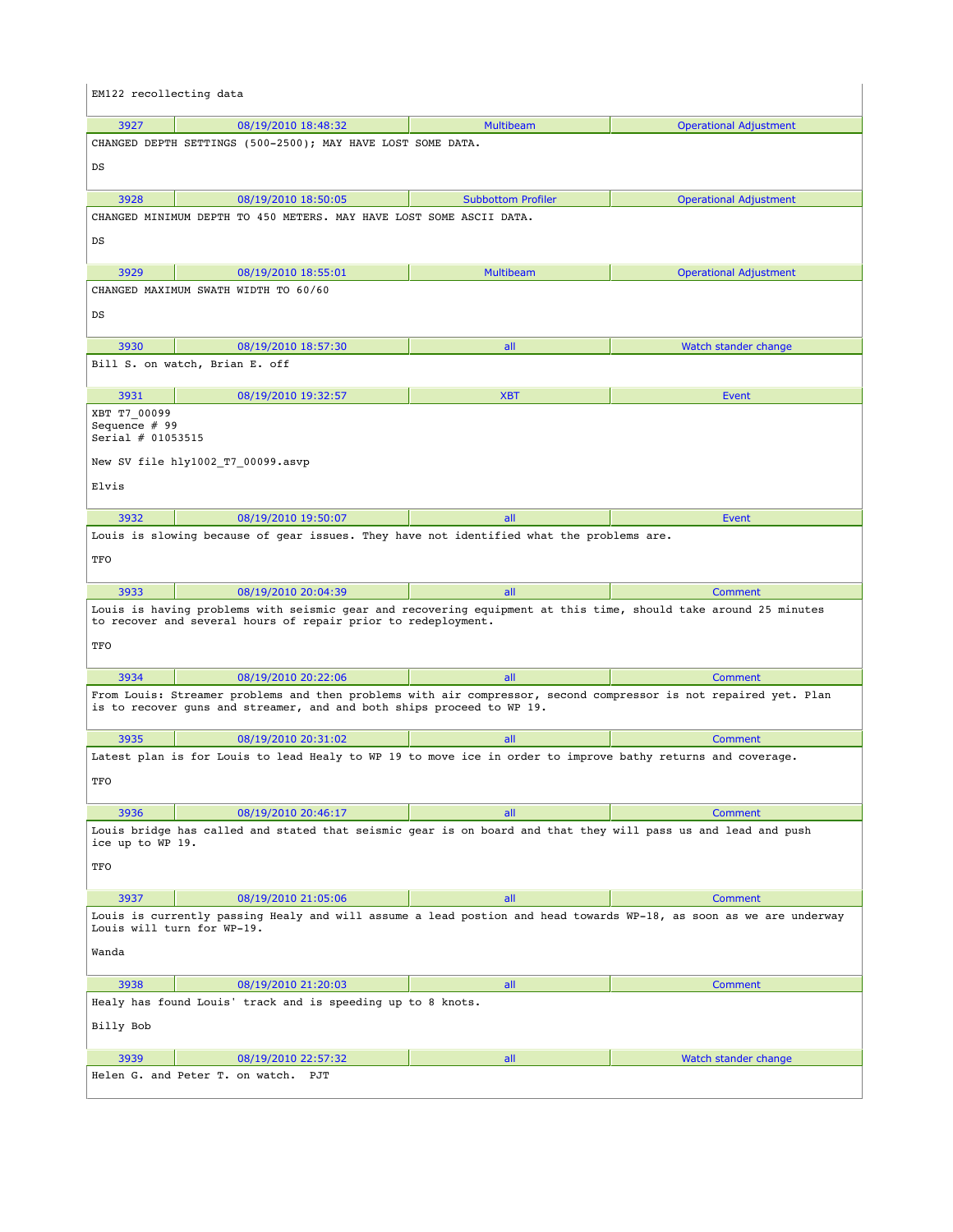| EM122 recollecting data                            |                                                                                                                                                                                           |                           |                               |
|----------------------------------------------------|-------------------------------------------------------------------------------------------------------------------------------------------------------------------------------------------|---------------------------|-------------------------------|
| 3927                                               | 08/19/2010 18:48:32                                                                                                                                                                       | <b>Multibeam</b>          | <b>Operational Adjustment</b> |
|                                                    | CHANGED DEPTH SETTINGS (500-2500); MAY HAVE LOST SOME DATA.                                                                                                                               |                           |                               |
| DS                                                 |                                                                                                                                                                                           |                           |                               |
| 3928                                               | 08/19/2010 18:50:05                                                                                                                                                                       | <b>Subbottom Profiler</b> | <b>Operational Adjustment</b> |
|                                                    | CHANGED MINIMUM DEPTH TO 450 METERS. MAY HAVE LOST SOME ASCII DATA.                                                                                                                       |                           |                               |
| DS                                                 |                                                                                                                                                                                           |                           |                               |
| 3929                                               | 08/19/2010 18:55:01                                                                                                                                                                       | <b>Multibeam</b>          | <b>Operational Adjustment</b> |
|                                                    | CHANGED MAXIMUM SWATH WIDTH TO 60/60                                                                                                                                                      |                           |                               |
| DS                                                 |                                                                                                                                                                                           |                           |                               |
| 3930                                               | 08/19/2010 18:57:30                                                                                                                                                                       | all                       | Watch stander change          |
|                                                    | Bill S. on watch, Brian E. off                                                                                                                                                            |                           |                               |
| 3931                                               | 08/19/2010 19:32:57                                                                                                                                                                       | <b>XBT</b>                | Event                         |
| XBT T7 00099<br>Sequence # 99<br>Serial # 01053515 |                                                                                                                                                                                           |                           |                               |
|                                                    | New SV file hly1002_T7_00099.asvp                                                                                                                                                         |                           |                               |
| Elvis                                              |                                                                                                                                                                                           |                           |                               |
|                                                    |                                                                                                                                                                                           |                           |                               |
| 3932                                               | 08/19/2010 19:50:07                                                                                                                                                                       | all                       | Event                         |
|                                                    | Louis is slowing because of gear issues. They have not identified what the problems are.                                                                                                  |                           |                               |
| TFO                                                |                                                                                                                                                                                           |                           |                               |
| 3933                                               | 08/19/2010 20:04:39                                                                                                                                                                       | all                       | Comment                       |
| TFO                                                | Louis is having problems with seismic gear and recovering equipment at this time, should take around 25 minutes<br>to recover and several hours of repair prior to redeployment.          |                           |                               |
|                                                    |                                                                                                                                                                                           |                           |                               |
| 3934                                               | 08/19/2010 20:22:06                                                                                                                                                                       | all                       | Comment                       |
|                                                    | From Louis: Streamer problems and then problems with air compressor, second compressor is not repaired yet. Plan<br>is to recover quns and streamer, and and both ships proceed to WP 19. |                           |                               |
| 3935                                               | 08/19/2010 20:31:02                                                                                                                                                                       | all                       | Comment                       |
|                                                    | Latest plan is for Louis to lead Healy to WP 19 to move ice in order to improve bathy returns and coverage.                                                                               |                           |                               |
| TFO                                                |                                                                                                                                                                                           |                           |                               |
| 3936                                               | 08/19/2010 20:46:17                                                                                                                                                                       | all                       | Comment                       |
| ice up to WP 19.                                   | Louis bridge has called and stated that seismic gear is on board and that they will pass us and lead and push                                                                             |                           |                               |
| TFO                                                |                                                                                                                                                                                           |                           |                               |
| 3937                                               | 08/19/2010 21:05:06                                                                                                                                                                       | all                       | Comment                       |
|                                                    | Louis is currently passing Healy and will assume a lead postion and head towards WP-18, as soon as we are underway<br>Louis will turn for WP-19.                                          |                           |                               |
| Wanda                                              |                                                                                                                                                                                           |                           |                               |
| 3938                                               | 08/19/2010 21:20:03                                                                                                                                                                       | all                       | Comment                       |
| Billy Bob                                          | Healy has found Louis' track and is speeding up to 8 knots.                                                                                                                               |                           |                               |
|                                                    |                                                                                                                                                                                           |                           |                               |
| 3939                                               | 08/19/2010 22:57:32                                                                                                                                                                       | all                       | Watch stander change          |
|                                                    | Helen G. and Peter T. on watch. PJT                                                                                                                                                       |                           |                               |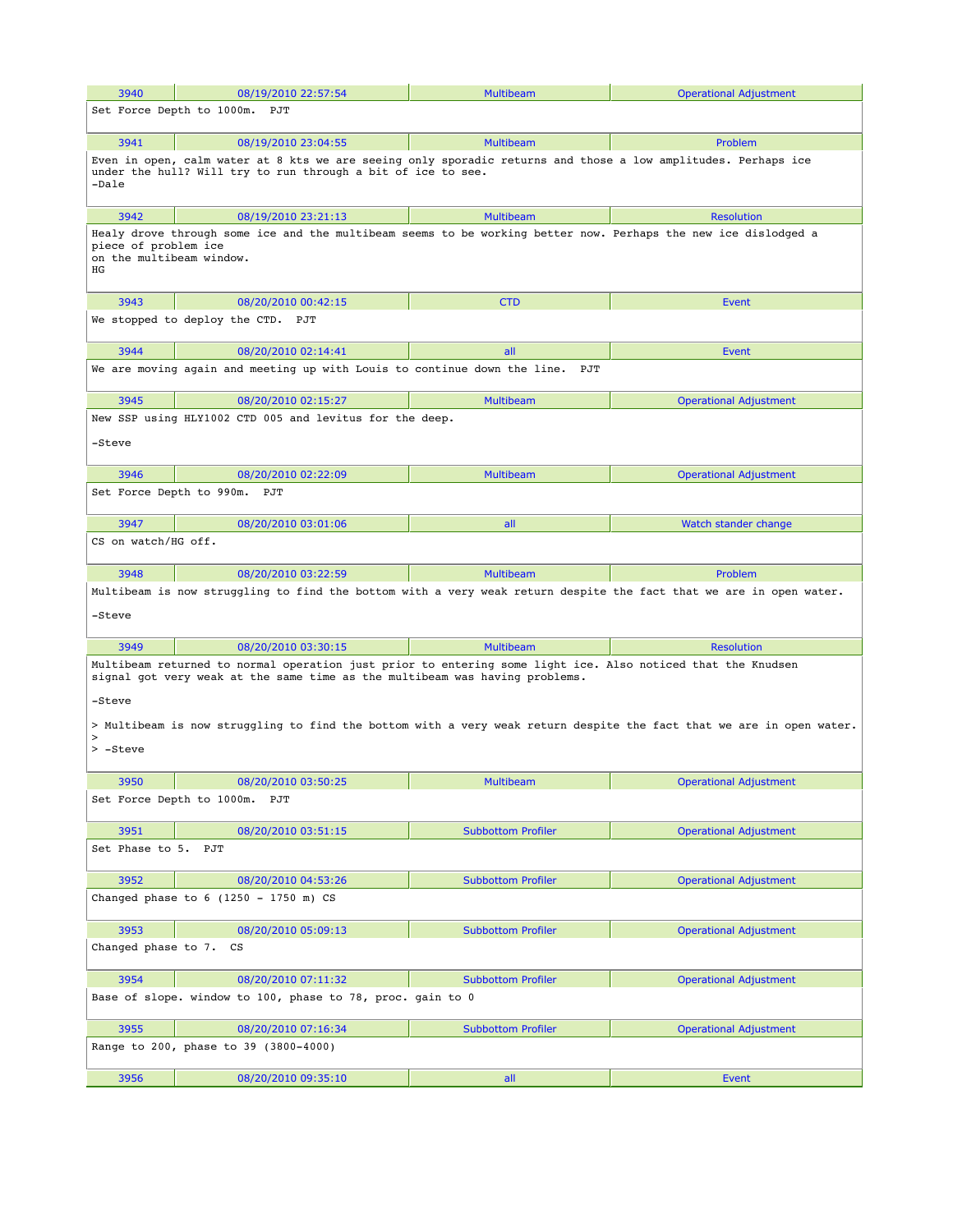| 3940                                                                                                                           | 08/19/2010 22:57:54                                                                                                                                                                        | <b>Multibeam</b>          | <b>Operational Adjustment</b> |  |  |
|--------------------------------------------------------------------------------------------------------------------------------|--------------------------------------------------------------------------------------------------------------------------------------------------------------------------------------------|---------------------------|-------------------------------|--|--|
|                                                                                                                                | Set Force Depth to 1000m. PJT                                                                                                                                                              |                           |                               |  |  |
|                                                                                                                                |                                                                                                                                                                                            |                           |                               |  |  |
| 3941                                                                                                                           | 08/19/2010 23:04:55                                                                                                                                                                        | <b>Multibeam</b>          | Problem                       |  |  |
|                                                                                                                                | Even in open, calm water at 8 kts we are seeing only sporadic returns and those a low amplitudes. Perhaps ice<br>under the hull? Will try to run through a bit of ice to see.              |                           |                               |  |  |
| -Dale                                                                                                                          |                                                                                                                                                                                            |                           |                               |  |  |
| 3942                                                                                                                           | 08/19/2010 23:21:13                                                                                                                                                                        | <b>Multibeam</b>          | <b>Resolution</b>             |  |  |
|                                                                                                                                | Healy drove through some ice and the multibeam seems to be working better now. Perhaps the new ice dislodged a                                                                             |                           |                               |  |  |
| piece of problem ice<br>on the multibeam window.                                                                               |                                                                                                                                                                                            |                           |                               |  |  |
| ΗG                                                                                                                             |                                                                                                                                                                                            |                           |                               |  |  |
| 3943                                                                                                                           | 08/20/2010 00:42:15                                                                                                                                                                        | <b>CTD</b>                | Event                         |  |  |
|                                                                                                                                | We stopped to deploy the CTD. PJT                                                                                                                                                          |                           |                               |  |  |
|                                                                                                                                |                                                                                                                                                                                            |                           |                               |  |  |
| 3944                                                                                                                           | 08/20/2010 02:14:41                                                                                                                                                                        | all                       | Event                         |  |  |
|                                                                                                                                | We are moving again and meeting up with Louis to continue down the line. PJT                                                                                                               |                           |                               |  |  |
| 3945                                                                                                                           | 08/20/2010 02:15:27                                                                                                                                                                        | <b>Multibeam</b>          | <b>Operational Adjustment</b> |  |  |
|                                                                                                                                | New SSP using HLY1002 CTD 005 and levitus for the deep.                                                                                                                                    |                           |                               |  |  |
| -Steve                                                                                                                         |                                                                                                                                                                                            |                           |                               |  |  |
|                                                                                                                                |                                                                                                                                                                                            |                           |                               |  |  |
| 3946                                                                                                                           | 08/20/2010 02:22:09                                                                                                                                                                        | <b>Multibeam</b>          | <b>Operational Adjustment</b> |  |  |
|                                                                                                                                | Set Force Depth to 990m. PJT                                                                                                                                                               |                           |                               |  |  |
| 3947                                                                                                                           | 08/20/2010 03:01:06                                                                                                                                                                        | all                       | Watch stander change          |  |  |
| CS on watch/HG off.                                                                                                            |                                                                                                                                                                                            |                           |                               |  |  |
| 3948                                                                                                                           | 08/20/2010 03:22:59                                                                                                                                                                        | <b>Multibeam</b>          | Problem                       |  |  |
|                                                                                                                                | Multibeam is now struggling to find the bottom with a very weak return despite the fact that we are in open water.                                                                         |                           |                               |  |  |
| -Steve                                                                                                                         |                                                                                                                                                                                            |                           |                               |  |  |
|                                                                                                                                |                                                                                                                                                                                            |                           |                               |  |  |
| 3949                                                                                                                           | 08/20/2010 03:30:15                                                                                                                                                                        | <b>Multibeam</b>          | <b>Resolution</b>             |  |  |
|                                                                                                                                | Multibeam returned to normal operation just prior to entering some light ice. Also noticed that the Knudsen<br>signal got very weak at the same time as the multibeam was having problems. |                           |                               |  |  |
|                                                                                                                                |                                                                                                                                                                                            |                           |                               |  |  |
| -Steve                                                                                                                         |                                                                                                                                                                                            |                           |                               |  |  |
| > Multibeam is now struggling to find the bottom with a very weak return despite the fact that we are in open water.<br>$\geq$ |                                                                                                                                                                                            |                           |                               |  |  |
| > -Steve                                                                                                                       |                                                                                                                                                                                            |                           |                               |  |  |
| 3950                                                                                                                           | 08/20/2010 03:50:25                                                                                                                                                                        | <b>Multibeam</b>          | <b>Operational Adjustment</b> |  |  |
|                                                                                                                                | Set Force Depth to 1000m. PJT                                                                                                                                                              |                           |                               |  |  |
|                                                                                                                                |                                                                                                                                                                                            |                           |                               |  |  |
| 3951                                                                                                                           | 08/20/2010 03:51:15                                                                                                                                                                        | <b>Subbottom Profiler</b> | <b>Operational Adjustment</b> |  |  |
| Set Phase to 5.                                                                                                                | PJT                                                                                                                                                                                        |                           |                               |  |  |
| 3952                                                                                                                           | 08/20/2010 04:53:26                                                                                                                                                                        | <b>Subbottom Profiler</b> | <b>Operational Adjustment</b> |  |  |
|                                                                                                                                | Changed phase to $6$ (1250 - 1750 m) CS                                                                                                                                                    |                           |                               |  |  |
| 3953                                                                                                                           | 08/20/2010 05:09:13                                                                                                                                                                        | <b>Subbottom Profiler</b> | <b>Operational Adjustment</b> |  |  |
| Changed phase to 7.                                                                                                            | CS                                                                                                                                                                                         |                           |                               |  |  |
| 3954                                                                                                                           | 08/20/2010 07:11:32                                                                                                                                                                        | <b>Subbottom Profiler</b> | <b>Operational Adjustment</b> |  |  |
|                                                                                                                                | Base of slope. window to 100, phase to 78, proc. gain to 0                                                                                                                                 |                           |                               |  |  |
| 3955                                                                                                                           | 08/20/2010 07:16:34                                                                                                                                                                        | <b>Subbottom Profiler</b> | <b>Operational Adjustment</b> |  |  |
|                                                                                                                                | Range to 200, phase to 39 (3800-4000)                                                                                                                                                      |                           |                               |  |  |
| 3956                                                                                                                           | 08/20/2010 09:35:10                                                                                                                                                                        | all                       | <b>Event</b>                  |  |  |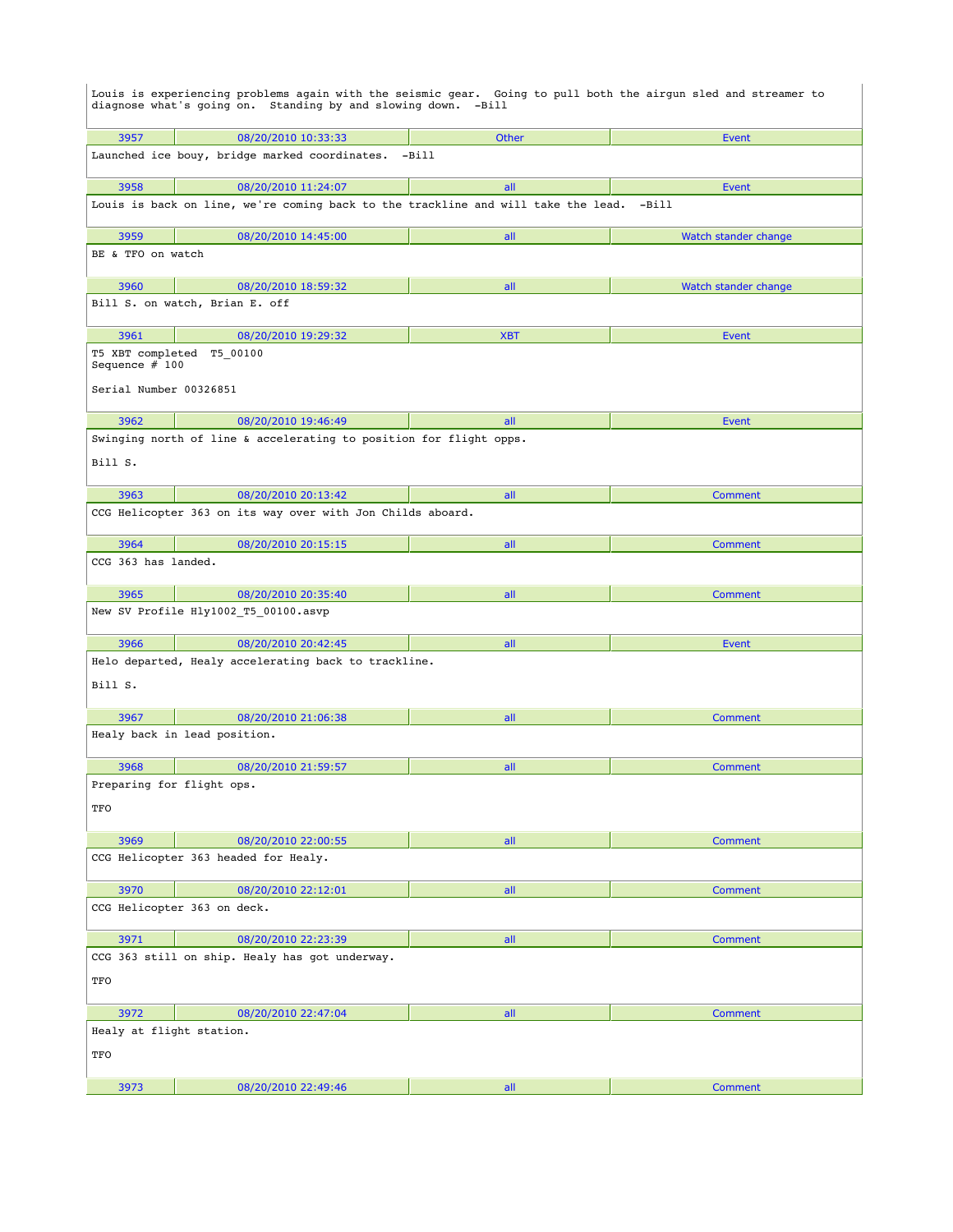|                                  | Louis is experiencing problems again with the seismic gear. Going to pull both the airgun sled and streamer to<br>diagnose what's going on. Standing by and slowing down. -Bill |            |                      |  |  |
|----------------------------------|---------------------------------------------------------------------------------------------------------------------------------------------------------------------------------|------------|----------------------|--|--|
| 3957                             | 08/20/2010 10:33:33                                                                                                                                                             | Other      | Event                |  |  |
|                                  | Launched ice bouy, bridge marked coordinates.                                                                                                                                   | -Bill      |                      |  |  |
| 3958                             | 08/20/2010 11:24:07                                                                                                                                                             | all        | Event                |  |  |
|                                  | Louis is back on line, we're coming back to the trackline and will take the lead.                                                                                               |            | -Bill                |  |  |
| 3959                             | 08/20/2010 14:45:00                                                                                                                                                             | all        | Watch stander change |  |  |
| BE & TFO on watch                |                                                                                                                                                                                 |            |                      |  |  |
| 3960                             | 08/20/2010 18:59:32                                                                                                                                                             | all        | Watch stander change |  |  |
|                                  | Bill S. on watch, Brian E. off                                                                                                                                                  |            |                      |  |  |
| 3961                             | 08/20/2010 19:29:32                                                                                                                                                             | <b>XBT</b> | Event                |  |  |
| Sequence $# 100$                 | T5 XBT completed T5 00100                                                                                                                                                       |            |                      |  |  |
| Serial Number 00326851           |                                                                                                                                                                                 |            |                      |  |  |
| 3962                             | 08/20/2010 19:46:49                                                                                                                                                             | all        | Event                |  |  |
|                                  | Swinging north of line & accelerating to position for flight opps.                                                                                                              |            |                      |  |  |
| Bill S.                          |                                                                                                                                                                                 |            |                      |  |  |
| 3963                             | 08/20/2010 20:13:42                                                                                                                                                             | all        | <b>Comment</b>       |  |  |
|                                  | CCG Helicopter 363 on its way over with Jon Childs aboard.                                                                                                                      |            |                      |  |  |
| 3964                             | 08/20/2010 20:15:15                                                                                                                                                             | all        | Comment              |  |  |
| CCG 363 has landed.              |                                                                                                                                                                                 |            |                      |  |  |
| 3965                             | 08/20/2010 20:35:40                                                                                                                                                             | all        | <b>Comment</b>       |  |  |
|                                  | New SV Profile Hly1002_T5_00100.asvp                                                                                                                                            |            |                      |  |  |
| 3966                             | 08/20/2010 20:42:45                                                                                                                                                             | all        | Event                |  |  |
|                                  | Helo departed, Healy accelerating back to trackline.                                                                                                                            |            |                      |  |  |
| Bill S.                          |                                                                                                                                                                                 |            |                      |  |  |
| 3967                             | 08/20/2010 21:06:38                                                                                                                                                             | all        | <b>Comment</b>       |  |  |
|                                  | Healy back in lead position.                                                                                                                                                    |            |                      |  |  |
| 3968                             | 08/20/2010 21:59:57                                                                                                                                                             | all        | Comment              |  |  |
| Preparing for flight ops.<br>TFO |                                                                                                                                                                                 |            |                      |  |  |
| 3969                             | 08/20/2010 22:00:55                                                                                                                                                             | all        | <b>Comment</b>       |  |  |
|                                  | CCG Helicopter 363 headed for Healy.                                                                                                                                            |            |                      |  |  |
| 3970                             | 08/20/2010 22:12:01                                                                                                                                                             | all        | Comment              |  |  |
|                                  | CCG Helicopter 363 on deck.                                                                                                                                                     |            |                      |  |  |
| 3971                             | 08/20/2010 22:23:39                                                                                                                                                             | all        | <b>Comment</b>       |  |  |
|                                  | CCG 363 still on ship. Healy has got underway.                                                                                                                                  |            |                      |  |  |
| TFO                              |                                                                                                                                                                                 |            |                      |  |  |
| 3972                             | 08/20/2010 22:47:04                                                                                                                                                             | all        | <b>Comment</b>       |  |  |
| Healy at flight station.         |                                                                                                                                                                                 |            |                      |  |  |
| TFO                              |                                                                                                                                                                                 |            |                      |  |  |
| 3973                             | 08/20/2010 22:49:46                                                                                                                                                             | all        | Comment              |  |  |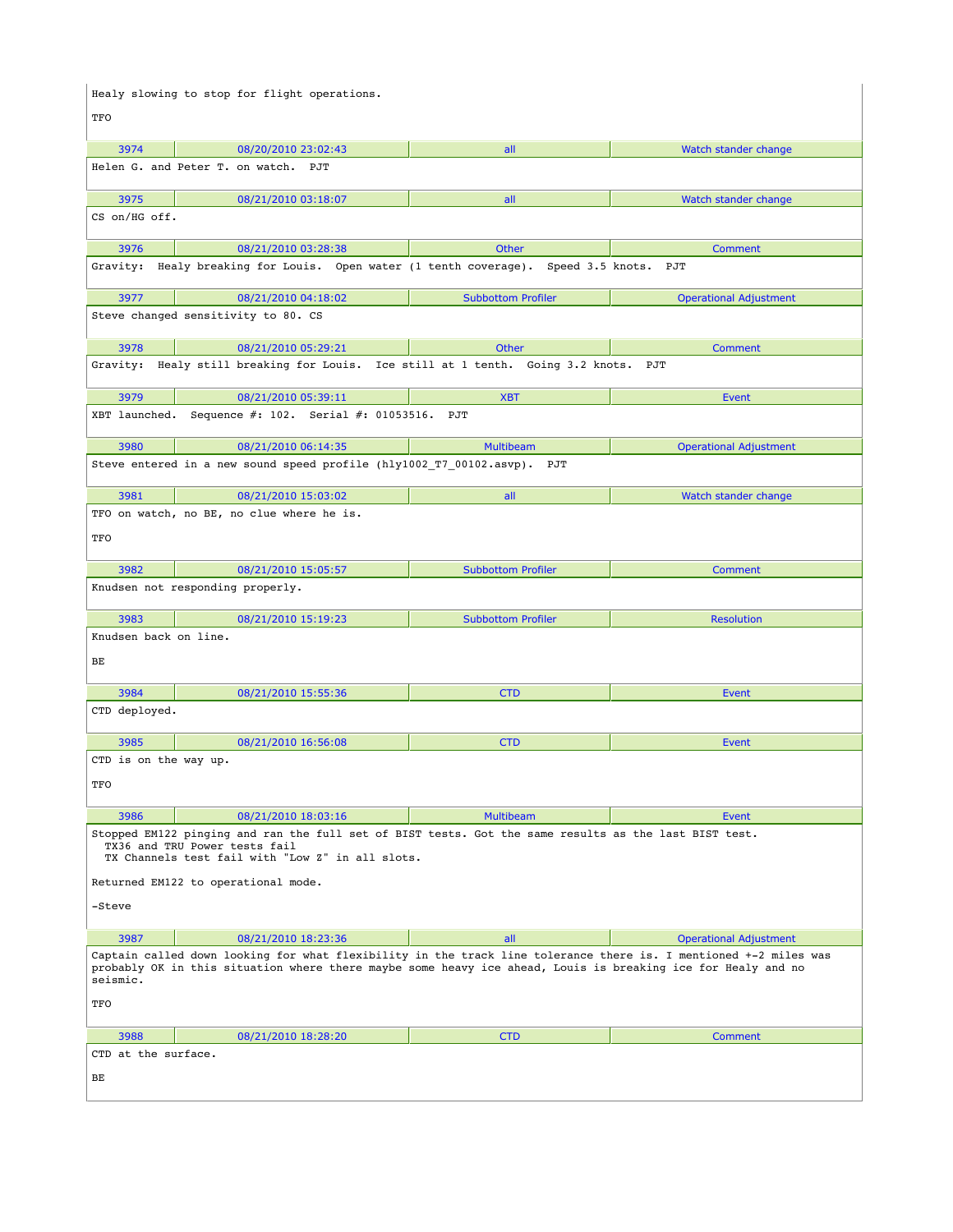|                                                                                                                                                                                                                                              | Healy slowing to stop for flight operations.                                                                                                                                               |                           |                               |  |
|----------------------------------------------------------------------------------------------------------------------------------------------------------------------------------------------------------------------------------------------|--------------------------------------------------------------------------------------------------------------------------------------------------------------------------------------------|---------------------------|-------------------------------|--|
| TFO                                                                                                                                                                                                                                          |                                                                                                                                                                                            |                           |                               |  |
| 3974                                                                                                                                                                                                                                         | 08/20/2010 23:02:43                                                                                                                                                                        | all                       | Watch stander change          |  |
|                                                                                                                                                                                                                                              | Helen G. and Peter T. on watch. PJT                                                                                                                                                        |                           |                               |  |
| 3975                                                                                                                                                                                                                                         | 08/21/2010 03:18:07                                                                                                                                                                        | all                       | Watch stander change          |  |
| CS on/HG off.                                                                                                                                                                                                                                |                                                                                                                                                                                            |                           |                               |  |
| 3976                                                                                                                                                                                                                                         | 08/21/2010 03:28:38                                                                                                                                                                        | <b>Other</b>              | Comment                       |  |
|                                                                                                                                                                                                                                              | Gravity: Healy breaking for Louis. Open water (1 tenth coverage). Speed 3.5 knots.                                                                                                         |                           | PJT                           |  |
| 3977                                                                                                                                                                                                                                         | 08/21/2010 04:18:02                                                                                                                                                                        | <b>Subbottom Profiler</b> | <b>Operational Adjustment</b> |  |
|                                                                                                                                                                                                                                              | Steve changed sensitivity to 80. CS                                                                                                                                                        |                           |                               |  |
| 3978                                                                                                                                                                                                                                         | 08/21/2010 05:29:21                                                                                                                                                                        | <b>Other</b>              | Comment                       |  |
| Gravity:                                                                                                                                                                                                                                     | Healy still breaking for Louis. Ice still at 1 tenth. Going 3.2 knots.                                                                                                                     |                           | PJT                           |  |
| 3979                                                                                                                                                                                                                                         | 08/21/2010 05:39:11                                                                                                                                                                        | <b>XBT</b>                | Event                         |  |
|                                                                                                                                                                                                                                              | XBT launched. Sequence #: 102. Serial #: 01053516. PJT                                                                                                                                     |                           |                               |  |
| 3980                                                                                                                                                                                                                                         | 08/21/2010 06:14:35                                                                                                                                                                        | <b>Multibeam</b>          | <b>Operational Adjustment</b> |  |
|                                                                                                                                                                                                                                              | Steve entered in a new sound speed profile (hly1002_T7_00102.asvp). PJT                                                                                                                    |                           |                               |  |
| 3981                                                                                                                                                                                                                                         | 08/21/2010 15:03:02                                                                                                                                                                        | all                       | Watch stander change          |  |
|                                                                                                                                                                                                                                              | TFO on watch, no BE, no clue where he is.                                                                                                                                                  |                           |                               |  |
| TFO                                                                                                                                                                                                                                          |                                                                                                                                                                                            |                           |                               |  |
| 3982                                                                                                                                                                                                                                         | 08/21/2010 15:05:57                                                                                                                                                                        | <b>Subbottom Profiler</b> | <b>Comment</b>                |  |
|                                                                                                                                                                                                                                              | Knudsen not responding properly.                                                                                                                                                           |                           |                               |  |
| 3983                                                                                                                                                                                                                                         | 08/21/2010 15:19:23                                                                                                                                                                        | <b>Subbottom Profiler</b> | <b>Resolution</b>             |  |
| Knudsen back on line.                                                                                                                                                                                                                        |                                                                                                                                                                                            |                           |                               |  |
| BE                                                                                                                                                                                                                                           |                                                                                                                                                                                            |                           |                               |  |
| 3984                                                                                                                                                                                                                                         | 08/21/2010 15:55:36                                                                                                                                                                        | <b>CTD</b>                | Event                         |  |
| CTD deployed.                                                                                                                                                                                                                                |                                                                                                                                                                                            |                           |                               |  |
| 3985                                                                                                                                                                                                                                         | 08/21/2010 16:56:08                                                                                                                                                                        | <b>CTD</b>                | Event                         |  |
| CTD is on the way up.                                                                                                                                                                                                                        |                                                                                                                                                                                            |                           |                               |  |
| TFO                                                                                                                                                                                                                                          |                                                                                                                                                                                            |                           |                               |  |
| 3986                                                                                                                                                                                                                                         | 08/21/2010 18:03:16                                                                                                                                                                        | <b>Multibeam</b>          | Event                         |  |
|                                                                                                                                                                                                                                              | Stopped EM122 pinging and ran the full set of BIST tests. Got the same results as the last BIST test.<br>TX36 and TRU Power tests fail<br>TX Channels test fail with "Low Z" in all slots. |                           |                               |  |
|                                                                                                                                                                                                                                              | Returned EM122 to operational mode.                                                                                                                                                        |                           |                               |  |
| -Steve                                                                                                                                                                                                                                       |                                                                                                                                                                                            |                           |                               |  |
| 3987                                                                                                                                                                                                                                         | 08/21/2010 18:23:36                                                                                                                                                                        | all                       | <b>Operational Adjustment</b> |  |
| Captain called down looking for what flexibility in the track line tolerance there is. I mentioned +-2 miles was<br>probably OK in this situation where there maybe some heavy ice ahead, Louis is breaking ice for Healy and no<br>seismic. |                                                                                                                                                                                            |                           |                               |  |
| TFO                                                                                                                                                                                                                                          |                                                                                                                                                                                            |                           |                               |  |
| 3988                                                                                                                                                                                                                                         | 08/21/2010 18:28:20                                                                                                                                                                        | <b>CTD</b>                | Comment                       |  |
| CTD at the surface.                                                                                                                                                                                                                          |                                                                                                                                                                                            |                           |                               |  |
| BЕ                                                                                                                                                                                                                                           |                                                                                                                                                                                            |                           |                               |  |
|                                                                                                                                                                                                                                              |                                                                                                                                                                                            |                           |                               |  |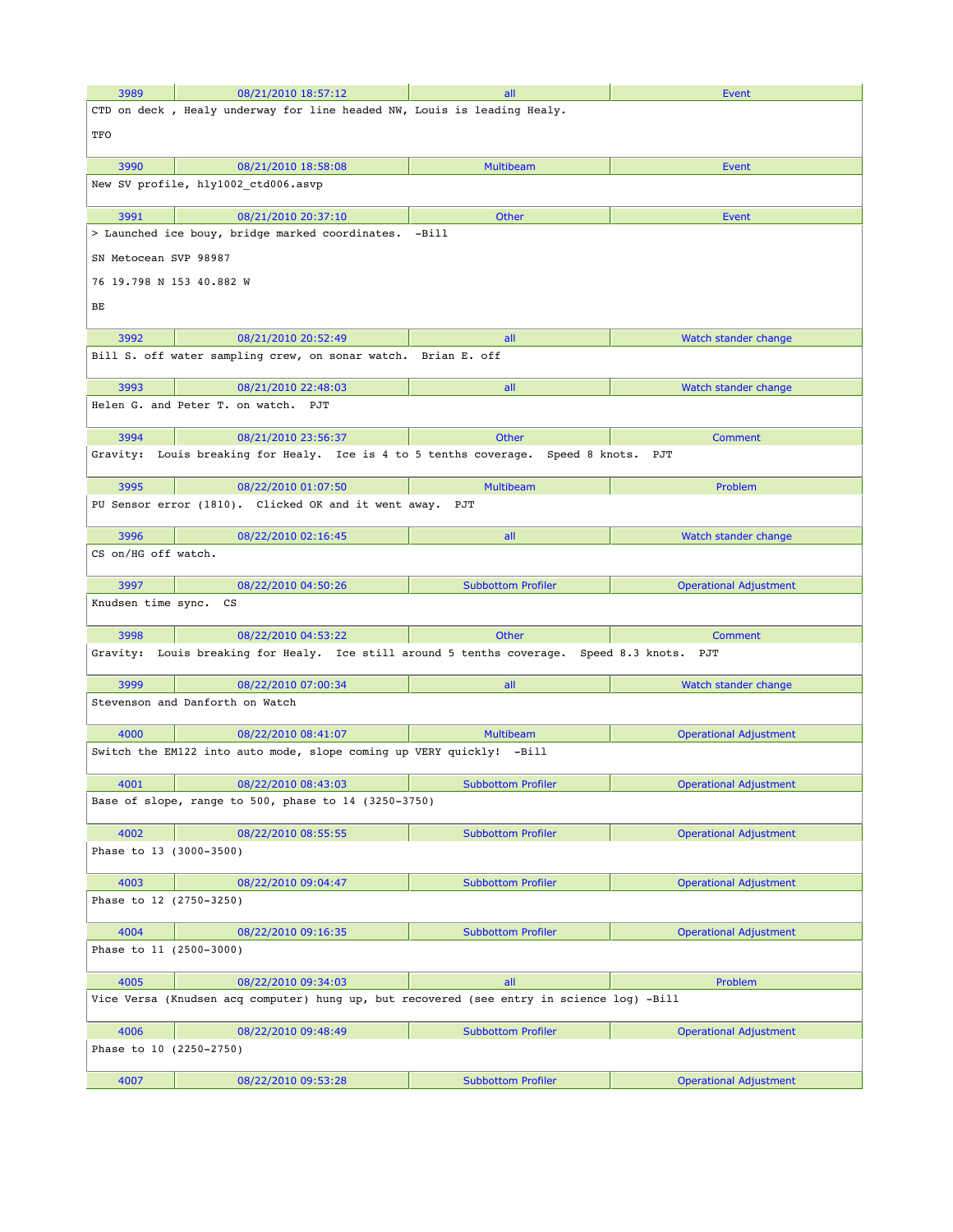| 3989                     | 08/21/2010 18:57:12                                                                         | all                       | Event                         |
|--------------------------|---------------------------------------------------------------------------------------------|---------------------------|-------------------------------|
|                          | CTD on deck, Healy underway for line headed NW, Louis is leading Healy.                     |                           |                               |
| TFO                      |                                                                                             |                           |                               |
| 3990                     | 08/21/2010 18:58:08                                                                         | <b>Multibeam</b>          | Event                         |
|                          | New SV profile, hly1002 ctd006.asvp                                                         |                           |                               |
| 3991                     | 08/21/2010 20:37:10                                                                         | Other                     | Event                         |
|                          | > Launched ice bouy, bridge marked coordinates.                                             | $-Bi11$                   |                               |
| SN Metocean SVP 98987    |                                                                                             |                           |                               |
| 76 19.798 N 153 40.882 W |                                                                                             |                           |                               |
| BЕ                       |                                                                                             |                           |                               |
|                          |                                                                                             |                           |                               |
| 3992                     | 08/21/2010 20:52:49<br>Bill S. off water sampling crew, on sonar watch. Brian E. off        | all                       | Watch stander change          |
|                          |                                                                                             |                           |                               |
| 3993                     | 08/21/2010 22:48:03                                                                         | all                       | Watch stander change          |
|                          | Helen G. and Peter T. on watch. PJT                                                         |                           |                               |
|                          |                                                                                             |                           |                               |
| 3994                     | 08/21/2010 23:56:37                                                                         | <b>Other</b>              | <b>Comment</b>                |
|                          | Gravity: Louis breaking for Healy. Ice is 4 to 5 tenths coverage. Speed 8 knots.            |                           | PJT                           |
| 3995                     | 08/22/2010 01:07:50                                                                         | <b>Multibeam</b>          | Problem                       |
|                          | PU Sensor error (1810). Clicked OK and it went away. PJT                                    |                           |                               |
| 3996                     | 08/22/2010 02:16:45                                                                         | all                       | Watch stander change          |
| CS on/HG off watch.      |                                                                                             |                           |                               |
| 3997                     | 08/22/2010 04:50:26                                                                         | <b>Subbottom Profiler</b> | <b>Operational Adjustment</b> |
| Knudsen time sync. CS    |                                                                                             |                           |                               |
| 3998                     | 08/22/2010 04:53:22                                                                         | <b>Other</b>              | <b>Comment</b>                |
|                          | Gravity: Louis breaking for Healy. Ice still around 5 tenths coverage. Speed 8.3 knots. PJT |                           |                               |
| 3999                     | 08/22/2010 07:00:34                                                                         | all                       | Watch stander change          |
|                          | Stevenson and Danforth on Watch                                                             |                           |                               |
| 4000                     | 08/22/2010 08:41:07                                                                         | <b>Multibeam</b>          | <b>Operational Adjustment</b> |
|                          | Switch the EM122 into auto mode, slope coming up VERY quickly! -Bill                        |                           |                               |
| 4001                     | 08/22/2010 08:43:03                                                                         | <b>Subbottom Profiler</b> | Operational Adjustment        |
|                          | Base of slope, range to 500, phase to 14 $(3250-3750)$                                      |                           |                               |
| 4002                     | 08/22/2010 08:55:55                                                                         | <b>Subbottom Profiler</b> | <b>Operational Adjustment</b> |
| Phase to 13 (3000-3500)  |                                                                                             |                           |                               |
| 4003                     | 08/22/2010 09:04:47                                                                         | <b>Subbottom Profiler</b> | <b>Operational Adjustment</b> |
| Phase to 12 (2750-3250)  |                                                                                             |                           |                               |
| 4004                     | 08/22/2010 09:16:35                                                                         | <b>Subbottom Profiler</b> | <b>Operational Adjustment</b> |
| Phase to 11 (2500-3000)  |                                                                                             |                           |                               |
| 4005                     | 08/22/2010 09:34:03                                                                         | all                       | Problem                       |
|                          | Vice Versa (Knudsen acq computer) hung up, but recovered (see entry in science log) -Bill   |                           |                               |
| 4006                     | 08/22/2010 09:48:49                                                                         | <b>Subbottom Profiler</b> | <b>Operational Adjustment</b> |
| Phase to 10 (2250-2750)  |                                                                                             |                           |                               |
| 4007                     | 08/22/2010 09:53:28                                                                         | <b>Subbottom Profiler</b> | <b>Operational Adjustment</b> |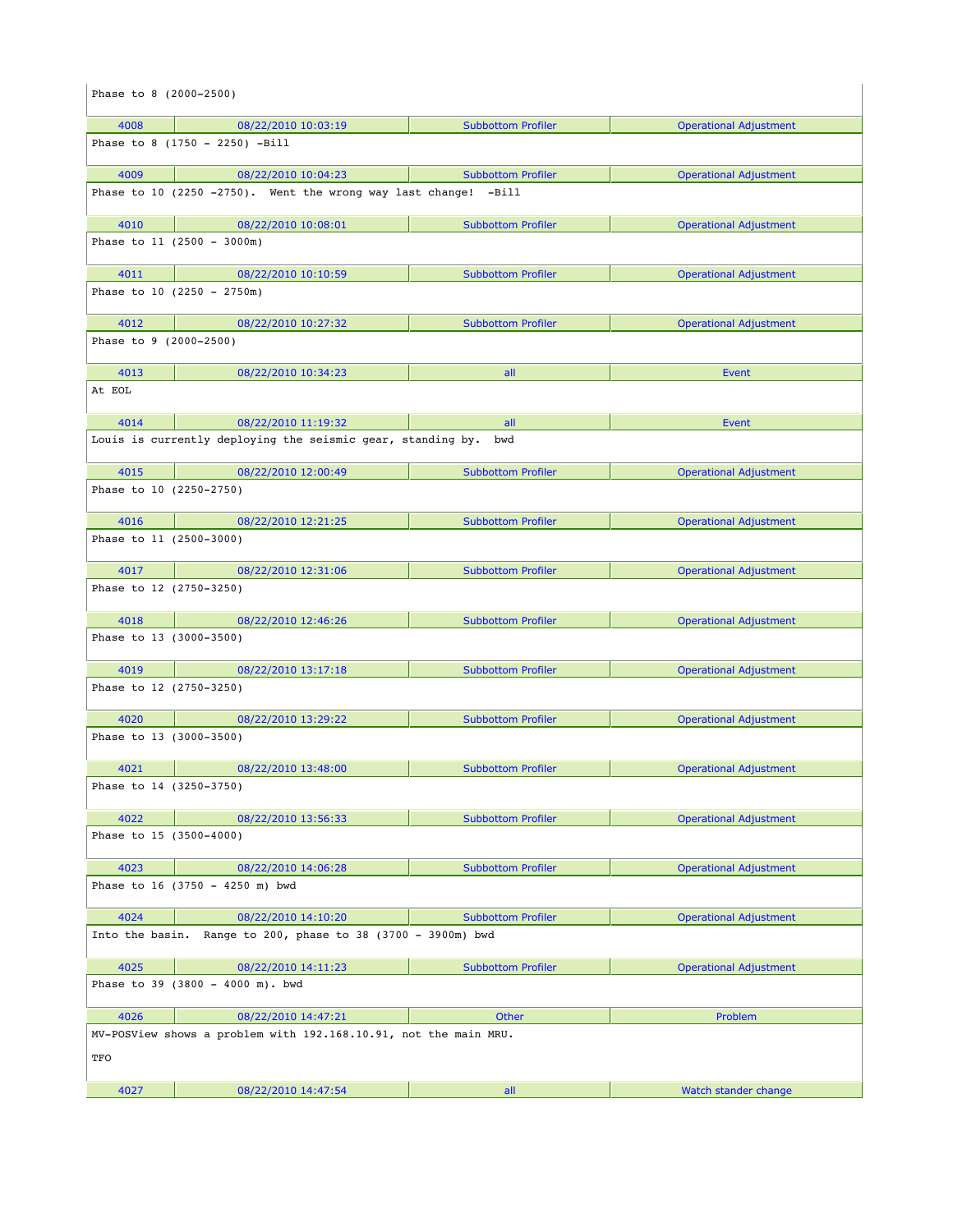| Phase to 8 (2000-2500)          |                                                                  |                           |                               |
|---------------------------------|------------------------------------------------------------------|---------------------------|-------------------------------|
| 4008                            | 08/22/2010 10:03:19                                              | <b>Subbottom Profiler</b> | <b>Operational Adjustment</b> |
|                                 | Phase to 8 $(1750 - 2250)$ -Bill                                 |                           |                               |
| 4009                            | 08/22/2010 10:04:23                                              | <b>Subbottom Profiler</b> | <b>Operational Adjustment</b> |
|                                 | Phase to 10 (2250 -2750). Went the wrong way last change! -Bill  |                           |                               |
| 4010                            | 08/22/2010 10:08:01                                              | <b>Subbottom Profiler</b> | <b>Operational Adjustment</b> |
|                                 | Phase to $11$ (2500 - 3000m)                                     |                           |                               |
| 4011                            | 08/22/2010 10:10:59                                              | <b>Subbottom Profiler</b> | <b>Operational Adjustment</b> |
|                                 | Phase to $10$ (2250 - 2750m)                                     |                           |                               |
| 4012                            | 08/22/2010 10:27:32                                              | <b>Subbottom Profiler</b> | <b>Operational Adjustment</b> |
| Phase to 9 (2000-2500)          |                                                                  |                           |                               |
| 4013                            | 08/22/2010 10:34:23                                              | all                       | Event                         |
| At EOL                          |                                                                  |                           |                               |
| 4014                            | 08/22/2010 11:19:32                                              | all                       | Event                         |
|                                 | Louis is currently deploying the seismic gear, standing by.      | bwd                       |                               |
| 4015                            | 08/22/2010 12:00:49                                              | <b>Subbottom Profiler</b> | <b>Operational Adjustment</b> |
| Phase to 10 (2250-2750)         |                                                                  |                           |                               |
| 4016<br>Phase to 11 (2500-3000) | 08/22/2010 12:21:25                                              | <b>Subbottom Profiler</b> | <b>Operational Adjustment</b> |
|                                 |                                                                  |                           |                               |
| 4017                            | 08/22/2010 12:31:06                                              | <b>Subbottom Profiler</b> | <b>Operational Adjustment</b> |
| Phase to 12 (2750-3250)         |                                                                  |                           |                               |
| 4018                            | 08/22/2010 12:46:26                                              | <b>Subbottom Profiler</b> | <b>Operational Adjustment</b> |
| Phase to 13 (3000-3500)         |                                                                  |                           |                               |
| 4019                            | 08/22/2010 13:17:18                                              | <b>Subbottom Profiler</b> | <b>Operational Adjustment</b> |
| Phase to 12 (2750-3250)         |                                                                  |                           |                               |
| 4020                            | 08/22/2010 13:29:22                                              | <b>Subbottom Profiler</b> | <b>Operational Adjustment</b> |
| Phase to 13 (3000-3500)         |                                                                  |                           |                               |
| 4021                            | 08/22/2010 13:48:00                                              | <b>Subbottom Profiler</b> | <b>Operational Adjustment</b> |
| Phase to 14 (3250-3750)         |                                                                  |                           |                               |
| 4022                            | 08/22/2010 13:56:33                                              | <b>Subbottom Profiler</b> | <b>Operational Adjustment</b> |
| Phase to 15 (3500-4000)         |                                                                  |                           |                               |
| 4023                            | 08/22/2010 14:06:28                                              | <b>Subbottom Profiler</b> | <b>Operational Adjustment</b> |
|                                 | Phase to 16 (3750 - 4250 m) bwd                                  |                           |                               |
| 4024                            | 08/22/2010 14:10:20                                              | <b>Subbottom Profiler</b> | <b>Operational Adjustment</b> |
|                                 | Into the basin. Range to 200, phase to 38 (3700 - 3900m) bwd     |                           |                               |
| 4025                            | 08/22/2010 14:11:23                                              | <b>Subbottom Profiler</b> | <b>Operational Adjustment</b> |
|                                 | Phase to 39 (3800 - 4000 m). bwd                                 |                           |                               |
| 4026                            | 08/22/2010 14:47:21                                              | Other                     | Problem                       |
|                                 | MV-POSView shows a problem with 192.168.10.91, not the main MRU. |                           |                               |
| TFO                             |                                                                  |                           |                               |
| 4027                            | 08/22/2010 14:47:54                                              | all                       | Watch stander change          |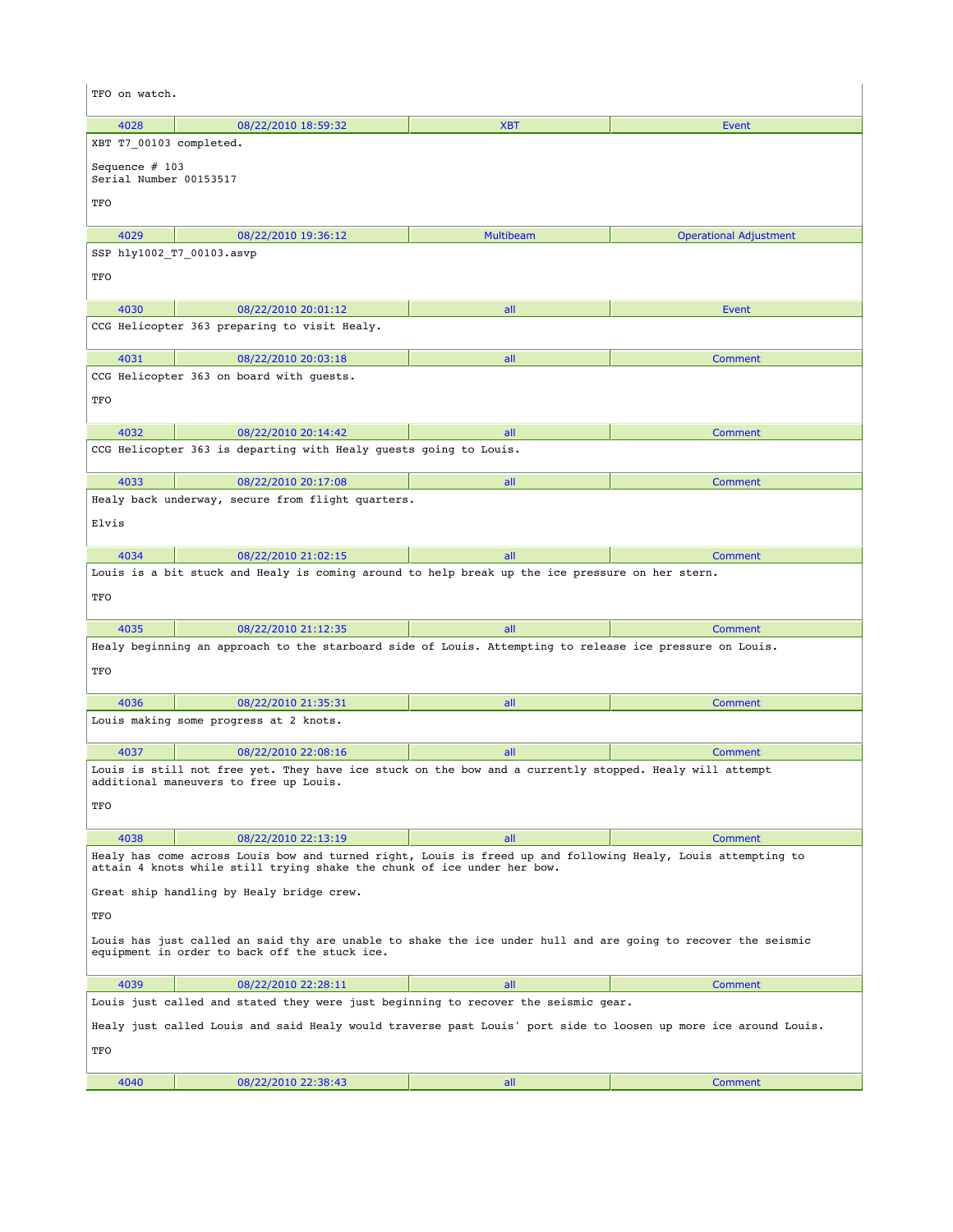| TFO on watch.                                                                                                                                                                           |                                                                                                                 |                  |                               |  |
|-----------------------------------------------------------------------------------------------------------------------------------------------------------------------------------------|-----------------------------------------------------------------------------------------------------------------|------------------|-------------------------------|--|
| 4028                                                                                                                                                                                    | 08/22/2010 18:59:32                                                                                             | <b>XBT</b>       | <b>Event</b>                  |  |
| XBT T7 00103 completed.                                                                                                                                                                 |                                                                                                                 |                  |                               |  |
| Sequence $# 103$<br>Serial Number 00153517                                                                                                                                              |                                                                                                                 |                  |                               |  |
| TFO                                                                                                                                                                                     |                                                                                                                 |                  |                               |  |
| 4029                                                                                                                                                                                    | 08/22/2010 19:36:12                                                                                             | <b>Multibeam</b> | <b>Operational Adjustment</b> |  |
| SSP hly1002 T7 00103.asvp                                                                                                                                                               |                                                                                                                 |                  |                               |  |
| TFO                                                                                                                                                                                     |                                                                                                                 |                  |                               |  |
| 4030                                                                                                                                                                                    | 08/22/2010 20:01:12                                                                                             | all              | Event                         |  |
|                                                                                                                                                                                         | CCG Helicopter 363 preparing to visit Healy.                                                                    |                  |                               |  |
| 4031                                                                                                                                                                                    | 08/22/2010 20:03:18                                                                                             | all              | Comment                       |  |
|                                                                                                                                                                                         | CCG Helicopter 363 on board with guests.                                                                        |                  |                               |  |
| TFO                                                                                                                                                                                     |                                                                                                                 |                  |                               |  |
| 4032                                                                                                                                                                                    | 08/22/2010 20:14:42                                                                                             | all              | Comment                       |  |
|                                                                                                                                                                                         | CCG Helicopter 363 is departing with Healy guests going to Louis.                                               |                  |                               |  |
| 4033                                                                                                                                                                                    | 08/22/2010 20:17:08                                                                                             | all              | Comment                       |  |
|                                                                                                                                                                                         | Healy back underway, secure from flight quarters.                                                               |                  |                               |  |
| Elvis                                                                                                                                                                                   |                                                                                                                 |                  |                               |  |
| 4034                                                                                                                                                                                    | 08/22/2010 21:02:15                                                                                             | all              | <b>Comment</b>                |  |
|                                                                                                                                                                                         | Louis is a bit stuck and Healy is coming around to help break up the ice pressure on her stern.                 |                  |                               |  |
| TFO                                                                                                                                                                                     |                                                                                                                 |                  |                               |  |
| 4035                                                                                                                                                                                    | 08/22/2010 21:12:35                                                                                             | all              | <b>Comment</b>                |  |
|                                                                                                                                                                                         | Healy beginning an approach to the starboard side of Louis. Attempting to release ice pressure on Louis.        |                  |                               |  |
| TFO                                                                                                                                                                                     |                                                                                                                 |                  |                               |  |
| 4036                                                                                                                                                                                    | 08/22/2010 21:35:31                                                                                             | all              | Comment                       |  |
|                                                                                                                                                                                         | Louis making some progress at 2 knots.                                                                          |                  |                               |  |
| 4037                                                                                                                                                                                    | 08/22/2010 22:08:16                                                                                             | all              | Comment                       |  |
|                                                                                                                                                                                         | Louis is still not free yet. They have ice stuck on the bow and a currently stopped. Healy will attempt         |                  |                               |  |
|                                                                                                                                                                                         | additional maneuvers to free up Louis.                                                                          |                  |                               |  |
| TFO                                                                                                                                                                                     |                                                                                                                 |                  |                               |  |
| 4038                                                                                                                                                                                    | 08/22/2010 22:13:19                                                                                             | all              | Comment                       |  |
| Healy has come across Louis bow and turned right, Louis is freed up and following Healy, Louis attempting to<br>attain 4 knots while still trying shake the chunk of ice under her bow. |                                                                                                                 |                  |                               |  |
| Great ship handling by Healy bridge crew.                                                                                                                                               |                                                                                                                 |                  |                               |  |
| TFO                                                                                                                                                                                     |                                                                                                                 |                  |                               |  |
| Louis has just called an said thy are unable to shake the ice under hull and are going to recover the seismic<br>equipment in order to back off the stuck ice.                          |                                                                                                                 |                  |                               |  |
| 4039                                                                                                                                                                                    | 08/22/2010 22:28:11                                                                                             | all              | <b>Comment</b>                |  |
|                                                                                                                                                                                         | Louis just called and stated they were just beginning to recover the seismic gear.                              |                  |                               |  |
|                                                                                                                                                                                         | Healy just called Louis and said Healy would traverse past Louis' port side to loosen up more ice around Louis. |                  |                               |  |
| TFO                                                                                                                                                                                     |                                                                                                                 |                  |                               |  |
| 4040                                                                                                                                                                                    | 08/22/2010 22:38:43                                                                                             | all              | <b>Comment</b>                |  |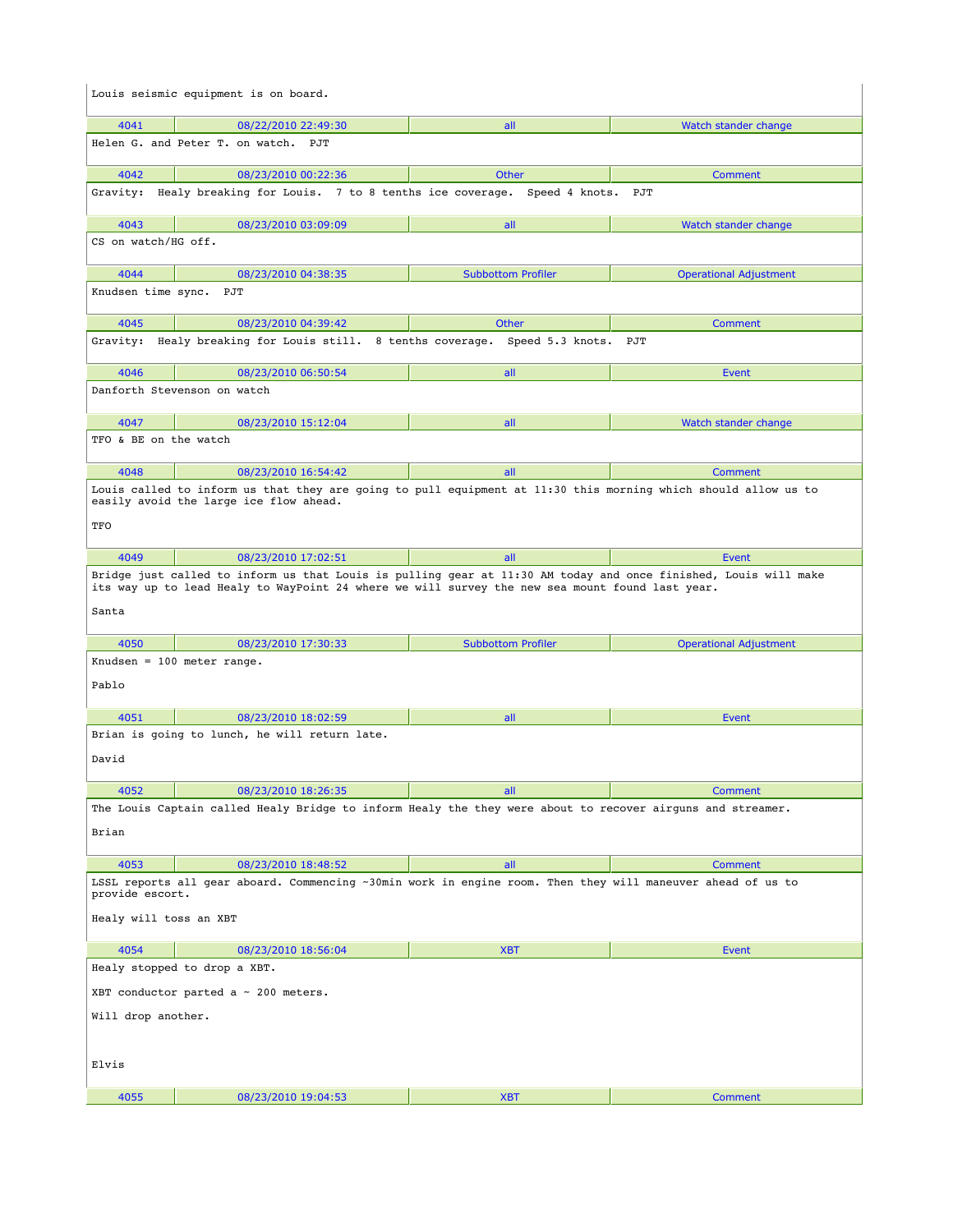|                              | Louis seismic equipment is on board.                                                                                                                                                                               |                           |                               |  |
|------------------------------|--------------------------------------------------------------------------------------------------------------------------------------------------------------------------------------------------------------------|---------------------------|-------------------------------|--|
| 4041                         | 08/22/2010 22:49:30                                                                                                                                                                                                | all                       | Watch stander change          |  |
|                              | Helen G. and Peter T. on watch. PJT                                                                                                                                                                                |                           |                               |  |
| 4042                         | 08/23/2010 00:22:36                                                                                                                                                                                                | Other                     | Comment                       |  |
|                              | Gravity: Healy breaking for Louis. 7 to 8 tenths ice coverage. Speed 4 knots.                                                                                                                                      |                           | PJT                           |  |
| 4043                         | 08/23/2010 03:09:09                                                                                                                                                                                                | all                       | Watch stander change          |  |
| CS on watch/HG off.          |                                                                                                                                                                                                                    |                           |                               |  |
| 4044                         | 08/23/2010 04:38:35                                                                                                                                                                                                | <b>Subbottom Profiler</b> | <b>Operational Adjustment</b> |  |
| Knudsen time sync. PJT       |                                                                                                                                                                                                                    |                           |                               |  |
| 4045                         | 08/23/2010 04:39:42                                                                                                                                                                                                | Other                     | Comment                       |  |
|                              | Gravity: Healy breaking for Louis still. 8 tenths coverage. Speed 5.3 knots. PJT                                                                                                                                   |                           |                               |  |
| 4046                         | 08/23/2010 06:50:54                                                                                                                                                                                                | all                       | Event                         |  |
|                              | Danforth Stevenson on watch                                                                                                                                                                                        |                           |                               |  |
| 4047                         | 08/23/2010 15:12:04                                                                                                                                                                                                | all                       | Watch stander change          |  |
| TFO & BE on the watch        |                                                                                                                                                                                                                    |                           |                               |  |
| 4048                         | 08/23/2010 16:54:42                                                                                                                                                                                                | all                       | Comment                       |  |
|                              | Louis called to inform us that they are going to pull equipment at 11:30 this morning which should allow us to<br>easily avoid the large ice flow ahead.                                                           |                           |                               |  |
| TFO                          |                                                                                                                                                                                                                    |                           |                               |  |
| 4049                         | 08/23/2010 17:02:51                                                                                                                                                                                                | all                       | Event                         |  |
| Santa                        | Bridge just called to inform us that Louis is pulling gear at 11:30 AM today and once finished, Louis will make<br>its way up to lead Healy to WayPoint 24 where we will survey the new sea mount found last year. |                           |                               |  |
| 4050                         | 08/23/2010 17:30:33                                                                                                                                                                                                | <b>Subbottom Profiler</b> | <b>Operational Adjustment</b> |  |
|                              | Knudsen = $100$ meter range.                                                                                                                                                                                       |                           |                               |  |
| Pablo                        |                                                                                                                                                                                                                    |                           |                               |  |
| 4051                         | 08/23/2010 18:02:59                                                                                                                                                                                                | all                       | Event                         |  |
|                              | Brian is going to lunch, he will return late.                                                                                                                                                                      |                           |                               |  |
| David                        |                                                                                                                                                                                                                    |                           |                               |  |
| 4052                         | 08/23/2010 18:26:35                                                                                                                                                                                                | all                       | Comment                       |  |
|                              | The Louis Captain called Healy Bridge to inform Healy the they were about to recover airguns and streamer.                                                                                                         |                           |                               |  |
| Brian                        |                                                                                                                                                                                                                    |                           |                               |  |
| 4053                         | 08/23/2010 18:48:52                                                                                                                                                                                                | all                       | Comment                       |  |
| provide escort.              | LSSL reports all gear aboard. Commencing ~30min work in engine room. Then they will maneuver ahead of us to                                                                                                        |                           |                               |  |
| Healy will toss an XBT       |                                                                                                                                                                                                                    |                           |                               |  |
| 4054                         | 08/23/2010 18:56:04                                                                                                                                                                                                | <b>XBT</b>                | Event                         |  |
| Healy stopped to drop a XBT. |                                                                                                                                                                                                                    |                           |                               |  |
|                              | XBT conductor parted a $\sim$ 200 meters.                                                                                                                                                                          |                           |                               |  |
| Will drop another.           |                                                                                                                                                                                                                    |                           |                               |  |
| Elvis                        |                                                                                                                                                                                                                    |                           |                               |  |
| 4055                         | 08/23/2010 19:04:53                                                                                                                                                                                                | <b>XBT</b>                | Comment                       |  |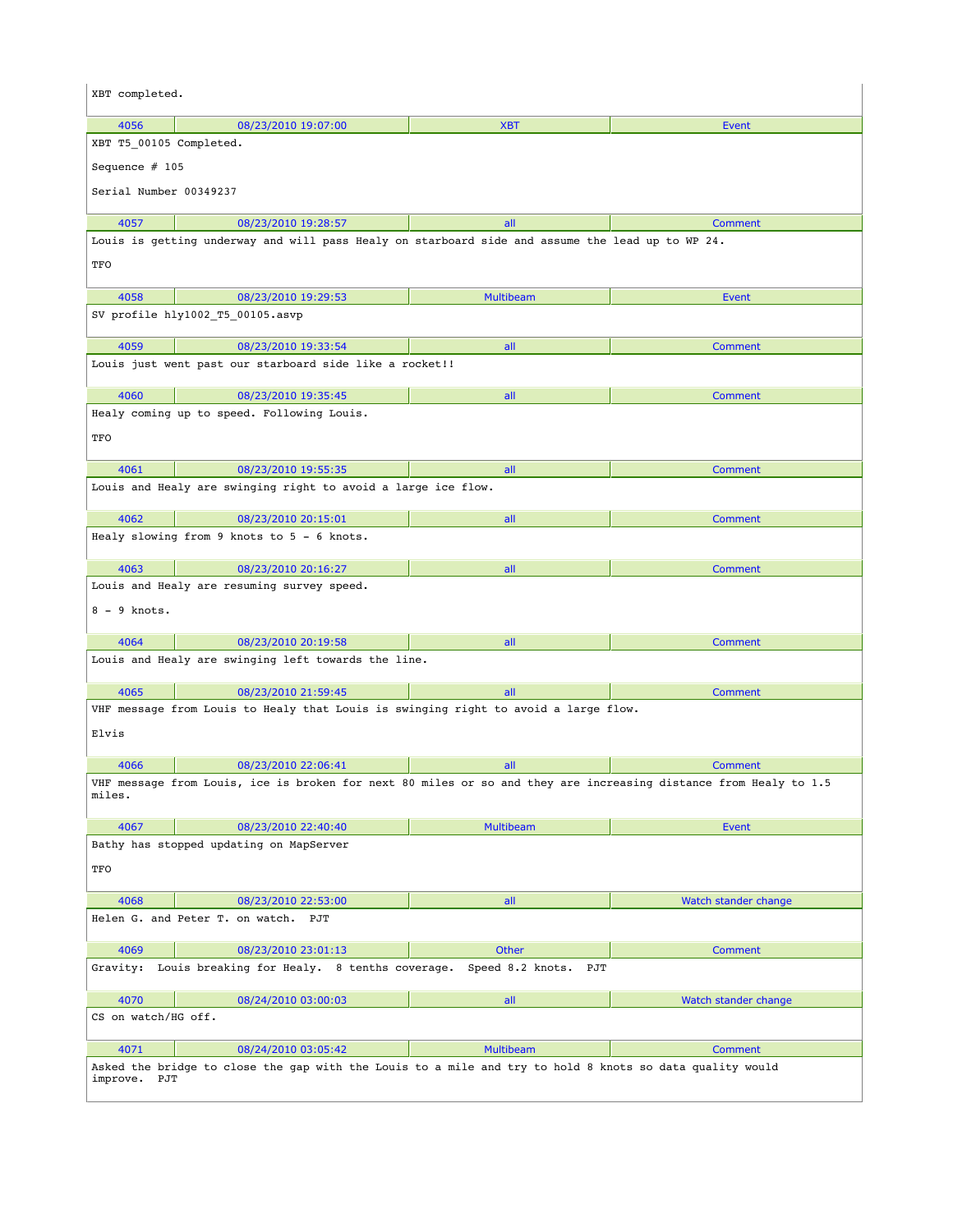| XBT completed.                                                                      |                                                                                                                  |                      |                      |  |
|-------------------------------------------------------------------------------------|------------------------------------------------------------------------------------------------------------------|----------------------|----------------------|--|
| 4056                                                                                | 08/23/2010 19:07:00                                                                                              | <b>XBT</b>           | Event                |  |
| XBT T5 00105 Completed.                                                             |                                                                                                                  |                      |                      |  |
| Sequence $# 105$                                                                    |                                                                                                                  |                      |                      |  |
| Serial Number 00349237                                                              |                                                                                                                  |                      |                      |  |
|                                                                                     |                                                                                                                  |                      |                      |  |
| 4057                                                                                | 08/23/2010 19:28:57                                                                                              | all                  | <b>Comment</b>       |  |
|                                                                                     | Louis is getting underway and will pass Healy on starboard side and assume the lead up to WP 24.                 |                      |                      |  |
| TFO                                                                                 |                                                                                                                  |                      |                      |  |
| 4058                                                                                | 08/23/2010 19:29:53                                                                                              | <b>Multibeam</b>     | Event                |  |
|                                                                                     | SV profile hly1002_T5_00105.asvp                                                                                 |                      |                      |  |
| 4059                                                                                | 08/23/2010 19:33:54                                                                                              | all                  | Comment              |  |
|                                                                                     | Louis just went past our starboard side like a rocket!!                                                          |                      |                      |  |
|                                                                                     |                                                                                                                  |                      |                      |  |
| 4060                                                                                | 08/23/2010 19:35:45                                                                                              | all                  | Comment              |  |
|                                                                                     | Healy coming up to speed. Following Louis.                                                                       |                      |                      |  |
| TFO                                                                                 |                                                                                                                  |                      |                      |  |
| 4061                                                                                | 08/23/2010 19:55:35                                                                                              | all                  | <b>Comment</b>       |  |
|                                                                                     | Louis and Healy are swinging right to avoid a large ice flow.                                                    |                      |                      |  |
|                                                                                     |                                                                                                                  |                      |                      |  |
| 4062                                                                                | 08/23/2010 20:15:01<br>Healy slowing from 9 knots to 5 - 6 knots.                                                | all                  | <b>Comment</b>       |  |
|                                                                                     |                                                                                                                  |                      |                      |  |
| 4063                                                                                | 08/23/2010 20:16:27                                                                                              | all                  | <b>Comment</b>       |  |
|                                                                                     | Louis and Healy are resuming survey speed.                                                                       |                      |                      |  |
| $8 - 9$ knots.                                                                      |                                                                                                                  |                      |                      |  |
| 4064                                                                                | 08/23/2010 20:19:58                                                                                              | all                  | Comment              |  |
|                                                                                     | Louis and Healy are swinging left towards the line.                                                              |                      |                      |  |
|                                                                                     |                                                                                                                  |                      |                      |  |
| 4065                                                                                | 08/23/2010 21:59:45                                                                                              | all                  | Comment              |  |
| VHF message from Louis to Healy that Louis is swinging right to avoid a large flow. |                                                                                                                  |                      |                      |  |
| Elvis                                                                               |                                                                                                                  |                      |                      |  |
| 4066                                                                                | 08/23/2010 22:06:41                                                                                              | all                  | <b>Comment</b>       |  |
|                                                                                     | VHF message from Louis, ice is broken for next 80 miles or so and they are increasing distance from Healy to 1.5 |                      |                      |  |
| miles.                                                                              |                                                                                                                  |                      |                      |  |
| 4067                                                                                | 08/23/2010 22:40:40                                                                                              | <b>Multibeam</b>     | <b>Event</b>         |  |
|                                                                                     | Bathy has stopped updating on MapServer                                                                          |                      |                      |  |
| TFO                                                                                 |                                                                                                                  |                      |                      |  |
|                                                                                     |                                                                                                                  |                      |                      |  |
| 4068                                                                                | 08/23/2010 22:53:00                                                                                              | all                  | Watch stander change |  |
|                                                                                     | Helen G. and Peter T. on watch. PJT                                                                              |                      |                      |  |
| 4069                                                                                | 08/23/2010 23:01:13                                                                                              | <b>Other</b>         | <b>Comment</b>       |  |
| Gravity:                                                                            | Louis breaking for Healy. 8 tenths coverage.                                                                     | Speed 8.2 knots. PJT |                      |  |
|                                                                                     |                                                                                                                  |                      |                      |  |
| 4070                                                                                | 08/24/2010 03:00:03                                                                                              | all                  | Watch stander change |  |
| CS on watch/HG off.                                                                 |                                                                                                                  |                      |                      |  |
| 4071                                                                                | 08/24/2010 03:05:42                                                                                              | <b>Multibeam</b>     | <b>Comment</b>       |  |
|                                                                                     | Asked the bridge to close the gap with the Louis to a mile and try to hold 8 knots so data quality would         |                      |                      |  |
| improve. PJT                                                                        |                                                                                                                  |                      |                      |  |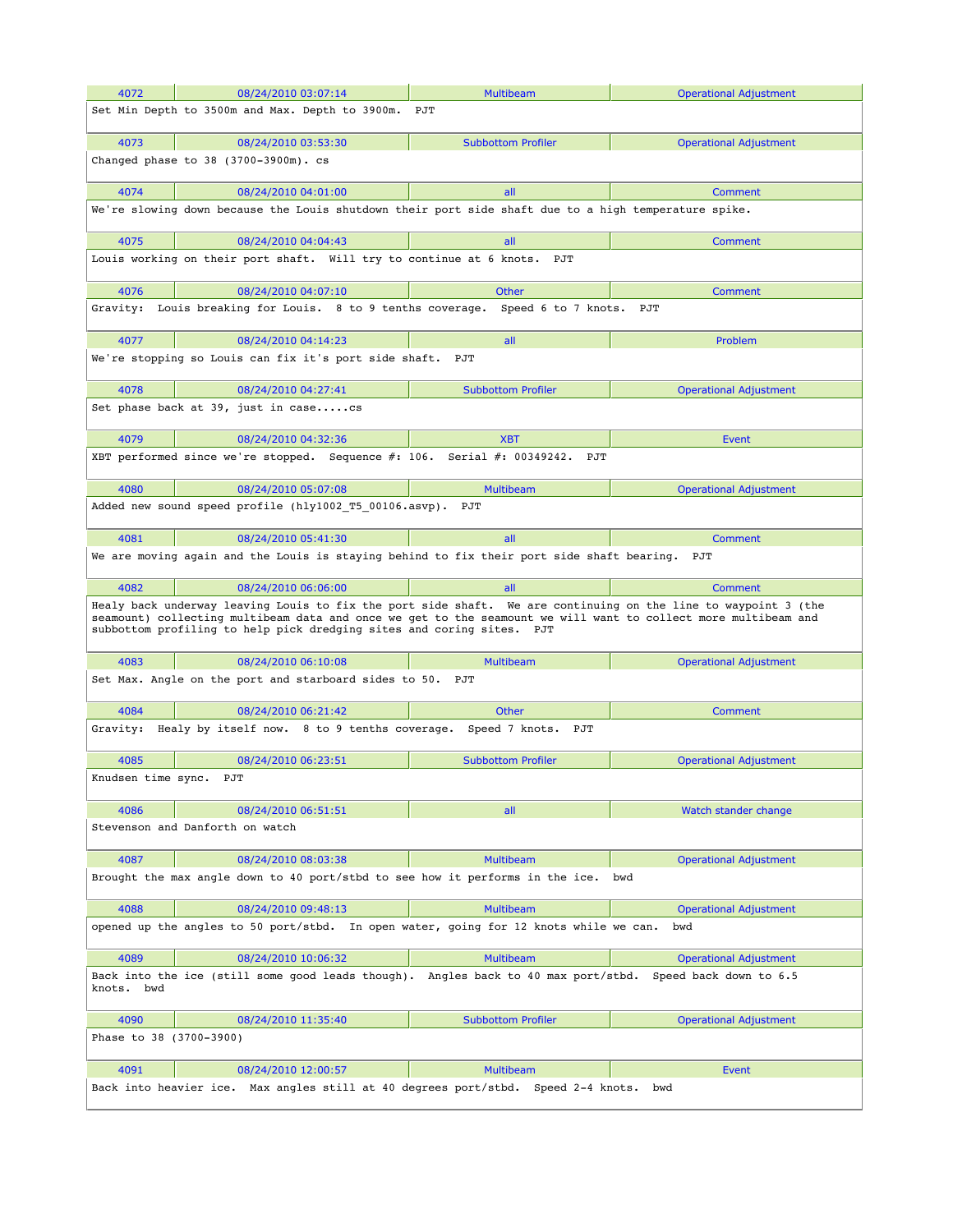| 4072                    | 08/24/2010 03:07:14                                                                                                                                                                                                                                                                                       | <b>Multibeam</b>                                           | <b>Operational Adjustment</b> |
|-------------------------|-----------------------------------------------------------------------------------------------------------------------------------------------------------------------------------------------------------------------------------------------------------------------------------------------------------|------------------------------------------------------------|-------------------------------|
|                         | Set Min Depth to 3500m and Max. Depth to 3900m.                                                                                                                                                                                                                                                           | PJT                                                        |                               |
|                         |                                                                                                                                                                                                                                                                                                           |                                                            |                               |
| 4073                    | 08/24/2010 03:53:30<br>Changed phase to 38 (3700-3900m). cs                                                                                                                                                                                                                                               | <b>Subbottom Profiler</b>                                  | <b>Operational Adjustment</b> |
|                         |                                                                                                                                                                                                                                                                                                           |                                                            |                               |
| 4074                    | 08/24/2010 04:01:00                                                                                                                                                                                                                                                                                       | all                                                        | Comment                       |
|                         | We're slowing down because the Louis shutdown their port side shaft due to a high temperature spike.                                                                                                                                                                                                      |                                                            |                               |
| 4075                    | 08/24/2010 04:04:43                                                                                                                                                                                                                                                                                       | all                                                        | Comment                       |
|                         | Louis working on their port shaft. Will try to continue at 6 knots.                                                                                                                                                                                                                                       | PJT                                                        |                               |
| 4076                    | 08/24/2010 04:07:10                                                                                                                                                                                                                                                                                       | Other                                                      | Comment                       |
|                         | Gravity: Louis breaking for Louis.  8 to 9 tenths coverage.  Speed 6 to 7 knots.  PJT                                                                                                                                                                                                                     |                                                            |                               |
| 4077                    | 08/24/2010 04:14:23                                                                                                                                                                                                                                                                                       | all                                                        | Problem                       |
|                         | We're stopping so Louis can fix it's port side shaft. PJT                                                                                                                                                                                                                                                 |                                                            |                               |
| 4078                    | 08/24/2010 04:27:41                                                                                                                                                                                                                                                                                       | <b>Subbottom Profiler</b>                                  | <b>Operational Adjustment</b> |
|                         | Set phase back at 39, just in casecs                                                                                                                                                                                                                                                                      |                                                            |                               |
|                         |                                                                                                                                                                                                                                                                                                           |                                                            |                               |
| 4079                    | 08/24/2010 04:32:36<br>XBT performed since we're stopped. Sequence #: 106. Serial #: 00349242. PJT                                                                                                                                                                                                        | <b>XBT</b>                                                 | Event                         |
|                         |                                                                                                                                                                                                                                                                                                           |                                                            |                               |
| 4080                    | 08/24/2010 05:07:08                                                                                                                                                                                                                                                                                       | <b>Multibeam</b>                                           | <b>Operational Adjustment</b> |
|                         | Added new sound speed profile (hly1002 T5 00106.asvp). PJT                                                                                                                                                                                                                                                |                                                            |                               |
| 4081                    | 08/24/2010 05:41:30                                                                                                                                                                                                                                                                                       | all                                                        | Comment                       |
|                         | We are moving again and the Louis is staying behind to fix their port side shaft bearing.                                                                                                                                                                                                                 |                                                            | PJT                           |
| 4082                    | 08/24/2010 06:06:00                                                                                                                                                                                                                                                                                       | all                                                        | Comment                       |
|                         | Healy back underway leaving Louis to fix the port side shaft. We are continuing on the line to waypoint 3 (the<br>seamount) collecting multibeam data and once we get to the seamount we will want to collect more multibeam and<br>subbottom profiling to help pick dredging sites and coring sites. PJT |                                                            |                               |
| 4083                    | 08/24/2010 06:10:08                                                                                                                                                                                                                                                                                       | <b>Multibeam</b>                                           | <b>Operational Adjustment</b> |
|                         | Set Max. Angle on the port and starboard sides to 50. PJT                                                                                                                                                                                                                                                 |                                                            |                               |
| 4084                    | 08/24/2010 06:21:42                                                                                                                                                                                                                                                                                       | Other                                                      | Comment                       |
|                         | Gravity: Healy by itself now. 8 to 9 tenths coverage. Speed 7 knots.                                                                                                                                                                                                                                      | PJT                                                        |                               |
| 4085                    | 08/24/2010 06:23:51                                                                                                                                                                                                                                                                                       | <b>Subbottom Profiler</b>                                  | <b>Operational Adjustment</b> |
| Knudsen time sync.      | PJT                                                                                                                                                                                                                                                                                                       |                                                            |                               |
| 4086                    | 08/24/2010 06:51:51                                                                                                                                                                                                                                                                                       | all                                                        | Watch stander change          |
|                         | Stevenson and Danforth on watch                                                                                                                                                                                                                                                                           |                                                            |                               |
| 4087                    | 08/24/2010 08:03:38                                                                                                                                                                                                                                                                                       | <b>Multibeam</b>                                           | <b>Operational Adjustment</b> |
|                         | Brought the max angle down to 40 port/stbd to see how it performs in the ice.                                                                                                                                                                                                                             |                                                            | bwd                           |
| 4088                    | 08/24/2010 09:48:13                                                                                                                                                                                                                                                                                       | <b>Multibeam</b>                                           | <b>Operational Adjustment</b> |
|                         | opened up the angles to 50 port/stbd. In open water, going for 12 knots while we can.                                                                                                                                                                                                                     |                                                            | bwd                           |
| 4089                    | 08/24/2010 10:06:32                                                                                                                                                                                                                                                                                       | <b>Multibeam</b>                                           | <b>Operational Adjustment</b> |
| knots. bwd              | Back into the ice (still some good leads though).                                                                                                                                                                                                                                                         | Angles back to 40 max port/stbd.                           | Speed back down to 6.5        |
| 4090                    | 08/24/2010 11:35:40                                                                                                                                                                                                                                                                                       | <b>Subbottom Profiler</b>                                  | <b>Operational Adjustment</b> |
| Phase to 38 (3700-3900) |                                                                                                                                                                                                                                                                                                           |                                                            |                               |
| 4091                    | 08/24/2010 12:00:57                                                                                                                                                                                                                                                                                       | <b>Multibeam</b>                                           | Event                         |
| Back into heavier ice.  |                                                                                                                                                                                                                                                                                                           | Max angles still at 40 degrees port/stbd. Speed 2-4 knots. | bwd                           |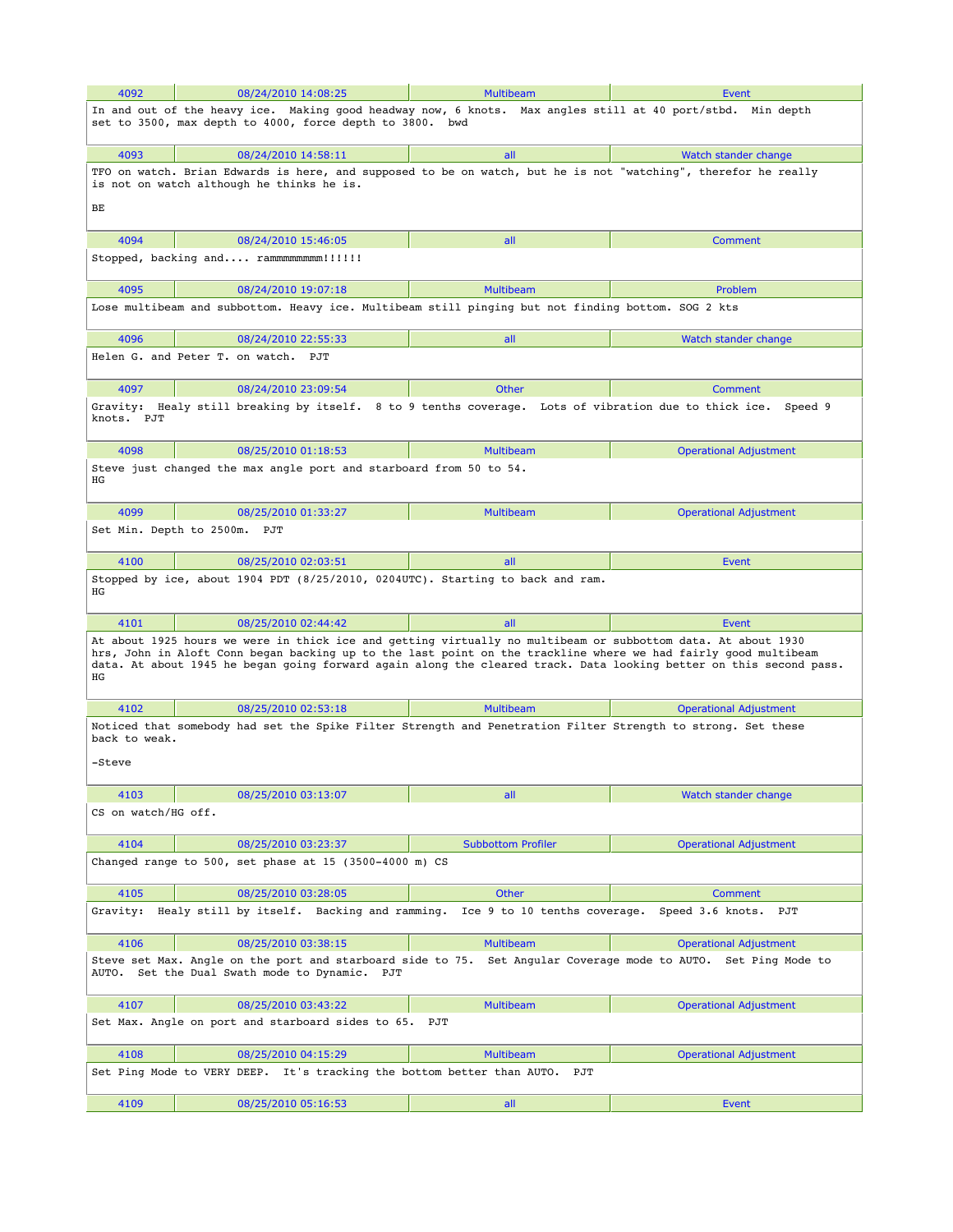| 4092                                                                                                                                                                   | 08/24/2010 14:08:25                                                                                                                                                                                                                                                                                                                                  | <b>Multibeam</b>                                  | Event                                               |  |
|------------------------------------------------------------------------------------------------------------------------------------------------------------------------|------------------------------------------------------------------------------------------------------------------------------------------------------------------------------------------------------------------------------------------------------------------------------------------------------------------------------------------------------|---------------------------------------------------|-----------------------------------------------------|--|
| In and out of the heavy ice. Making good headway now, 6 knots. Max angles still at 40 port/stbd. Min depth<br>set to 3500, max depth to 4000, force depth to 3800. bwd |                                                                                                                                                                                                                                                                                                                                                      |                                                   |                                                     |  |
| 4093                                                                                                                                                                   | 08/24/2010 14:58:11                                                                                                                                                                                                                                                                                                                                  | all                                               | Watch stander change                                |  |
| ВE                                                                                                                                                                     | TFO on watch. Brian Edwards is here, and supposed to be on watch, but he is not "watching", therefor he really<br>is not on watch although he thinks he is.                                                                                                                                                                                          |                                                   |                                                     |  |
| 4094                                                                                                                                                                   | 08/24/2010 15:46:05                                                                                                                                                                                                                                                                                                                                  | all                                               | Comment                                             |  |
|                                                                                                                                                                        | Stopped, backing and rammmmmmmm!!!!!!                                                                                                                                                                                                                                                                                                                |                                                   |                                                     |  |
| 4095                                                                                                                                                                   | 08/24/2010 19:07:18                                                                                                                                                                                                                                                                                                                                  | <b>Multibeam</b>                                  | Problem                                             |  |
|                                                                                                                                                                        | Lose multibeam and subbottom. Heavy ice. Multibeam still pinging but not finding bottom. SOG 2 kts                                                                                                                                                                                                                                                   |                                                   |                                                     |  |
| 4096                                                                                                                                                                   | 08/24/2010 22:55:33                                                                                                                                                                                                                                                                                                                                  | all                                               | Watch stander change                                |  |
|                                                                                                                                                                        | Helen G. and Peter T. on watch. PJT                                                                                                                                                                                                                                                                                                                  |                                                   |                                                     |  |
| 4097                                                                                                                                                                   | 08/24/2010 23:09:54                                                                                                                                                                                                                                                                                                                                  | <b>Other</b>                                      | Comment                                             |  |
| knots. PJT                                                                                                                                                             | Gravity: Healy still breaking by itself. 8 to 9 tenths coverage. Lots of vibration due to thick ice.                                                                                                                                                                                                                                                 |                                                   | Speed 9                                             |  |
| 4098                                                                                                                                                                   | 08/25/2010 01:18:53                                                                                                                                                                                                                                                                                                                                  | <b>Multibeam</b>                                  | <b>Operational Adjustment</b>                       |  |
| ΗG                                                                                                                                                                     | Steve just changed the max angle port and starboard from 50 to 54.                                                                                                                                                                                                                                                                                   |                                                   |                                                     |  |
| 4099                                                                                                                                                                   | 08/25/2010 01:33:27                                                                                                                                                                                                                                                                                                                                  | <b>Multibeam</b>                                  | <b>Operational Adjustment</b>                       |  |
|                                                                                                                                                                        | Set Min. Depth to 2500m. PJT                                                                                                                                                                                                                                                                                                                         |                                                   |                                                     |  |
| 4100                                                                                                                                                                   | 08/25/2010 02:03:51                                                                                                                                                                                                                                                                                                                                  | all                                               | Event                                               |  |
| ΗG                                                                                                                                                                     | Stopped by ice, about 1904 PDT (8/25/2010, 0204UTC). Starting to back and ram.                                                                                                                                                                                                                                                                       |                                                   |                                                     |  |
| 4101                                                                                                                                                                   | 08/25/2010 02:44:42                                                                                                                                                                                                                                                                                                                                  | all                                               | Event                                               |  |
| ΗG                                                                                                                                                                     | At about 1925 hours we were in thick ice and getting virtually no multibeam or subbottom data. At about 1930<br>hrs, John in Aloft Conn began backing up to the last point on the trackline where we had fairly good multibeam<br>data. At about 1945 he began going forward again along the cleared track. Data looking better on this second pass. |                                                   |                                                     |  |
| 4102                                                                                                                                                                   | 08/25/2010 02:53:18                                                                                                                                                                                                                                                                                                                                  | <b>Multibeam</b>                                  | <b>Operational Adjustment</b>                       |  |
| back to weak.                                                                                                                                                          | Noticed that somebody had set the Spike Filter Strength and Penetration Filter Strength to strong. Set these                                                                                                                                                                                                                                         |                                                   |                                                     |  |
| -Steve                                                                                                                                                                 |                                                                                                                                                                                                                                                                                                                                                      |                                                   |                                                     |  |
| 4103                                                                                                                                                                   | 08/25/2010 03:13:07                                                                                                                                                                                                                                                                                                                                  | all                                               | Watch stander change                                |  |
| CS on watch/HG off.                                                                                                                                                    |                                                                                                                                                                                                                                                                                                                                                      |                                                   |                                                     |  |
| 4104                                                                                                                                                                   | 08/25/2010 03:23:37                                                                                                                                                                                                                                                                                                                                  | <b>Subbottom Profiler</b>                         | <b>Operational Adjustment</b>                       |  |
|                                                                                                                                                                        | Changed range to $500$ , set phase at 15 (3500-4000 m) CS                                                                                                                                                                                                                                                                                            |                                                   |                                                     |  |
| 4105<br>Gravity:                                                                                                                                                       | 08/25/2010 03:28:05<br>Healy still by itself. Backing and ramming.                                                                                                                                                                                                                                                                                   | Other<br>Ice 9 to 10 tenths coverage.             | Comment<br>Speed 3.6 knots.<br>PJT                  |  |
| 4106                                                                                                                                                                   | 08/25/2010 03:38:15                                                                                                                                                                                                                                                                                                                                  | <b>Multibeam</b>                                  | <b>Operational Adjustment</b>                       |  |
|                                                                                                                                                                        | Steve set Max. Angle on the port and starboard side to 75.<br>AUTO. Set the Dual Swath mode to Dynamic. PJT                                                                                                                                                                                                                                          |                                                   | Set Angular Coverage mode to AUTO. Set Ping Mode to |  |
|                                                                                                                                                                        |                                                                                                                                                                                                                                                                                                                                                      |                                                   |                                                     |  |
| 4107                                                                                                                                                                   | 08/25/2010 03:43:22                                                                                                                                                                                                                                                                                                                                  | <b>Multibeam</b>                                  | <b>Operational Adjustment</b>                       |  |
|                                                                                                                                                                        | Set Max. Angle on port and starboard sides to 65.                                                                                                                                                                                                                                                                                                    | PJT                                               |                                                     |  |
| 4108                                                                                                                                                                   | 08/25/2010 04:15:29                                                                                                                                                                                                                                                                                                                                  | <b>Multibeam</b>                                  | <b>Operational Adjustment</b>                       |  |
|                                                                                                                                                                        | Set Ping Mode to VERY DEEP.                                                                                                                                                                                                                                                                                                                          | It's tracking the bottom better than AUTO.<br>PJT |                                                     |  |
| 4109                                                                                                                                                                   | 08/25/2010 05:16:53                                                                                                                                                                                                                                                                                                                                  | all                                               | Event                                               |  |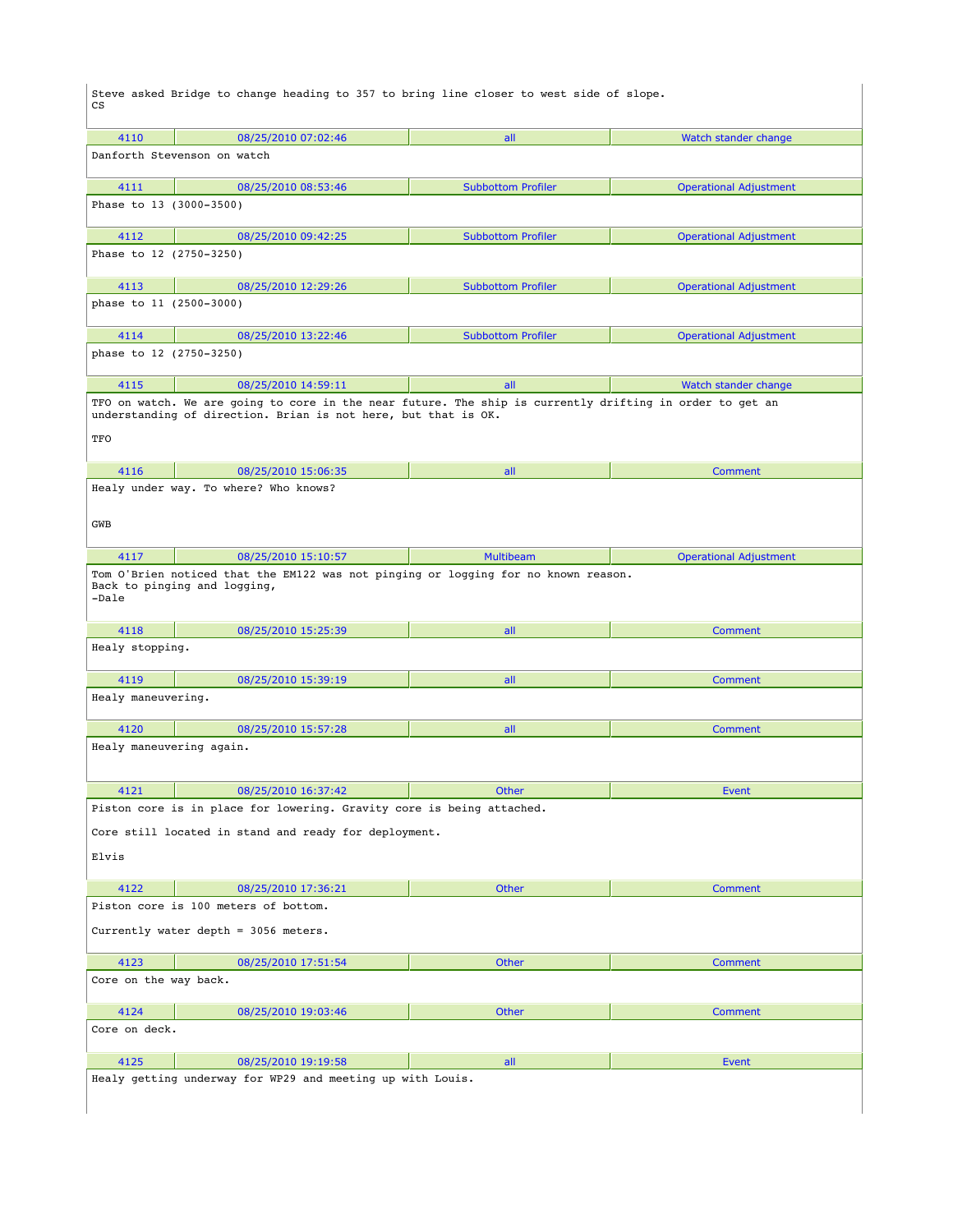Steve asked Bridge to change heading to 357 to bring line closer to west side of slope. CS

| 4110                                                           | 08/25/2010 07:02:46                                                                                                                                                        | all                       | Watch stander change          |  |  |
|----------------------------------------------------------------|----------------------------------------------------------------------------------------------------------------------------------------------------------------------------|---------------------------|-------------------------------|--|--|
| Danforth Stevenson on watch                                    |                                                                                                                                                                            |                           |                               |  |  |
| 4111                                                           | 08/25/2010 08:53:46                                                                                                                                                        | <b>Subbottom Profiler</b> | <b>Operational Adjustment</b> |  |  |
| Phase to 13 (3000-3500)                                        |                                                                                                                                                                            |                           |                               |  |  |
| 4112                                                           | 08/25/2010 09:42:25                                                                                                                                                        | <b>Subbottom Profiler</b> | <b>Operational Adjustment</b> |  |  |
| Phase to 12 (2750-3250)                                        |                                                                                                                                                                            |                           |                               |  |  |
| 4113                                                           | 08/25/2010 12:29:26                                                                                                                                                        | <b>Subbottom Profiler</b> | <b>Operational Adjustment</b> |  |  |
| phase to 11 (2500-3000)                                        |                                                                                                                                                                            |                           |                               |  |  |
| 4114                                                           | 08/25/2010 13:22:46                                                                                                                                                        | <b>Subbottom Profiler</b> | <b>Operational Adjustment</b> |  |  |
| phase to 12 (2750-3250)                                        |                                                                                                                                                                            |                           |                               |  |  |
| 4115                                                           | 08/25/2010 14:59:11                                                                                                                                                        | all                       | Watch stander change          |  |  |
| TFO                                                            | TFO on watch. We are going to core in the near future. The ship is currently drifting in order to get an<br>understanding of direction. Brian is not here, but that is OK. |                           |                               |  |  |
| 4116                                                           | 08/25/2010 15:06:35                                                                                                                                                        | all                       | <b>Comment</b>                |  |  |
| GWB                                                            | Healy under way. To where? Who knows?                                                                                                                                      |                           |                               |  |  |
| 4117                                                           | 08/25/2010 15:10:57                                                                                                                                                        | <b>Multibeam</b>          | <b>Operational Adjustment</b> |  |  |
| -Dale                                                          | Tom O'Brien noticed that the EM122 was not pinging or logging for no known reason.<br>Back to pinging and logging,                                                         |                           |                               |  |  |
| 4118                                                           | 08/25/2010 15:25:39                                                                                                                                                        | all                       | <b>Comment</b>                |  |  |
| Healy stopping.                                                |                                                                                                                                                                            |                           |                               |  |  |
| 4119                                                           | 08/25/2010 15:39:19                                                                                                                                                        | all                       | Comment                       |  |  |
| Healy maneuvering.                                             |                                                                                                                                                                            |                           |                               |  |  |
| 4120                                                           | 08/25/2010 15:57:28                                                                                                                                                        | all                       | Comment                       |  |  |
| Healy maneuvering again.                                       |                                                                                                                                                                            |                           |                               |  |  |
| 4121                                                           | 08/25/2010 16:37:42                                                                                                                                                        | Other                     | <b>Event</b>                  |  |  |
|                                                                | Piston core is in place for lowering. Gravity core is being attached.                                                                                                      |                           |                               |  |  |
| Core still located in stand and ready for deployment.<br>Elvis |                                                                                                                                                                            |                           |                               |  |  |
| 4122                                                           | 08/25/2010 17:36:21                                                                                                                                                        | Other                     | <b>Comment</b>                |  |  |
|                                                                | Piston core is 100 meters of bottom.                                                                                                                                       |                           |                               |  |  |
| Currently water depth = 3056 meters.                           |                                                                                                                                                                            |                           |                               |  |  |
| 4123                                                           | 08/25/2010 17:51:54                                                                                                                                                        | Other                     | Comment                       |  |  |
| Core on the way back.                                          |                                                                                                                                                                            |                           |                               |  |  |
| 4124                                                           | 08/25/2010 19:03:46                                                                                                                                                        | Other                     | <b>Comment</b>                |  |  |
| Core on deck.                                                  |                                                                                                                                                                            |                           |                               |  |  |
| 4125                                                           | 08/25/2010 19:19:58                                                                                                                                                        | all                       | <b>Event</b>                  |  |  |
|                                                                | Healy getting underway for WP29 and meeting up with Louis.                                                                                                                 |                           |                               |  |  |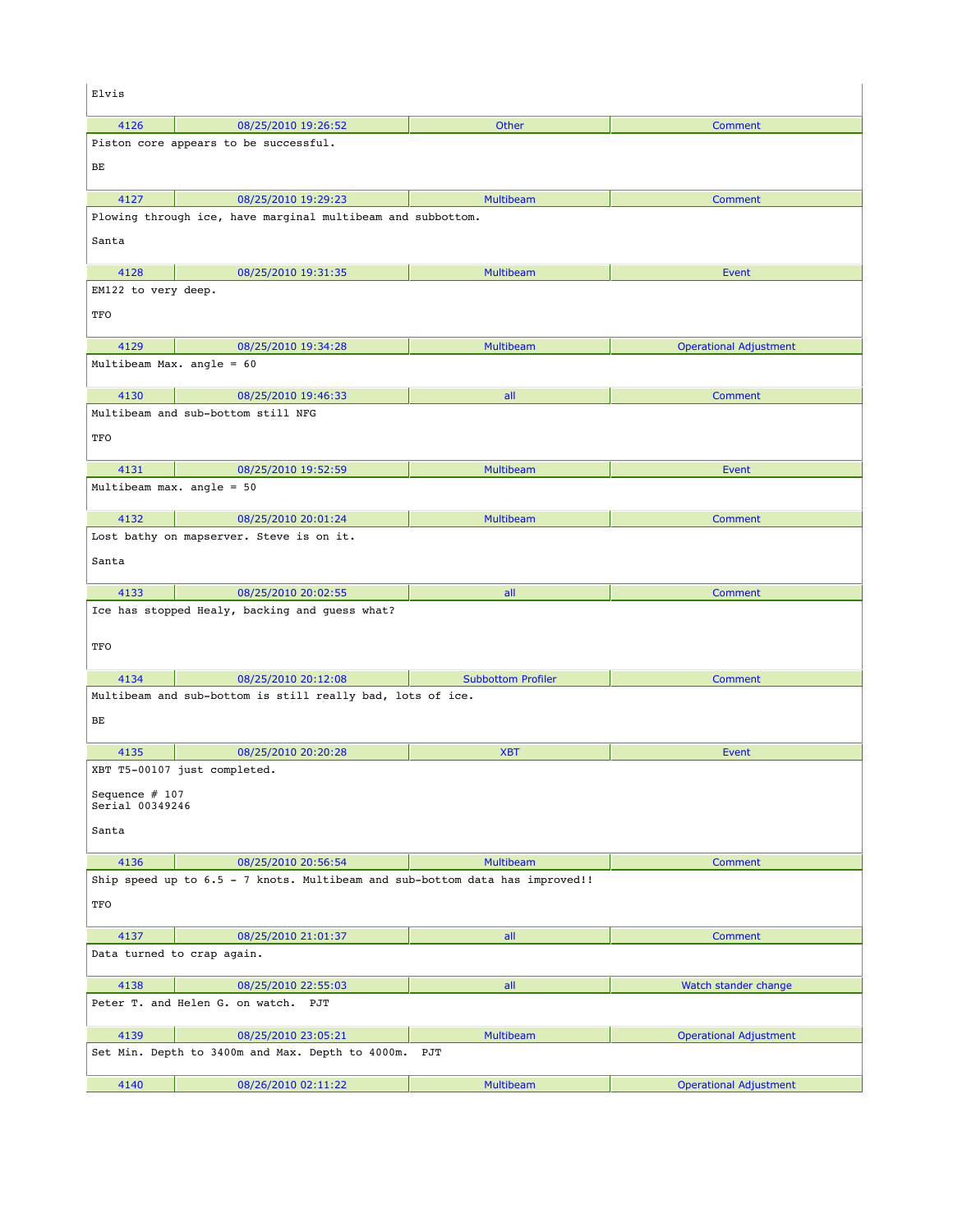| Elvis                               |                                                                              |                           |                               |  |
|-------------------------------------|------------------------------------------------------------------------------|---------------------------|-------------------------------|--|
| 4126                                | 08/25/2010 19:26:52                                                          | Other                     | <b>Comment</b>                |  |
|                                     | Piston core appears to be successful.                                        |                           |                               |  |
| BЕ                                  |                                                                              |                           |                               |  |
| 4127                                | 08/25/2010 19:29:23                                                          | <b>Multibeam</b>          | Comment                       |  |
|                                     | Plowing through ice, have marginal multibeam and subbottom.                  |                           |                               |  |
| Santa                               |                                                                              |                           |                               |  |
| 4128                                | 08/25/2010 19:31:35                                                          | <b>Multibeam</b>          | <b>Event</b>                  |  |
| EM122 to very deep.                 |                                                                              |                           |                               |  |
| TFO                                 |                                                                              |                           |                               |  |
| 4129                                | 08/25/2010 19:34:28                                                          | <b>Multibeam</b>          | <b>Operational Adjustment</b> |  |
| Multibeam Max. angle = 60           |                                                                              |                           |                               |  |
| 4130                                | 08/25/2010 19:46:33                                                          | all                       | Comment                       |  |
|                                     | Multibeam and sub-bottom still NFG                                           |                           |                               |  |
| TFO                                 |                                                                              |                           |                               |  |
| 4131                                | 08/25/2010 19:52:59                                                          | <b>Multibeam</b>          | Event                         |  |
| Multibeam max. angle = 50           |                                                                              |                           |                               |  |
| 4132                                | 08/25/2010 20:01:24                                                          | <b>Multibeam</b>          | <b>Comment</b>                |  |
|                                     | Lost bathy on mapserver. Steve is on it.                                     |                           |                               |  |
| Santa                               |                                                                              |                           |                               |  |
| 4133                                | 08/25/2010 20:02:55                                                          | all                       | Comment                       |  |
|                                     | Ice has stopped Healy, backing and guess what?                               |                           |                               |  |
| TFO                                 |                                                                              |                           |                               |  |
| 4134                                | 08/25/2010 20:12:08                                                          | <b>Subbottom Profiler</b> | Comment                       |  |
|                                     | Multibeam and sub-bottom is still really bad, lots of ice.                   |                           |                               |  |
| BЕ                                  |                                                                              |                           |                               |  |
| 4135                                | 08/25/2010 20:20:28                                                          | <b>XBT</b>                | <b>Event</b>                  |  |
|                                     | XBT T5-00107 just completed.                                                 |                           |                               |  |
| Sequence $# 107$<br>Serial 00349246 |                                                                              |                           |                               |  |
| Santa                               |                                                                              |                           |                               |  |
| 4136                                | 08/25/2010 20:56:54                                                          | <b>Multibeam</b>          | Comment                       |  |
|                                     | Ship speed up to 6.5 - 7 knots. Multibeam and sub-bottom data has improved!! |                           |                               |  |
| TFO                                 |                                                                              |                           |                               |  |
| 4137                                | 08/25/2010 21:01:37                                                          | all                       | Comment                       |  |
| Data turned to crap again.          |                                                                              |                           |                               |  |
| 4138                                | 08/25/2010 22:55:03                                                          | all                       | Watch stander change          |  |
|                                     | Peter T. and Helen G. on watch. PJT                                          |                           |                               |  |
| 4139                                | 08/25/2010 23:05:21                                                          | <b>Multibeam</b>          | <b>Operational Adjustment</b> |  |
|                                     | Set Min. Depth to 3400m and Max. Depth to 4000m.                             | PJT                       |                               |  |
| 4140                                | 08/26/2010 02:11:22                                                          | Multibeam                 | <b>Operational Adjustment</b> |  |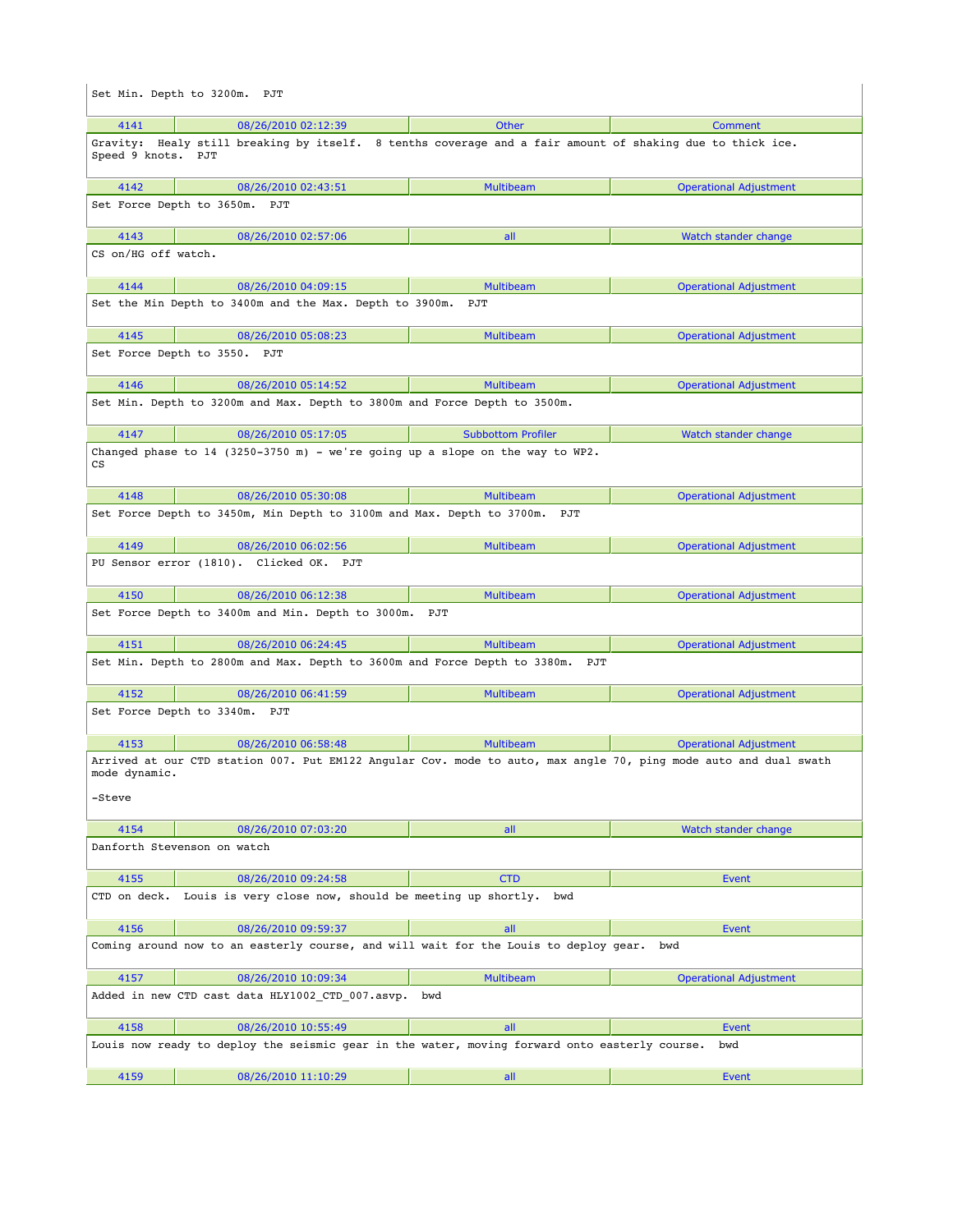|                                                                                                                                             | Set Min. Depth to 3200m. PJT                                                                              |                           |                               |  |
|---------------------------------------------------------------------------------------------------------------------------------------------|-----------------------------------------------------------------------------------------------------------|---------------------------|-------------------------------|--|
| 4141                                                                                                                                        | 08/26/2010 02:12:39                                                                                       | Other                     | <b>Comment</b>                |  |
| Speed 9 knots. PJT                                                                                                                          | Gravity: Healy still breaking by itself. 8 tenths coverage and a fair amount of shaking due to thick ice. |                           |                               |  |
| 4142                                                                                                                                        | 08/26/2010 02:43:51                                                                                       | <b>Multibeam</b>          | <b>Operational Adjustment</b> |  |
|                                                                                                                                             | Set Force Depth to 3650m. PJT                                                                             |                           |                               |  |
| 4143                                                                                                                                        | 08/26/2010 02:57:06                                                                                       | all                       | Watch stander change          |  |
| CS on/HG off watch.                                                                                                                         |                                                                                                           |                           |                               |  |
| 4144                                                                                                                                        | 08/26/2010 04:09:15                                                                                       | <b>Multibeam</b>          | <b>Operational Adjustment</b> |  |
|                                                                                                                                             | Set the Min Depth to 3400m and the Max. Depth to 3900m. PJT                                               |                           |                               |  |
| 4145                                                                                                                                        | 08/26/2010 05:08:23                                                                                       | <b>Multibeam</b>          | <b>Operational Adjustment</b> |  |
|                                                                                                                                             | Set Force Depth to 3550. PJT                                                                              |                           |                               |  |
| 4146                                                                                                                                        | 08/26/2010 05:14:52                                                                                       | <b>Multibeam</b>          | <b>Operational Adjustment</b> |  |
|                                                                                                                                             | Set Min. Depth to 3200m and Max. Depth to 3800m and Force Depth to 3500m.                                 |                           |                               |  |
| 4147                                                                                                                                        | 08/26/2010 05:17:05                                                                                       | <b>Subbottom Profiler</b> | Watch stander change          |  |
| СS                                                                                                                                          | Changed phase to 14 (3250-3750 m) - we're going up a slope on the way to WP2.                             |                           |                               |  |
| 4148                                                                                                                                        | 08/26/2010 05:30:08                                                                                       | <b>Multibeam</b>          | <b>Operational Adjustment</b> |  |
|                                                                                                                                             | Set Force Depth to 3450m, Min Depth to 3100m and Max. Depth to 3700m. PJT                                 |                           |                               |  |
| 4149                                                                                                                                        | 08/26/2010 06:02:56                                                                                       | <b>Multibeam</b>          | <b>Operational Adjustment</b> |  |
|                                                                                                                                             | PU Sensor error (1810). Clicked OK. PJT                                                                   |                           |                               |  |
| 4150                                                                                                                                        | 08/26/2010 06:12:38                                                                                       | <b>Multibeam</b>          | <b>Operational Adjustment</b> |  |
|                                                                                                                                             | Set Force Depth to 3400m and Min. Depth to 3000m. PJT                                                     |                           |                               |  |
| 4151                                                                                                                                        | 08/26/2010 06:24:45                                                                                       | <b>Multibeam</b>          | <b>Operational Adjustment</b> |  |
|                                                                                                                                             | Set Min. Depth to 2800m and Max. Depth to 3600m and Force Depth to 3380m. PJT                             |                           |                               |  |
| 4152                                                                                                                                        | 08/26/2010 06:41:59                                                                                       | <b>Multibeam</b>          | <b>Operational Adjustment</b> |  |
|                                                                                                                                             | Set Force Depth to 3340m. PJT                                                                             |                           |                               |  |
| 4153                                                                                                                                        | 08/26/2010 06:58:48                                                                                       | <b>Multibeam</b>          | <b>Operational Adjustment</b> |  |
| Arrived at our CTD station 007. Put EM122 Angular Cov. mode to auto, max angle 70, ping mode auto and dual swath<br>mode dynamic.<br>-Steve |                                                                                                           |                           |                               |  |
| 4154                                                                                                                                        | 08/26/2010 07:03:20                                                                                       | all                       | Watch stander change          |  |
|                                                                                                                                             | Danforth Stevenson on watch                                                                               |                           |                               |  |
| 4155                                                                                                                                        | 08/26/2010 09:24:58                                                                                       | <b>CTD</b>                | Event                         |  |
|                                                                                                                                             | CTD on deck. Louis is very close now, should be meeting up shortly. bwd                                   |                           |                               |  |
| 4156                                                                                                                                        | 08/26/2010 09:59:37                                                                                       | all                       | Event                         |  |
|                                                                                                                                             | Coming around now to an easterly course, and will wait for the Louis to deploy gear.                      |                           | bwd                           |  |
| 4157                                                                                                                                        | 08/26/2010 10:09:34                                                                                       | <b>Multibeam</b>          | <b>Operational Adjustment</b> |  |
|                                                                                                                                             | Added in new CTD cast data HLY1002 CTD 007.asvp.                                                          | bwd                       |                               |  |
| 4158                                                                                                                                        | 08/26/2010 10:55:49                                                                                       | all                       | Event                         |  |
|                                                                                                                                             | Louis now ready to deploy the seismic gear in the water, moving forward onto easterly course.             |                           | bwd                           |  |
| 4159                                                                                                                                        | 08/26/2010 11:10:29                                                                                       | all                       | Event                         |  |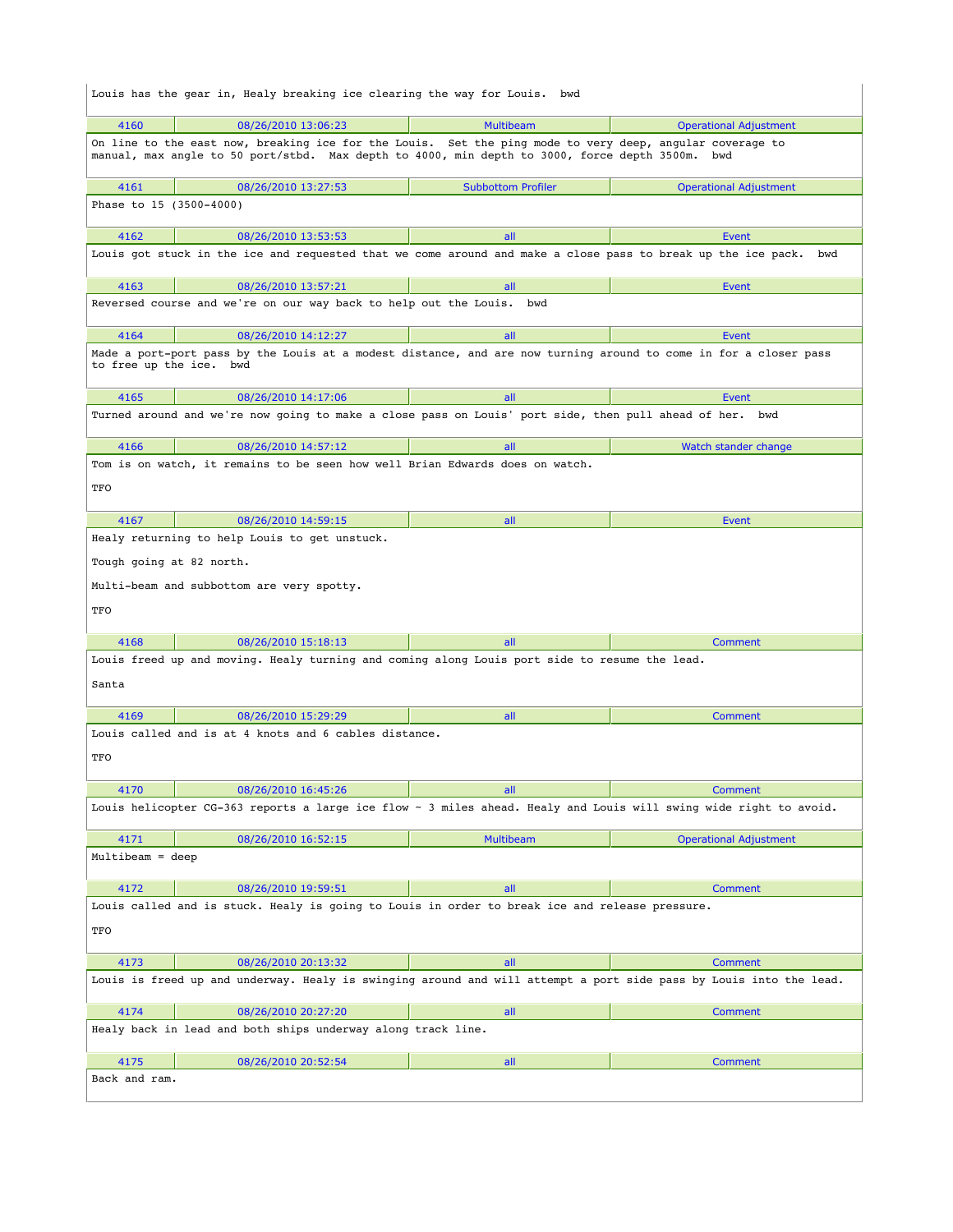|                                                                                                                    | Louis has the gear in, Healy breaking ice clearing the way for Louis. bwd                                                                                                                                   |                           |                               |
|--------------------------------------------------------------------------------------------------------------------|-------------------------------------------------------------------------------------------------------------------------------------------------------------------------------------------------------------|---------------------------|-------------------------------|
| 4160                                                                                                               | 08/26/2010 13:06:23                                                                                                                                                                                         | <b>Multibeam</b>          | <b>Operational Adjustment</b> |
|                                                                                                                    | On line to the east now, breaking ice for the Louis. Set the ping mode to very deep, angular coverage to<br>manual, max angle to 50 port/stbd. Max depth to 4000, min depth to 3000, force depth 3500m. bwd |                           |                               |
| 4161                                                                                                               | 08/26/2010 13:27:53                                                                                                                                                                                         | <b>Subbottom Profiler</b> | <b>Operational Adjustment</b> |
| Phase to 15 (3500-4000)                                                                                            |                                                                                                                                                                                                             |                           |                               |
| 4162                                                                                                               | 08/26/2010 13:53:53                                                                                                                                                                                         | all                       | Event                         |
|                                                                                                                    | Louis got stuck in the ice and requested that we come around and make a close pass to break up the ice pack. bwd                                                                                            |                           |                               |
| 4163                                                                                                               | 08/26/2010 13:57:21                                                                                                                                                                                         | all                       | Event                         |
|                                                                                                                    | Reversed course and we're on our way back to help out the Louis.                                                                                                                                            | bwd                       |                               |
| 4164                                                                                                               | 08/26/2010 14:12:27                                                                                                                                                                                         | all                       | Event                         |
| to free up the ice. bwd                                                                                            | Made a port-port pass by the Louis at a modest distance, and are now turning around to come in for a closer pass                                                                                            |                           |                               |
| 4165                                                                                                               | 08/26/2010 14:17:06                                                                                                                                                                                         | all                       | Event                         |
|                                                                                                                    | Turned around and we're now going to make a close pass on Louis' port side, then pull ahead of her. bwd                                                                                                     |                           |                               |
| 4166                                                                                                               | 08/26/2010 14:57:12                                                                                                                                                                                         | all                       | Watch stander change          |
|                                                                                                                    | Tom is on watch, it remains to be seen how well Brian Edwards does on watch.                                                                                                                                |                           |                               |
| TFO                                                                                                                |                                                                                                                                                                                                             |                           |                               |
| 4167                                                                                                               | 08/26/2010 14:59:15                                                                                                                                                                                         | all                       | Event                         |
|                                                                                                                    | Healy returning to help Louis to get unstuck.                                                                                                                                                               |                           |                               |
| Tough going at 82 north.                                                                                           |                                                                                                                                                                                                             |                           |                               |
|                                                                                                                    | Multi-beam and subbottom are very spotty.                                                                                                                                                                   |                           |                               |
| TFO                                                                                                                |                                                                                                                                                                                                             |                           |                               |
| 4168                                                                                                               | 08/26/2010 15:18:13                                                                                                                                                                                         | all                       | <b>Comment</b>                |
| Louis freed up and moving. Healy turning and coming along Louis port side to resume the lead.                      |                                                                                                                                                                                                             |                           |                               |
| Santa                                                                                                              |                                                                                                                                                                                                             |                           |                               |
| 4169                                                                                                               | 08/26/2010 15:29:29                                                                                                                                                                                         | all                       | <b>Comment</b>                |
|                                                                                                                    | Louis called and is at 4 knots and 6 cables distance.                                                                                                                                                       |                           |                               |
| TFO                                                                                                                |                                                                                                                                                                                                             |                           |                               |
| 4170                                                                                                               | 08/26/2010 16:45:26                                                                                                                                                                                         | all                       | Comment                       |
|                                                                                                                    | Louis helicopter CG-363 reports a large ice flow ~ 3 miles ahead. Healy and Louis will swing wide right to avoid.                                                                                           |                           |                               |
| 4171                                                                                                               | 08/26/2010 16:52:15                                                                                                                                                                                         | <b>Multibeam</b>          | <b>Operational Adjustment</b> |
| Multibeam = deep                                                                                                   |                                                                                                                                                                                                             |                           |                               |
| 4172                                                                                                               | 08/26/2010 19:59:51                                                                                                                                                                                         | all                       | Comment                       |
|                                                                                                                    | Louis called and is stuck. Healy is going to Louis in order to break ice and release pressure.                                                                                                              |                           |                               |
| TFO                                                                                                                |                                                                                                                                                                                                             |                           |                               |
| 4173                                                                                                               | 08/26/2010 20:13:32                                                                                                                                                                                         | all                       | <b>Comment</b>                |
| Louis is freed up and underway. Healy is swinging around and will attempt a port side pass by Louis into the lead. |                                                                                                                                                                                                             |                           |                               |
| 4174                                                                                                               | 08/26/2010 20:27:20                                                                                                                                                                                         | all                       | <b>Comment</b>                |
|                                                                                                                    | Healy back in lead and both ships underway along track line.                                                                                                                                                |                           |                               |
| 4175                                                                                                               | 08/26/2010 20:52:54                                                                                                                                                                                         | all                       | Comment                       |
| Back and ram.                                                                                                      |                                                                                                                                                                                                             |                           |                               |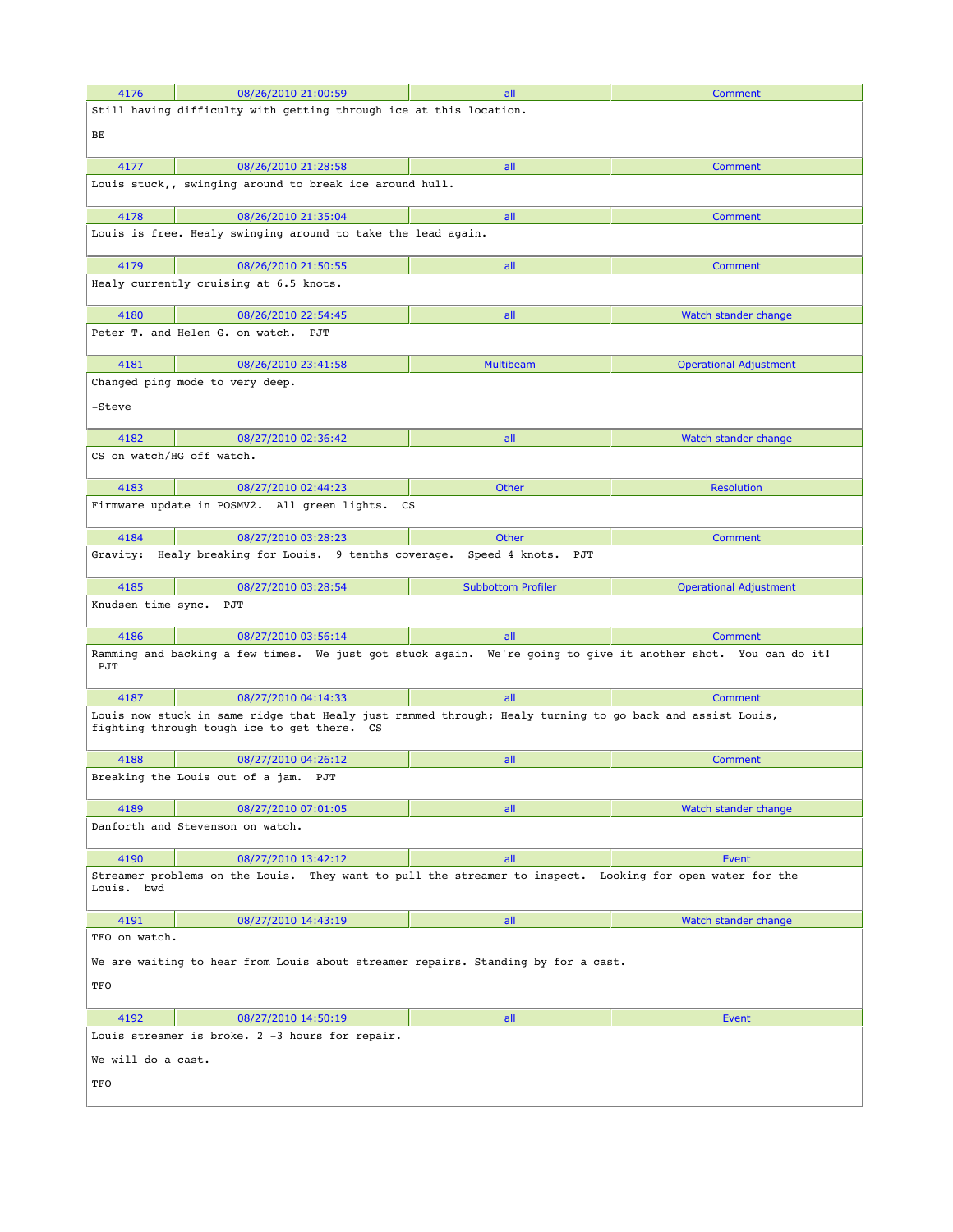| 4176                                                                                                                                                    | 08/26/2010 21:00:59                                                                                           | all                       | Comment                       |  |
|---------------------------------------------------------------------------------------------------------------------------------------------------------|---------------------------------------------------------------------------------------------------------------|---------------------------|-------------------------------|--|
|                                                                                                                                                         | Still having difficulty with getting through ice at this location.                                            |                           |                               |  |
| BЕ                                                                                                                                                      |                                                                                                               |                           |                               |  |
|                                                                                                                                                         |                                                                                                               |                           |                               |  |
| 4177                                                                                                                                                    | 08/26/2010 21:28:58                                                                                           | all                       | Comment                       |  |
|                                                                                                                                                         | Louis stuck,, swinging around to break ice around hull.                                                       |                           |                               |  |
| 4178                                                                                                                                                    | 08/26/2010 21:35:04                                                                                           | all                       | Comment                       |  |
|                                                                                                                                                         | Louis is free. Healy swinging around to take the lead again.                                                  |                           |                               |  |
| 4179                                                                                                                                                    | 08/26/2010 21:50:55                                                                                           | all                       | <b>Comment</b>                |  |
|                                                                                                                                                         | Healy currently cruising at 6.5 knots.                                                                        |                           |                               |  |
| 4180                                                                                                                                                    | 08/26/2010 22:54:45                                                                                           | all                       | Watch stander change          |  |
|                                                                                                                                                         | Peter T. and Helen G. on watch. PJT                                                                           |                           |                               |  |
| 4181                                                                                                                                                    | 08/26/2010 23:41:58                                                                                           | <b>Multibeam</b>          | <b>Operational Adjustment</b> |  |
|                                                                                                                                                         | Changed ping mode to very deep.                                                                               |                           |                               |  |
| -Steve                                                                                                                                                  |                                                                                                               |                           |                               |  |
|                                                                                                                                                         |                                                                                                               |                           |                               |  |
| 4182                                                                                                                                                    | 08/27/2010 02:36:42                                                                                           | all                       | Watch stander change          |  |
| CS on watch/HG off watch.                                                                                                                               |                                                                                                               |                           |                               |  |
| 4183                                                                                                                                                    | 08/27/2010 02:44:23                                                                                           | Other                     | <b>Resolution</b>             |  |
|                                                                                                                                                         | Firmware update in POSMV2. All green lights.<br>CS                                                            |                           |                               |  |
| 4184                                                                                                                                                    | 08/27/2010 03:28:23                                                                                           | Other                     | Comment                       |  |
| Gravity:                                                                                                                                                | Healy breaking for Louis. 9 tenths coverage. Speed 4 knots.                                                   | PJT                       |                               |  |
|                                                                                                                                                         |                                                                                                               |                           |                               |  |
| 4185                                                                                                                                                    | 08/27/2010 03:28:54                                                                                           | <b>Subbottom Profiler</b> | <b>Operational Adjustment</b> |  |
| Knudsen time sync. PJT                                                                                                                                  |                                                                                                               |                           |                               |  |
| 4186                                                                                                                                                    | 08/27/2010 03:56:14                                                                                           | all                       | Comment                       |  |
| PJT                                                                                                                                                     | Ramming and backing a few times. We just got stuck again. We're going to give it another shot. You can do it! |                           |                               |  |
| 4187                                                                                                                                                    | 08/27/2010 04:14:33                                                                                           | all                       | Comment                       |  |
| Louis now stuck in same ridge that Healy just rammed through; Healy turning to go back and assist Louis,<br>fighting through tough ice to get there. CS |                                                                                                               |                           |                               |  |
| 4188                                                                                                                                                    | 08/27/2010 04:26:12                                                                                           | all                       | Comment                       |  |
|                                                                                                                                                         | Breaking the Louis out of a jam. PJT                                                                          |                           |                               |  |
| 4189                                                                                                                                                    | 08/27/2010 07:01:05                                                                                           | all                       | Watch stander change          |  |
|                                                                                                                                                         | Danforth and Stevenson on watch.                                                                              |                           |                               |  |
| 4190                                                                                                                                                    | 08/27/2010 13:42:12                                                                                           | all                       | Event                         |  |
| Streamer problems on the Louis. They want to pull the streamer to inspect. Looking for open water for the<br>Louis. bwd                                 |                                                                                                               |                           |                               |  |
| 4191                                                                                                                                                    | 08/27/2010 14:43:19                                                                                           | all                       | Watch stander change          |  |
| TFO on watch.                                                                                                                                           |                                                                                                               |                           |                               |  |
| We are waiting to hear from Louis about streamer repairs. Standing by for a cast.                                                                       |                                                                                                               |                           |                               |  |
| TFO                                                                                                                                                     |                                                                                                               |                           |                               |  |
|                                                                                                                                                         |                                                                                                               |                           |                               |  |
| 4192                                                                                                                                                    | 08/27/2010 14:50:19                                                                                           | all                       | Event                         |  |
|                                                                                                                                                         | Louis streamer is broke. 2 -3 hours for repair.                                                               |                           |                               |  |
| We will do a cast.                                                                                                                                      |                                                                                                               |                           |                               |  |
| TFO                                                                                                                                                     |                                                                                                               |                           |                               |  |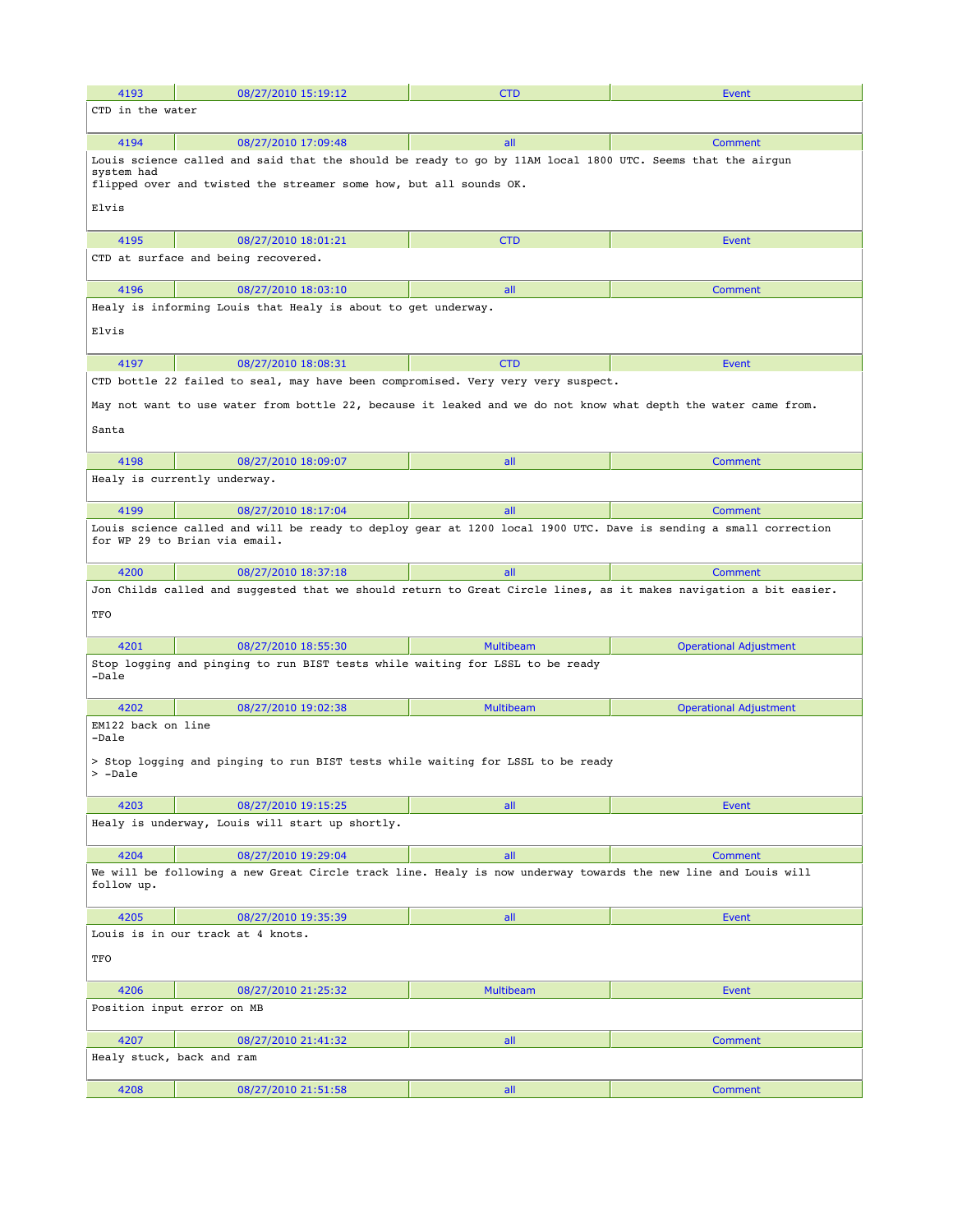| 4193                                                                                                                        | 08/27/2010 15:19:12                                                                                                                                                              | <b>CTD</b>       | Event                         |  |  |
|-----------------------------------------------------------------------------------------------------------------------------|----------------------------------------------------------------------------------------------------------------------------------------------------------------------------------|------------------|-------------------------------|--|--|
| CTD in the water                                                                                                            |                                                                                                                                                                                  |                  |                               |  |  |
|                                                                                                                             |                                                                                                                                                                                  |                  |                               |  |  |
| 4194                                                                                                                        | 08/27/2010 17:09:48                                                                                                                                                              | all              | Comment                       |  |  |
| system had<br>Elvis                                                                                                         | Louis science called and said that the should be ready to go by 11AM local 1800 UTC. Seems that the airgun<br>flipped over and twisted the streamer some how, but all sounds OK. |                  |                               |  |  |
|                                                                                                                             |                                                                                                                                                                                  |                  |                               |  |  |
| 4195                                                                                                                        | 08/27/2010 18:01:21                                                                                                                                                              | <b>CTD</b>       | Event                         |  |  |
|                                                                                                                             | CTD at surface and being recovered.                                                                                                                                              |                  |                               |  |  |
| 4196                                                                                                                        | 08/27/2010 18:03:10                                                                                                                                                              | all              | <b>Comment</b>                |  |  |
|                                                                                                                             | Healy is informing Louis that Healy is about to get underway.                                                                                                                    |                  |                               |  |  |
| Elvis                                                                                                                       |                                                                                                                                                                                  |                  |                               |  |  |
| 4197                                                                                                                        | 08/27/2010 18:08:31                                                                                                                                                              | <b>CTD</b>       | <b>Event</b>                  |  |  |
|                                                                                                                             | CTD bottle 22 failed to seal, may have been compromised. Very very very suspect.                                                                                                 |                  |                               |  |  |
| Santa                                                                                                                       | May not want to use water from bottle 22, because it leaked and we do not know what depth the water came from.                                                                   |                  |                               |  |  |
|                                                                                                                             |                                                                                                                                                                                  |                  |                               |  |  |
| 4198                                                                                                                        | 08/27/2010 18:09:07                                                                                                                                                              | all              | <b>Comment</b>                |  |  |
|                                                                                                                             | Healy is currently underway.                                                                                                                                                     |                  |                               |  |  |
| 4199                                                                                                                        | 08/27/2010 18:17:04                                                                                                                                                              | all              | Comment                       |  |  |
|                                                                                                                             | Louis science called and will be ready to deploy gear at 1200 local 1900 UTC. Dave is sending a small correction<br>for WP 29 to Brian via email.                                |                  |                               |  |  |
| 4200                                                                                                                        | 08/27/2010 18:37:18                                                                                                                                                              | all              | <b>Comment</b>                |  |  |
|                                                                                                                             | Jon Childs called and suggested that we should return to Great Circle lines, as it makes navigation a bit easier.                                                                |                  |                               |  |  |
| TFO                                                                                                                         |                                                                                                                                                                                  |                  |                               |  |  |
| 4201                                                                                                                        | 08/27/2010 18:55:30                                                                                                                                                              | <b>Multibeam</b> | <b>Operational Adjustment</b> |  |  |
| -Dale                                                                                                                       | Stop logging and pinging to run BIST tests while waiting for LSSL to be ready                                                                                                    |                  |                               |  |  |
| 4202                                                                                                                        | 08/27/2010 19:02:38                                                                                                                                                              | <b>Multibeam</b> | <b>Operational Adjustment</b> |  |  |
| EM122 back on line<br>-Dale                                                                                                 |                                                                                                                                                                                  |                  |                               |  |  |
| > -Dale                                                                                                                     | > Stop logging and pinging to run BIST tests while waiting for LSSL to be ready                                                                                                  |                  |                               |  |  |
| 4203                                                                                                                        | 08/27/2010 19:15:25                                                                                                                                                              | all              | Event                         |  |  |
|                                                                                                                             | Healy is underway, Louis will start up shortly.                                                                                                                                  |                  |                               |  |  |
| 4204                                                                                                                        | 08/27/2010 19:29:04                                                                                                                                                              | all              | Comment                       |  |  |
| We will be following a new Great Circle track line. Healy is now underway towards the new line and Louis will<br>follow up. |                                                                                                                                                                                  |                  |                               |  |  |
| 4205                                                                                                                        | 08/27/2010 19:35:39                                                                                                                                                              | all              | <b>Event</b>                  |  |  |
|                                                                                                                             | Louis is in our track at 4 knots.                                                                                                                                                |                  |                               |  |  |
| TFO                                                                                                                         |                                                                                                                                                                                  |                  |                               |  |  |
| 4206                                                                                                                        | 08/27/2010 21:25:32                                                                                                                                                              | <b>Multibeam</b> | Event                         |  |  |
|                                                                                                                             | Position input error on MB                                                                                                                                                       |                  |                               |  |  |
| 4207                                                                                                                        | 08/27/2010 21:41:32                                                                                                                                                              | all              | Comment                       |  |  |
|                                                                                                                             | Healy stuck, back and ram                                                                                                                                                        |                  |                               |  |  |
| 4208                                                                                                                        | 08/27/2010 21:51:58                                                                                                                                                              | all              | Comment                       |  |  |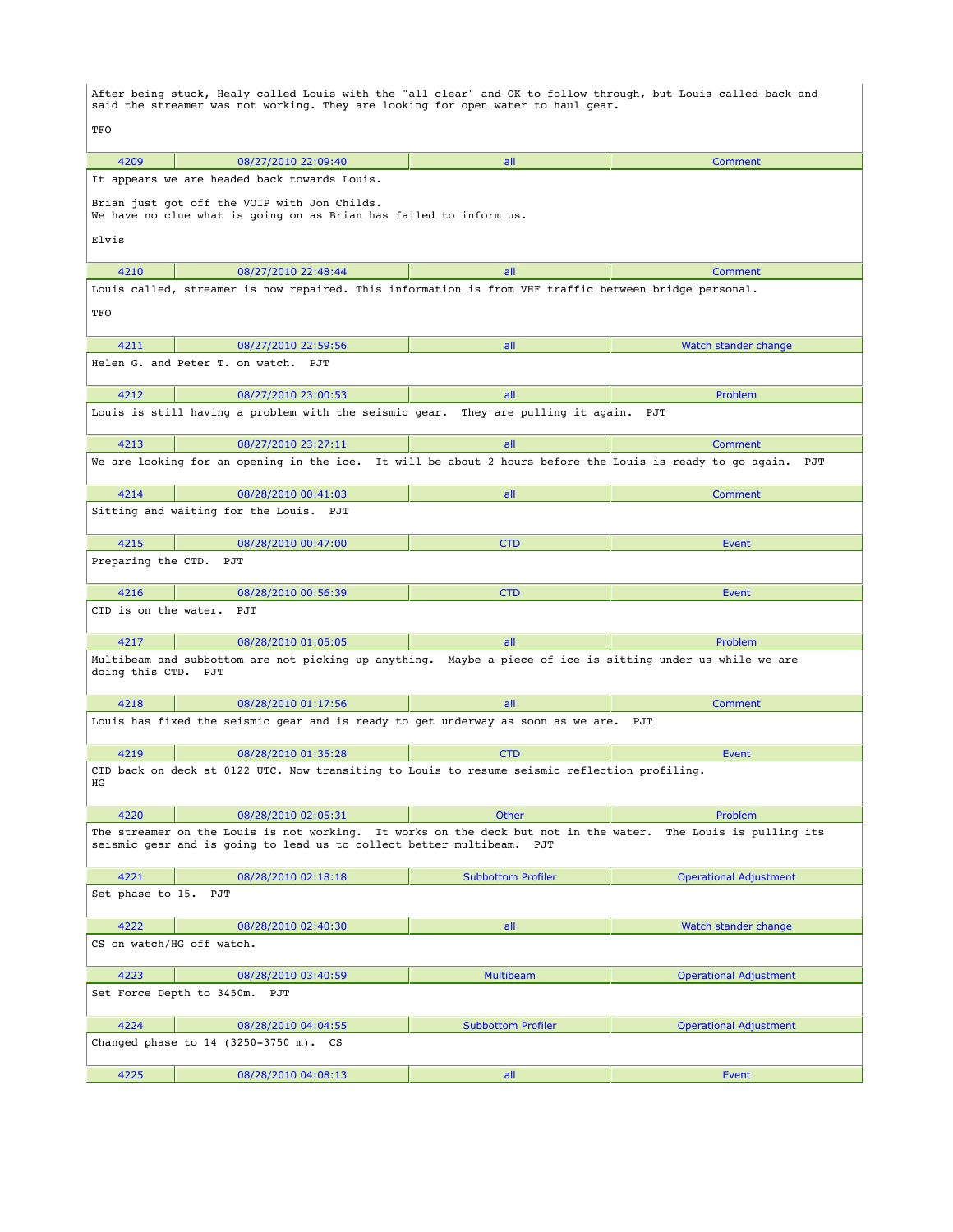After being stuck, Healy called Louis with the "all clear" and OK to follow through, but Louis called back and said the streamer was not working. They are looking for open water to haul gear. **TFO**  4209 08/27/2010 22:09:40 all Comment It appears we are headed back towards Louis. Brian just got off the VOIP with Jon Childs. We have no clue what is going on as Brian has failed to inform us. Elvis 4210 08/27/2010 22:48:44 all all all comment Louis called, streamer is now repaired. This information is from VHF traffic between bridge personal. TFO 4211 08/27/2010 22:59:56 all Watch stander change Helen G. and Peter T. on watch. PJT 4212 08/27/2010 23:00:53 all Problem Louis is still having a problem with the seismic gear. They are pulling it again. PJT 4213 08/27/2010 23:27:11 all Comment We are looking for an opening in the ice. It will be about 2 hours before the Louis is ready to go again. PJT 4214 08/28/2010 00:41:03 all Comment Sitting and waiting for the Louis. PJT 4215 08/28/2010 00:47:00 CTD Event Preparing the CTD. PJT 4216 08/28/2010 00:56:39 CTD Event CTD is on the water. PJT 4217 08/28/2010 01:05:05 all Problem Multibeam and subbottom are not picking up anything. Maybe a piece of ice is sitting under us while we are doing this CTD. PJT 4218 08/28/2010 01:17:56 all all all comment Louis has fixed the seismic gear and is ready to get underway as soon as we are. PJT 4219 08/28/2010 01:35:28 CTD CTD Event CTD back on deck at 0122 UTC. Now transiting to Louis to resume seismic reflection profiling. HG 4220 08/28/2010 02:05:31 0 Other Problem The streamer on the Louis is not working. It works on the deck but not in the water. The Louis is pulling its seismic gear and is going to lead us to collect better multibeam. PJT 4221 08/28/2010 02:18:18 Subbottom Profiler Operational Adjustment Set phase to 15. PJT 4222 08/28/2010 02:40:30 all Watch stander change CS on watch/HG off watch. 4223 08/28/2010 03:40:59 Multibeam Operational Adjustment Set Force Depth to 3450m. PJT 4224 08/28/2010 04:04:55 Subbottom Profiler Operational Adjustment Changed phase to 14 (3250-3750 m). CS 4225 08/28/2010 04:08:13 all Event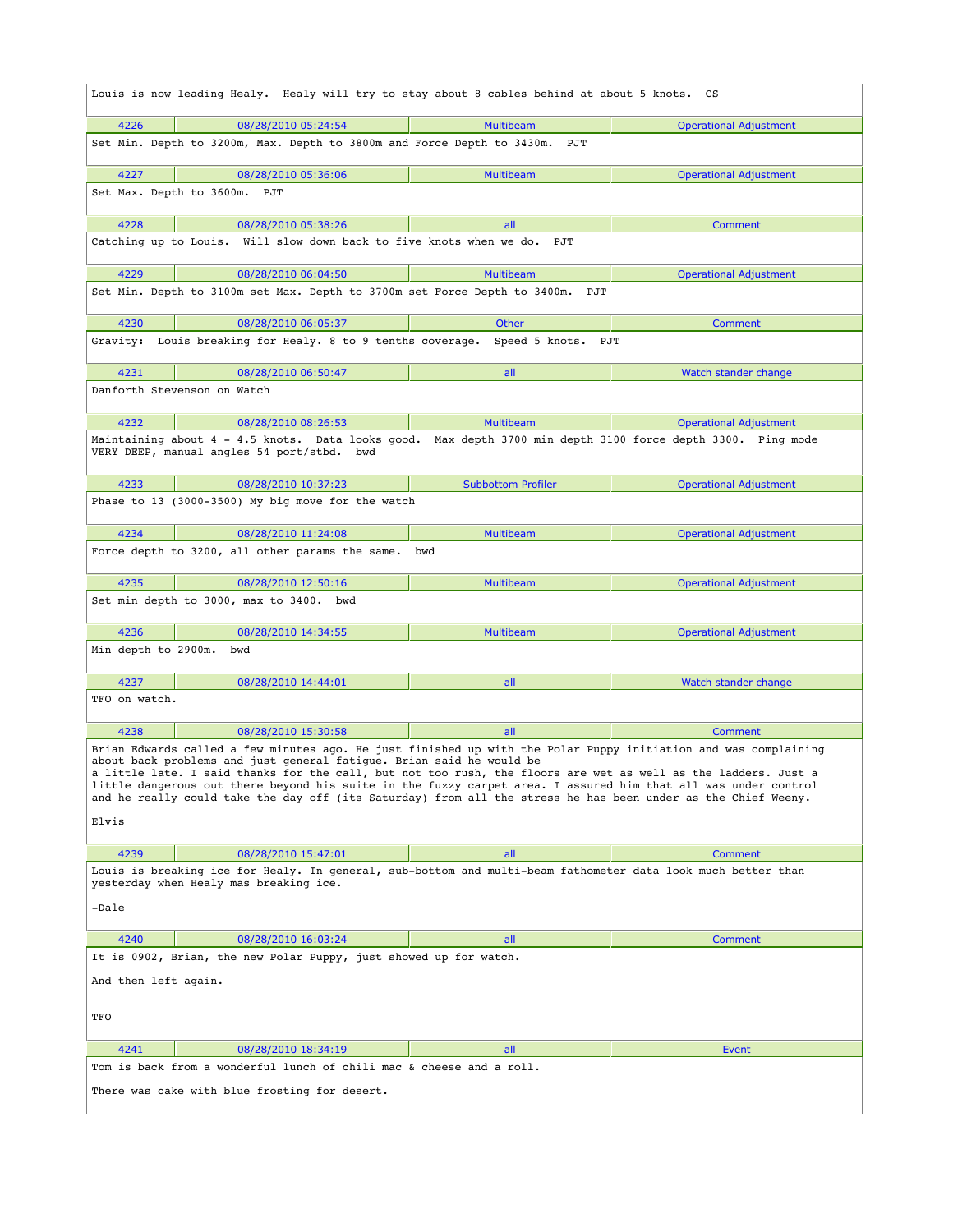| Louis is now leading Healy. Healy will try to stay about 8 cables behind at about 5 knots. CS                                                                                                                                                                                                                                                                                                                                                                                                                                                |                           |                               |  |  |
|----------------------------------------------------------------------------------------------------------------------------------------------------------------------------------------------------------------------------------------------------------------------------------------------------------------------------------------------------------------------------------------------------------------------------------------------------------------------------------------------------------------------------------------------|---------------------------|-------------------------------|--|--|
| 4226<br>08/28/2010 05:24:54                                                                                                                                                                                                                                                                                                                                                                                                                                                                                                                  | <b>Multibeam</b>          | <b>Operational Adjustment</b> |  |  |
| Set Min. Depth to 3200m, Max. Depth to 3800m and Force Depth to 3430m. PJT                                                                                                                                                                                                                                                                                                                                                                                                                                                                   |                           |                               |  |  |
| 4227<br>08/28/2010 05:36:06                                                                                                                                                                                                                                                                                                                                                                                                                                                                                                                  | <b>Multibeam</b>          | <b>Operational Adjustment</b> |  |  |
| Set Max. Depth to 3600m. PJT                                                                                                                                                                                                                                                                                                                                                                                                                                                                                                                 |                           |                               |  |  |
| 4228<br>08/28/2010 05:38:26                                                                                                                                                                                                                                                                                                                                                                                                                                                                                                                  | all                       | Comment                       |  |  |
| Catching up to Louis. Will slow down back to five knots when we do.                                                                                                                                                                                                                                                                                                                                                                                                                                                                          | PJT                       |                               |  |  |
| 4229<br>08/28/2010 06:04:50                                                                                                                                                                                                                                                                                                                                                                                                                                                                                                                  | <b>Multibeam</b>          | <b>Operational Adjustment</b> |  |  |
| Set Min. Depth to 3100m set Max. Depth to 3700m set Force Depth to 3400m. PJT                                                                                                                                                                                                                                                                                                                                                                                                                                                                |                           |                               |  |  |
| 4230<br>08/28/2010 06:05:37                                                                                                                                                                                                                                                                                                                                                                                                                                                                                                                  | Other                     | <b>Comment</b>                |  |  |
| Gravity: Louis breaking for Healy. 8 to 9 tenths coverage.                                                                                                                                                                                                                                                                                                                                                                                                                                                                                   | Speed 5 knots. PJT        |                               |  |  |
| 4231<br>08/28/2010 06:50:47                                                                                                                                                                                                                                                                                                                                                                                                                                                                                                                  | all                       | Watch stander change          |  |  |
| Danforth Stevenson on Watch                                                                                                                                                                                                                                                                                                                                                                                                                                                                                                                  |                           |                               |  |  |
| 4232<br>08/28/2010 08:26:53                                                                                                                                                                                                                                                                                                                                                                                                                                                                                                                  | <b>Multibeam</b>          | <b>Operational Adjustment</b> |  |  |
| Maintaining about 4 - 4.5 knots. Data looks good. Max depth 3700 min depth 3100 force depth 3300. Ping mode<br>VERY DEEP, manual angles 54 port/stbd. bwd                                                                                                                                                                                                                                                                                                                                                                                    |                           |                               |  |  |
| 4233<br>08/28/2010 10:37:23                                                                                                                                                                                                                                                                                                                                                                                                                                                                                                                  | <b>Subbottom Profiler</b> | <b>Operational Adjustment</b> |  |  |
| Phase to 13 (3000-3500) My big move for the watch                                                                                                                                                                                                                                                                                                                                                                                                                                                                                            |                           |                               |  |  |
| 4234<br>08/28/2010 11:24:08                                                                                                                                                                                                                                                                                                                                                                                                                                                                                                                  | <b>Multibeam</b>          | <b>Operational Adjustment</b> |  |  |
| Force depth to 3200, all other params the same.                                                                                                                                                                                                                                                                                                                                                                                                                                                                                              | bwd                       |                               |  |  |
| 4235<br>08/28/2010 12:50:16                                                                                                                                                                                                                                                                                                                                                                                                                                                                                                                  | <b>Multibeam</b>          | <b>Operational Adjustment</b> |  |  |
| Set min depth to 3000, max to 3400. bwd                                                                                                                                                                                                                                                                                                                                                                                                                                                                                                      |                           |                               |  |  |
| 4236<br>08/28/2010 14:34:55                                                                                                                                                                                                                                                                                                                                                                                                                                                                                                                  | <b>Multibeam</b>          | <b>Operational Adjustment</b> |  |  |
| Min depth to 2900m.<br>bwd                                                                                                                                                                                                                                                                                                                                                                                                                                                                                                                   |                           |                               |  |  |
| 4237<br>08/28/2010 14:44:01                                                                                                                                                                                                                                                                                                                                                                                                                                                                                                                  | all                       | Watch stander change          |  |  |
| TFO on watch.                                                                                                                                                                                                                                                                                                                                                                                                                                                                                                                                |                           |                               |  |  |
| 4238<br>08/28/2010 15:30:58                                                                                                                                                                                                                                                                                                                                                                                                                                                                                                                  | all                       | Comment                       |  |  |
| Brian Edwards called a few minutes ago. He just finished up with the Polar Puppy initiation and was complaining<br>about back problems and just general fatigue. Brian said he would be<br>a little late. I said thanks for the call, but not too rush, the floors are wet as well as the ladders. Just a<br>little dangerous out there beyond his suite in the fuzzy carpet area. I assured him that all was under control<br>and he really could take the day off (its Saturday) from all the stress he has been under as the Chief Weeny. |                           |                               |  |  |
| Elvis                                                                                                                                                                                                                                                                                                                                                                                                                                                                                                                                        |                           |                               |  |  |
| 4239<br>08/28/2010 15:47:01                                                                                                                                                                                                                                                                                                                                                                                                                                                                                                                  | all                       | Comment                       |  |  |
| Louis is breaking ice for Healy. In general, sub-bottom and multi-beam fathometer data look much better than<br>yesterday when Healy mas breaking ice.                                                                                                                                                                                                                                                                                                                                                                                       |                           |                               |  |  |
| -Dale                                                                                                                                                                                                                                                                                                                                                                                                                                                                                                                                        |                           |                               |  |  |
| 4240<br>08/28/2010 16:03:24                                                                                                                                                                                                                                                                                                                                                                                                                                                                                                                  | all                       | <b>Comment</b>                |  |  |
| It is 0902, Brian, the new Polar Puppy, just showed up for watch.                                                                                                                                                                                                                                                                                                                                                                                                                                                                            |                           |                               |  |  |
| And then left again.                                                                                                                                                                                                                                                                                                                                                                                                                                                                                                                         |                           |                               |  |  |
| TFO                                                                                                                                                                                                                                                                                                                                                                                                                                                                                                                                          |                           |                               |  |  |
| 4241<br>08/28/2010 18:34:19                                                                                                                                                                                                                                                                                                                                                                                                                                                                                                                  | all                       | Event                         |  |  |
| Tom is back from a wonderful lunch of chili mac & cheese and a roll.                                                                                                                                                                                                                                                                                                                                                                                                                                                                         |                           |                               |  |  |
| There was cake with blue frosting for desert.                                                                                                                                                                                                                                                                                                                                                                                                                                                                                                |                           |                               |  |  |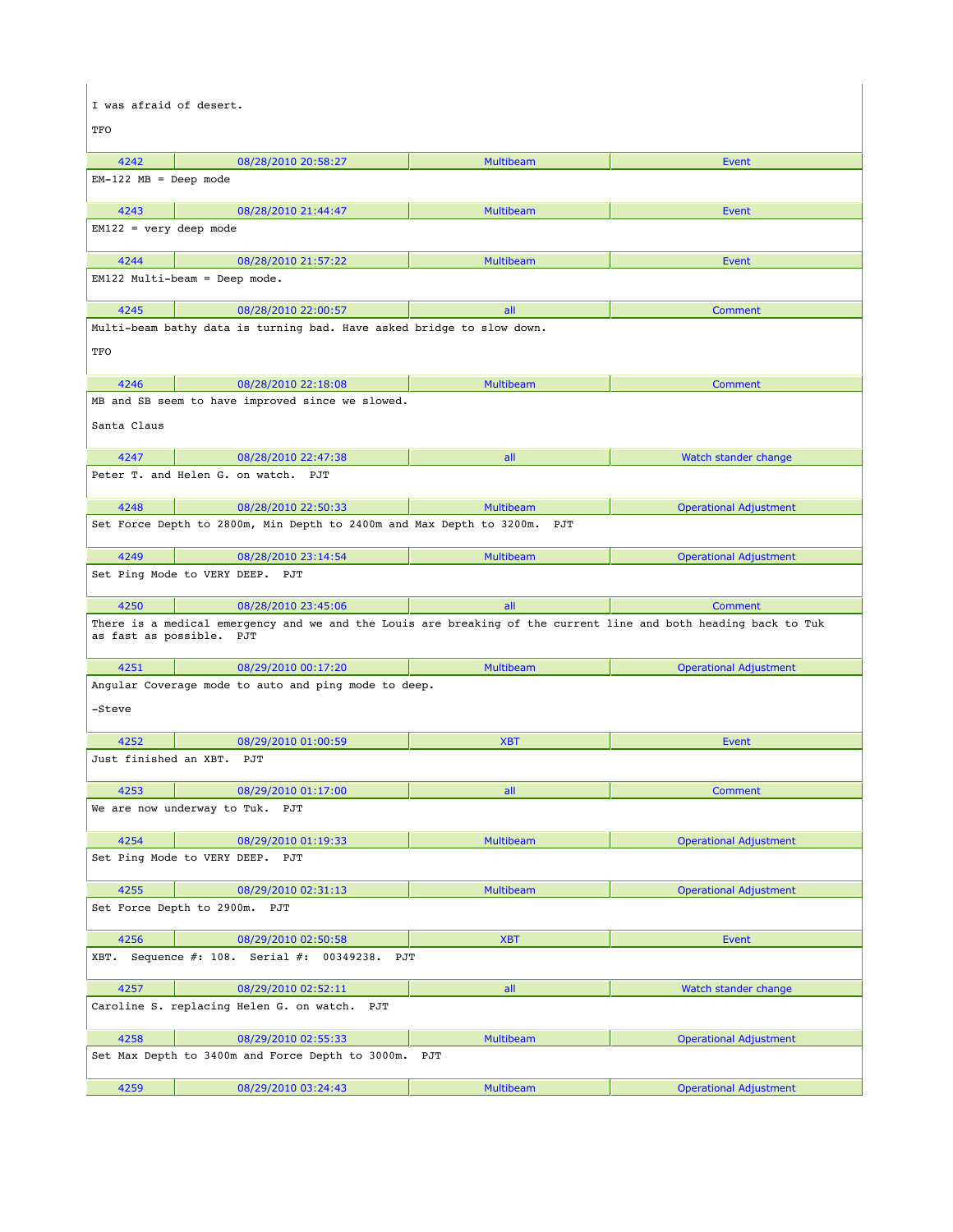| I was afraid of desert.   |                                                                                                                 |                  |                               |  |
|---------------------------|-----------------------------------------------------------------------------------------------------------------|------------------|-------------------------------|--|
| TFO                       |                                                                                                                 |                  |                               |  |
|                           |                                                                                                                 |                  |                               |  |
| 4242                      | 08/28/2010 20:58:27                                                                                             | Multibeam        | Event                         |  |
| $EM-122$ $MB = Deep mode$ |                                                                                                                 |                  |                               |  |
| 4243                      | 08/28/2010 21:44:47                                                                                             | <b>Multibeam</b> | Event                         |  |
| $EM122 = very deep mode$  |                                                                                                                 |                  |                               |  |
| 4244                      | 08/28/2010 21:57:22                                                                                             | <b>Multibeam</b> | Event                         |  |
|                           | $EM122$ Multi-beam = Deep mode.                                                                                 |                  |                               |  |
| 4245                      | 08/28/2010 22:00:57                                                                                             | all              | Comment                       |  |
|                           | Multi-beam bathy data is turning bad. Have asked bridge to slow down.                                           |                  |                               |  |
| TFO                       |                                                                                                                 |                  |                               |  |
|                           |                                                                                                                 |                  |                               |  |
| 4246                      | 08/28/2010 22:18:08                                                                                             | <b>Multibeam</b> | <b>Comment</b>                |  |
|                           | MB and SB seem to have improved since we slowed.                                                                |                  |                               |  |
| Santa Claus               |                                                                                                                 |                  |                               |  |
| 4247                      | 08/28/2010 22:47:38                                                                                             | all              | Watch stander change          |  |
|                           | Peter T. and Helen G. on watch. PJT                                                                             |                  |                               |  |
| 4248                      | 08/28/2010 22:50:33                                                                                             | <b>Multibeam</b> | <b>Operational Adjustment</b> |  |
|                           | Set Force Depth to 2800m, Min Depth to 2400m and Max Depth to 3200m.                                            | PJT              |                               |  |
|                           |                                                                                                                 |                  |                               |  |
| 4249                      | 08/28/2010 23:14:54                                                                                             | <b>Multibeam</b> | <b>Operational Adjustment</b> |  |
|                           | Set Ping Mode to VERY DEEP. PJT                                                                                 |                  |                               |  |
| 4250                      | 08/28/2010 23:45:06                                                                                             | all              | <b>Comment</b>                |  |
| as fast as possible. PJT  | There is a medical emergency and we and the Louis are breaking of the current line and both heading back to Tuk |                  |                               |  |
| 4251                      | 08/29/2010 00:17:20                                                                                             | <b>Multibeam</b> | <b>Operational Adjustment</b> |  |
|                           | Angular Coverage mode to auto and ping mode to deep.                                                            |                  |                               |  |
| -Steve                    |                                                                                                                 |                  |                               |  |
| 4252                      | 08/29/2010 01:00:59                                                                                             | <b>XBT</b>       | <b>Event</b>                  |  |
| Just finished an XBT.     | PJT                                                                                                             |                  |                               |  |
| 4253                      | 08/29/2010 01:17:00                                                                                             | all              | <b>Comment</b>                |  |
|                           | We are now underway to Tuk. PJT                                                                                 |                  |                               |  |
|                           |                                                                                                                 |                  |                               |  |
| 4254                      | 08/29/2010 01:19:33<br>Set Ping Mode to VERY DEEP. PJT                                                          | Multibeam        | <b>Operational Adjustment</b> |  |
|                           |                                                                                                                 |                  |                               |  |
| 4255                      | 08/29/2010 02:31:13                                                                                             | Multibeam        | <b>Operational Adjustment</b> |  |
| Set Force Depth to 2900m. | PJT                                                                                                             |                  |                               |  |
| 4256                      | 08/29/2010 02:50:58                                                                                             | <b>XBT</b>       | Event                         |  |
| XBT.                      | Sequence $#: 108.$<br>Serial $#: 00349238.$<br>PJT                                                              |                  |                               |  |
| 4257                      | 08/29/2010 02:52:11                                                                                             | all              | Watch stander change          |  |
|                           | Caroline S. replacing Helen G. on watch. PJT                                                                    |                  |                               |  |
| 4258                      | 08/29/2010 02:55:33                                                                                             | Multibeam        | <b>Operational Adjustment</b> |  |
|                           | Set Max Depth to 3400m and Force Depth to 3000m.                                                                | PJT              |                               |  |
| 4259                      | 08/29/2010 03:24:43                                                                                             | Multibeam        | <b>Operational Adjustment</b> |  |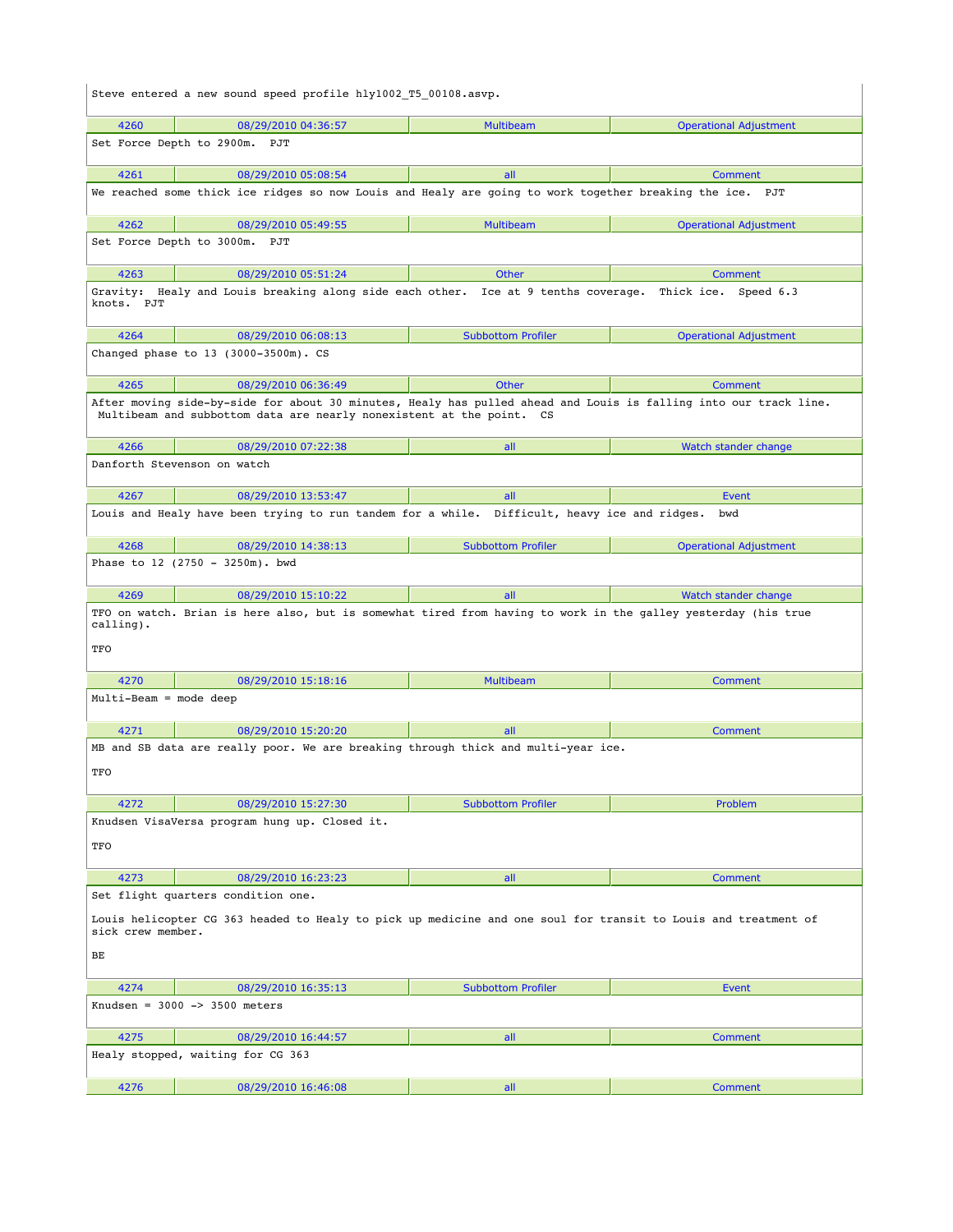| Steve entered a new sound speed profile hly1002 T5 00108.asvp.                                                                      |                                                                                                                                                                                       |                           |                               |  |
|-------------------------------------------------------------------------------------------------------------------------------------|---------------------------------------------------------------------------------------------------------------------------------------------------------------------------------------|---------------------------|-------------------------------|--|
| 4260                                                                                                                                | 08/29/2010 04:36:57                                                                                                                                                                   | Multibeam                 | <b>Operational Adjustment</b> |  |
|                                                                                                                                     | Set Force Depth to 2900m.<br>PJT                                                                                                                                                      |                           |                               |  |
| 4261                                                                                                                                | 08/29/2010 05:08:54                                                                                                                                                                   | all                       | <b>Comment</b>                |  |
|                                                                                                                                     | We reached some thick ice ridges so now Louis and Healy are going to work together breaking the ice. PJT                                                                              |                           |                               |  |
| 4262                                                                                                                                | 08/29/2010 05:49:55                                                                                                                                                                   | <b>Multibeam</b>          | <b>Operational Adjustment</b> |  |
|                                                                                                                                     | Set Force Depth to 3000m. PJT                                                                                                                                                         |                           |                               |  |
| 4263                                                                                                                                | 08/29/2010 05:51:24                                                                                                                                                                   | <b>Other</b>              | Comment                       |  |
| knots. PJT                                                                                                                          | Gravity: Healy and Louis breaking along side each other. Ice at 9 tenths coverage. Thick ice. Speed 6.3                                                                               |                           |                               |  |
| 4264                                                                                                                                | 08/29/2010 06:08:13                                                                                                                                                                   | <b>Subbottom Profiler</b> | <b>Operational Adjustment</b> |  |
|                                                                                                                                     | Changed phase to 13 (3000-3500m). CS                                                                                                                                                  |                           |                               |  |
| 4265                                                                                                                                | 08/29/2010 06:36:49                                                                                                                                                                   | <b>Other</b>              | Comment                       |  |
|                                                                                                                                     | After moving side-by-side for about 30 minutes, Healy has pulled ahead and Louis is falling into our track line.<br>Multibeam and subbottom data are nearly nonexistent at the point. | cs                        |                               |  |
| 4266                                                                                                                                | 08/29/2010 07:22:38                                                                                                                                                                   | all                       | Watch stander change          |  |
|                                                                                                                                     | Danforth Stevenson on watch                                                                                                                                                           |                           |                               |  |
| 4267                                                                                                                                | 08/29/2010 13:53:47                                                                                                                                                                   | all                       | Event                         |  |
|                                                                                                                                     | Louis and Healy have been trying to run tandem for a while. Difficult, heavy ice and ridges.                                                                                          |                           | bwd                           |  |
| 4268                                                                                                                                | 08/29/2010 14:38:13                                                                                                                                                                   | <b>Subbottom Profiler</b> | <b>Operational Adjustment</b> |  |
|                                                                                                                                     | Phase to 12 (2750 - 3250m). bwd                                                                                                                                                       |                           |                               |  |
| 4269                                                                                                                                | 08/29/2010 15:10:22                                                                                                                                                                   | all                       | Watch stander change          |  |
| calling).<br>TFO                                                                                                                    | TFO on watch. Brian is here also, but is somewhat tired from having to work in the galley yesterday (his true                                                                         |                           |                               |  |
| 4270                                                                                                                                | 08/29/2010 15:18:16                                                                                                                                                                   | <b>Multibeam</b>          | <b>Comment</b>                |  |
| Multi-Beam = mode deep                                                                                                              |                                                                                                                                                                                       |                           |                               |  |
| 4271                                                                                                                                | 08/29/2010 15:20:20                                                                                                                                                                   | all                       | Comment                       |  |
| TFO                                                                                                                                 | MB and SB data are really poor. We are breaking through thick and multi-year ice.                                                                                                     |                           |                               |  |
| 4272                                                                                                                                | 08/29/2010 15:27:30                                                                                                                                                                   | <b>Subbottom Profiler</b> | Problem                       |  |
|                                                                                                                                     | Knudsen VisaVersa program hung up. Closed it.                                                                                                                                         |                           |                               |  |
| TFO                                                                                                                                 |                                                                                                                                                                                       |                           |                               |  |
| 4273                                                                                                                                | 08/29/2010 16:23:23                                                                                                                                                                   | all                       | <b>Comment</b>                |  |
| Set flight quarters condition one.                                                                                                  |                                                                                                                                                                                       |                           |                               |  |
| Louis helicopter CG 363 headed to Healy to pick up medicine and one soul for transit to Louis and treatment of<br>sick crew member. |                                                                                                                                                                                       |                           |                               |  |
| BЕ                                                                                                                                  |                                                                                                                                                                                       |                           |                               |  |
| 4274                                                                                                                                | 08/29/2010 16:35:13                                                                                                                                                                   | <b>Subbottom Profiler</b> | <b>Event</b>                  |  |
|                                                                                                                                     | Knudsen = $3000$ -> $3500$ meters                                                                                                                                                     |                           |                               |  |
| 4275                                                                                                                                | 08/29/2010 16:44:57                                                                                                                                                                   | all                       | Comment                       |  |
|                                                                                                                                     | Healy stopped, waiting for CG 363                                                                                                                                                     |                           |                               |  |
| 4276                                                                                                                                | 08/29/2010 16:46:08                                                                                                                                                                   | all                       | <b>Comment</b>                |  |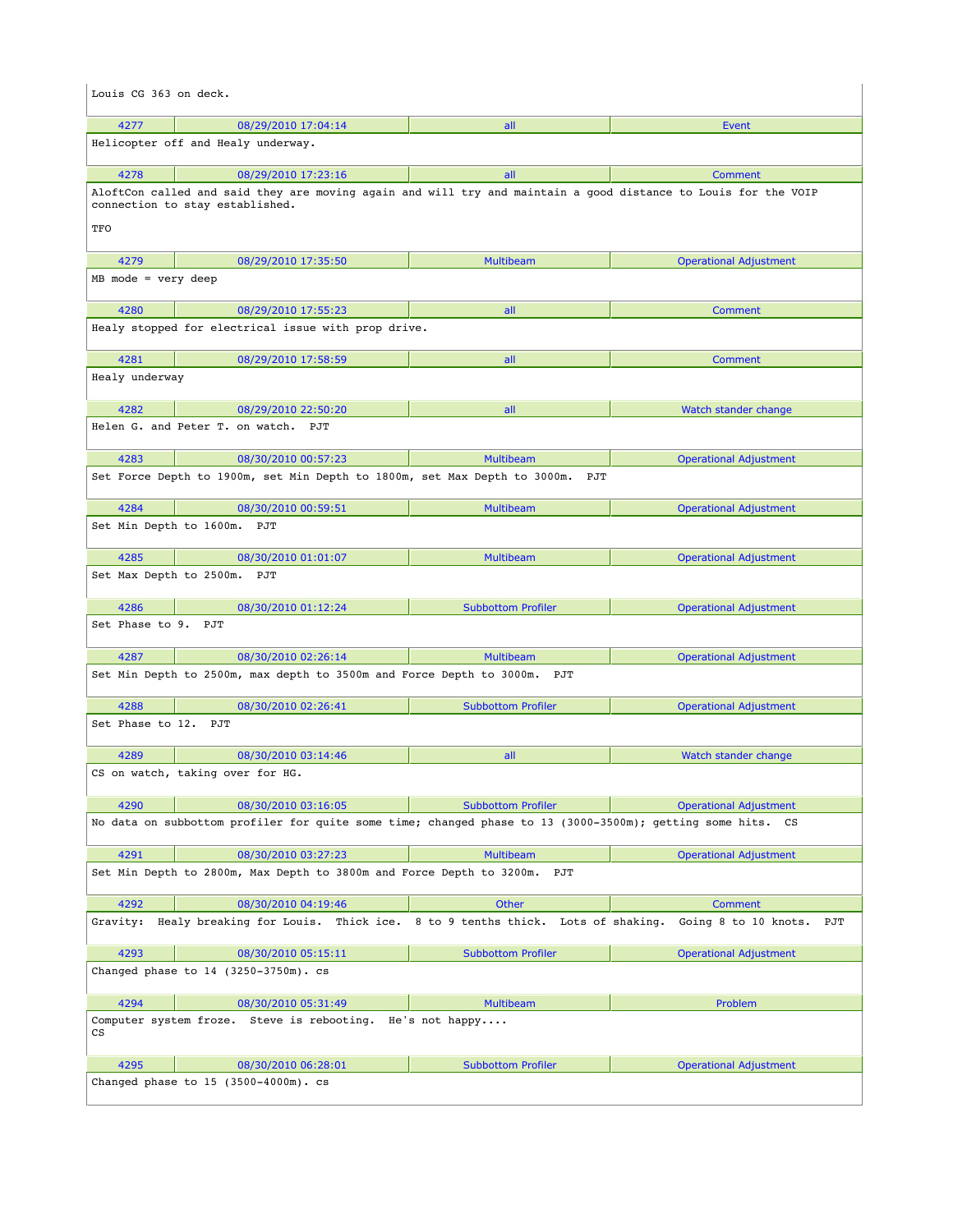| Louis CG 363 on deck. |                                                                                                                                                   |                                       |                               |  |
|-----------------------|---------------------------------------------------------------------------------------------------------------------------------------------------|---------------------------------------|-------------------------------|--|
| 4277                  | 08/29/2010 17:04:14                                                                                                                               | all                                   | <b>Event</b>                  |  |
|                       | Helicopter off and Healy underway.                                                                                                                |                                       |                               |  |
| 4278                  | 08/29/2010 17:23:16                                                                                                                               | all                                   | Comment                       |  |
|                       | AloftCon called and said they are moving again and will try and maintain a good distance to Louis for the VOIP<br>connection to stay established. |                                       |                               |  |
| TFO                   |                                                                                                                                                   |                                       |                               |  |
| 4279                  | 08/29/2010 17:35:50                                                                                                                               | <b>Multibeam</b>                      | <b>Operational Adjustment</b> |  |
| $MB$ mode = very deep |                                                                                                                                                   |                                       |                               |  |
| 4280                  | 08/29/2010 17:55:23                                                                                                                               | all                                   | <b>Comment</b>                |  |
|                       | Healy stopped for electrical issue with prop drive.                                                                                               |                                       |                               |  |
| 4281                  | 08/29/2010 17:58:59                                                                                                                               | all                                   | Comment                       |  |
| Healy underway        |                                                                                                                                                   |                                       |                               |  |
| 4282                  | 08/29/2010 22:50:20                                                                                                                               | all                                   | Watch stander change          |  |
|                       | Helen G. and Peter T. on watch. PJT                                                                                                               |                                       |                               |  |
| 4283                  | 08/30/2010 00:57:23                                                                                                                               | <b>Multibeam</b>                      | <b>Operational Adjustment</b> |  |
|                       | Set Force Depth to 1900m, set Min Depth to 1800m, set Max Depth to 3000m. PJT                                                                     |                                       |                               |  |
| 4284                  | 08/30/2010 00:59:51                                                                                                                               | <b>Multibeam</b>                      | <b>Operational Adjustment</b> |  |
|                       | Set Min Depth to 1600m. PJT                                                                                                                       |                                       |                               |  |
| 4285                  | 08/30/2010 01:01:07                                                                                                                               | <b>Multibeam</b>                      | <b>Operational Adjustment</b> |  |
|                       | Set Max Depth to 2500m. PJT                                                                                                                       |                                       |                               |  |
|                       |                                                                                                                                                   |                                       |                               |  |
| 4286                  | 08/30/2010 01:12:24                                                                                                                               | <b>Subbottom Profiler</b>             | <b>Operational Adjustment</b> |  |
| Set Phase to 9. PJT   |                                                                                                                                                   |                                       |                               |  |
| 4287                  | 08/30/2010 02:26:14                                                                                                                               | <b>Multibeam</b>                      | <b>Operational Adjustment</b> |  |
|                       | Set Min Depth to 2500m, max depth to 3500m and Force Depth to 3000m. PJT                                                                          |                                       |                               |  |
| 4288                  | 08/30/2010 02:26:41                                                                                                                               | <b>Subbottom Profiler</b>             | <b>Operational Adjustment</b> |  |
| Set Phase to 12. PJT  |                                                                                                                                                   |                                       |                               |  |
| 4289                  | 08/30/2010 03:14:46                                                                                                                               | all                                   | Watch stander change          |  |
|                       | CS on watch, taking over for HG.                                                                                                                  |                                       |                               |  |
| 4290                  | 08/30/2010 03:16:05                                                                                                                               | <b>Subbottom Profiler</b>             | <b>Operational Adjustment</b> |  |
|                       | No data on subbottom profiler for quite some time; changed phase to 13 (3000-3500m); getting some hits. CS                                        |                                       |                               |  |
| 4291                  | 08/30/2010 03:27:23                                                                                                                               | <b>Multibeam</b>                      | <b>Operational Adjustment</b> |  |
|                       | Set Min Depth to 2800m, Max Depth to 3800m and Force Depth to 3200m.                                                                              | PJT                                   |                               |  |
| 4292                  | 08/30/2010 04:19:46                                                                                                                               | <b>Other</b>                          | <b>Comment</b>                |  |
| Gravity:              | Healy breaking for Louis. Thick ice.                                                                                                              | 8 to 9 tenths thick. Lots of shaking. | Going 8 to 10 knots.<br>PJT   |  |
| 4293                  | 08/30/2010 05:15:11                                                                                                                               | <b>Subbottom Profiler</b>             | <b>Operational Adjustment</b> |  |
|                       | Changed phase to 14 (3250-3750m). cs                                                                                                              |                                       |                               |  |
| 4294                  | 08/30/2010 05:31:49                                                                                                                               | <b>Multibeam</b>                      | Problem                       |  |
| СS                    | Computer system froze. Steve is rebooting. He's not happy                                                                                         |                                       |                               |  |
| 4295                  | 08/30/2010 06:28:01                                                                                                                               | <b>Subbottom Profiler</b>             | <b>Operational Adjustment</b> |  |
|                       | Changed phase to 15 (3500-4000m). cs                                                                                                              |                                       |                               |  |
|                       |                                                                                                                                                   |                                       |                               |  |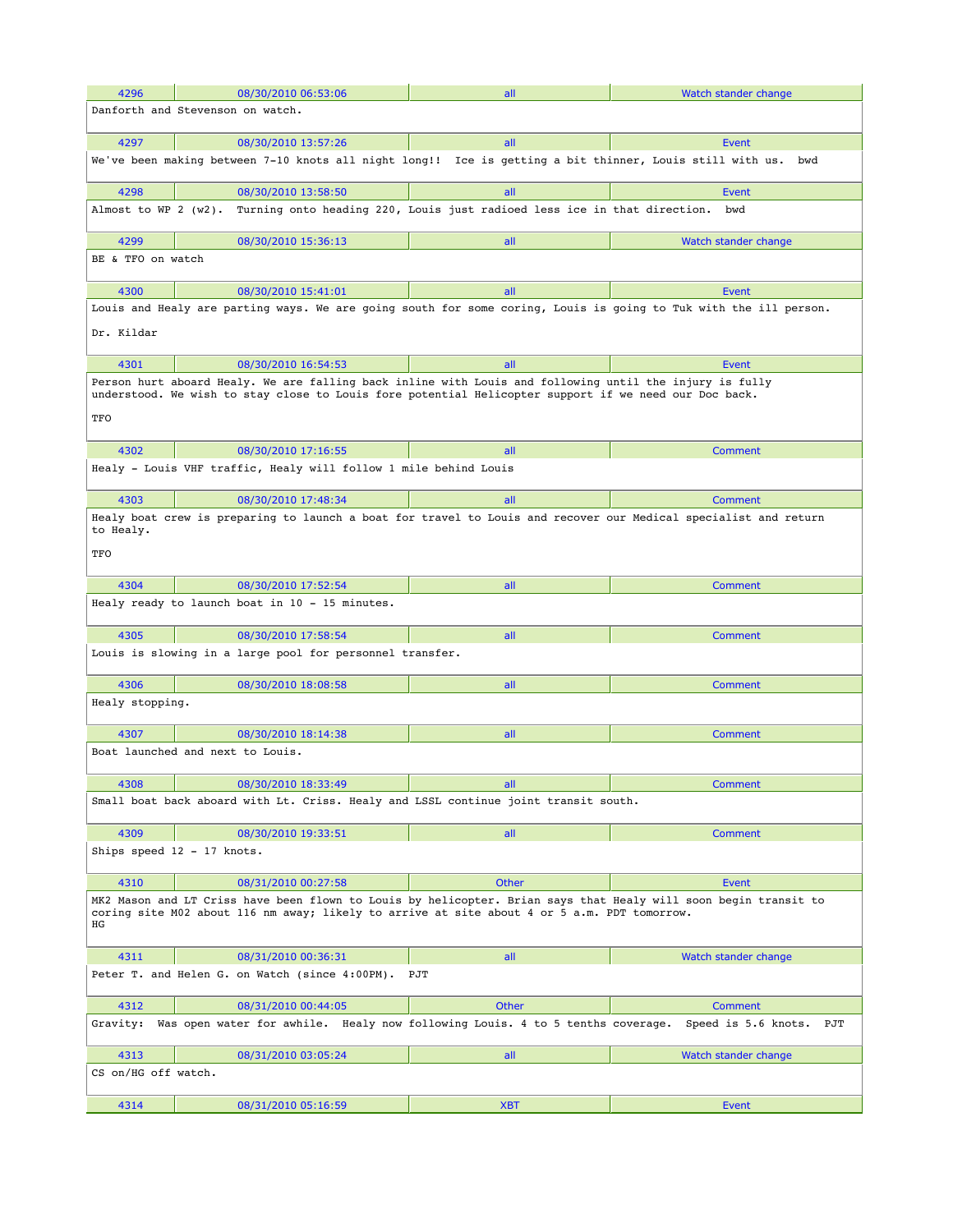| 4296                   | 08/30/2010 06:53:06                                                                                                                                                                                              | all                                                                      | Watch stander change       |
|------------------------|------------------------------------------------------------------------------------------------------------------------------------------------------------------------------------------------------------------|--------------------------------------------------------------------------|----------------------------|
|                        | Danforth and Stevenson on watch.                                                                                                                                                                                 |                                                                          |                            |
|                        |                                                                                                                                                                                                                  |                                                                          |                            |
| 4297                   | 08/30/2010 13:57:26                                                                                                                                                                                              | all                                                                      | Event                      |
|                        | We've been making between 7-10 knots all night long!! Ice is getting a bit thinner, Louis still with us.                                                                                                         |                                                                          | bwd                        |
| 4298                   | 08/30/2010 13:58:50                                                                                                                                                                                              | all                                                                      | Event                      |
| Almost to WP $2(w2)$ . |                                                                                                                                                                                                                  | Turning onto heading 220, Louis just radioed less ice in that direction. | bwd                        |
| 4299                   | 08/30/2010 15:36:13                                                                                                                                                                                              | all                                                                      | Watch stander change       |
| BE & TFO on watch      |                                                                                                                                                                                                                  |                                                                          |                            |
|                        |                                                                                                                                                                                                                  |                                                                          |                            |
| 4300                   | 08/30/2010 15:41:01<br>Louis and Healy are parting ways. We are going south for some coring, Louis is going to Tuk with the ill person.                                                                          | all                                                                      | Event                      |
| Dr. Kildar             |                                                                                                                                                                                                                  |                                                                          |                            |
| 4301                   | 08/30/2010 16:54:53                                                                                                                                                                                              | all                                                                      | Event                      |
| TFO                    | Person hurt aboard Healy. We are falling back inline with Louis and following until the injury is fully<br>understood. We wish to stay close to Louis fore potential Helicopter support if we need our Doc back. |                                                                          |                            |
|                        |                                                                                                                                                                                                                  |                                                                          |                            |
| 4302                   | 08/30/2010 17:16:55                                                                                                                                                                                              | all                                                                      | Comment                    |
|                        | Healy - Louis VHF traffic, Healy will follow 1 mile behind Louis                                                                                                                                                 |                                                                          |                            |
| 4303                   | 08/30/2010 17:48:34                                                                                                                                                                                              | all                                                                      | Comment                    |
| to Healy.              | Healy boat crew is preparing to launch a boat for travel to Louis and recover our Medical specialist and return                                                                                                  |                                                                          |                            |
| TFO                    |                                                                                                                                                                                                                  |                                                                          |                            |
| 4304                   | 08/30/2010 17:52:54                                                                                                                                                                                              | all                                                                      | Comment                    |
|                        | Healy ready to launch boat in 10 - 15 minutes.                                                                                                                                                                   |                                                                          |                            |
|                        |                                                                                                                                                                                                                  |                                                                          |                            |
| 4305                   | 08/30/2010 17:58:54<br>Louis is slowing in a large pool for personnel transfer.                                                                                                                                  | all                                                                      | Comment                    |
|                        |                                                                                                                                                                                                                  |                                                                          |                            |
| 4306                   | 08/30/2010 18:08:58                                                                                                                                                                                              | all                                                                      | <b>Comment</b>             |
| Healy stopping.        |                                                                                                                                                                                                                  |                                                                          |                            |
| 4307                   | 08/30/2010 18:14:38                                                                                                                                                                                              | all                                                                      | Comment                    |
|                        | Boat launched and next to Louis.                                                                                                                                                                                 |                                                                          |                            |
| 4308                   | 08/30/2010 18:33:49                                                                                                                                                                                              | all                                                                      | Comment                    |
|                        | Small boat back aboard with Lt. Criss. Healy and LSSL continue joint transit south.                                                                                                                              |                                                                          |                            |
| 4309                   | 08/30/2010 19:33:51                                                                                                                                                                                              | all                                                                      | Comment                    |
|                        | Ships speed 12 - 17 knots.                                                                                                                                                                                       |                                                                          |                            |
| 4310                   | 08/31/2010 00:27:58                                                                                                                                                                                              | <b>Other</b>                                                             | Event                      |
| ΗG                     | MK2 Mason and LT Criss have been flown to Louis by helicopter. Brian says that Healy will soon begin transit to<br>coring site M02 about 116 nm away; likely to arrive at site about 4 or 5 a.m. PDT tomorrow.   |                                                                          |                            |
| 4311                   | 08/31/2010 00:36:31                                                                                                                                                                                              | all                                                                      | Watch stander change       |
|                        | Peter T. and Helen G. on Watch (since 4:00PM).                                                                                                                                                                   | PJT                                                                      |                            |
| 4312                   | 08/31/2010 00:44:05                                                                                                                                                                                              | Other                                                                    | Comment                    |
| Gravity:               | Was open water for awhile. Healy now following Louis. 4 to 5 tenths coverage.                                                                                                                                    |                                                                          | Speed is 5.6 knots.<br>PJT |
| 4313                   | 08/31/2010 03:05:24                                                                                                                                                                                              | all                                                                      | Watch stander change       |
| CS on/HG off watch.    |                                                                                                                                                                                                                  |                                                                          |                            |
| 4314                   | 08/31/2010 05:16:59                                                                                                                                                                                              | <b>XBT</b>                                                               | <b>Event</b>               |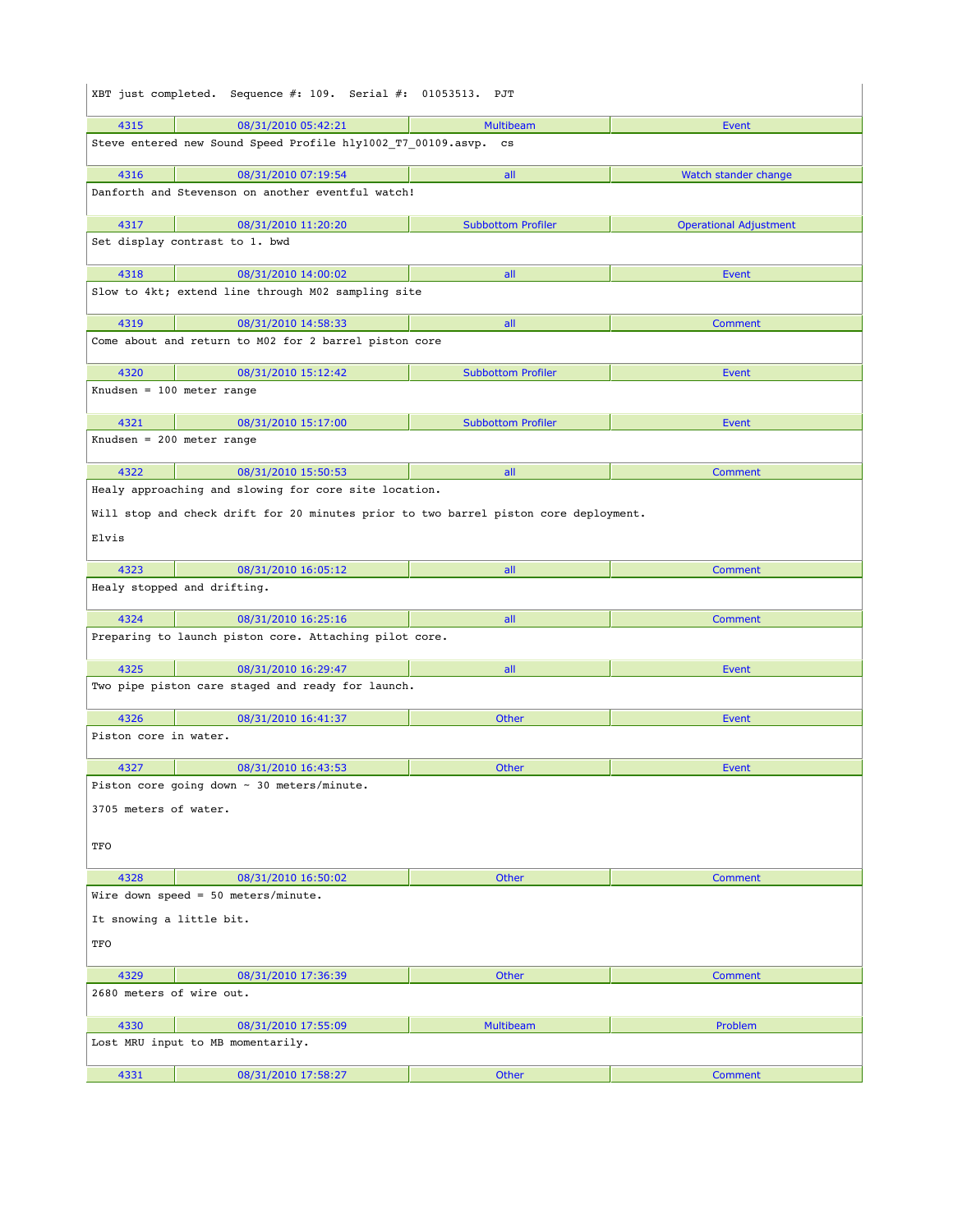|                          | XBT just completed. Sequence #: 109. Serial #: 01053513. PJT                         |                           |                               |
|--------------------------|--------------------------------------------------------------------------------------|---------------------------|-------------------------------|
| 4315                     | 08/31/2010 05:42:21                                                                  | <b>Multibeam</b>          | <b>Event</b>                  |
|                          | Steve entered new Sound Speed Profile hly1002 T7 00109.asvp. cs                      |                           |                               |
| 4316                     | 08/31/2010 07:19:54                                                                  | all                       | Watch stander change          |
|                          | Danforth and Stevenson on another eventful watch!                                    |                           |                               |
| 4317                     | 08/31/2010 11:20:20                                                                  | <b>Subbottom Profiler</b> | <b>Operational Adjustment</b> |
|                          | Set display contrast to 1. bwd                                                       |                           |                               |
| 4318                     | 08/31/2010 14:00:02                                                                  | all                       | Event                         |
|                          | Slow to 4kt; extend line through M02 sampling site                                   |                           |                               |
| 4319                     | 08/31/2010 14:58:33                                                                  | all                       | Comment                       |
|                          | Come about and return to M02 for 2 barrel piston core                                |                           |                               |
| 4320                     | 08/31/2010 15:12:42                                                                  | <b>Subbottom Profiler</b> | <b>Event</b>                  |
|                          | Knudsen = $100$ meter range                                                          |                           |                               |
| 4321                     | 08/31/2010 15:17:00                                                                  | <b>Subbottom Profiler</b> | Event                         |
|                          | Knudsen = 200 meter range                                                            |                           |                               |
| 4322                     | 08/31/2010 15:50:53                                                                  | all                       | Comment                       |
|                          | Healy approaching and slowing for core site location.                                |                           |                               |
|                          | Will stop and check drift for 20 minutes prior to two barrel piston core deployment. |                           |                               |
| Elvis                    |                                                                                      |                           |                               |
| 4323                     | 08/31/2010 16:05:12                                                                  | all                       | Comment                       |
|                          | Healy stopped and drifting.                                                          |                           |                               |
| 4324                     | 08/31/2010 16:25:16                                                                  | all                       | <b>Comment</b>                |
|                          | Preparing to launch piston core. Attaching pilot core.                               |                           |                               |
| 4325                     | 08/31/2010 16:29:47                                                                  | all                       | Event                         |
|                          | Two pipe piston care staged and ready for launch.                                    |                           |                               |
| 4326                     | 08/31/2010 16:41:37                                                                  | Other                     | <b>Event</b>                  |
| Piston core in water.    |                                                                                      |                           |                               |
| 4327                     | 08/31/2010 16:43:53                                                                  | Other                     | <b>Event</b>                  |
|                          | Piston core going down $\sim$ 30 meters/minute.                                      |                           |                               |
| 3705 meters of water.    |                                                                                      |                           |                               |
| TFO                      |                                                                                      |                           |                               |
| 4328                     | 08/31/2010 16:50:02                                                                  | Other                     | Comment                       |
|                          | Wire down speed = $50$ meters/minute.                                                |                           |                               |
| It snowing a little bit. |                                                                                      |                           |                               |
| TFO                      |                                                                                      |                           |                               |
| 4329                     | 08/31/2010 17:36:39                                                                  | Other                     | Comment                       |
| 2680 meters of wire out. |                                                                                      |                           |                               |
| 4330                     | 08/31/2010 17:55:09                                                                  | <b>Multibeam</b>          | Problem                       |
|                          | Lost MRU input to MB momentarily.                                                    |                           |                               |
| 4331                     | 08/31/2010 17:58:27                                                                  | Other                     | <b>Comment</b>                |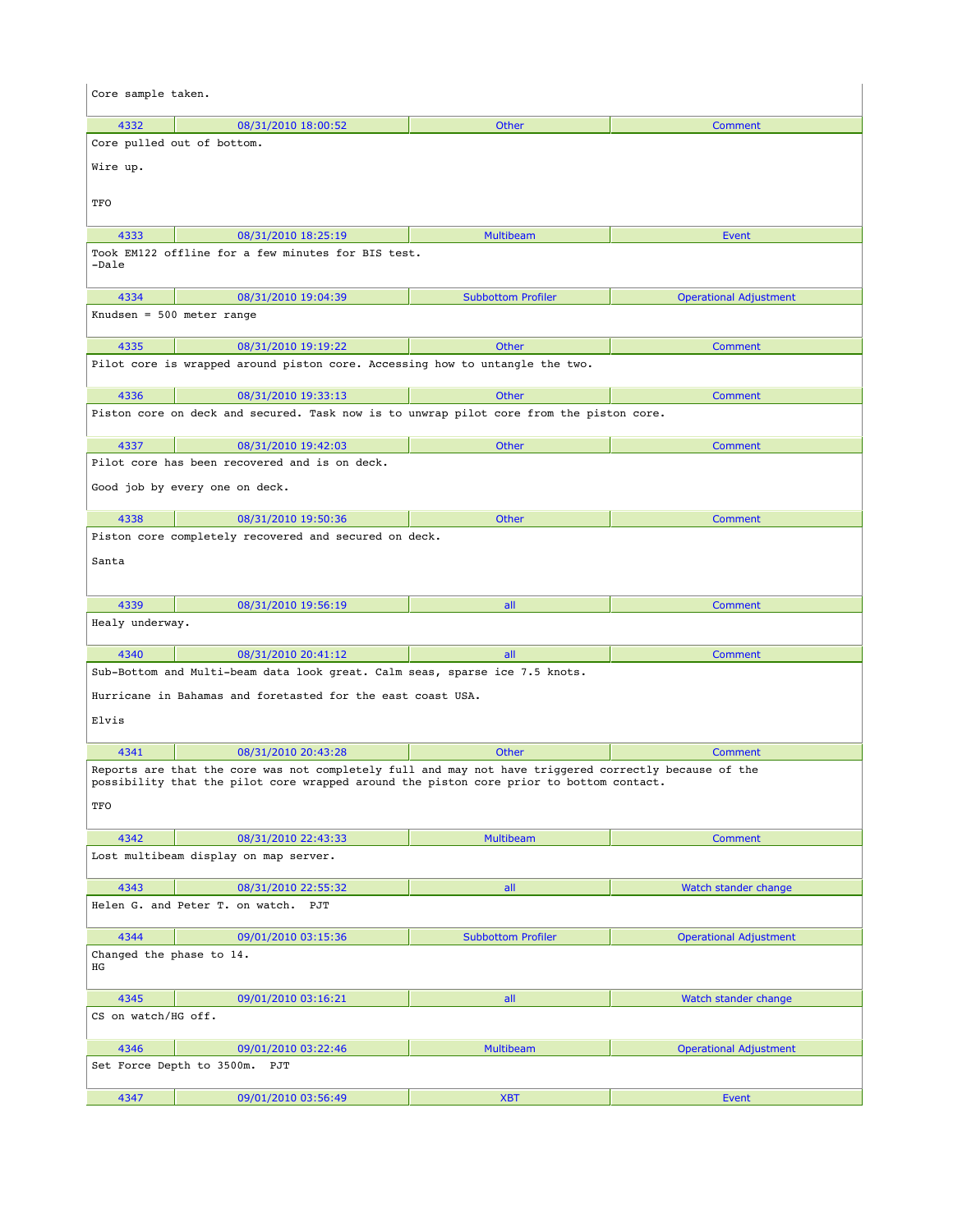| Core sample taken.             |                                                                                                       |                           |                               |
|--------------------------------|-------------------------------------------------------------------------------------------------------|---------------------------|-------------------------------|
| 4332                           | 08/31/2010 18:00:52                                                                                   | <b>Other</b>              | Comment                       |
|                                | Core pulled out of bottom.                                                                            |                           |                               |
| Wire up.                       |                                                                                                       |                           |                               |
| TFO                            |                                                                                                       |                           |                               |
| 4333                           | 08/31/2010 18:25:19                                                                                   | <b>Multibeam</b>          | Event                         |
| -Dale                          | Took EM122 offline for a few minutes for BIS test.                                                    |                           |                               |
| 4334                           | 08/31/2010 19:04:39                                                                                   | <b>Subbottom Profiler</b> | <b>Operational Adjustment</b> |
| Knudsen = 500 meter range      |                                                                                                       |                           |                               |
| 4335                           | 08/31/2010 19:19:22                                                                                   | <b>Other</b>              | Comment                       |
|                                | Pilot core is wrapped around piston core. Accessing how to untangle the two.                          |                           |                               |
| 4336                           | 08/31/2010 19:33:13                                                                                   | <b>Other</b>              | Comment                       |
|                                | Piston core on deck and secured. Task now is to unwrap pilot core from the piston core.               |                           |                               |
| 4337                           | 08/31/2010 19:42:03                                                                                   | <b>Other</b>              | Comment                       |
|                                | Pilot core has been recovered and is on deck.                                                         |                           |                               |
|                                | Good job by every one on deck.                                                                        |                           |                               |
| 4338                           | 08/31/2010 19:50:36                                                                                   | <b>Other</b>              | <b>Comment</b>                |
|                                | Piston core completely recovered and secured on deck.                                                 |                           |                               |
| Santa                          |                                                                                                       |                           |                               |
| 4339                           | 08/31/2010 19:56:19                                                                                   | all                       | Comment                       |
| Healy underway.                |                                                                                                       |                           |                               |
| 4340                           | 08/31/2010 20:41:12                                                                                   | all                       | Comment                       |
|                                | Sub-Bottom and Multi-beam data look great. Calm seas, sparse ice 7.5 knots.                           |                           |                               |
|                                | Hurricane in Bahamas and foretasted for the east coast USA.                                           |                           |                               |
| Elvis                          |                                                                                                       |                           |                               |
| 4341                           | 08/31/2010 20:43:28                                                                                   | Other                     | Comment                       |
|                                | Reports are that the core was not completely full and may not have triggered correctly because of the |                           |                               |
| TFO                            | possibility that the pilot core wrapped around the piston core prior to bottom contact. $\;$          |                           |                               |
| 4342                           | 08/31/2010 22:43:33                                                                                   | <b>Multibeam</b>          | Comment                       |
|                                | Lost multibeam display on map server.                                                                 |                           |                               |
| 4343                           | 08/31/2010 22:55:32                                                                                   | all                       | Watch stander change          |
|                                | Helen G. and Peter T. on watch. PJT                                                                   |                           |                               |
| 4344                           | 09/01/2010 03:15:36                                                                                   | <b>Subbottom Profiler</b> | <b>Operational Adjustment</b> |
| Changed the phase to 14.<br>ΗG |                                                                                                       |                           |                               |
| 4345                           | 09/01/2010 03:16:21                                                                                   | all                       | Watch stander change          |
| CS on watch/HG off.            |                                                                                                       |                           |                               |
| 4346                           | 09/01/2010 03:22:46                                                                                   | Multibeam                 | <b>Operational Adjustment</b> |
|                                | Set Force Depth to 3500m.<br>PJT                                                                      |                           |                               |
| 4347                           | 09/01/2010 03:56:49                                                                                   | <b>XBT</b>                | Event                         |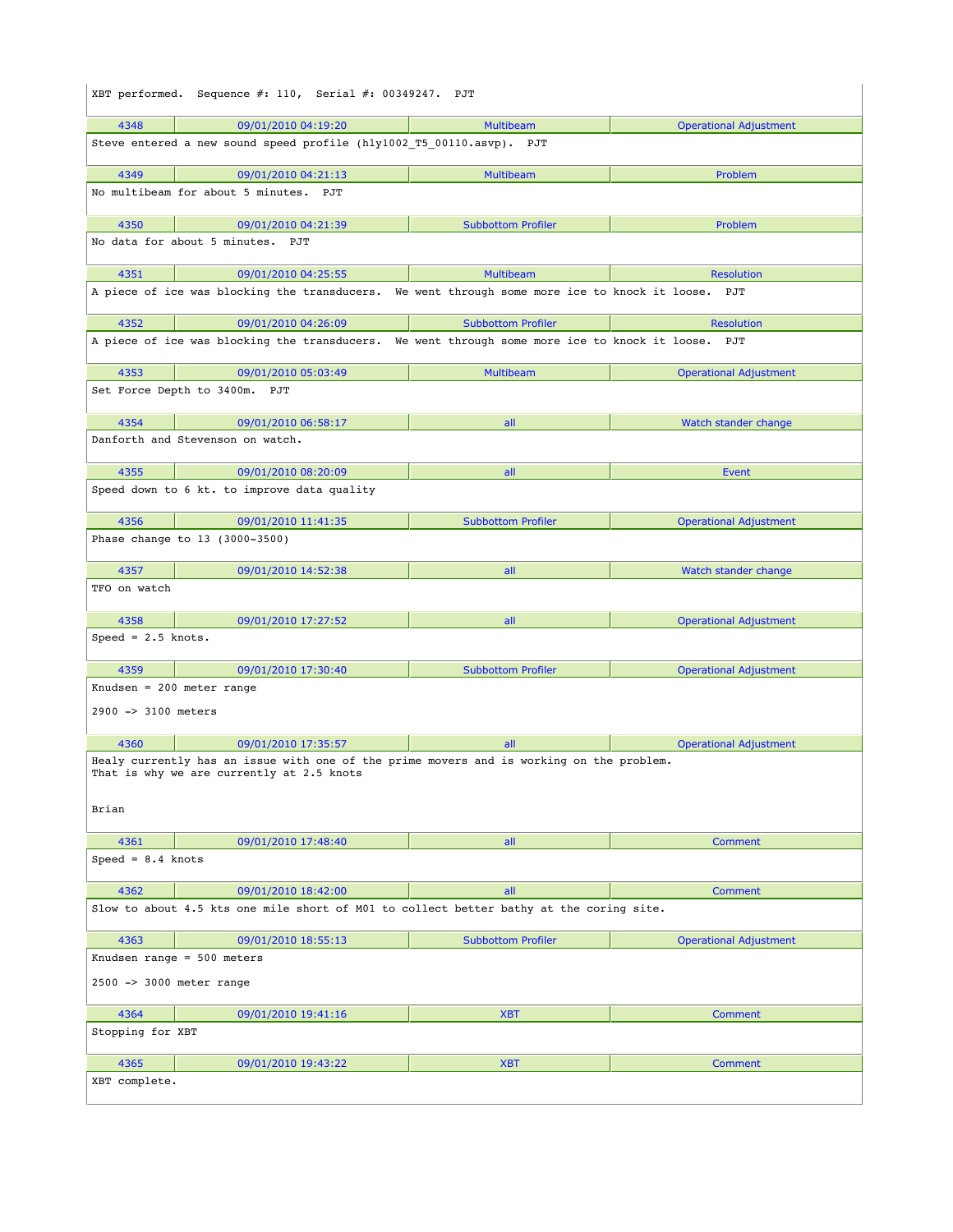| XBT performed. Sequence $\#$ : 110, Serial $\#$ : 00349247. PJT |                                                                                                                                       |                           |                               |  |
|-----------------------------------------------------------------|---------------------------------------------------------------------------------------------------------------------------------------|---------------------------|-------------------------------|--|
| 4348                                                            | 09/01/2010 04:19:20                                                                                                                   | <b>Multibeam</b>          | <b>Operational Adjustment</b> |  |
|                                                                 | Steve entered a new sound speed profile (hly1002 T5 00110.asvp). PJT                                                                  |                           |                               |  |
| 4349                                                            | 09/01/2010 04:21:13                                                                                                                   | Multibeam                 | Problem                       |  |
|                                                                 | No multibeam for about 5 minutes. PJT                                                                                                 |                           |                               |  |
| 4350                                                            | 09/01/2010 04:21:39                                                                                                                   | <b>Subbottom Profiler</b> | Problem                       |  |
|                                                                 | No data for about 5 minutes. PJT                                                                                                      |                           |                               |  |
| 4351                                                            | 09/01/2010 04:25:55                                                                                                                   | <b>Multibeam</b>          | <b>Resolution</b>             |  |
|                                                                 | A piece of ice was blocking the transducers. We went through some more ice to knock it loose. PJT                                     |                           |                               |  |
| 4352                                                            | 09/01/2010 04:26:09                                                                                                                   | <b>Subbottom Profiler</b> | <b>Resolution</b>             |  |
|                                                                 | A piece of ice was blocking the transducers. We went through some more ice to knock it loose. PJT                                     |                           |                               |  |
| 4353                                                            | 09/01/2010 05:03:49                                                                                                                   | <b>Multibeam</b>          | <b>Operational Adjustment</b> |  |
|                                                                 | Set Force Depth to 3400m. PJT                                                                                                         |                           |                               |  |
| 4354                                                            | 09/01/2010 06:58:17                                                                                                                   | all                       | Watch stander change          |  |
|                                                                 | Danforth and Stevenson on watch.                                                                                                      |                           |                               |  |
| 4355                                                            | 09/01/2010 08:20:09                                                                                                                   | all                       | Event                         |  |
|                                                                 | Speed down to 6 kt. to improve data quality                                                                                           |                           |                               |  |
| 4356                                                            | 09/01/2010 11:41:35<br>Phase change to 13 (3000-3500)                                                                                 | <b>Subbottom Profiler</b> | <b>Operational Adjustment</b> |  |
| 4357                                                            | 09/01/2010 14:52:38                                                                                                                   | all                       | Watch stander change          |  |
| TFO on watch                                                    |                                                                                                                                       |                           |                               |  |
| 4358                                                            | 09/01/2010 17:27:52                                                                                                                   | all                       | <b>Operational Adjustment</b> |  |
| Speed = $2.5$ knots.                                            |                                                                                                                                       |                           |                               |  |
| 4359                                                            | 09/01/2010 17:30:40                                                                                                                   | <b>Subbottom Profiler</b> | <b>Operational Adjustment</b> |  |
| Knudsen = $200$ meter range                                     |                                                                                                                                       |                           |                               |  |
| 2900 -> 3100 meters                                             |                                                                                                                                       |                           |                               |  |
| 4360                                                            | 09/01/2010 17:35:57                                                                                                                   | all                       | <b>Operational Adjustment</b> |  |
|                                                                 | Healy currently has an issue with one of the prime movers and is working on the problem.<br>That is why we are currently at 2.5 knots |                           |                               |  |
| Brian                                                           |                                                                                                                                       |                           |                               |  |
| 4361                                                            | 09/01/2010 17:48:40                                                                                                                   | all                       | Comment                       |  |
| $Speed = 8.4$ knots                                             |                                                                                                                                       |                           |                               |  |
| 4362                                                            | 09/01/2010 18:42:00                                                                                                                   | all                       | Comment                       |  |
|                                                                 | Slow to about 4.5 kts one mile short of M01 to collect better bathy at the coring site.                                               |                           |                               |  |
| 4363                                                            | 09/01/2010 18:55:13                                                                                                                   | <b>Subbottom Profiler</b> | <b>Operational Adjustment</b> |  |
|                                                                 | Knudsen range = $500$ meters                                                                                                          |                           |                               |  |
| 2500 -> 3000 meter range                                        |                                                                                                                                       |                           |                               |  |
| 4364                                                            | 09/01/2010 19:41:16                                                                                                                   | <b>XBT</b>                | Comment                       |  |
| Stopping for XBT                                                |                                                                                                                                       |                           |                               |  |
| 4365                                                            | 09/01/2010 19:43:22                                                                                                                   | <b>XBT</b>                | Comment                       |  |
| XBT complete.                                                   |                                                                                                                                       |                           |                               |  |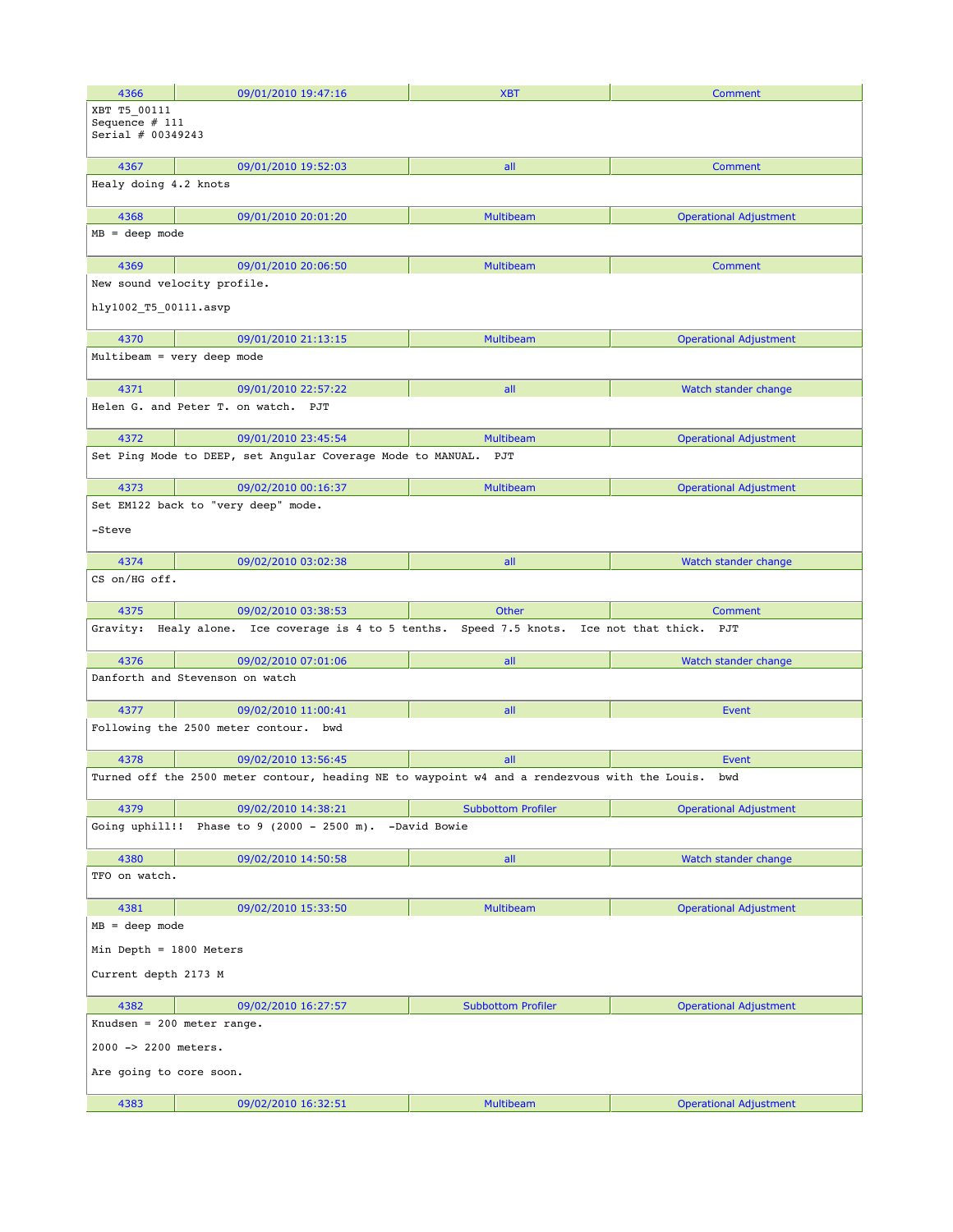| 4366                                                    | 09/01/2010 19:47:16                                                                           | <b>XBT</b>                | Comment                       |  |  |
|---------------------------------------------------------|-----------------------------------------------------------------------------------------------|---------------------------|-------------------------------|--|--|
| XBT T5 00111<br>Sequence $# 111$<br>Serial $# 00349243$ |                                                                                               |                           |                               |  |  |
| 4367                                                    | 09/01/2010 19:52:03                                                                           | all                       | Comment                       |  |  |
| Healy doing 4.2 knots                                   |                                                                                               |                           |                               |  |  |
| 4368                                                    | 09/01/2010 20:01:20                                                                           | <b>Multibeam</b>          | <b>Operational Adjustment</b> |  |  |
| $MB = deep mode$                                        |                                                                                               |                           |                               |  |  |
| 4369                                                    | 09/01/2010 20:06:50                                                                           | <b>Multibeam</b>          | Comment                       |  |  |
|                                                         | New sound velocity profile.                                                                   |                           |                               |  |  |
| hly1002_T5_00111.asvp                                   |                                                                                               |                           |                               |  |  |
| 4370                                                    | 09/01/2010 21:13:15                                                                           | <b>Multibeam</b>          | <b>Operational Adjustment</b> |  |  |
|                                                         | Multibeam = very deep mode                                                                    |                           |                               |  |  |
| 4371                                                    | 09/01/2010 22:57:22                                                                           | all                       | Watch stander change          |  |  |
|                                                         | Helen G. and Peter T. on watch.<br>PJT                                                        |                           |                               |  |  |
| 4372                                                    | 09/01/2010 23:45:54                                                                           | <b>Multibeam</b>          | <b>Operational Adjustment</b> |  |  |
|                                                         | Set Ping Mode to DEEP, set Angular Coverage Mode to MANUAL.                                   | PJT                       |                               |  |  |
| 4373                                                    | 09/02/2010 00:16:37                                                                           | <b>Multibeam</b>          | <b>Operational Adjustment</b> |  |  |
|                                                         | Set EM122 back to "very deep" mode.                                                           |                           |                               |  |  |
| -Steve                                                  |                                                                                               |                           |                               |  |  |
| 4374                                                    | 09/02/2010 03:02:38                                                                           | all                       | Watch stander change          |  |  |
| CS on/HG off.                                           |                                                                                               |                           |                               |  |  |
| 4375                                                    | 09/02/2010 03:38:53                                                                           | <b>Other</b>              | Comment                       |  |  |
| Gravity:                                                | Healy alone. Ice coverage is 4 to 5 tenths. Speed 7.5 knots. Ice not that thick.              |                           | PJT                           |  |  |
| 4376                                                    | 09/02/2010 07:01:06                                                                           | all                       | Watch stander change          |  |  |
|                                                         | Danforth and Stevenson on watch                                                               |                           |                               |  |  |
| 4377                                                    | 09/02/2010 11:00:41                                                                           | all                       | Event                         |  |  |
|                                                         | Following the 2500 meter contour.<br>bwd                                                      |                           |                               |  |  |
| 4378                                                    | 09/02/2010 13:56:45                                                                           | all                       | Event                         |  |  |
|                                                         | Turned off the 2500 meter contour, heading NE to waypoint w4 and a rendezvous with the Louis. |                           | bwd                           |  |  |
|                                                         |                                                                                               |                           |                               |  |  |
| 4379                                                    | 09/02/2010 14:38:21                                                                           | <b>Subbottom Profiler</b> | <b>Operational Adjustment</b> |  |  |
|                                                         | Going uphill!! Phase to $9$ (2000 - 2500 m).                                                  | -David Bowie              |                               |  |  |
| 4380                                                    | 09/02/2010 14:50:58                                                                           | all                       | Watch stander change          |  |  |
| TFO on watch.                                           |                                                                                               |                           |                               |  |  |
| 4381                                                    | 09/02/2010 15:33:50                                                                           | <b>Multibeam</b>          | <b>Operational Adjustment</b> |  |  |
|                                                         | $MB = deep mode$                                                                              |                           |                               |  |  |
|                                                         | Min Depth = 1800 Meters                                                                       |                           |                               |  |  |
| Current depth 2173 M                                    |                                                                                               |                           |                               |  |  |
| 4382                                                    | 09/02/2010 16:27:57                                                                           | <b>Subbottom Profiler</b> | <b>Operational Adjustment</b> |  |  |
|                                                         | Knudsen = $200$ meter range.                                                                  |                           |                               |  |  |
| 2000 -> 2200 meters.                                    |                                                                                               |                           |                               |  |  |
| Are going to core soon.                                 |                                                                                               |                           |                               |  |  |
| 4383                                                    | 09/02/2010 16:32:51                                                                           | <b>Multibeam</b>          | <b>Operational Adjustment</b> |  |  |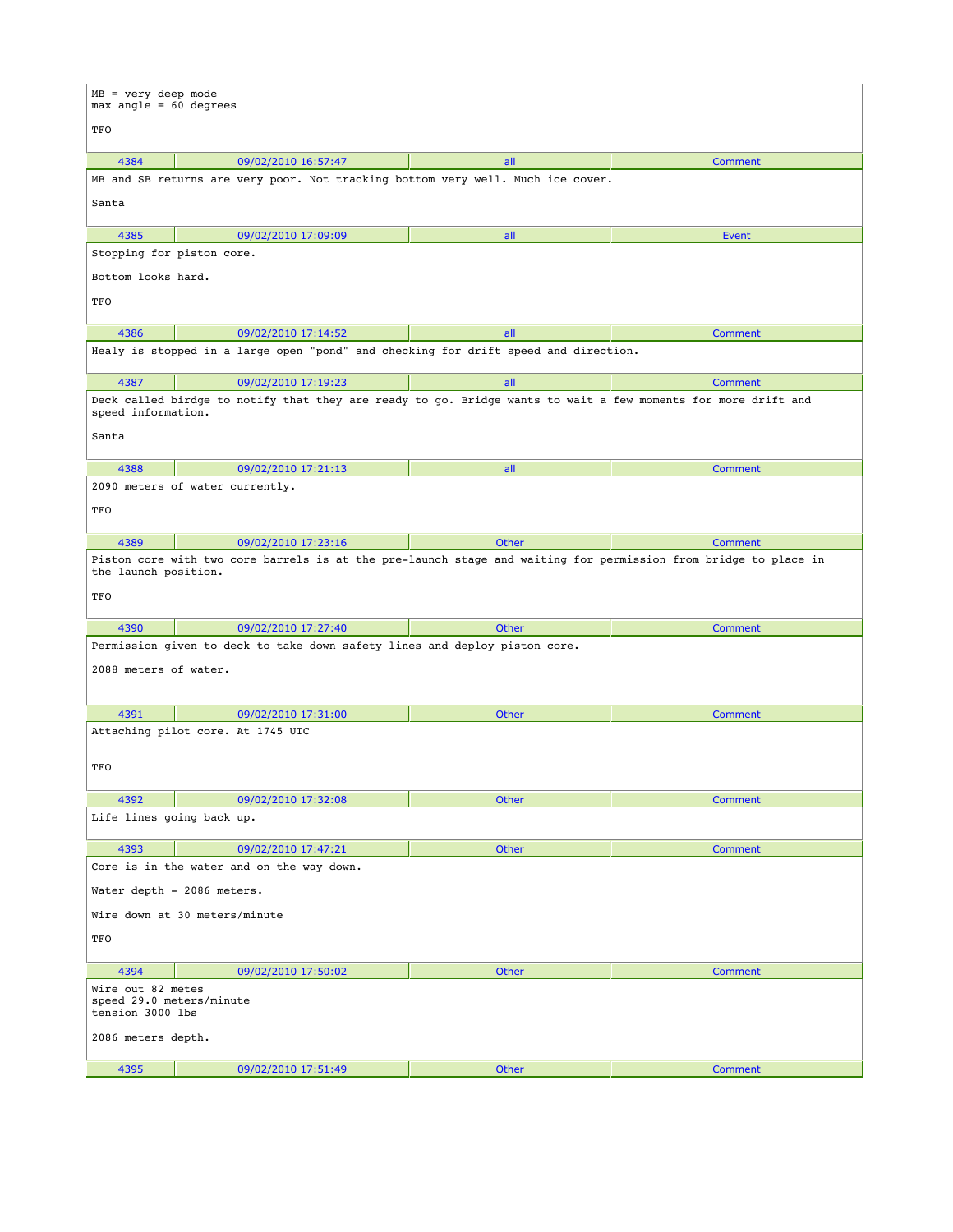| $MB = very deep mode$<br>$max$ angle = 60 degrees                                                                                              |                                                                                                               |              |                |  |
|------------------------------------------------------------------------------------------------------------------------------------------------|---------------------------------------------------------------------------------------------------------------|--------------|----------------|--|
| TFO                                                                                                                                            |                                                                                                               |              |                |  |
| 4384                                                                                                                                           | 09/02/2010 16:57:47                                                                                           | all          | Comment        |  |
|                                                                                                                                                | MB and SB returns are very poor. Not tracking bottom very well. Much ice cover.                               |              |                |  |
| Santa                                                                                                                                          |                                                                                                               |              |                |  |
| 4385                                                                                                                                           | 09/02/2010 17:09:09                                                                                           | all          | Event          |  |
|                                                                                                                                                | Stopping for piston core.                                                                                     |              |                |  |
| Bottom looks hard.                                                                                                                             |                                                                                                               |              |                |  |
| TFO                                                                                                                                            |                                                                                                               |              |                |  |
| 4386                                                                                                                                           | 09/02/2010 17:14:52                                                                                           | all          | Comment        |  |
|                                                                                                                                                | Healy is stopped in a large open "pond" and checking for drift speed and direction.                           |              |                |  |
| 4387                                                                                                                                           | 09/02/2010 17:19:23                                                                                           | all          | <b>Comment</b> |  |
| speed information.                                                                                                                             | Deck called birdge to notify that they are ready to go. Bridge wants to wait a few moments for more drift and |              |                |  |
| Santa                                                                                                                                          |                                                                                                               |              |                |  |
| 4388                                                                                                                                           | 09/02/2010 17:21:13                                                                                           | all          | Comment        |  |
|                                                                                                                                                | 2090 meters of water currently.                                                                               |              |                |  |
| TFO                                                                                                                                            |                                                                                                               |              |                |  |
| 4389                                                                                                                                           | 09/02/2010 17:23:16                                                                                           | <b>Other</b> | Comment        |  |
| Piston core with two core barrels is at the pre-launch stage and waiting for permission from bridge to place in<br>the launch position.<br>TFO |                                                                                                               |              |                |  |
| 4390                                                                                                                                           | 09/02/2010 17:27:40                                                                                           | Other        | Comment        |  |
| Permission given to deck to take down safety lines and deploy piston core.<br>2088 meters of water.                                            |                                                                                                               |              |                |  |
| 4391                                                                                                                                           | 09/02/2010 17:31:00                                                                                           | Other        | Comment        |  |
| Attaching pilot core. At 1745 UTC<br>TFO                                                                                                       |                                                                                                               |              |                |  |
| 4392                                                                                                                                           | 09/02/2010 17:32:08                                                                                           | <b>Other</b> | Comment        |  |
| Life lines going back up.                                                                                                                      |                                                                                                               |              |                |  |
| 4393                                                                                                                                           | 09/02/2010 17:47:21                                                                                           | Other        | Comment        |  |
|                                                                                                                                                | Core is in the water and on the way down.                                                                     |              |                |  |
| Water depth - 2086 meters.                                                                                                                     |                                                                                                               |              |                |  |
| Wire down at 30 meters/minute                                                                                                                  |                                                                                                               |              |                |  |
| TFO                                                                                                                                            |                                                                                                               |              |                |  |
| 4394                                                                                                                                           | 09/02/2010 17:50:02                                                                                           | Other        | Comment        |  |
| Wire out 82 metes<br>speed 29.0 meters/minute<br>tension 3000 lbs<br>2086 meters depth.                                                        |                                                                                                               |              |                |  |
|                                                                                                                                                |                                                                                                               |              |                |  |
| 4395                                                                                                                                           | 09/02/2010 17:51:49                                                                                           | Other        | Comment        |  |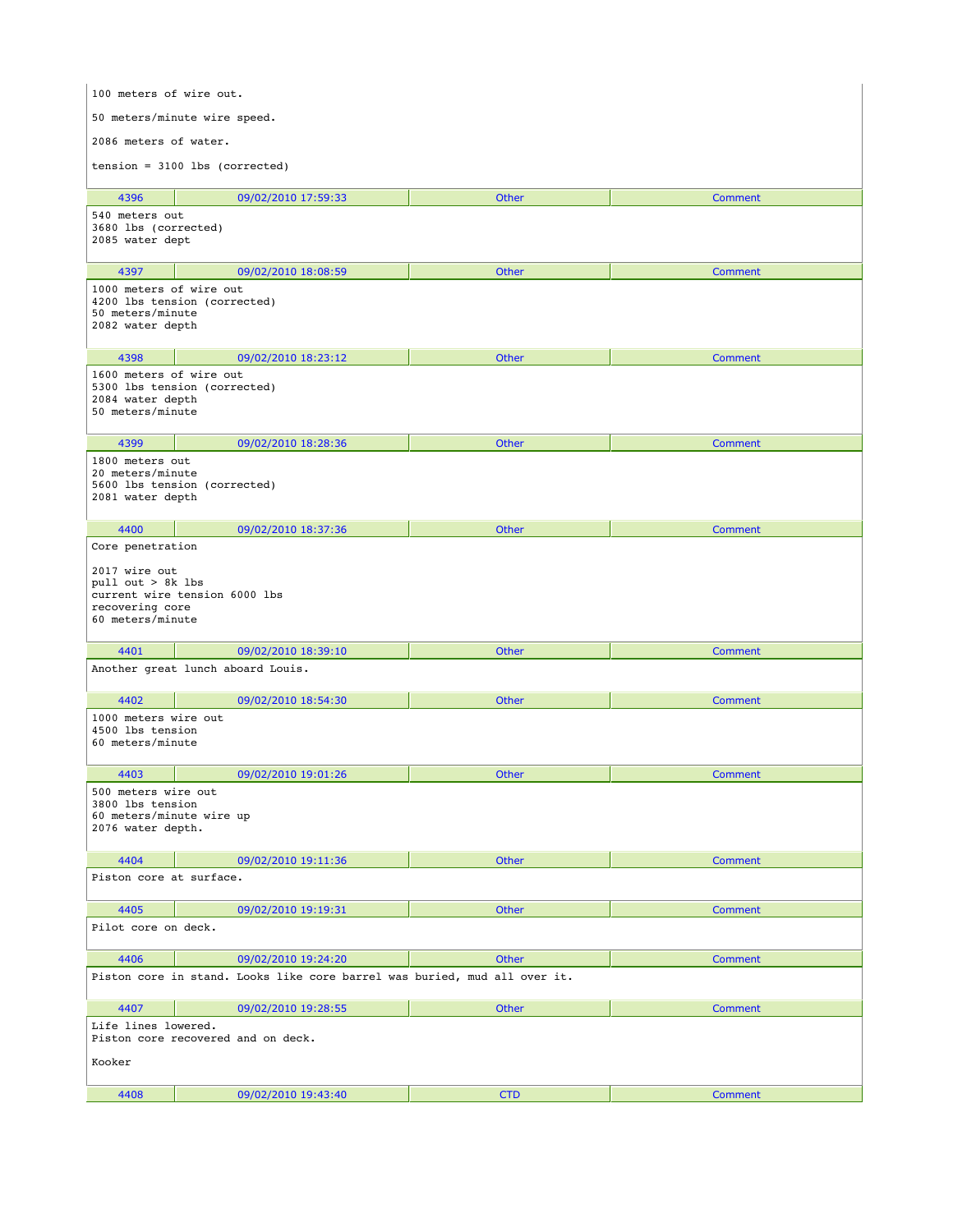| 100 meters of wire out.                                                                                                        |                                   |              |                |  |
|--------------------------------------------------------------------------------------------------------------------------------|-----------------------------------|--------------|----------------|--|
| 50 meters/minute wire speed.                                                                                                   |                                   |              |                |  |
| 2086 meters of water.                                                                                                          |                                   |              |                |  |
| $tension = 3100$ lbs (corrected)                                                                                               |                                   |              |                |  |
|                                                                                                                                |                                   |              |                |  |
| 4396<br>540 meters out                                                                                                         | 09/02/2010 17:59:33               | Other        | <b>Comment</b> |  |
| 3680 lbs (corrected)<br>2085 water dept                                                                                        |                                   |              |                |  |
| 4397                                                                                                                           | 09/02/2010 18:08:59               | <b>Other</b> | <b>Comment</b> |  |
| 1000 meters of wire out<br>4200 lbs tension (corrected)<br>50 meters/minute<br>2082 water depth                                |                                   |              |                |  |
| 4398                                                                                                                           | 09/02/2010 18:23:12               | <b>Other</b> | Comment        |  |
| 1600 meters of wire out<br>5300 lbs tension (corrected)<br>2084 water depth<br>50 meters/minute                                |                                   |              |                |  |
| 4399                                                                                                                           | 09/02/2010 18:28:36               | Other        | <b>Comment</b> |  |
| 1800 meters out<br>20 meters/minute<br>5600 lbs tension (corrected)<br>2081 water depth                                        |                                   |              |                |  |
| 4400                                                                                                                           | 09/02/2010 18:37:36               | <b>Other</b> | Comment        |  |
| Core penetration<br>2017 wire out<br>pull out > 8k lbs<br>current wire tension 6000 lbs<br>recovering core<br>60 meters/minute |                                   |              |                |  |
| 4401                                                                                                                           | 09/02/2010 18:39:10               | Other        | Comment        |  |
|                                                                                                                                | Another great lunch aboard Louis. |              |                |  |
| 4402                                                                                                                           | 09/02/2010 18:54:30               | Other        | <b>Comment</b> |  |
| 1000 meters wire out<br>4500 lbs tension<br>60 meters/minute                                                                   |                                   |              |                |  |
| 4403                                                                                                                           | 09/02/2010 19:01:26               | Other        | Comment        |  |
| 500 meters wire out<br>3800 lbs tension<br>60 meters/minute wire up<br>2076 water depth.                                       |                                   |              |                |  |
| 4404                                                                                                                           | 09/02/2010 19:11:36               | Other        | <b>Comment</b> |  |
| Piston core at surface.                                                                                                        |                                   |              |                |  |
| 4405                                                                                                                           | 09/02/2010 19:19:31               | Other        | <b>Comment</b> |  |
| Pilot core on deck.                                                                                                            |                                   |              |                |  |
| 4406                                                                                                                           | 09/02/2010 19:24:20               | Other        | Comment        |  |
| Piston core in stand. Looks like core barrel was buried, mud all over it.                                                      |                                   |              |                |  |
| 4407                                                                                                                           | 09/02/2010 19:28:55               | Other        | <b>Comment</b> |  |
| Life lines lowered.<br>Piston core recovered and on deck.<br>Kooker                                                            |                                   |              |                |  |
|                                                                                                                                |                                   |              |                |  |
| 4408                                                                                                                           | 09/02/2010 19:43:40               | <b>CTD</b>   | <b>Comment</b> |  |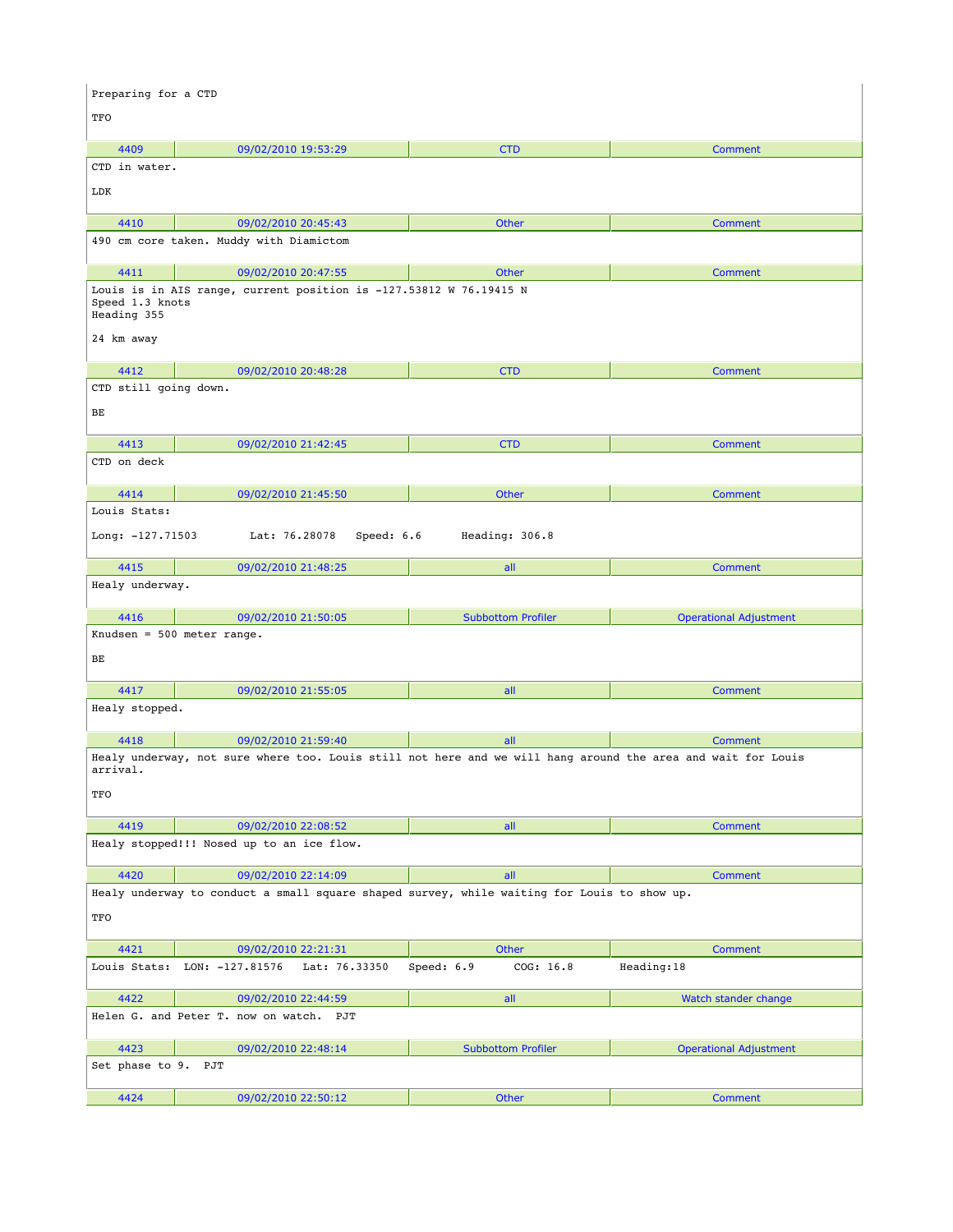| Preparing for a CTD                          |                                                                                                              |                           |                               |  |
|----------------------------------------------|--------------------------------------------------------------------------------------------------------------|---------------------------|-------------------------------|--|
| TFO                                          |                                                                                                              |                           |                               |  |
| 4409                                         | 09/02/2010 19:53:29                                                                                          | <b>CTD</b>                | <b>Comment</b>                |  |
| CTD in water.                                |                                                                                                              |                           |                               |  |
| LDK                                          |                                                                                                              |                           |                               |  |
| 4410                                         | 09/02/2010 20:45:43                                                                                          | Other                     | Comment                       |  |
|                                              | 490 cm core taken. Muddy with Diamictom                                                                      |                           |                               |  |
| 4411                                         | 09/02/2010 20:47:55                                                                                          | Other                     | Comment                       |  |
| Speed 1.3 knots<br>Heading 355<br>24 km away | Louis is in AIS range, current position is -127.53812 W 76.19415 N                                           |                           |                               |  |
|                                              |                                                                                                              |                           |                               |  |
| 4412                                         | 09/02/2010 20:48:28                                                                                          | <b>CTD</b>                | <b>Comment</b>                |  |
| CTD still going down.                        |                                                                                                              |                           |                               |  |
| BЕ                                           |                                                                                                              |                           |                               |  |
| 4413                                         | 09/02/2010 21:42:45                                                                                          | <b>CTD</b>                | <b>Comment</b>                |  |
| CTD on deck                                  |                                                                                                              |                           |                               |  |
| 4414                                         | 09/02/2010 21:45:50                                                                                          | Other                     | <b>Comment</b>                |  |
| Louis Stats:                                 |                                                                                                              |                           |                               |  |
| Long: $-127.71503$                           | Lat: 76.28078<br>Speed: 6.6                                                                                  | Heading: 306.8            |                               |  |
| 4415                                         | 09/02/2010 21:48:25                                                                                          | all                       | Comment                       |  |
| Healy underway.                              |                                                                                                              |                           |                               |  |
| 4416                                         | 09/02/2010 21:50:05                                                                                          | <b>Subbottom Profiler</b> | <b>Operational Adjustment</b> |  |
|                                              | Knudsen = $500$ meter range.                                                                                 |                           |                               |  |
| ВE                                           |                                                                                                              |                           |                               |  |
| 4417                                         | 09/02/2010 21:55:05                                                                                          | all                       | <b>Comment</b>                |  |
| Healy stopped.                               |                                                                                                              |                           |                               |  |
| 4418                                         | 09/02/2010 21:59:40                                                                                          | all                       | Comment                       |  |
|                                              | Healy underway, not sure where too. Louis still not here and we will hang around the area and wait for Louis |                           |                               |  |
| arrival.                                     |                                                                                                              |                           |                               |  |
| TFO                                          |                                                                                                              |                           |                               |  |
| 4419                                         | 09/02/2010 22:08:52                                                                                          | all                       | <b>Comment</b>                |  |
|                                              | Healy stopped!!! Nosed up to an ice flow.                                                                    |                           |                               |  |
| 4420                                         | 09/02/2010 22:14:09                                                                                          | all                       | <b>Comment</b>                |  |
|                                              | Healy underway to conduct a small square shaped survey, while waiting for Louis to show up.                  |                           |                               |  |
| TFO                                          |                                                                                                              |                           |                               |  |
| 4421                                         | 09/02/2010 22:21:31                                                                                          | Other                     | <b>Comment</b>                |  |
|                                              | Louis Stats: LON: -127.81576<br>Lat: 76.33350                                                                | Speed: 6.9<br>COG: 16.8   | Heading:18                    |  |
|                                              |                                                                                                              |                           |                               |  |
| 4422                                         | 09/02/2010 22:44:59<br>Helen G. and Peter T. now on watch. PJT                                               | all                       | Watch stander change          |  |
|                                              |                                                                                                              |                           |                               |  |
| 4423                                         | 09/02/2010 22:48:14                                                                                          | <b>Subbottom Profiler</b> | <b>Operational Adjustment</b> |  |
| Set phase to 9. PJT                          |                                                                                                              |                           |                               |  |
| 4424                                         | 09/02/2010 22:50:12                                                                                          | Other                     | Comment                       |  |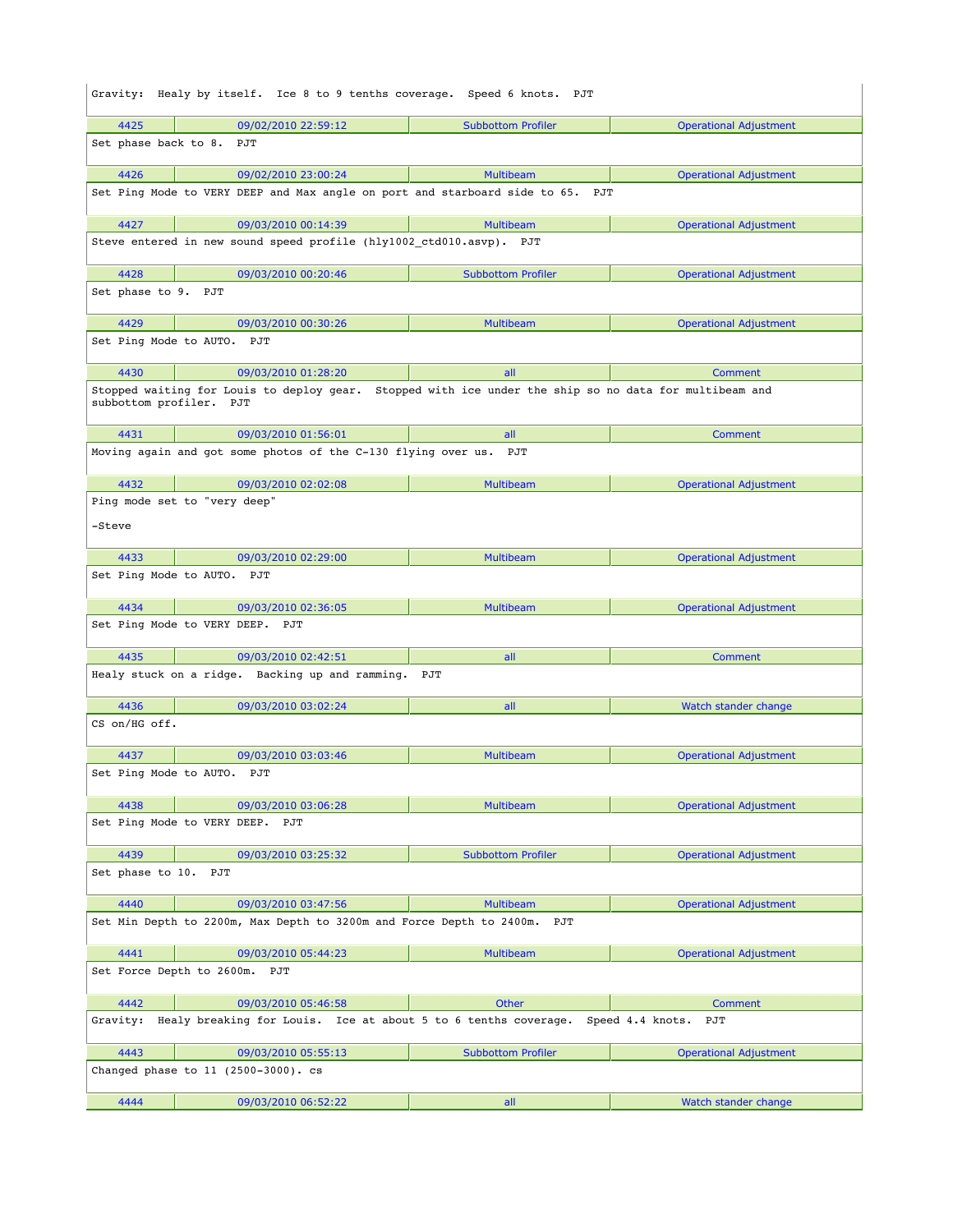| Gravity: Healy by itself. Ice 8 to 9 tenths coverage. Speed 6 knots. PJT                              |                                                                                                        |                           |                               |  |
|-------------------------------------------------------------------------------------------------------|--------------------------------------------------------------------------------------------------------|---------------------------|-------------------------------|--|
| 4425                                                                                                  | 09/02/2010 22:59:12                                                                                    | <b>Subbottom Profiler</b> | <b>Operational Adjustment</b> |  |
| Set phase back to 8.                                                                                  | PJT                                                                                                    |                           |                               |  |
| 4426                                                                                                  | 09/02/2010 23:00:24                                                                                    | <b>Multibeam</b>          | <b>Operational Adjustment</b> |  |
|                                                                                                       | Set Ping Mode to VERY DEEP and Max angle on port and starboard side to 65.                             | PJT                       |                               |  |
| 4427                                                                                                  | 09/03/2010 00:14:39                                                                                    | <b>Multibeam</b>          | <b>Operational Adjustment</b> |  |
|                                                                                                       | Steve entered in new sound speed profile (hly1002 ctd010.asvp). PJT                                    |                           |                               |  |
| 4428                                                                                                  | 09/03/2010 00:20:46                                                                                    | <b>Subbottom Profiler</b> | <b>Operational Adjustment</b> |  |
| Set phase to 9. PJT                                                                                   |                                                                                                        |                           |                               |  |
| 4429                                                                                                  | 09/03/2010 00:30:26                                                                                    | Multibeam                 | <b>Operational Adjustment</b> |  |
|                                                                                                       | Set Ping Mode to AUTO. PJT                                                                             |                           |                               |  |
| 4430                                                                                                  | 09/03/2010 01:28:20                                                                                    | all                       | Comment                       |  |
| subbottom profiler. PJT                                                                               | Stopped waiting for Louis to deploy gear. Stopped with ice under the ship so no data for multibeam and |                           |                               |  |
| 4431                                                                                                  | 09/03/2010 01:56:01                                                                                    | all                       | Comment                       |  |
|                                                                                                       | Moving again and got some photos of the C-130 flying over us. PJT                                      |                           |                               |  |
| 4432                                                                                                  | 09/03/2010 02:02:08                                                                                    | <b>Multibeam</b>          | <b>Operational Adjustment</b> |  |
| -Steve                                                                                                | Ping mode set to "very deep"                                                                           |                           |                               |  |
| 4433                                                                                                  | 09/03/2010 02:29:00                                                                                    | <b>Multibeam</b>          | <b>Operational Adjustment</b> |  |
|                                                                                                       | Set Ping Mode to AUTO. PJT                                                                             |                           |                               |  |
| 4434                                                                                                  | 09/03/2010 02:36:05                                                                                    | <b>Multibeam</b>          | <b>Operational Adjustment</b> |  |
| Set Ping Mode to VERY DEEP. PJT                                                                       |                                                                                                        |                           |                               |  |
| 4435                                                                                                  | 09/03/2010 02:42:51                                                                                    | all                       | Comment                       |  |
| Healy stuck on a ridge. Backing up and ramming. PJT                                                   |                                                                                                        |                           |                               |  |
| 4436                                                                                                  | 09/03/2010 03:02:24                                                                                    | all                       | Watch stander change          |  |
| CS on/HG off.                                                                                         |                                                                                                        |                           |                               |  |
| 4437                                                                                                  | 09/03/2010 03:03:46                                                                                    | <b>Multibeam</b>          | <b>Operational Adjustment</b> |  |
| Set Ping Mode to AUTO.<br>PJT                                                                         |                                                                                                        |                           |                               |  |
| 4438                                                                                                  | 09/03/2010 03:06:28                                                                                    | Multibeam                 | <b>Operational Adjustment</b> |  |
| Set Ping Mode to VERY DEEP.<br>PJT                                                                    |                                                                                                        |                           |                               |  |
| 4439                                                                                                  | 09/03/2010 03:25:32                                                                                    | <b>Subbottom Profiler</b> | <b>Operational Adjustment</b> |  |
| Set phase to 10.                                                                                      | PJT                                                                                                    |                           |                               |  |
| 4440                                                                                                  | 09/03/2010 03:47:56                                                                                    | <b>Multibeam</b>          | <b>Operational Adjustment</b> |  |
| Set Min Depth to 2200m, Max Depth to 3200m and Force Depth to 2400m.<br>PJT                           |                                                                                                        |                           |                               |  |
| 4441                                                                                                  | 09/03/2010 05:44:23                                                                                    | <b>Multibeam</b>          | <b>Operational Adjustment</b> |  |
| Set Force Depth to 2600m. PJT                                                                         |                                                                                                        |                           |                               |  |
| 4442                                                                                                  | 09/03/2010 05:46:58                                                                                    | Other                     | Comment                       |  |
| Gravity:<br>Healy breaking for Louis. Ice at about 5 to 6 tenths coverage.<br>Speed 4.4 knots.<br>PJT |                                                                                                        |                           |                               |  |
| 4443                                                                                                  | 09/03/2010 05:55:13                                                                                    | <b>Subbottom Profiler</b> | <b>Operational Adjustment</b> |  |
|                                                                                                       | Changed phase to 11 (2500-3000). cs                                                                    |                           |                               |  |
| 4444                                                                                                  | 09/03/2010 06:52:22                                                                                    | all                       | Watch stander change          |  |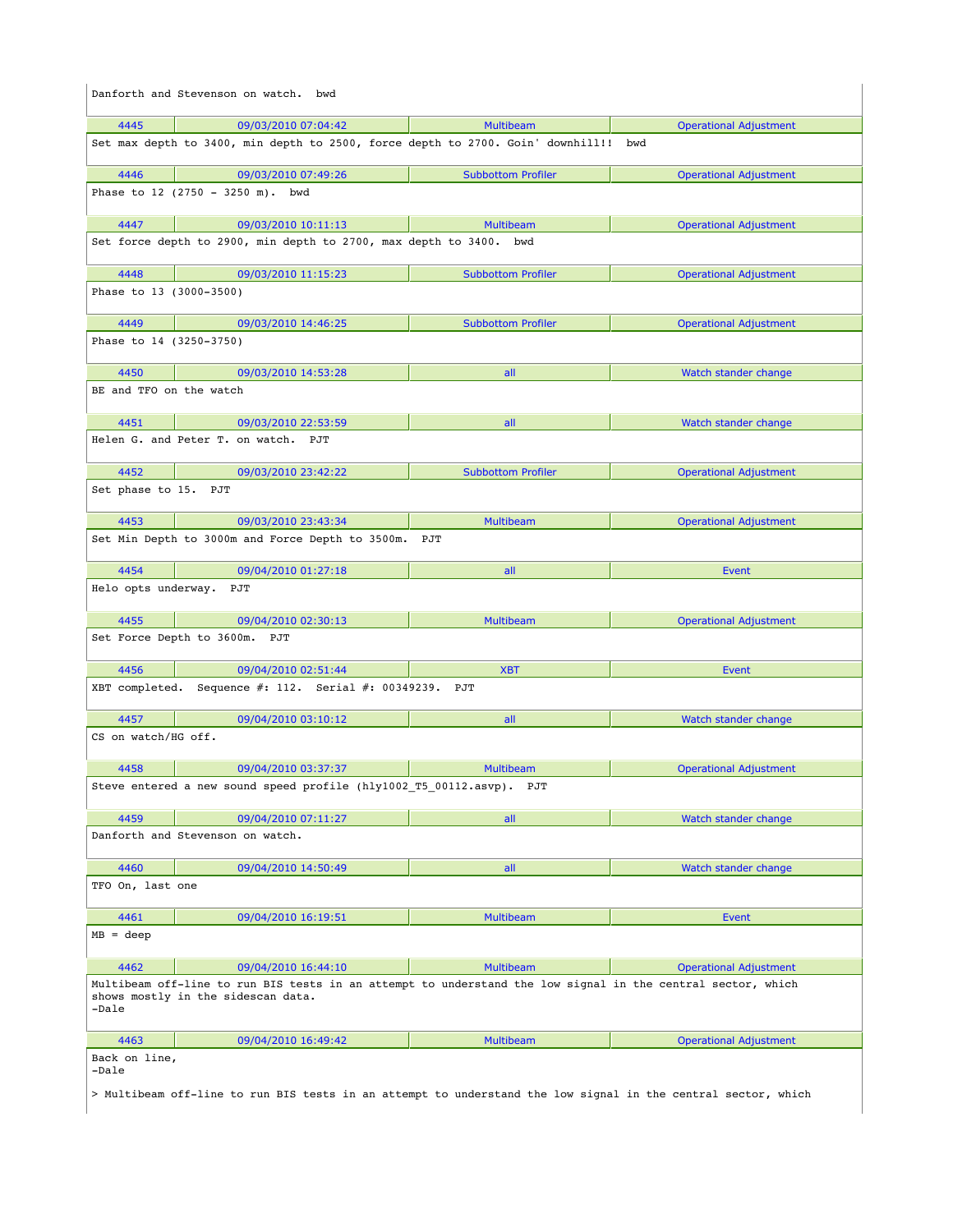| Danforth and Stevenson on watch. bwd                                                                                                                       |                     |                                                                                     |                               |
|------------------------------------------------------------------------------------------------------------------------------------------------------------|---------------------|-------------------------------------------------------------------------------------|-------------------------------|
| 4445                                                                                                                                                       | 09/03/2010 07:04:42 | <b>Multibeam</b>                                                                    | <b>Operational Adjustment</b> |
|                                                                                                                                                            |                     | Set max depth to 3400, min depth to 2500, force depth to 2700. Goin' downhill!! bwd |                               |
| 4446                                                                                                                                                       | 09/03/2010 07:49:26 | <b>Subbottom Profiler</b>                                                           | <b>Operational Adjustment</b> |
| Phase to 12 (2750 - 3250 m). bwd                                                                                                                           |                     |                                                                                     |                               |
| 4447                                                                                                                                                       | 09/03/2010 10:11:13 | <b>Multibeam</b>                                                                    | <b>Operational Adjustment</b> |
| Set force depth to 2900, min depth to 2700, max depth to 3400. bwd                                                                                         |                     |                                                                                     |                               |
| 4448                                                                                                                                                       | 09/03/2010 11:15:23 | <b>Subbottom Profiler</b>                                                           | <b>Operational Adjustment</b> |
| Phase to 13 (3000-3500)                                                                                                                                    |                     |                                                                                     |                               |
| 4449                                                                                                                                                       | 09/03/2010 14:46:25 | <b>Subbottom Profiler</b>                                                           | <b>Operational Adjustment</b> |
| Phase to 14 (3250-3750)                                                                                                                                    |                     |                                                                                     |                               |
| 4450                                                                                                                                                       | 09/03/2010 14:53:28 | all                                                                                 | Watch stander change          |
| BE and TFO on the watch                                                                                                                                    |                     |                                                                                     |                               |
| 4451                                                                                                                                                       | 09/03/2010 22:53:59 | all                                                                                 | Watch stander change          |
| Helen G. and Peter T. on watch. PJT                                                                                                                        |                     |                                                                                     |                               |
| 4452                                                                                                                                                       | 09/03/2010 23:42:22 | <b>Subbottom Profiler</b>                                                           | <b>Operational Adjustment</b> |
| Set phase to 15. PJT                                                                                                                                       |                     |                                                                                     |                               |
| 4453                                                                                                                                                       | 09/03/2010 23:43:34 | <b>Multibeam</b>                                                                    | <b>Operational Adjustment</b> |
| Set Min Depth to 3000m and Force Depth to 3500m. PJT                                                                                                       |                     |                                                                                     |                               |
| 4454                                                                                                                                                       | 09/04/2010 01:27:18 | all                                                                                 | Event                         |
| Helo opts underway. PJT                                                                                                                                    |                     |                                                                                     |                               |
| 4455                                                                                                                                                       | 09/04/2010 02:30:13 | <b>Multibeam</b>                                                                    | <b>Operational Adjustment</b> |
| Set Force Depth to 3600m. PJT                                                                                                                              |                     |                                                                                     |                               |
| 4456                                                                                                                                                       | 09/04/2010 02:51:44 | <b>XBT</b>                                                                          | Event                         |
| XBT completed. Sequence #: 112. Serial #: 00349239. PJT                                                                                                    |                     |                                                                                     |                               |
| 4457                                                                                                                                                       | 09/04/2010 03:10:12 | all                                                                                 | Watch stander change          |
| CS on watch/HG off.                                                                                                                                        |                     |                                                                                     |                               |
| 4458                                                                                                                                                       | 09/04/2010 03:37:37 | <b>Multibeam</b>                                                                    | <b>Operational Adjustment</b> |
| Steve entered a new sound speed profile (hly1002 T5 00112.asvp). PJT                                                                                       |                     |                                                                                     |                               |
| 4459                                                                                                                                                       | 09/04/2010 07:11:27 | all                                                                                 | Watch stander change          |
| Danforth and Stevenson on watch.                                                                                                                           |                     |                                                                                     |                               |
| 4460                                                                                                                                                       | 09/04/2010 14:50:49 | all                                                                                 | Watch stander change          |
| TFO On, last one                                                                                                                                           |                     |                                                                                     |                               |
| 4461                                                                                                                                                       | 09/04/2010 16:19:51 | <b>Multibeam</b>                                                                    | Event                         |
| $MB = deep$                                                                                                                                                |                     |                                                                                     |                               |
| 4462                                                                                                                                                       | 09/04/2010 16:44:10 | <b>Multibeam</b>                                                                    | <b>Operational Adjustment</b> |
| Multibeam off-line to run BIS tests in an attempt to understand the low signal in the central sector, which<br>shows mostly in the sidescan data.<br>-Dale |                     |                                                                                     |                               |
| 4463                                                                                                                                                       | 09/04/2010 16:49:42 | <b>Multibeam</b>                                                                    | <b>Operational Adjustment</b> |
| Back on line,<br>-Dale                                                                                                                                     |                     |                                                                                     |                               |
| > Multibeam off-line to run BIS tests in an attempt to understand the low signal in the central sector, which                                              |                     |                                                                                     |                               |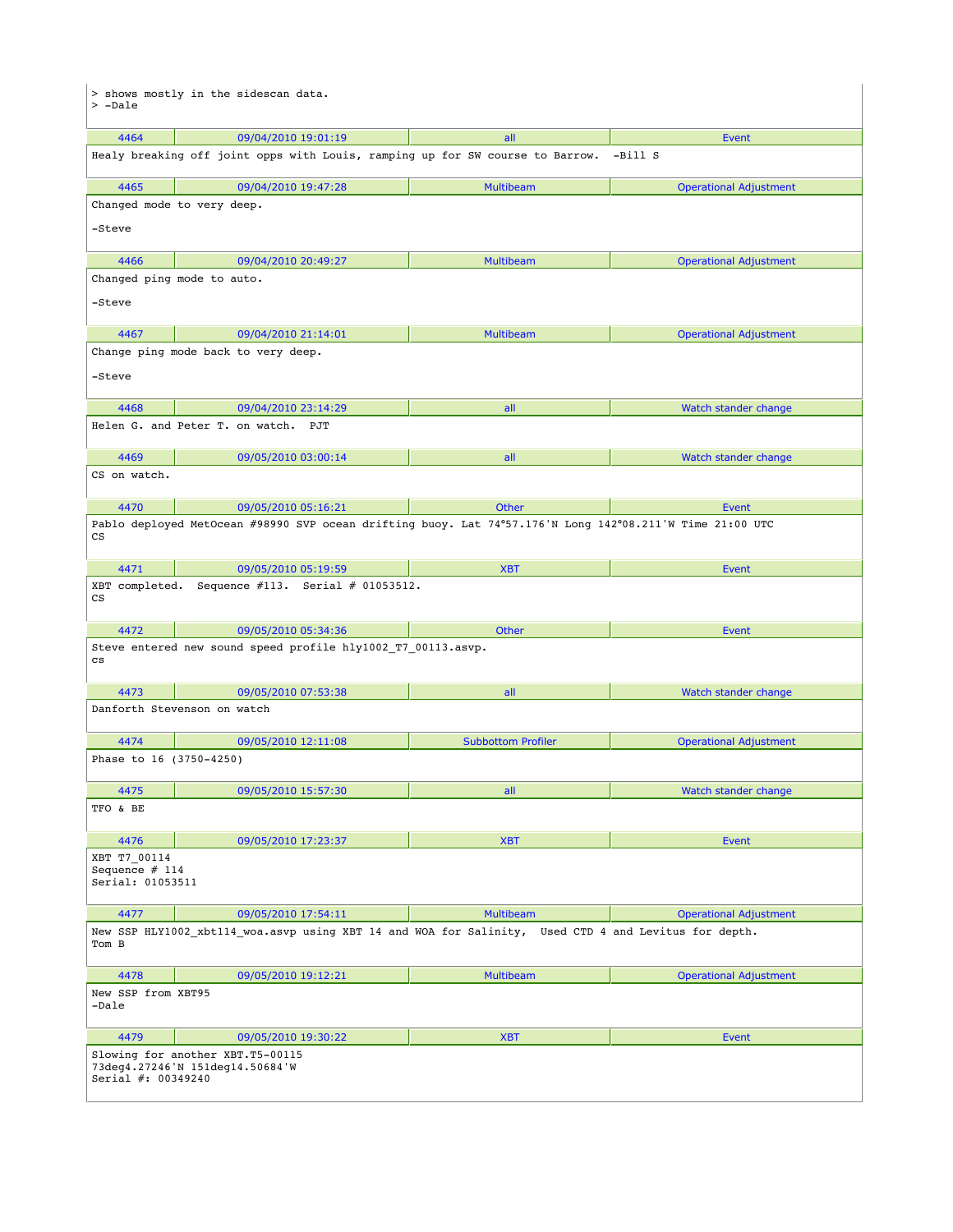| > shows mostly in the sidescan data.<br>> -Dale                                           |                                                                                                          |                           |                               |  |
|-------------------------------------------------------------------------------------------|----------------------------------------------------------------------------------------------------------|---------------------------|-------------------------------|--|
| 4464                                                                                      | 09/04/2010 19:01:19                                                                                      | all                       | Event                         |  |
|                                                                                           | Healy breaking off joint opps with Louis, ramping up for SW course to Barrow.                            |                           | -Bill S                       |  |
| 4465                                                                                      | 09/04/2010 19:47:28                                                                                      | <b>Multibeam</b>          | <b>Operational Adjustment</b> |  |
|                                                                                           | Changed mode to very deep.                                                                               |                           |                               |  |
| -Steve                                                                                    |                                                                                                          |                           |                               |  |
| 4466                                                                                      | 09/04/2010 20:49:27                                                                                      | <b>Multibeam</b>          | <b>Operational Adjustment</b> |  |
| -Steve                                                                                    | Changed ping mode to auto.                                                                               |                           |                               |  |
| 4467                                                                                      | 09/04/2010 21:14:01                                                                                      | <b>Multibeam</b>          | <b>Operational Adjustment</b> |  |
| -Steve                                                                                    | Change ping mode back to very deep.                                                                      |                           |                               |  |
| 4468                                                                                      | 09/04/2010 23:14:29                                                                                      | all                       | Watch stander change          |  |
|                                                                                           | Helen G. and Peter T. on watch. PJT                                                                      |                           |                               |  |
| 4469                                                                                      | 09/05/2010 03:00:14                                                                                      | all                       | Watch stander change          |  |
| CS on watch.                                                                              |                                                                                                          |                           |                               |  |
| 4470                                                                                      | 09/05/2010 05:16:21                                                                                      | Other                     | Event                         |  |
| $\mathop{\rm CS}\nolimits$                                                                | Pablo deployed MetOcean #98990 SVP ocean drifting buoy. Lat 74°57.176'N Long 142°08.211'W Time 21:00 UTC |                           |                               |  |
| 4471                                                                                      | 09/05/2010 05:19:59                                                                                      | <b>XBT</b>                | Event                         |  |
| $\mathop{\rm CS}\nolimits$                                                                | XBT completed. Sequence #113. Serial # 01053512.                                                         |                           |                               |  |
| 4472                                                                                      | 09/05/2010 05:34:36                                                                                      | Other                     | Event                         |  |
| Steve entered new sound speed profile hly1002_T7_00113.asvp.<br>cs                        |                                                                                                          |                           |                               |  |
| 4473                                                                                      | 09/05/2010 07:53:38                                                                                      | all                       | Watch stander change          |  |
| Danforth Stevenson on watch                                                               |                                                                                                          |                           |                               |  |
| 4474                                                                                      | 09/05/2010 12:11:08                                                                                      | <b>Subbottom Profiler</b> | <b>Operational Adjustment</b> |  |
| Phase to 16 (3750-4250)                                                                   |                                                                                                          |                           |                               |  |
| 4475                                                                                      | 09/05/2010 15:57:30                                                                                      | all                       | Watch stander change          |  |
| TFO & BE                                                                                  |                                                                                                          |                           |                               |  |
| 4476                                                                                      | 09/05/2010 17:23:37                                                                                      | <b>XBT</b>                | Event                         |  |
| XBT T7 00114<br>Sequence $# 114$<br>Serial: 01053511                                      |                                                                                                          |                           |                               |  |
| 4477                                                                                      | 09/05/2010 17:54:11                                                                                      | <b>Multibeam</b>          | <b>Operational Adjustment</b> |  |
| Tom B                                                                                     | New SSP HLY1002 xbt114 woa.asvp using XBT 14 and WOA for Salinity, Used CTD 4 and Levitus for depth.     |                           |                               |  |
| 4478                                                                                      | 09/05/2010 19:12:21                                                                                      | <b>Multibeam</b>          | <b>Operational Adjustment</b> |  |
| New SSP from XBT95<br>-Dale                                                               |                                                                                                          |                           |                               |  |
| 4479                                                                                      | 09/05/2010 19:30:22                                                                                      | <b>XBT</b>                | Event                         |  |
| Slowing for another XBT.T5-00115<br>73deg4.27246'N 151deg14.50684'W<br>Serial #: 00349240 |                                                                                                          |                           |                               |  |